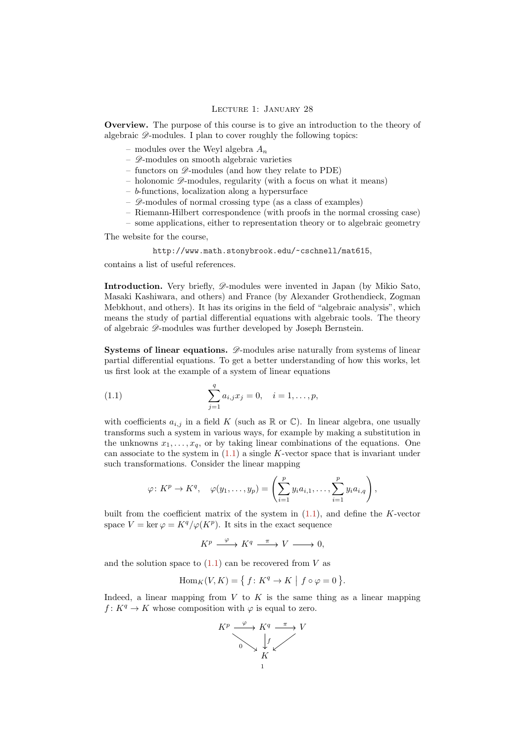## <span id="page-0-1"></span>Lecture 1: January 28

Overview. The purpose of this course is to give an introduction to the theory of algebraic  $\mathscr{D}$ -modules. I plan to cover roughly the following topics:

- modules over the Weyl algebra  $A_n$
- $\mathscr{D}$ -modules on smooth algebraic varieties
- functors on  $\mathscr{D}$ -modules (and how they relate to PDE)
- holonomic  $\mathscr{D}$ -modules, regularity (with a focus on what it means)
- $-$  b-functions, localization along a hypersurface
- $\mathscr{D}$ -modules of normal crossing type (as a class of examples)
- Riemann-Hilbert correspondence (with proofs in the normal crossing case)
- some applications, either to representation theory or to algebraic geometry

The website for the course,

## <http://www.math.stonybrook.edu/~cschnell/mat615>,

contains a list of useful references.

Introduction. Very briefly,  $\mathscr{D}$ -modules were invented in Japan (by Mikio Sato, Masaki Kashiwara, and others) and France (by Alexander Grothendieck, Zogman Mebkhout, and others). It has its origins in the field of "algebraic analysis", which means the study of partial differential equations with algebraic tools. The theory of algebraic D-modules was further developed by Joseph Bernstein.

Systems of linear equations.  $\mathscr{D}$ -modules arise naturally from systems of linear partial differential equations. To get a better understanding of how this works, let us first look at the example of a system of linear equations

<span id="page-0-0"></span>(1.1) 
$$
\sum_{j=1}^{q} a_{i,j} x_j = 0, \quad i = 1, \dots, p,
$$

with coefficients  $a_{i,j}$  in a field K (such as  $\mathbb R$  or  $\mathbb C$ ). In linear algebra, one usually transforms such a system in various ways, for example by making a substitution in the unknowns  $x_1, \ldots, x_q$ , or by taking linear combinations of the equations. One can associate to the system in  $(1.1)$  a single K-vector space that is invariant under such transformations. Consider the linear mapping

$$
\varphi\colon K^p\to K^q,\quad \varphi(y_1,\ldots,y_p)=\left(\sum_{i=1}^p y_ia_{i,1},\ldots,\sum_{i=1}^p y_ia_{i,q}\right),
$$

built from the coefficient matrix of the system in  $(1.1)$ , and define the K-vector space  $V = \ker \varphi = K^q / \varphi(K^p)$ . It sits in the exact sequence

 $K^p \xrightarrow{\varphi} K^q \xrightarrow{\pi} V \longrightarrow 0,$ 

and the solution space to  $(1.1)$  can be recovered from V as

$$
\operatorname{Hom}_K(V, K) = \{ f \colon K^q \to K \mid f \circ \varphi = 0 \}.
$$

Indeed, a linear mapping from  $V$  to  $K$  is the same thing as a linear mapping  $f: K^q \to K$  whose composition with  $\varphi$  is equal to zero.

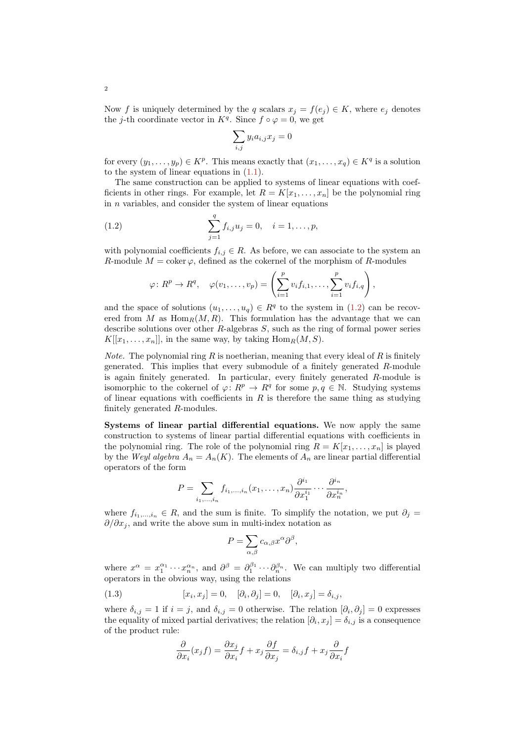Now f is uniquely determined by the q scalars  $x_j = f(e_j) \in K$ , where  $e_j$  denotes the j-th coordinate vector in  $K<sup>q</sup>$ . Since  $f \circ \varphi = 0$ , we get

$$
\sum_{i,j} y_i a_{i,j} x_j = 0
$$

for every  $(y_1, \ldots, y_p) \in K^p$ . This means exactly that  $(x_1, \ldots, x_q) \in K^q$  is a solution to the system of linear equations in [\(1.1\)](#page-0-0).

The same construction can be applied to systems of linear equations with coefficients in other rings. For example, let  $R = K[x_1, \ldots, x_n]$  be the polynomial ring in  $n$  variables, and consider the system of linear equations

(1.2) 
$$
\sum_{j=1}^{q} f_{i,j} u_j = 0, \quad i = 1, ..., p,
$$

with polynomial coefficients  $f_{i,j} \in R$ . As before, we can associate to the system an R-module  $M = \text{coker}\,\varphi$ , defined as the cokernel of the morphism of R-modules

<span id="page-1-0"></span>
$$
\varphi\colon R^p\to R^q,\quad \varphi(v_1,\ldots,v_p)=\left(\sum_{i=1}^p v_if_{i,1},\ldots,\sum_{i=1}^p v_if_{i,q}\right),
$$

and the space of solutions  $(u_1, \ldots, u_q) \in \mathbb{R}^q$  to the system in  $(1.2)$  can be recovered from M as  $\text{Hom}_R(M, R)$ . This formulation has the advantage that we can describe solutions over other  $R$ -algebras  $S$ , such as the ring of formal power series  $K[[x_1, \ldots, x_n]],$  in the same way, by taking  $\text{Hom}_R(M, S)$ .

*Note.* The polynomial ring R is noetherian, meaning that every ideal of R is finitely generated. This implies that every submodule of a finitely generated R-module is again finitely generated. In particular, every finitely generated R-module is isomorphic to the cokernel of  $\varphi: R^p \to R^q$  for some  $p, q \in \mathbb{N}$ . Studying systems of linear equations with coefficients in  $R$  is therefore the same thing as studying finitely generated R-modules.

Systems of linear partial differential equations. We now apply the same construction to systems of linear partial differential equations with coefficients in the polynomial ring. The role of the polynomial ring  $R = K[x_1, \ldots, x_n]$  is played by the Weyl algebra  $A_n = A_n(K)$ . The elements of  $A_n$  are linear partial differential operators of the form

$$
P = \sum_{i_1,\dots,i_n} f_{i_1,\dots,i_n}(x_1,\dots,x_n) \frac{\partial^{i_1}}{\partial x_1^{i_1}} \cdots \frac{\partial^{i_n}}{\partial x_n^{i_n}},
$$

where  $f_{i_1,\dots,i_n} \in R$ , and the sum is finite. To simplify the notation, we put  $\partial_j =$  $\partial/\partial x_i$ , and write the above sum in multi-index notation as

$$
P = \sum_{\alpha,\beta} c_{\alpha,\beta} x^{\alpha} \partial^{\beta},
$$

where  $x^{\alpha} = x_1^{\alpha_1} \cdots x_n^{\alpha_n}$ , and  $\partial^{\beta} = \partial_1^{\beta_1} \cdots \partial_n^{\beta_n}$ . We can multiply two differential operators in the obvious way, using the relations

(1.3) 
$$
[x_i, x_j] = 0, \quad [\partial_i, \partial_j] = 0, \quad [\partial_i, x_j] = \delta_{i,j},
$$

where  $\delta_{i,j} = 1$  if  $i = j$ , and  $\delta_{i,j} = 0$  otherwise. The relation  $[\partial_i, \partial_j] = 0$  expresses the equality of mixed partial derivatives; the relation  $[\partial_i, x_j] = \delta_{i,j}$  is a consequence of the product rule:

<span id="page-1-1"></span>
$$
\frac{\partial}{\partial x_i}(x_j f) = \frac{\partial x_j}{\partial x_i} f + x_j \frac{\partial f}{\partial x_j} = \delta_{i,j} f + x_j \frac{\partial}{\partial x_i} f
$$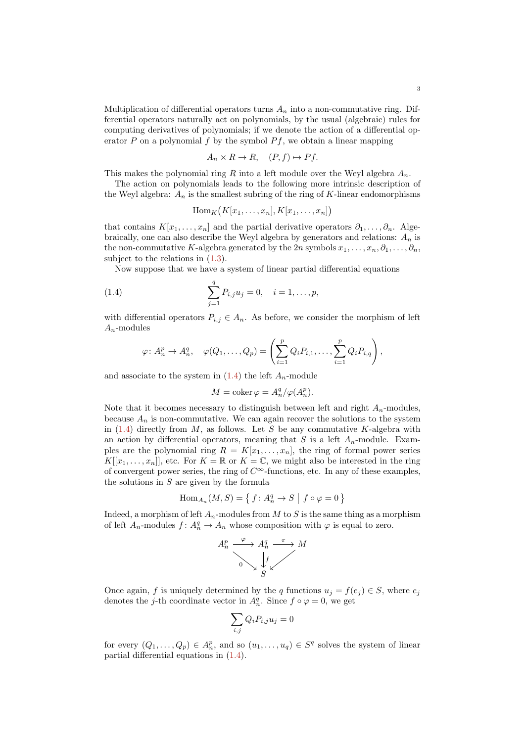Multiplication of differential operators turns  $A_n$  into a non-commutative ring. Differential operators naturally act on polynomials, by the usual (algebraic) rules for computing derivatives of polynomials; if we denote the action of a differential operator  $P$  on a polynomial  $f$  by the symbol  $P f$ , we obtain a linear mapping

$$
A_n \times R \to R, \quad (P, f) \mapsto Pf.
$$

This makes the polynomial ring R into a left module over the Weyl algebra  $A_n$ .

The action on polynomials leads to the following more intrinsic description of the Weyl algebra:  $A_n$  is the smallest subring of the ring of K-linear endomorphisms

<span id="page-2-0"></span>
$$
\operatorname{Hom}_K(K[x_1,\ldots,x_n],K[x_1,\ldots,x_n])
$$

that contains  $K[x_1, \ldots, x_n]$  and the partial derivative operators  $\partial_1, \ldots, \partial_n$ . Algebraically, one can also describe the Weyl algebra by generators and relations:  $A_n$  is the non-commutative K-algebra generated by the 2n symbols  $x_1, \ldots, x_n, \partial_1, \ldots, \partial_n$ subject to the relations in  $(1.3)$ .

Now suppose that we have a system of linear partial differential equations

(1.4) 
$$
\sum_{j=1}^{q} P_{i,j} u_j = 0, \quad i = 1, \dots, p,
$$

with differential operators  $P_{i,j} \in A_n$ . As before, we consider the morphism of left  $A_n$ -modules

$$
\varphi\colon A_n^p\to A_n^q,\quad \varphi(Q_1,\ldots,Q_p)=\left(\sum_{i=1}^pQ_iP_{i,1},\ldots,\sum_{i=1}^pQ_iP_{i,q}\right),
$$

and associate to the system in  $(1.4)$  the left  $A_n$ -module

$$
M = \operatorname{coker} \varphi = A_n^q / \varphi(A_n^p).
$$

Note that it becomes necessary to distinguish between left and right  $A_n$ -modules, because  $A_n$  is non-commutative. We can again recover the solutions to the system in  $(1.4)$  directly from M, as follows. Let S be any commutative K-algebra with an action by differential operators, meaning that  $S$  is a left  $A_n$ -module. Examples are the polynomial ring  $R = K[x_1, \ldots, x_n]$ , the ring of formal power series  $K[[x_1,\ldots,x_n]],$  etc. For  $K=\mathbb{R}$  or  $K=\mathbb{C}$ , we might also be interested in the ring of convergent power series, the ring of  $C^{\infty}$ -functions, etc. In any of these examples, the solutions in  $S$  are given by the formula

$$
\operatorname{Hom}_{A_n}(M, S) = \{ f : A_n^q \to S \mid f \circ \varphi = 0 \}
$$

Indeed, a morphism of left  $A_n$ -modules from M to S is the same thing as a morphism of left  $A_n$ -modules  $f: A_n^q \to A_n$  whose composition with  $\varphi$  is equal to zero.

$$
A_n^p \xrightarrow{\varphi} A_n^q \xrightarrow{\pi} M
$$
  
0  

$$
\downarrow f
$$
  
S

Once again, f is uniquely determined by the q functions  $u_j = f(e_j) \in S$ , where  $e_j$ denotes the j-th coordinate vector in  $A_n^q$ . Since  $f \circ \varphi = 0$ , we get

$$
\sum_{i,j} Q_i P_{i,j} u_j = 0
$$

for every  $(Q_1, \ldots, Q_p) \in A_n^p$ , and so  $(u_1, \ldots, u_q) \in S^q$  solves the system of linear partial differential equations in [\(1.4\)](#page-2-0).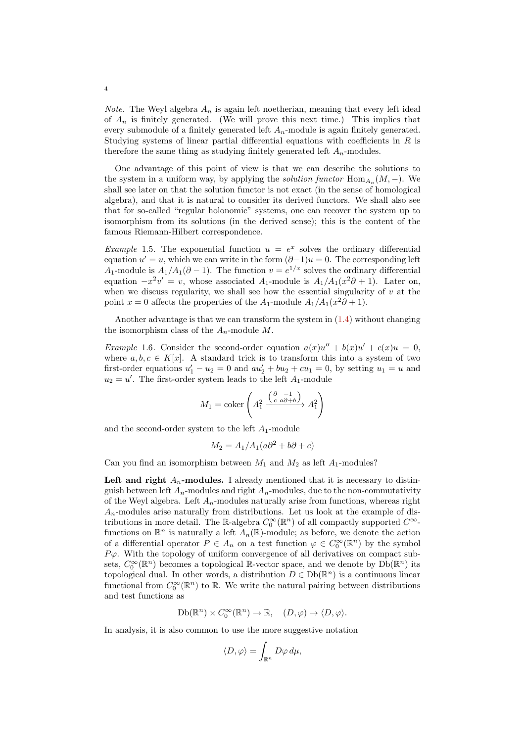*Note.* The Weyl algebra  $A_n$  is again left noetherian, meaning that every left ideal of  $A_n$  is finitely generated. (We will prove this next time.) This implies that every submodule of a finitely generated left  $A_n$ -module is again finitely generated. Studying systems of linear partial differential equations with coefficients in R is therefore the same thing as studying finitely generated left  $A_n$ -modules.

One advantage of this point of view is that we can describe the solutions to the system in a uniform way, by applying the *solution functor*  $\text{Hom}_{A_n}(M, -)$ . We shall see later on that the solution functor is not exact (in the sense of homological algebra), and that it is natural to consider its derived functors. We shall also see that for so-called "regular holonomic" systems, one can recover the system up to isomorphism from its solutions (in the derived sense); this is the content of the famous Riemann-Hilbert correspondence.

*Example* 1.5. The exponential function  $u = e^x$  solves the ordinary differential equation  $u' = u$ , which we can write in the form  $(\partial -1)u = 0$ . The corresponding left A<sub>1</sub>-module is  $A_1/A_1(\partial - 1)$ . The function  $v = e^{1/x}$  solves the ordinary differential equation  $-x^2v' = v$ , whose associated  $A_1$ -module is  $A_1/A_1(x^2\partial + 1)$ . Later on, when we discuss regularity, we shall see how the essential singularity of  $v$  at the point  $x = 0$  affects the properties of the  $A_1$ -module  $A_1/A_1(x^2\partial + 1)$ .

Another advantage is that we can transform the system in [\(1.4\)](#page-2-0) without changing the isomorphism class of the  $A_n$ -module M.

<span id="page-3-0"></span>*Example* 1.6. Consider the second-order equation  $a(x)u'' + b(x)u' + c(x)u = 0$ , where  $a, b, c \in K[x]$ . A standard trick is to transform this into a system of two first-order equations  $u'_1 - u_2 = 0$  and  $au'_2 + bu_2 + cu_1 = 0$ , by setting  $u_1 = u$  and  $u_2 = u'$ . The first-order system leads to the left  $A_1$ -module

$$
M_1 = \operatorname{coker}\left(A_1^2 \xrightarrow{\begin{pmatrix} \partial & -1 \\ c & a\partial + b \end{pmatrix}} A_1^2\right)
$$

and the second-order system to the left  $A_1$ -module

$$
M_2 = A_1/A_1(a\partial^2 + b\partial + c)
$$

Can you find an isomorphism between  $M_1$  and  $M_2$  as left  $A_1$ -modules?

Left and right  $A_n$ -modules. I already mentioned that it is necessary to distinguish between left  $A_n$ -modules and right  $A_n$ -modules, due to the non-commutativity of the Weyl algebra. Left  $A_n$ -modules naturally arise from functions, whereas right  $A_n$ -modules arise naturally from distributions. Let us look at the example of distributions in more detail. The R-algebra  $C_0^{\infty}(\mathbb{R}^n)$  of all compactly supported  $C^{\infty}$ functions on  $\mathbb{R}^n$  is naturally a left  $A_n(\mathbb{R})$ -module; as before, we denote the action of a differential operator  $P \in A_n$  on a test function  $\varphi \in C_0^{\infty}(\mathbb{R}^n)$  by the symbol  $P\varphi$ . With the topology of uniform convergence of all derivatives on compact subsets,  $C_0^{\infty}(\mathbb{R}^n)$  becomes a topological  $\mathbb{R}$ -vector space, and we denote by  $Db(\mathbb{R}^n)$  its topological dual. In other words, a distribution  $D \in \mathrm{Db}(\mathbb{R}^n)$  is a continuous linear functional from  $C_0^{\infty}(\mathbb{R}^n)$  to  $\mathbb{R}$ . We write the natural pairing between distributions and test functions as

$$
\mathrm{Db}(\mathbb{R}^n)\times C_0^\infty(\mathbb{R}^n)\to \mathbb{R},\quad (D,\varphi)\mapsto \langle D,\varphi\rangle.
$$

In analysis, it is also common to use the more suggestive notation

$$
\langle D, \varphi \rangle = \int_{\mathbb{R}^n} D\varphi \, d\mu,
$$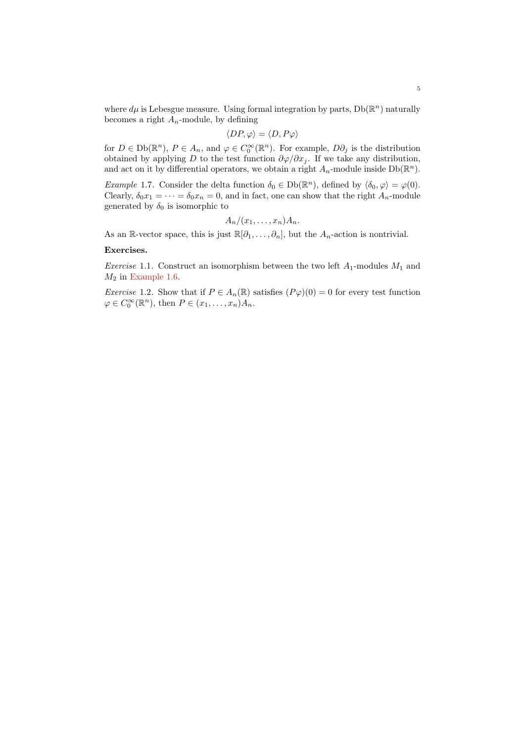where  $d\mu$  is Lebesgue measure. Using formal integration by parts,  $Db(\mathbb{R}^n)$  naturally becomes a right  $A_n$ -module, by defining

$$
\langle DP, \varphi \rangle = \langle D, P\varphi \rangle
$$

for  $D \in \mathrm{Db}(\mathbb{R}^n)$ ,  $P \in A_n$ , and  $\varphi \in C_0^{\infty}(\mathbb{R}^n)$ . For example,  $D\partial_j$  is the distribution obtained by applying D to the test function  $\partial \varphi / \partial x_j$ . If we take any distribution, and act on it by differential operators, we obtain a right  $A_n$ -module inside  $Db(\mathbb{R}^n)$ .

*Example 1.7.* Consider the delta function  $\delta_0 \in \mathrm{Db}(\mathbb{R}^n)$ , defined by  $\langle \delta_0, \varphi \rangle = \varphi(0)$ . Clearly,  $\delta_0 x_1 = \cdots = \delta_0 x_n = 0$ , and in fact, one can show that the right  $A_n$ -module generated by  $\delta_0$  is isomorphic to

$$
A_n/(x_1,\ldots,x_n)A_n.
$$

As an R-vector space, this is just  $\mathbb{R}[\partial_1,\ldots,\partial_n]$ , but the  $A_n$ -action is nontrivial.

## Exercises.

*Exercise* 1.1. Construct an isomorphism between the two left  $A_1$ -modules  $M_1$  and  $M_2$  in [Example 1.6.](#page-3-0)

*Exercise* 1.2. Show that if  $P \in A_n(\mathbb{R})$  satisfies  $(P\varphi)(0) = 0$  for every test function  $\varphi \in C_0^{\infty}(\mathbb{R}^n)$ , then  $P \in (x_1, \ldots, x_n)A_n$ .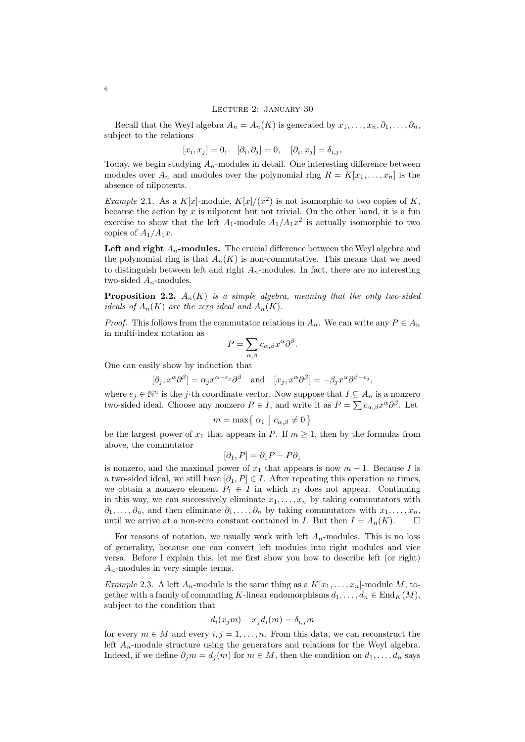## <span id="page-5-0"></span>Lecture 2: January 30

Recall that the Weyl algebra  $A_n = A_n(K)$  is generated by  $x_1, \ldots, x_n, \partial_1, \ldots, \partial_n$ , subject to the relations

$$
[x_i, x_j] = 0, \quad [\partial_i, \partial_j] = 0, \quad [\partial_i, x_j] = \delta_{i,j},
$$

Today, we begin studying  $A_n$ -modules in detail. One interesting difference between modules over  $A_n$  and modules over the polynomial ring  $R = K[x_1, \ldots, x_n]$  is the absence of nilpotents.

*Example* 2.1. As a  $K[x]$ -module,  $K[x]/(x^2)$  is not isomorphic to two copies of K, because the action by  $x$  is nilpotent but not trivial. On the other hand, it is a fun exercise to show that the left  $A_1$ -module  $A_1/A_1x^2$  is actually isomorphic to two copies of  $A_1/A_1x$ .

Left and right  $A_n$ -modules. The crucial difference between the Weyl algebra and the polynomial ring is that  $A_n(K)$  is non-commutative. This means that we need to distinguish between left and right  $A_n$ -modules. In fact, there are no interesting two-sided  $A_n$ -modules.

**Proposition 2.2.**  $A_n(K)$  is a simple algebra, meaning that the only two-sided ideals of  $A_n(K)$  are the zero ideal and  $A_n(K)$ .

*Proof.* This follows from the commutator relations in  $A_n$ . We can write any  $P \in A_n$ in multi-index notation as

$$
P = \sum_{\alpha,\beta} c_{\alpha,\beta} x^{\alpha} \partial^{\beta}.
$$

One can easily show by induction that

$$
[\partial_j, x^{\alpha}\partial^{\beta}] = \alpha_j x^{\alpha - e_j} \partial^{\beta}
$$
 and  $[x_j, x^{\alpha}\partial^{\beta}] = -\beta_j x^{\alpha}\partial^{\beta - e_j}$ ,

where  $e_j \in \mathbb{N}^n$  is the j-th coordinate vector. Now suppose that  $I \subseteq A_n$  is a nonzero two-sided ideal. Choose any nonzero  $P \in I$ , and write it as  $P = \sum c_{\alpha,\beta} x^{\alpha} \partial^{\beta}$ . Let

$$
m = \max\{\,\alpha_1 \mid c_{\alpha,\beta} \neq 0\,\}
$$

be the largest power of  $x_1$  that appears in P. If  $m \geq 1$ , then by the formulas from above, the commutator

$$
[\partial_1, P] = \partial_1 P - P \partial_1
$$

is nonzero, and the maximal power of  $x_1$  that appears is now  $m-1$ . Because I is a two-sided ideal, we still have  $[\partial_1, P] \in I$ . After repeating this operation m times, we obtain a nonzero element  $P_1 \in I$  in which  $x_1$  does not appear. Continuing in this way, we can successively eliminate  $x_1, \ldots, x_n$  by taking commutators with  $\partial_1, \ldots, \partial_n$ , and then eliminate  $\partial_1, \ldots, \partial_n$  by taking commutators with  $x_1, \ldots, x_n$ , until we arrive at a non-zero constant contained in I. But then  $I = A_n(K)$ .

For reasons of notation, we usually work with left  $A_n$ -modules. This is no loss of generality, because one can convert left modules into right modules and vice versa. Before I explain this, let me first show you how to describe left (or right)  $A_n$ -modules in very simple terms.

*Example* 2.3. A left  $A_n$ -module is the same thing as a  $K[x_1, \ldots, x_n]$ -module M, together with a family of commuting K-linear endomorphisms  $d_1, \ldots, d_n \in \text{End}_K(M)$ , subject to the condition that

$$
d_i(x_j m) - x_j d_i(m) = \delta_{i,j} m
$$

for every  $m \in M$  and every  $i, j = 1, \ldots, n$ . From this data, we can reconstruct the left  $A_n$ -module structure using the generators and relations for the Weyl algebra. Indeed, if we define  $\partial_i m = d_i(m)$  for  $m \in M$ , then the condition on  $d_1, \ldots, d_n$  says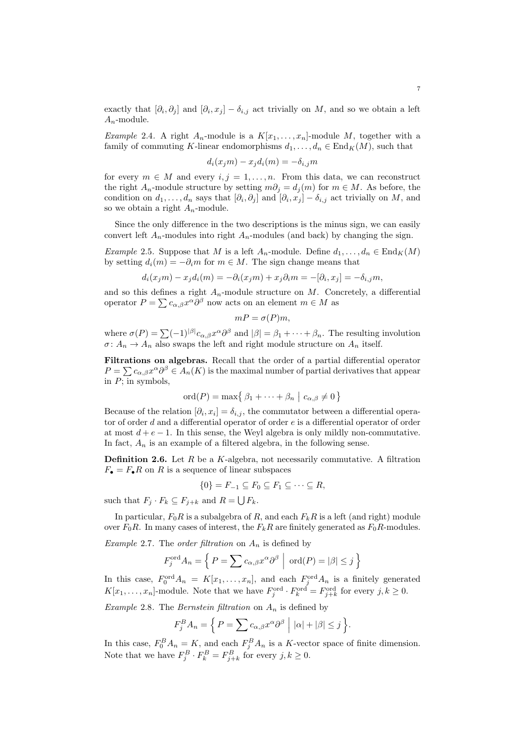exactly that  $[\partial_i, \partial_j]$  and  $[\partial_i, x_j] - \delta_{i,j}$  act trivially on M, and so we obtain a left  $A_n$ -module.

*Example* 2.4. A right  $A_n$ -module is a  $K[x_1, \ldots, x_n]$ -module M, together with a family of commuting K-linear endomorphisms  $d_1, \ldots, d_n \in \text{End}_K(M)$ , such that

$$
d_i(x_j m) - x_j d_i(m) = -\delta_{i,j} m
$$

for every  $m \in M$  and every  $i, j = 1, ..., n$ . From this data, we can reconstruct the right  $A_n$ -module structure by setting  $m\partial_i = d_i(m)$  for  $m \in M$ . As before, the condition on  $d_1, \ldots, d_n$  says that  $[\partial_i, \partial_j]$  and  $[\partial_i, x_j] - \delta_{i,j}$  act trivially on M, and so we obtain a right  $A_n$ -module.

Since the only difference in the two descriptions is the minus sign, we can easily convert left  $A_n$ -modules into right  $A_n$ -modules (and back) by changing the sign.

Example 2.5. Suppose that M is a left  $A_n$ -module. Define  $d_1, \ldots, d_n \in \text{End}_K(M)$ by setting  $d_i(m) = -\partial_i m$  for  $m \in M$ . The sign change means that

$$
d_i(x_j m) - x_j d_i(m) = -\partial_i(x_j m) + x_j \partial_i m = -[\partial_i, x_j] = -\delta_{i,j} m,
$$

and so this defines a right  $A_n$ -module structure on M. Concretely, a differential operator  $P = \sum c_{\alpha,\beta} x^{\alpha} \partial^{\beta}$  now acts on an element  $m \in M$  as

$$
mP = \sigma(P)m,
$$

where  $\sigma(P) = \sum_{n=1}^{\infty} (-1)^{|\beta|} c_{\alpha,\beta} x^{\alpha} \partial^{\beta}$  and  $|\beta| = \beta_1 + \cdots + \beta_n$ . The resulting involution  $\sigma: A_n \to A_n$  also swaps the left and right module structure on  $A_n$  itself.

Filtrations on algebras. Recall that the order of a partial differential operator  $P = \sum c_{\alpha,\beta} x^{\alpha} \partial^{\beta} \in A_n(K)$  is the maximal number of partial derivatives that appear in  $\overline{P}$ ; in symbols,

$$
\mathrm{ord}(P)=\max\{ \beta_1+\cdots+\beta_n \mid c_{\alpha,\beta}\neq 0 \}
$$

Because of the relation  $[\partial_i, x_i] = \delta_{i,j}$ , the commutator between a differential operator of order d and a differential operator of order e is a differential operator of order at most  $d + e - 1$ . In this sense, the Weyl algebra is only mildly non-commutative. In fact,  $A_n$  is an example of a filtered algebra, in the following sense.

**Definition 2.6.** Let  $R$  be a  $K$ -algebra, not necessarily commutative. A filtration  $F_{\bullet} = F_{\bullet}R$  on R is a sequence of linear subspaces

$$
\{0\} = F_{-1} \subseteq F_0 \subseteq F_1 \subseteq \cdots \subseteq R,
$$

such that  $F_j \cdot F_k \subseteq F_{j+k}$  and  $R = \bigcup F_k$ .

In particular,  $F_0R$  is a subalgebra of R, and each  $F_kR$  is a left (and right) module over  $F_0R$ . In many cases of interest, the  $F_kR$  are finitely generated as  $F_0R$ -modules.

Example 2.7. The order filtration on  $A_n$  is defined by

$$
F_j^{\text{ord}} A_n = \left\{ P = \sum c_{\alpha,\beta} x^{\alpha} \partial^{\beta} \mid \text{ ord}(P) = |\beta| \le j \right\}
$$

In this case,  $F_0^{\text{ord}}A_n = K[x_1,\ldots,x_n],$  and each  $F_j^{\text{ord}}A_n$  is a finitely generated  $K[x_1,\ldots,x_n]$ -module. Note that we have  $F_j^{\text{ord}} \cdot F_k^{\text{ord}} = F_{j+k}^{\text{ord}}$  for every  $j,k \geq 0$ .

Example 2.8. The Bernstein filtration on  $A_n$  is defined by

$$
F_j^B A_n = \left\{ P = \sum c_{\alpha,\beta} x^{\alpha} \partial^{\beta} \mid |\alpha| + |\beta| \le j \right\}.
$$

In this case,  $F_0^B A_n = K$ , and each  $F_j^B A_n$  is a K-vector space of finite dimension. Note that we have  $F_j^B \cdot F_k^B = F_{j+k}^B$  for every  $j, k \ge 0$ .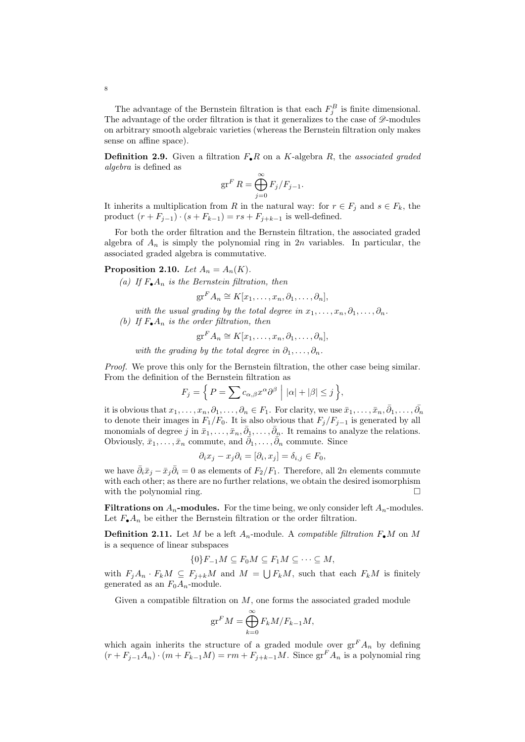The advantage of the Bernstein filtration is that each  $F_j^B$  is finite dimensional. The advantage of the order filtration is that it generalizes to the case of  $\mathscr{D}$ -modules on arbitrary smooth algebraic varieties (whereas the Bernstein filtration only makes sense on affine space).

**Definition 2.9.** Given a filtration  $F_{\bullet}R$  on a K-algebra R, the associated graded algebra is defined as

$$
\operatorname{gr}^F R = \bigoplus_{j=0}^{\infty} F_j/F_{j-1}.
$$

It inherits a multiplication from R in the natural way: for  $r \in F_j$  and  $s \in F_k$ , the product  $(r + F_{j-1}) \cdot (s + F_{k-1}) = rs + F_{j+k-1}$  is well-defined.

For both the order filtration and the Bernstein filtration, the associated graded algebra of  $A_n$  is simply the polynomial ring in  $2n$  variables. In particular, the associated graded algebra is commutative.

# **Proposition 2.10.** Let  $A_n = A_n(K)$ .

(a) If  $F_{\bullet}A_n$  is the Bernstein filtration, then

 $gr^F A_n \cong K[x_1,\ldots,x_n,\partial_1,\ldots,\partial_n],$ 

- with the usual grading by the total degree in  $x_1, \ldots, x_n, \partial_1, \ldots, \partial_n$ .
- (b) If  $F_{\bullet}A_n$  is the order filtration, then

$$
\mathrm{gr}^F A_n \cong K[x_1,\ldots,x_n,\partial_1,\ldots,\partial_n],
$$

with the grading by the total degree in  $\partial_1, \ldots, \partial_n$ .

Proof. We prove this only for the Bernstein filtration, the other case being similar. From the definition of the Bernstein filtration as

$$
F_j = \left\{ P = \sum c_{\alpha,\beta} x^{\alpha} \partial^{\beta} \mid |\alpha| + |\beta| \le j \right\},\
$$

it is obvious that  $x_1, \ldots, x_n, \partial_1, \ldots, \partial_n \in F_1$ . For clarity, we use  $\bar{x}_1, \ldots, \bar{x}_n, \bar{\partial}_1, \ldots, \bar{\partial}_n$ to denote their images in  $F_1/F_0$ . It is also obvious that  $F_j/F_{j-1}$  is generated by all monomials of degree j in  $\bar{x}_1, \ldots, \bar{x}_n, \bar{\partial}_1, \ldots, \bar{\partial}_n$ . It remains to analyze the relations. Obviously,  $\bar{x}_1, \ldots, \bar{x}_n$  commute, and  $\bar{\partial}_1, \ldots, \bar{\partial}_n$  commute. Since

$$
\partial_i x_j - x_j \partial_i = [\partial_i, x_j] = \delta_{i,j} \in F_0,
$$

we have  $\bar{\partial}_i \bar{x}_j - \bar{x}_j \bar{\partial}_i = 0$  as elements of  $F_2/F_1$ . Therefore, all 2n elements commute with each other; as there are no further relations, we obtain the desired isomorphism with the polynomial ring.  $\Box$ 

Filtrations on  $A_n$ -modules. For the time being, we only consider left  $A_n$ -modules. Let  $F_{\bullet}A_n$  be either the Bernstein filtration or the order filtration.

**Definition 2.11.** Let M be a left  $A_n$ -module. A *compatible filtration*  $F_{\bullet}M$  on M is a sequence of linear subspaces

$$
\{0\}F_{-1}M\subseteq F_0M\subseteq F_1M\subseteq\cdots\subseteq M,
$$

with  $F_jA_n \cdot F_kM \subseteq F_{j+k}M$  and  $M = \bigcup F_kM$ , such that each  $F_kM$  is finitely generated as an  $F_0A_n$ -module.

Given a compatible filtration on  $M$ , one forms the associated graded module

$$
\operatorname{gr}^F M = \bigoplus_{k=0}^{\infty} F_k M / F_{k-1} M,
$$

which again inherits the structure of a graded module over  $gr<sup>F</sup> A<sub>n</sub>$  by defining  $(r + F_{j-1}A_n) \cdot (m + F_{k-1}M) = rm + F_{j+k-1}M$ . Since  $gr^F A_n$  is a polynomial ring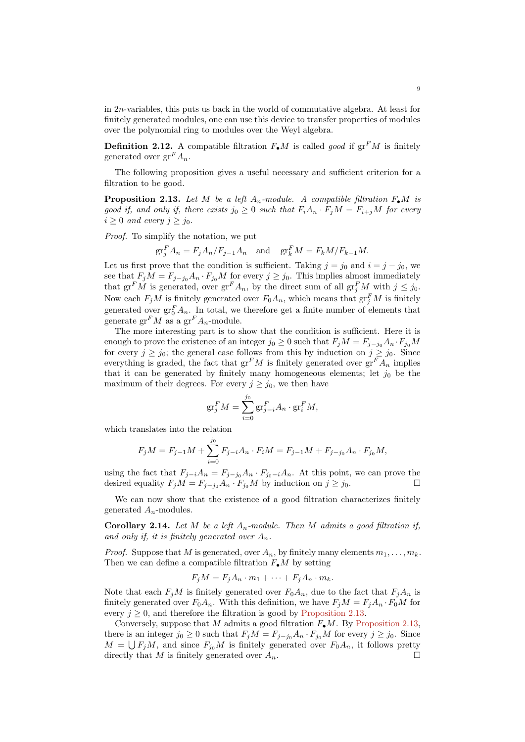in 2n-variables, this puts us back in the world of commutative algebra. At least for finitely generated modules, one can use this device to transfer properties of modules over the polynomial ring to modules over the Weyl algebra.

**Definition 2.12.** A compatible filtration  $F_{\bullet}M$  is called good if  $gr^FM$  is finitely generated over  $gr^F A_n$ .

The following proposition gives a useful necessary and sufficient criterion for a filtration to be good.

<span id="page-8-0"></span>**Proposition 2.13.** Let M be a left  $A_n$ -module. A compatible filtration  $F_{\bullet}M$  is good if, and only if, there exists  $j_0 \geq 0$  such that  $F_i A_n \cdot F_j M = F_{i+j} M$  for every  $i \geq 0$  and every  $j \geq j_0$ .

Proof. To simplify the notation, we put

$$
\operatorname{gr}^F_j A_n = F_j A_n / F_{j-1} A_n \quad \text{and} \quad \operatorname{gr}^F_k M = F_k M / F_{k-1} M.
$$

Let us first prove that the condition is sufficient. Taking  $j = j_0$  and  $i = j - j_0$ , we see that  $F_jM = F_{j-j_0}A_n \cdot F_{j_0}M$  for every  $j \ge j_0$ . This implies almost immediately that  $gr^F M$  is generated, over  $gr^F A_n$ , by the direct sum of all  $gr^F_j M$  with  $j \leq j_0$ . Now each  $F_jM$  is finitely generated over  $F_0A_n$ , which means that  $\operatorname{gr}^F_jM$  is finitely generated over  $\operatorname{gr}^F_0 A_n$ . In total, we therefore get a finite number of elements that generate  $\operatorname{gr}^F M$  as a  $\operatorname{gr}^F A_n$ -module.

The more interesting part is to show that the condition is sufficient. Here it is enough to prove the existence of an integer  $j_0 \geq 0$  such that  $F_j M = F_{j-j_0} A_n \cdot F_{j_0} M$ for every  $j \ge j_0$ ; the general case follows from this by induction on  $j \ge j_0$ . Since everything is graded, the fact that  $gr<sup>F</sup>M$  is finitely generated over  $gr<sup>F</sup>A_n$  implies that it can be generated by finitely many homogeneous elements; let  $j_0$  be the maximum of their degrees. For every  $j \geq j_0$ , we then have

$$
\operatorname{gr}^F_j M = \sum_{i=0}^{j_0} \operatorname{gr}^F_{j-i} A_n \cdot \operatorname{gr}^F_i M,
$$

which translates into the relation

$$
F_j M = F_{j-1} M + \sum_{i=0}^{j_0} F_{j-i} A_n \cdot F_i M = F_{j-1} M + F_{j-j_0} A_n \cdot F_{j_0} M,
$$

using the fact that  $F_{j-i}A_n = F_{j-j_0}A_n \cdot F_{j_0-i}A_n$ . At this point, we can prove the desired equality  $F_jM = F_{j-j_0}A_n \cdot F_{j_0}M$  by induction on  $j \geq j_0$ .

We can now show that the existence of a good filtration characterizes finitely generated  $A_n$ -modules.

**Corollary 2.14.** Let M be a left  $A_n$ -module. Then M admits a good filtration if, and only if, it is finitely generated over  $A_n$ .

*Proof.* Suppose that M is generated, over  $A_n$ , by finitely many elements  $m_1, \ldots, m_k$ . Then we can define a compatible filtration  $F_{\bullet}M$  by setting

$$
F_j M = F_j A_n \cdot m_1 + \dots + F_j A_n \cdot m_k.
$$

Note that each  $F_jM$  is finitely generated over  $F_0A_n$ , due to the fact that  $F_jA_n$  is finitely generated over  $F_0A_n$ . With this definition, we have  $F_iM = F_iA_n \cdot F_0M$  for every  $i \geq 0$ , and therefore the filtration is good by [Proposition 2.13.](#page-8-0)

Conversely, suppose that M admits a good filtration  $F_{\bullet}M$ . By [Proposition 2.13,](#page-8-0) there is an integer  $j_0 \geq 0$  such that  $F_j M = F_{j-j_0} A_n \cdot F_{j_0} M$  for every  $j \geq j_0$ . Since  $M = \bigcup F_j M$ , and since  $F_{j_0}M$  is finitely generated over  $F_0A_n$ , it follows pretty directly that M is finitely generated over  $A_n$ .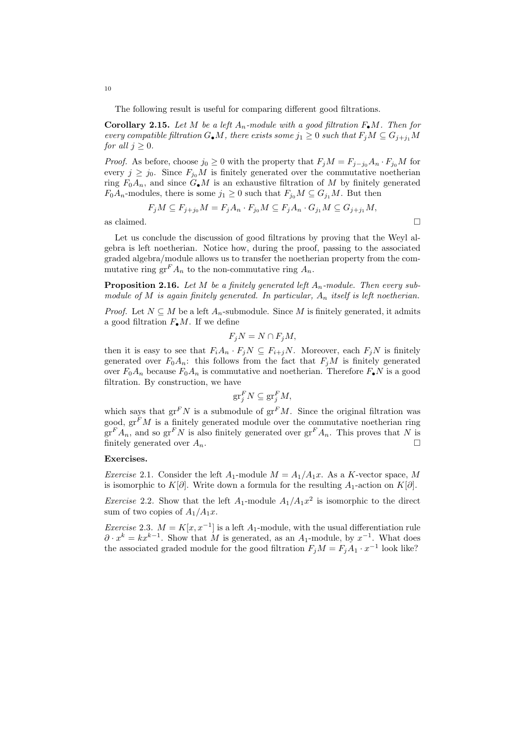The following result is useful for comparing different good filtrations.

<span id="page-9-0"></span>**Corollary 2.15.** Let M be a left  $A_n$ -module with a good filtration  $F_{\bullet}M$ . Then for every compatible filtration  $G_{\bullet}M$ , there exists some  $j_1 \geq 0$  such that  $F_jM \subseteq G_{j+j_1}M$ for all  $j > 0$ .

*Proof.* As before, choose  $j_0 \geq 0$  with the property that  $F_j M = F_{j-j_0} A_n \cdot F_{j_0} M$  for every  $j \ge j_0$ . Since  $F_{j_0}M$  is finitely generated over the commutative noetherian ring  $F_0A_n$ , and since  $G_{\bullet}M$  is an exhaustive filtration of M by finitely generated  $F_0A_n$ -modules, there is some  $j_1 \geq 0$  such that  $F_{j_0}M \subseteq G_{j_1}M$ . But then

$$
F_jM \subseteq F_{j+j_0}M = F_jA_n \cdot F_{j_0}M \subseteq F_jA_n \cdot G_{j_1}M \subseteq G_{j+j_1}M,
$$

as claimed.  $\Box$ 

Let us conclude the discussion of good filtrations by proving that the Weyl algebra is left noetherian. Notice how, during the proof, passing to the associated graded algebra/module allows us to transfer the noetherian property from the commutative ring  $\operatorname{gr}^F A_n$  to the non-commutative ring  $A_n$ .

**Proposition 2.16.** Let M be a finitely generated left  $A_n$ -module. Then every submodule of M is again finitely generated. In particular,  $A_n$  itself is left noetherian.

*Proof.* Let  $N \subseteq M$  be a left  $A_n$ -submodule. Since M is finitely generated, it admits a good filtration  $F_{\bullet}M$ . If we define

$$
F_j N = N \cap F_j M,
$$

then it is easy to see that  $F_iA_n \cdot F_jN \subseteq F_{i+j}N$ . Moreover, each  $F_jN$  is finitely generated over  $F_0A_n$ : this follows from the fact that  $F_jM$  is finitely generated over  $F_0A_n$  because  $F_0A_n$  is commutative and noetherian. Therefore  $F_{\bullet}N$  is a good filtration. By construction, we have

$$
\operatorname{gr}^F_j N \subseteq \operatorname{gr}^F_j M,
$$

which says that  $gr^FN$  is a submodule of  $gr^FM$ . Since the original filtration was good,  $\operatorname{gr}^F M$  is a finitely generated module over the commutative noetherian ring  $gr<sup>F</sup> A<sub>n</sub>$ , and so  $gr<sup>F</sup> N$  is also finitely generated over  $gr<sup>F</sup> A<sub>n</sub>$ . This proves that N is finitely generated over  $A_n$ .

#### Exercises.

*Exercise* 2.1. Consider the left  $A_1$ -module  $M = A_1/A_1x$ . As a K-vector space, M is isomorphic to K[∂]. Write down a formula for the resulting  $A_1$ -action on K[∂].

*Exercise* 2.2. Show that the left  $A_1$ -module  $A_1/A_1x^2$  is isomorphic to the direct sum of two copies of  $A_1/A_1x$ .

Exercise 2.3.  $M = K[x, x^{-1}]$  is a left  $A_1$ -module, with the usual differentiation rule  $\partial \cdot x^k = kx^{k-1}$ . Show that M is generated, as an  $A_1$ -module, by  $x^{-1}$ . What does the associated graded module for the good filtration  $F_j M = F_j A_1 \cdot x^{-1}$  look like?

10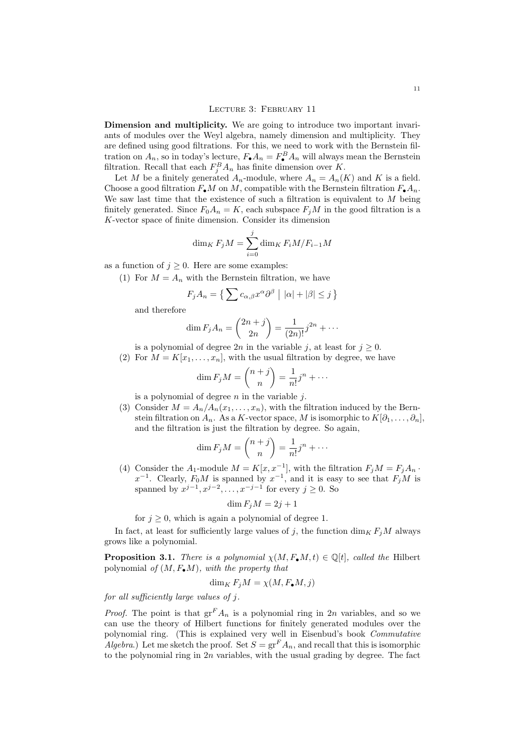<span id="page-10-0"></span>Dimension and multiplicity. We are going to introduce two important invariants of modules over the Weyl algebra, namely dimension and multiplicity. They are defined using good filtrations. For this, we need to work with the Bernstein filtration on  $A_n$ , so in today's lecture,  $F_{\bullet}A_n = F_{\bullet}^B A_n$  will always mean the Bernstein filtration. Recall that each  $F_j^B A_n$  has finite dimension over K.

Let M be a finitely generated  $A_n$ -module, where  $A_n = A_n(K)$  and K is a field. Choose a good filtration  $F_{\bullet}M$  on M, compatible with the Bernstein filtration  $F_{\bullet}A_n$ . We saw last time that the existence of such a filtration is equivalent to  $M$  being finitely generated. Since  $F_0A_n = K$ , each subspace  $F_iM$  in the good filtration is a K-vector space of finite dimension. Consider its dimension

$$
\dim_K F_j M = \sum_{i=0}^j \dim_K F_i M / F_{i-1} M
$$

as a function of  $j \geq 0$ . Here are some examples:

(1) For  $M = A_n$  with the Bernstein filtration, we have

$$
F_j A_n = \left\{ \sum c_{\alpha,\beta} x^{\alpha} \partial^{\beta} \mid |\alpha| + |\beta| \le j \right\}
$$

and therefore

$$
\dim F_j A_n = \binom{2n+j}{2n} = \frac{1}{(2n)!} j^{2n} + \cdots
$$

is a polynomial of degree 2n in the variable j, at least for  $j \geq 0$ .

(2) For  $M = K[x_1, \ldots, x_n]$ , with the usual filtration by degree, we have

$$
\dim F_j M = \binom{n+j}{n} = \frac{1}{n!} j^n + \cdots
$$

is a polynomial of degree  $n$  in the variable  $j$ .

(3) Consider  $M = A_n/A_n(x_1,...,x_n)$ , with the filtration induced by the Bernstein filtration on  $A_n$ . As a K-vector space, M is isomorphic to  $K[\partial_1,\ldots,\partial_n],$ and the filtration is just the filtration by degree. So again,

$$
\dim F_j M = \binom{n+j}{n} = \frac{1}{n!} j^n + \cdots
$$

(4) Consider the A<sub>1</sub>-module  $M = K[x, x^{-1}]$ , with the filtration  $F_j M = F_j A_n$ .  $x^{-1}$ . Clearly,  $F_0M$  is spanned by  $x^{-1}$ , and it is easy to see that  $F_jM$  is spanned by  $x^{j-1}, x^{j-2}, \ldots, x^{-j-1}$  for every  $j \geq 0$ . So

$$
\dim F_j M = 2j + 1
$$

for  $j \geq 0$ , which is again a polynomial of degree 1.

In fact, at least for sufficiently large values of j, the function  $\dim_K F_iM$  always grows like a polynomial.

**Proposition 3.1.** There is a polynomial  $\chi(M, F_{\bullet}M, t) \in \mathbb{Q}[t]$ , called the Hilbert polynomial of  $(M, F_{\bullet}M)$ , with the property that

$$
\dim_K F_j M = \chi(M, F_{\bullet}M, j)
$$

for all sufficiently large values of j.

*Proof.* The point is that  $er^F A_n$  is a polynomial ring in 2n variables, and so we can use the theory of Hilbert functions for finitely generated modules over the polynomial ring. (This is explained very well in Eisenbud's book Commutative Algebra.) Let me sketch the proof. Set  $S = \text{gr}^F A_n$ , and recall that this is isomorphic to the polynomial ring in 2n variables, with the usual grading by degree. The fact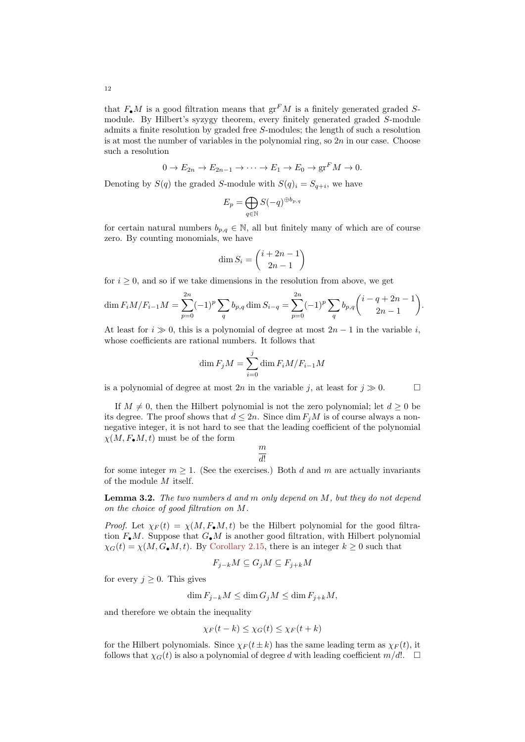that  $F_{\bullet}M$  is a good filtration means that  $gr^F M$  is a finitely generated graded Smodule. By Hilbert's syzygy theorem, every finitely generated graded S-module admits a finite resolution by graded free S-modules; the length of such a resolution is at most the number of variables in the polynomial ring, so  $2n$  in our case. Choose such a resolution

$$
0 \to E_{2n} \to E_{2n-1} \to \cdots \to E_1 \to E_0 \to \operatorname{gr}^F M \to 0.
$$

Denoting by  $S(q)$  the graded S-module with  $S(q)_i = S_{q+i}$ , we have

$$
E_p = \bigoplus_{q \in \mathbb{N}} S(-q)^{\oplus b_{p,q}}
$$

for certain natural numbers  $b_{p,q} \in \mathbb{N}$ , all but finitely many of which are of course zero. By counting monomials, we have

$$
\dim S_i = \binom{i+2n-1}{2n-1}
$$

for  $i \geq 0$ , and so if we take dimensions in the resolution from above, we get

$$
\dim F_i M/F_{i-1} M = \sum_{p=0}^{2n} (-1)^p \sum_q b_{p,q} \dim S_{i-q} = \sum_{p=0}^{2n} (-1)^p \sum_q b_{p,q} {i-q+2n-1 \choose 2n-1}.
$$

At least for  $i \gg 0$ , this is a polynomial of degree at most  $2n - 1$  in the variable i, whose coefficients are rational numbers. It follows that

$$
\dim F_j M = \sum_{i=0}^j \dim F_i M / F_{i-1} M
$$

is a polynomial of degree at most  $2n$  in the variable j, at least for  $j \gg 0$ .

If  $M \neq 0$ , then the Hilbert polynomial is not the zero polynomial; let  $d \geq 0$  be its degree. The proof shows that  $d \leq 2n$ . Since dim  $F_jM$  is of course always a nonnegative integer, it is not hard to see that the leading coefficient of the polynomial  $\chi(M, F_{\bullet}M, t)$  must be of the form

> m  $\overline{d!}$

for some integer  $m > 1$ . (See the exercises.) Both d and m are actually invariants of the module M itself.

Lemma 3.2. The two numbers d and m only depend on M, but they do not depend on the choice of good filtration on M.

*Proof.* Let  $\chi_F(t) = \chi(M, F_{\bullet}M, t)$  be the Hilbert polynomial for the good filtration  $F_{\bullet}M$ . Suppose that  $G_{\bullet}M$  is another good filtration, with Hilbert polynomial  $\chi_G(t) = \chi(M, G_{\bullet}M, t)$ . By [Corollary 2.15,](#page-9-0) there is an integer  $k \geq 0$  such that

$$
F_{j-k}M \subseteq G_jM \subseteq F_{j+k}M
$$

for every  $j \geq 0$ . This gives

$$
\dim F_{j-k}M \le \dim G_jM \le \dim F_{j+k}M,
$$

and therefore we obtain the inequality

$$
\chi_F(t-k) \leq \chi_G(t) \leq \chi_F(t+k)
$$

for the Hilbert polynomials. Since  $\chi_F(t\pm k)$  has the same leading term as  $\chi_F(t)$ , it follows that  $\chi_G(t)$  is also a polynomial of degree d with leading coefficient  $m/d!$ .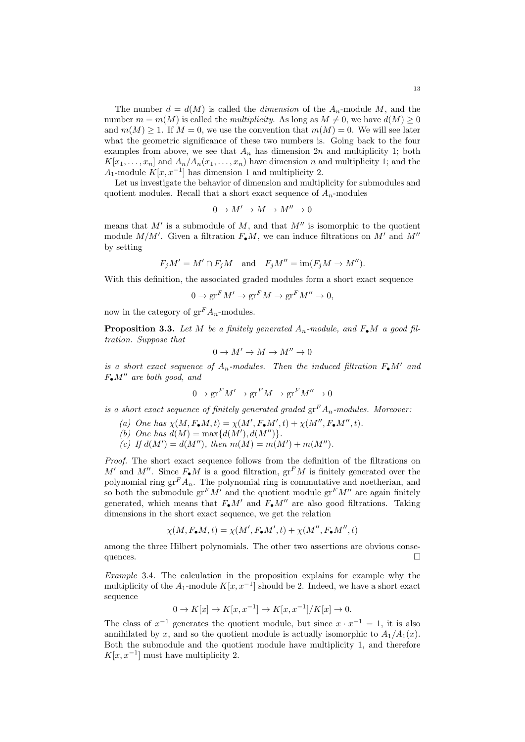The number  $d = d(M)$  is called the *dimension* of the  $A_n$ -module M, and the number  $m = m(M)$  is called the *multiplicity*. As long as  $M \neq 0$ , we have  $d(M) \geq 0$ and  $m(M) \geq 1$ . If  $M = 0$ , we use the convention that  $m(M) = 0$ . We will see later what the geometric significance of these two numbers is. Going back to the four examples from above, we see that  $A_n$  has dimension 2n and multiplicity 1; both  $K[x_1, \ldots, x_n]$  and  $A_n/A_n(x_1, \ldots, x_n)$  have dimension n and multiplicity 1; and the  $A_1$ -module  $K[x, x^{-1}]$  has dimension 1 and multiplicity 2.

Let us investigate the behavior of dimension and multiplicity for submodules and quotient modules. Recall that a short exact sequence of  $A_n$ -modules

$$
0\to M'\to M\to M''\to 0
$$

means that  $M'$  is a submodule of  $M$ , and that  $M''$  is isomorphic to the quotient module  $M/M'$ . Given a filtration  $F_{\bullet}M$ , we can induce filtrations on M' and M'' by setting

$$
F_jM' = M' \cap F_jM
$$
 and  $F_jM'' = \text{im}(F_jM \to M'')$ .

With this definition, the associated graded modules form a short exact sequence

$$
0 \to \text{gr}^F M' \to \text{gr}^F M \to \text{gr}^F M'' \to 0,
$$

now in the category of  $gr^F A_n$ -modules.

<span id="page-12-0"></span>**Proposition 3.3.** Let M be a finitely generated  $A_n$ -module, and  $F_{\bullet}M$  a good filtration. Suppose that

$$
0\to M'\to M\to M''\to 0
$$

is a short exact sequence of  $A_n$ -modules. Then the induced filtration  $F_{\bullet}M'$  and  $F_{\bullet}M''$  are both good, and

$$
0\to \text{gr}^F M'\to \text{gr}^F M\to \text{gr}^F M''\to 0
$$

is a short exact sequence of finitely generated graded  $gr^F A_n$ -modules. Moreover:

- (a) One has  $\chi(M, F_{\bullet}M, t) = \chi(M', F_{\bullet}M', t) + \chi(M'', F_{\bullet}M'', t).$
- (b) One has  $d(M) = \max\{d(M'), d(M'')\}.$
- (c) If  $d(M') = d(M'')$ , then  $m(M) = m(M') + m(M'')$ .

Proof. The short exact sequence follows from the definition of the filtrations on M' and M''. Since  $F_{\bullet}M$  is a good filtration,  $gr^{F}M$  is finitely generated over the polynomial ring  $gr^F A_n$ . The polynomial ring is commutative and noetherian, and so both the submodule  $gr<sup>F</sup>M'$  and the quotient module  $gr<sup>F</sup>M''$  are again finitely generated, which means that  $F_{\bullet}M'$  and  $F_{\bullet}M''$  are also good filtrations. Taking dimensions in the short exact sequence, we get the relation

$$
\chi(M,F_\bullet M,t)=\chi(M',F_\bullet M',t)+\chi(M'',F_\bullet M'',t)
$$

among the three Hilbert polynomials. The other two assertions are obvious consequences.

Example 3.4. The calculation in the proposition explains for example why the multiplicity of the  $A_1$ -module  $K[x, x^{-1}]$  should be 2. Indeed, we have a short exact sequence

$$
0 \to K[x] \to K[x, x^{-1}] \to K[x, x^{-1}]/K[x] \to 0.
$$

The class of  $x^{-1}$  generates the quotient module, but since  $x \cdot x^{-1} = 1$ , it is also annihilated by x, and so the quotient module is actually isomorphic to  $A_1/A_1(x)$ . Both the submodule and the quotient module have multiplicity 1, and therefore  $K[x, x^{-1}]$  must have multiplicity 2.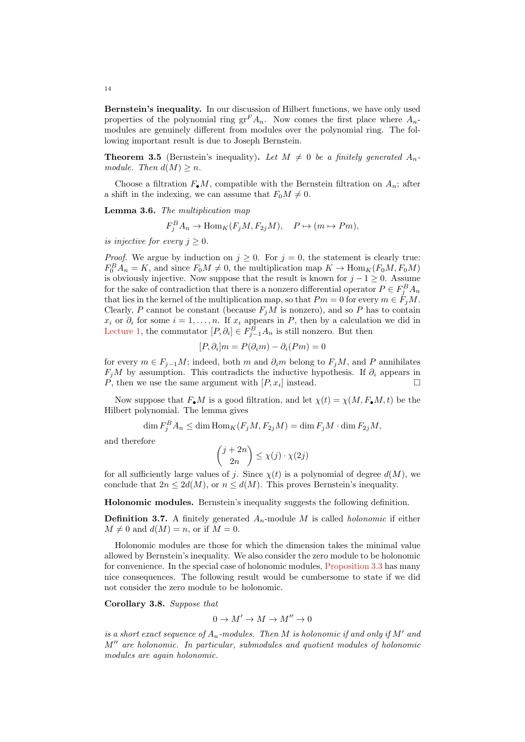Bernstein's inequality. In our discussion of Hilbert functions, we have only used properties of the polynomial ring  $gr^F A_n$ . Now comes the first place where  $A_n$ modules are genuinely different from modules over the polynomial ring. The following important result is due to Joseph Bernstein.

**Theorem 3.5** (Bernstein's inequality). Let  $M \neq 0$  be a finitely generated  $A_n$ module. Then  $d(M) \geq n$ .

Choose a filtration  $F_{\bullet}M$ , compatible with the Bernstein filtration on  $A_n$ ; after a shift in the indexing, we can assume that  $F_0M \neq 0$ .

Lemma 3.6. The multiplication map

$$
F_j^B A_n \to \text{Hom}_K(F_j M, F_{2j} M), \quad P \mapsto (m \mapsto Pm),
$$

is injective for every  $j \geq 0$ .

*Proof.* We argue by induction on  $j \geq 0$ . For  $j = 0$ , the statement is clearly true:  $F_0^B A_n = K$ , and since  $F_0 M \neq 0$ , the multiplication map  $K \to \text{Hom}_K(F_0 M, F_0 M)$ is obviously injective. Now suppose that the result is known for  $j - 1 \geq 0$ . Assume for the sake of contradiction that there is a nonzero differential operator  $P \in F_j^B A_n$ that lies in the kernel of the multiplication map, so that  $Pm = 0$  for every  $m \in \tilde{F}_jM$ . Clearly, P cannot be constant (because  $F_jM$  is nonzero), and so P has to contain  $x_i$  or  $\partial_i$  for some  $i = 1, \ldots, n$ . If  $x_i$  appears in P, then by a calculation we did in [Lecture 1,](#page-0-1) the commutator  $[P, \partial_i] \in F_{j-1}^B A_n$  is still nonzero. But then

$$
[P, \partial_i]m = P(\partial_i m) - \partial_i (Pm) = 0
$$

for every  $m \in F_{j-1}M$ ; indeed, both m and  $\partial_i m$  belong to  $F_jM$ , and P annihilates  $F_iM$  by assumption. This contradicts the inductive hypothesis. If  $\partial_i$  appears in P, then we use the same argument with  $[P, x_i]$  instead.

Now suppose that  $F_{\bullet}M$  is a good filtration, and let  $\chi(t) = \chi(M, F_{\bullet}M, t)$  be the Hilbert polynomial. The lemma gives

 $\dim F_j^B A_n \leq \dim \text{Hom}_K(F_jM, F_{2j}M) = \dim F_jM \cdot \dim F_{2j}M,$ 

and therefore

$$
\binom{j+2n}{2n} \le \chi(j) \cdot \chi(2j)
$$

for all sufficiently large values of j. Since  $\chi(t)$  is a polynomial of degree  $d(M)$ , we conclude that  $2n \leq 2d(M)$ , or  $n \leq d(M)$ . This proves Bernstein's inequality.

Holonomic modules. Bernstein's inequality suggests the following definition.

**Definition 3.7.** A finitely generated  $A_n$ -module M is called *holonomic* if either  $M \neq 0$  and  $d(M) = n$ , or if  $M = 0$ .

Holonomic modules are those for which the dimension takes the minimal value allowed by Bernstein's inequality. We also consider the zero module to be holonomic for convenience. In the special case of holonomic modules, [Proposition 3.3](#page-12-0) has many nice consequences. The following result would be cumbersome to state if we did not consider the zero module to be holonomic.

Corollary 3.8. Suppose that

$$
0\to M'\to M\to M''\to 0
$$

is a short exact sequence of  $A_n$ -modules. Then M is holonomic if and only if M' and  $M''$  are holonomic. In particular, submodules and quotient modules of holonomic modules are again holonomic.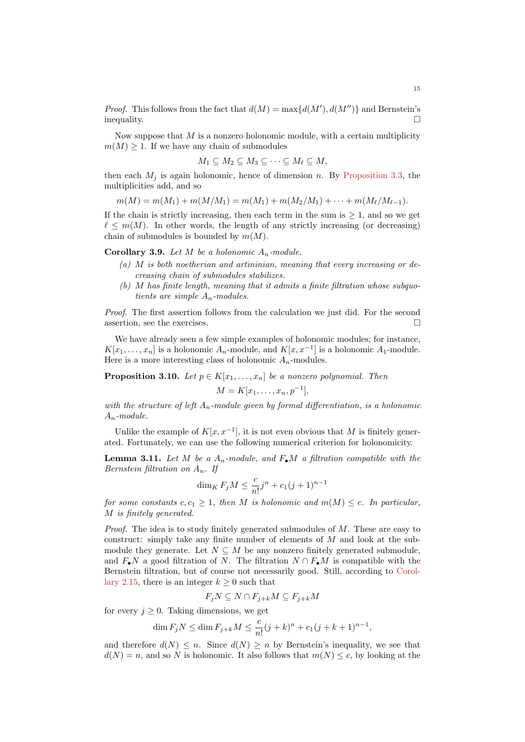*Proof.* This follows from the fact that  $d(M) = \max\{d(M'), d(M'')\}$  and Bernstein's  $\Box$ 

Now suppose that  $M$  is a nonzero holonomic module, with a certain multiplicity  $m(M) \geq 1$ . If we have any chain of submodules

$$
M_1 \subseteq M_2 \subseteq M_3 \subseteq \cdots \subseteq M_\ell \subseteq M,
$$

then each  $M_i$  is again holonomic, hence of dimension n. By [Proposition 3.3,](#page-12-0) the multiplicities add, and so

 $m(M) = m(M_1) + m(M/M_1) = m(M_1) + m(M_2/M_1) + \cdots + m(M_\ell/M_{\ell-1}).$ 

If the chain is strictly increasing, then each term in the sum is  $\geq 1$ , and so we get  $\ell \leq m(M)$ . In other words, the length of any strictly increasing (or decreasing) chain of submodules is bounded by  $m(M)$ .

**Corollary 3.9.** Let M be a holonomic  $A_n$ -module.

- $(a)$  M is both noetherian and artininian, meaning that every increasing or decreasing chain of submodules stabilizes.
- (b) M has finite length, meaning that it admits a finite filtration whose subquotients are simple  $A_n$ -modules.

Proof. The first assertion follows from the calculation we just did. For the second assertion, see the exercises.  $\Box$ 

We have already seen a few simple examples of holonomic modules; for instance,  $K[x_1, \ldots, x_n]$  is a holonomic  $A_n$ -module, and  $K[x, x^{-1}]$  is a holonomic  $A_1$ -module. Here is a more interesting class of holonomic  $A_n$ -modules.

**Proposition 3.10.** Let  $p \in K[x_1, \ldots, x_n]$  be a nonzero polynomial. Then

$$
M = K[x_1, \ldots, x_n, p^{-1}],
$$

with the structure of left  $A_n$ -module given by formal differentiation, is a holonomic  $A_n$ -module.

Unlike the example of  $K[x, x^{-1}]$ , it is not even obvious that M is finitely generated. Fortunately, we can use the following numerical criterion for holonomicity.

<span id="page-14-0"></span>**Lemma 3.11.** Let M be a  $A_n$ -module, and  $F_{\bullet}M$  a filtration compatible with the Bernstein filtration on  $A_n$ . If

$$
\dim_K F_j M \le \frac{c}{n!} j^n + c_1 (j+1)^{n-1}
$$

for some constants  $c, c_1 \geq 1$ , then M is holonomic and  $m(M) \leq c$ . In particular, M is finitely generated.

*Proof.* The idea is to study finitely generated submodules of  $M$ . These are easy to construct: simply take any finite number of elements of  $M$  and look at the submodule they generate. Let  $N \subseteq M$  be any nonzero finitely generated submodule, and  $F_{\bullet}N$  a good filtration of N. The filtration  $N \cap F_{\bullet}M$  is compatible with the Bernstein filtration, but of course not necessarily good. Still, according to [Corol](#page-9-0)[lary 2.15,](#page-9-0) there is an integer  $k \geq 0$  such that

$$
F_jN\subseteq N\cap F_{j+k}M\subseteq F_{j+k}M
$$

for every  $j \geq 0$ . Taking dimensions, we get

$$
\dim F_j N \le \dim F_{j+k} M \le \frac{c}{n!} (j+k)^n + c_1 (j+k+1)^{n-1},
$$

and therefore  $d(N) \leq n$ . Since  $d(N) \geq n$  by Bernstein's inequality, we see that  $d(N) = n$ , and so N is holonomic. It also follows that  $m(N) \leq c$ , by looking at the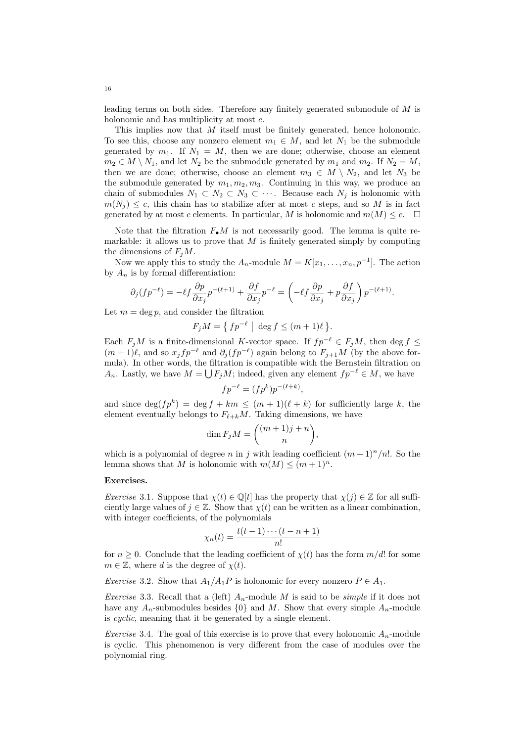leading terms on both sides. Therefore any finitely generated submodule of M is holonomic and has multiplicity at most c.

This implies now that M itself must be finitely generated, hence holonomic. To see this, choose any nonzero element  $m_1 \in M$ , and let  $N_1$  be the submodule generated by  $m_1$ . If  $N_1 = M$ , then we are done; otherwise, choose an element  $m_2 \in M \setminus N_1$ , and let  $N_2$  be the submodule generated by  $m_1$  and  $m_2$ . If  $N_2 = M$ , then we are done; otherwise, choose an element  $m_3 \in M \setminus N_2$ , and let  $N_3$  be the submodule generated by  $m_1, m_2, m_3$ . Continuing in this way, we produce an chain of submodules  $N_1 \subset N_2 \subset N_3 \subset \cdots$ . Because each  $N_j$  is holonomic with  $m(N_i) \leq c$ , this chain has to stabilize after at most c steps, and so M is in fact generated by at most c elements. In particular, M is holonomic and  $m(M) \leq c$ .  $\Box$ 

Note that the filtration  $F_{\bullet}M$  is not necessarily good. The lemma is quite remarkable: it allows us to prove that  $M$  is finitely generated simply by computing the dimensions of  $F_iM$ .

Now we apply this to study the  $A_n$ -module  $M = K[x_1, \ldots, x_n, p^{-1}]$ . The action by  $A_n$  is by formal differentiation:

$$
\partial_j (f p^{-\ell}) = -\ell f \frac{\partial p}{\partial x_j} p^{-(\ell+1)} + \frac{\partial f}{\partial x_j} p^{-\ell} = \left(-\ell f \frac{\partial p}{\partial x_j} + p \frac{\partial f}{\partial x_j}\right) p^{-(\ell+1)}.
$$

Let  $m = \deg p$ , and consider the filtration

$$
F_j M = \{ f p^{-\ell} \mid \deg f \le (m+1)\ell \}.
$$

Each  $F_jM$  is a finite-dimensional K-vector space. If  $fp^{-\ell} \in F_jM$ , then deg  $f \leq$  $(m+1)\ell$ , and so  $x_j f p^{-\ell}$  and  $\partial_j (f p^{-\ell})$  again belong to  $F_{j+1}M$  (by the above formula). In other words, the filtration is compatible with the Bernstein filtration on  $A_n$ . Lastly, we have  $M = \bigcup F_j M$ ; indeed, given any element  $fp^{-\ell} \in M$ , we have

$$
fp^{-\ell} = (fp^k)p^{-(\ell+k)},
$$

and since  $\deg(f p^k) = \deg f + km \leq (m+1)(\ell + k)$  for sufficiently large k, the element eventually belongs to  $F_{\ell+k}M$ . Taking dimensions, we have

$$
\dim F_j M = \binom{(m+1)j+n}{n},
$$

which is a polynomial of degree n in j with leading coefficient  $(m+1)^n/n!$ . So the lemma shows that M is holonomic with  $m(M) \leq (m+1)^n$ .

# Exercises.

*Exercise* 3.1. Suppose that  $\chi(t) \in \mathbb{Q}[t]$  has the property that  $\chi(i) \in \mathbb{Z}$  for all sufficiently large values of  $i \in \mathbb{Z}$ . Show that  $\chi(t)$  can be written as a linear combination. with integer coefficients, of the polynomials

$$
\chi_n(t) = \frac{t(t-1)\cdots(t-n+1)}{n!}
$$

for  $n \geq 0$ . Conclude that the leading coefficient of  $\chi(t)$  has the form  $m/d!$  for some  $m \in \mathbb{Z}$ , where d is the degree of  $\chi(t)$ .

*Exercise* 3.2. Show that  $A_1/A_1P$  is holonomic for every nonzero  $P \in A_1$ .

*Exercise* 3.3. Recall that a (left)  $A_n$ -module M is said to be *simple* if it does not have any  $A_n$ -submodules besides  $\{0\}$  and M. Show that every simple  $A_n$ -module is cyclic, meaning that it be generated by a single element.

*Exercise* 3.4. The goal of this exercise is to prove that every holonomic  $A_n$ -module is cyclic. This phenomenon is very different from the case of modules over the polynomial ring.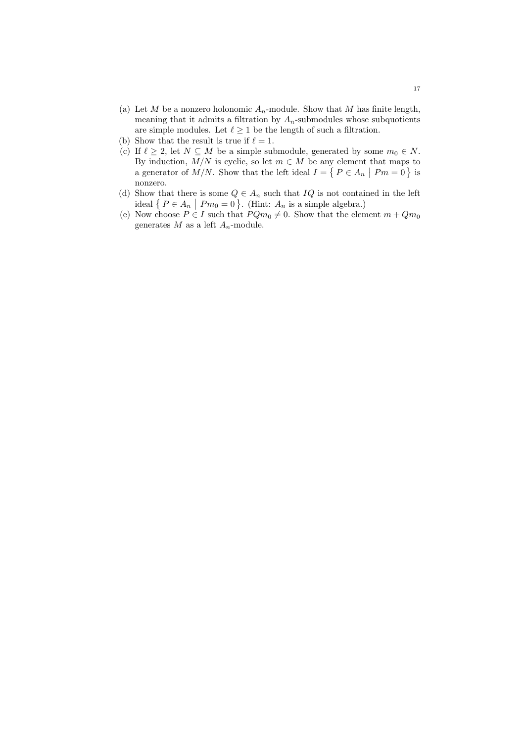- (a) Let M be a nonzero holonomic  $A_n$ -module. Show that M has finite length, meaning that it admits a filtration by  $A_n$ -submodules whose subquotients are simple modules. Let  $\ell \geq 1$  be the length of such a filtration.
- (b) Show that the result is true if  $\ell = 1$ .
- (c) If  $\ell \geq 2$ , let  $N \subseteq M$  be a simple submodule, generated by some  $m_0 \in N$ . By induction,  $M/N$  is cyclic, so let  $m \in M$  be any element that maps to a generator of  $M/N$ . Show that the left ideal  $I = \{ P \in A_n \mid Pm = 0 \}$  is nonzero.
- (d) Show that there is some  $Q \in A_n$  such that  $IQ$  is not contained in the left ideal  $\{P \in A_n \mid Pm_0 = 0\}$ . (Hint:  $A_n$  is a simple algebra.)
- (e) Now choose  $P \in I$  such that  $PQm_0 \neq 0$ . Show that the element  $m + Qm_0$ generates  $M$  as a left  $A_n$ -module.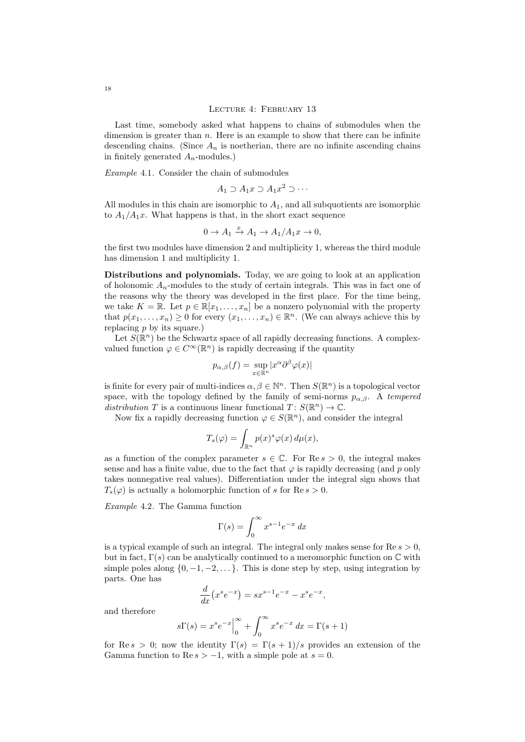Last time, somebody asked what happens to chains of submodules when the dimension is greater than  $n$ . Here is an example to show that there can be infinite descending chains. (Since  $A_n$  is noetherian, there are no infinite ascending chains in finitely generated  $A_n$ -modules.)

Example 4.1. Consider the chain of submodules

$$
A_1 \supset A_1 x \supset A_1 x^2 \supset \cdots
$$

All modules in this chain are isomorphic to  $A_1$ , and all subquotients are isomorphic to  $A_1/A_1x$ . What happens is that, in the short exact sequence

$$
0 \to A_1 \xrightarrow{x} A_1 \to A_1/A_1 x \to 0,
$$

the first two modules have dimension 2 and multiplicity 1, whereas the third module has dimension 1 and multiplicity 1.

Distributions and polynomials. Today, we are going to look at an application of holonomic  $A_n$ -modules to the study of certain integrals. This was in fact one of the reasons why the theory was developed in the first place. For the time being, we take  $K = \mathbb{R}$ . Let  $p \in \mathbb{R}[x_1, \ldots, x_n]$  be a nonzero polynomial with the property that  $p(x_1, \ldots, x_n) \geq 0$  for every  $(x_1, \ldots, x_n) \in \mathbb{R}^n$ . (We can always achieve this by replacing  $p$  by its square.)

Let  $S(\mathbb{R}^n)$  be the Schwartz space of all rapidly decreasing functions. A complexvalued function  $\varphi \in C^{\infty}(\mathbb{R}^n)$  is rapidly decreasing if the quantity

$$
p_{\alpha,\beta}(f) = \sup_{x \in \mathbb{R}^n} |x^{\alpha} \partial^{\beta} \varphi(x)|
$$

is finite for every pair of multi-indices  $\alpha, \beta \in \mathbb{N}^n$ . Then  $S(\mathbb{R}^n)$  is a topological vector space, with the topology defined by the family of semi-norms  $p_{\alpha,\beta}$ . A tempered distribution T is a continuous linear functional  $T: S(\mathbb{R}^n) \to \mathbb{C}$ .

Now fix a rapidly decreasing function  $\varphi \in S(\mathbb{R}^n)$ , and consider the integral

$$
T_s(\varphi) = \int_{\mathbb{R}^n} p(x)^s \varphi(x) \, d\mu(x),
$$

as a function of the complex parameter  $s \in \mathbb{C}$ . For  $\text{Re } s > 0$ , the integral makes sense and has a finite value, due to the fact that  $\varphi$  is rapidly decreasing (and p only takes nonnegative real values). Differentiation under the integral sign shows that  $T_s(\varphi)$  is actually a holomorphic function of s for Re  $s > 0$ .

Example 4.2. The Gamma function

$$
\Gamma(s) = \int_0^\infty x^{s-1} e^{-x} \, dx
$$

is a typical example of such an integral. The integral only makes sense for  $\text{Re } s > 0$ , but in fact,  $\Gamma(s)$  can be analytically continued to a meromorphic function on  $\mathbb C$  with simple poles along  $\{0, -1, -2, \ldots\}$ . This is done step by step, using integration by parts. One has

$$
\frac{d}{dx}(x^s e^{-x}) = sx^{s-1}e^{-x} - x^s e^{-x},
$$

and therefore

$$
s\Gamma(s)=x^se^{-x}\Big|_0^\infty+\int_0^\infty x^se^{-x}\;dx=\Gamma(s+1)
$$

for Re s > 0; now the identity  $\Gamma(s) = \Gamma(s+1)/s$  provides an extension of the Gamma function to Re  $s > -1$ , with a simple pole at  $s = 0$ .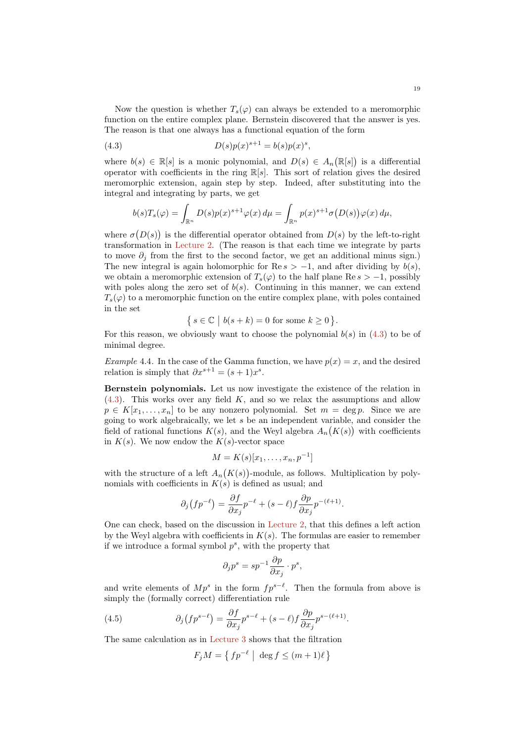Now the question is whether  $T_s(\varphi)$  can always be extended to a meromorphic function on the entire complex plane. Bernstein discovered that the answer is yes. The reason is that one always has a functional equation of the form

(4.3) 
$$
D(s)p(x)^{s+1} = b(s)p(x)^s,
$$

where  $b(s) \in \mathbb{R}[s]$  is a monic polynomial, and  $D(s) \in A_n(\mathbb{R}[s])$  is a differential operator with coefficients in the ring  $\mathbb{R}[s]$ . This sort of relation gives the desired meromorphic extension, again step by step. Indeed, after substituting into the integral and integrating by parts, we get

<span id="page-18-0"></span>
$$
b(s)T_s(\varphi) = \int_{\mathbb{R}^n} D(s)p(x)^{s+1}\varphi(x) d\mu = \int_{\mathbb{R}^n} p(x)^{s+1}\sigma(D(s))\varphi(x) d\mu,
$$

where  $\sigma(D(s))$  is the differential operator obtained from  $D(s)$  by the left-to-right transformation in [Lecture 2.](#page-5-0) (The reason is that each time we integrate by parts to move  $\partial_i$  from the first to the second factor, we get an additional minus sign.) The new integral is again holomorphic for Re  $s > -1$ , and after dividing by  $b(s)$ . we obtain a meromorphic extension of  $T_s(\varphi)$  to the half plane Re  $s > -1$ , possibly with poles along the zero set of  $b(s)$ . Continuing in this manner, we can extend  $T_s(\varphi)$  to a meromorphic function on the entire complex plane, with poles contained in the set

$$
\{ s \in \mathbb{C} \mid b(s+k) = 0 \text{ for some } k \ge 0 \}.
$$

For this reason, we obviously want to choose the polynomial  $b(s)$  in [\(4.3\)](#page-18-0) to be of minimal degree.

Example 4.4. In the case of the Gamma function, we have  $p(x) = x$ , and the desired relation is simply that  $\partial x^{s+1} = (s+1)x^s$ .

Bernstein polynomials. Let us now investigate the existence of the relation in  $(4.3)$ . This works over any field K, and so we relax the assumptions and allow  $p \in K[x_1,\ldots,x_n]$  to be any nonzero polynomial. Set  $m = \deg p$ . Since we are going to work algebraically, we let s be an independent variable, and consider the field of rational functions  $K(s)$ , and the Weyl algebra  $A_n(K(s))$  with coefficients in  $K(s)$ . We now endow the  $K(s)$ -vector space

$$
M = K(s)[x_1, \ldots, x_n, p^{-1}]
$$

with the structure of a left  $A_n(K(s))$ -module, as follows. Multiplication by polynomials with coefficients in  $K(s)$  is defined as usual; and

$$
\partial_j \left( f p^{-\ell} \right) = \frac{\partial f}{\partial x_j} p^{-\ell} + (s - \ell) f \frac{\partial p}{\partial x_j} p^{-(\ell+1)}.
$$

One can check, based on the discussion in [Lecture 2,](#page-5-0) that this defines a left action by the Weyl algebra with coefficients in  $K(s)$ . The formulas are easier to remember if we introduce a formal symbol  $p^s$ , with the property that

$$
\partial_j p^s = s p^{-1} \frac{\partial p}{\partial x_j} \cdot p^s,
$$

and write elements of  $Mp^s$  in the form  $fp^{s-\ell}$ . Then the formula from above is simply the (formally correct) differentiation rule

.

(4.5) 
$$
\partial_j (f p^{s-\ell}) = \frac{\partial f}{\partial x_j} p^{s-\ell} + (s-\ell) f \frac{\partial p}{\partial x_j} p^{s-(\ell+1)}
$$

The same calculation as in [Lecture 3](#page-10-0) shows that the filtration

<span id="page-18-1"></span>
$$
F_j M = \left\{ f p^{-\ell} \mid \deg f \le (m+1)\ell \right\}
$$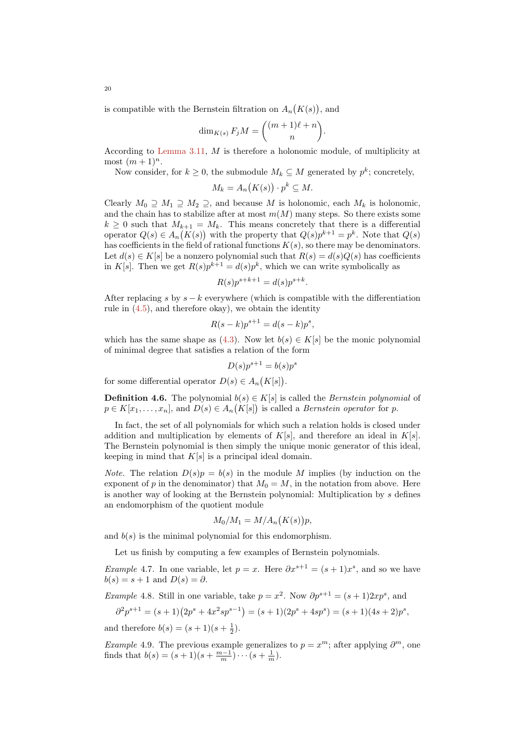is compatible with the Bernstein filtration on  $A_n(K(s))$ , and

$$
\dim_{K(s)} F_j M = \binom{(m+1)\ell + n}{n}.
$$

According to [Lemma 3.11,](#page-14-0) M is therefore a holonomic module, of multiplicity at most  $(m+1)^n$ .

Now consider, for  $k \geq 0$ , the submodule  $M_k \subseteq M$  generated by  $p^k$ ; concretely,

$$
M_k = A_n(K(s)) \cdot p^k \subseteq M.
$$

Clearly  $M_0 \supseteq M_1 \supseteq M_2 \supseteq$ , and because M is holonomic, each  $M_k$  is holonomic, and the chain has to stabilize after at most  $m(M)$  many steps. So there exists some  $k \geq 0$  such that  $M_{k+1} = M_k$ . This means concretely that there is a differential operator  $Q(s) \in A_n(K(s))$  with the property that  $Q(s)p^{k+1} = p^k$ . Note that  $Q(s)$ has coefficients in the field of rational functions  $K(s)$ , so there may be denominators. Let  $d(s) \in K[s]$  be a nonzero polynomial such that  $R(s) = d(s)Q(s)$  has coefficients in K[s]. Then we get  $R(s)p^{k+1} = d(s)p^k$ , which we can write symbolically as

$$
R(s)p^{s+k+1} = d(s)p^{s+k}.
$$

After replacing s by  $s - k$  everywhere (which is compatible with the differentiation rule in [\(4.5\)](#page-18-1), and therefore okay), we obtain the identity

$$
R(s-k)p^{s+1} = d(s-k)p^s,
$$

which has the same shape as [\(4.3\)](#page-18-0). Now let  $b(s) \in K[s]$  be the monic polynomial of minimal degree that satisfies a relation of the form

$$
D(s)p^{s+1} = b(s)p^s
$$

for some differential operator  $D(s) \in A_n(K[s])$ .

**Definition 4.6.** The polynomial  $b(s) \in K[s]$  is called the *Bernstein polynomial* of  $p \in K[x_1, \ldots, x_n]$ , and  $D(s) \in A_n(K[s])$  is called a *Bernstein operator* for p.

In fact, the set of all polynomials for which such a relation holds is closed under addition and multiplication by elements of  $K[s]$ , and therefore an ideal in  $K[s]$ . The Bernstein polynomial is then simply the unique monic generator of this ideal, keeping in mind that  $K[s]$  is a principal ideal domain.

*Note.* The relation  $D(s)p = b(s)$  in the module M implies (by induction on the exponent of p in the denominator) that  $M_0 = M$ , in the notation from above. Here is another way of looking at the Bernstein polynomial: Multiplication by s defines an endomorphism of the quotient module

$$
M_0/M_1 = M/A_n(K(s))p,
$$

and  $b(s)$  is the minimal polynomial for this endomorphism.

Let us finish by computing a few examples of Bernstein polynomials.

*Example* 4.7. In one variable, let  $p = x$ . Here  $\partial x^{s+1} = (s+1)x^s$ , and so we have  $b(s) = s + 1$  and  $D(s) = \partial$ .

*Example* 4.8. Still in one variable, take  $p = x^2$ . Now  $\partial p^{s+1} = (s+1)2xp^s$ , and

$$
\partial^2 p^{s+1} = (s+1)(2p^s + 4x^2sp^{s-1}) = (s+1)(2p^s + 4sp^s) = (s+1)(4s+2)p^s,
$$

and therefore  $b(s) = (s + 1)(s + \frac{1}{2})$ .

Example 4.9. The previous example generalizes to  $p = x^m$ ; after applying  $\partial^m$ , one finds that  $b(s) = (s+1)(s+\frac{m-1}{m})\cdots(s+\frac{1}{m}).$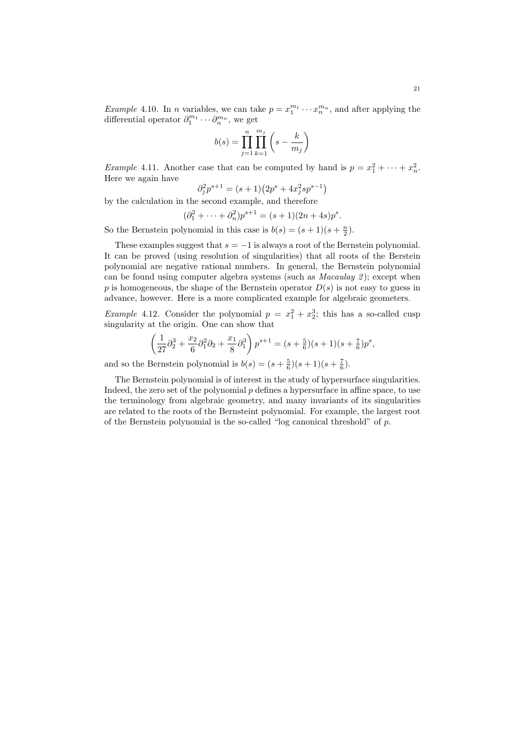*Example* 4.10. In *n* variables, we can take  $p = x_1^{m_1} \cdots x_n^{m_n}$ , and after applying the differential operator  $\partial_1^{m_1} \cdots \partial_n^{m_n}$ , we get

$$
b(s) = \prod_{j=1}^{n} \prod_{k=1}^{m_j} \left( s - \frac{k}{m_j} \right)
$$

*Example* 4.11. Another case that can be computed by hand is  $p = x_1^2 + \cdots + x_n^2$ . Here we again have

$$
\partial_j^2 p^{s+1} = (s+1)(2p^s + 4x_j^2 sp^{s-1})
$$

by the calculation in the second example, and therefore

$$
(\partial_1^2 + \dots + \partial_n^2)p^{s+1} = (s+1)(2n+4s)p^s.
$$

So the Bernstein polynomial in this case is  $b(s) = (s+1)(s+\frac{n}{2})$ .

These examples suggest that  $s = -1$  is always a root of the Bernstein polynomial. It can be proved (using resolution of singularities) that all roots of the Berstein polynomial are negative rational numbers. In general, the Bernstein polynomial can be found using computer algebra systems (such as  $Macaulay 2$ ); except when  $p$  is homogeneous, the shape of the Bernstein operator  $D(s)$  is not easy to guess in advance, however. Here is a more complicated example for algebraic geometers.

*Example* 4.12. Consider the polynomial  $p = x_1^2 + x_2^3$ ; this has a so-called cusp singularity at the origin. One can show that

$$
\left(\frac{1}{27}\partial_2^3 + \frac{x_2}{6}\partial_1^2\partial_2 + \frac{x_1}{8}\partial_1^3\right)p^{s+1} = (s + \frac{5}{6})(s+1)(s + \frac{7}{6})p^s,
$$

and so the Bernstein polynomial is  $b(s) = (s + \frac{5}{6})(s + 1)(s + \frac{7}{6})$ .

The Bernstein polynomial is of interest in the study of hypersurface singularities. Indeed, the zero set of the polynomial  $p$  defines a hypersurface in affine space, to use the terminology from algebraic geometry, and many invariants of its singularities are related to the roots of the Bernsteint polynomial. For example, the largest root of the Bernstein polynomial is the so-called "log canonical threshold" of p.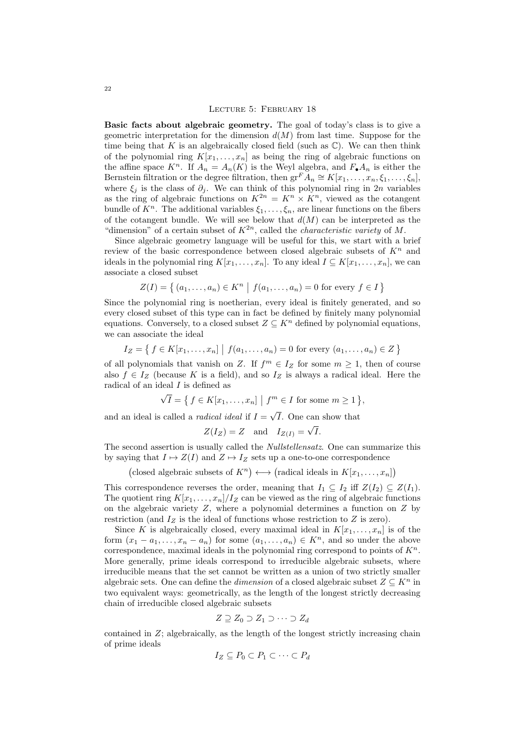Basic facts about algebraic geometry. The goal of today's class is to give a geometric interpretation for the dimension  $d(M)$  from last time. Suppose for the time being that K is an algebraically closed field (such as  $\mathbb{C}$ ). We can then think of the polynomial ring  $K[x_1, \ldots, x_n]$  as being the ring of algebraic functions on the affine space  $K^n$ . If  $A_n = A_n(K)$  is the Weyl algebra, and  $F_{\bullet}A_n$  is either the Bernstein filtration or the degree filtration, then  $gr^F \tilde{A}_n \cong K[x_1, \ldots, x_n, \xi_1, \ldots, \xi_n],$ where  $\xi_j$  is the class of  $\partial_j$ . We can think of this polynomial ring in 2n variables as the ring of algebraic functions on  $K^{2n} = K^n \times K^n$ , viewed as the cotangent bundle of  $K^n$ . The additional variables  $\xi_1, \ldots, \xi_n$ , are linear functions on the fibers of the cotangent bundle. We will see below that  $d(M)$  can be interpreted as the "dimension" of a certain subset of  $K^{2n}$ , called the *characteristic variety* of M.

Since algebraic geometry language will be useful for this, we start with a brief review of the basic correspondence between closed algebraic subsets of  $K<sup>n</sup>$  and ideals in the polynomial ring  $K[x_1, \ldots, x_n]$ . To any ideal  $I \subseteq K[x_1, \ldots, x_n]$ , we can associate a closed subset

$$
Z(I) = \{ (a_1, ..., a_n) \in K^n \mid f(a_1, ..., a_n) = 0 \text{ for every } f \in I \}
$$

Since the polynomial ring is noetherian, every ideal is finitely generated, and so every closed subset of this type can in fact be defined by finitely many polynomial equations. Conversely, to a closed subset  $Z \subseteq K^n$  defined by polynomial equations. we can associate the ideal

$$
I_Z = \{ f \in K[x_1, ..., x_n] \mid f(a_1, ..., a_n) = 0 \text{ for every } (a_1, ..., a_n) \in Z \}
$$

of all polynomials that vanish on Z. If  $f^m \in I_Z$  for some  $m \geq 1$ , then of course also  $f \in I_Z$  (because K is a field), and so  $I_Z$  is always a radical ideal. Here the radical of an ideal I is defined as √

$$
\sqrt{I} = \{ f \in K[x_1, \dots, x_n] \mid f^m \in I \text{ for some } m \ge 1 \},\
$$

and an ideal is called a *radical ideal* if  $I =$ √ I. One can show that  $\overline{a}$ 

$$
Z(I_Z) = Z \quad \text{and} \quad I_{Z(I)} = \sqrt{I}.
$$

The second assertion is usually called the Nullstellensatz. One can summarize this by saying that  $I \mapsto Z(I)$  and  $Z \mapsto I_Z$  sets up a one-to-one correspondence

(closed algebraic subsets of  $K^n$ )  $\longleftrightarrow$  (radical ideals in  $K[x_1, \ldots, x_n]$ )

This correspondence reverses the order, meaning that  $I_1 \subseteq I_2$  iff  $Z(I_2) \subseteq Z(I_1)$ . The quotient ring  $K[x_1, \ldots, x_n]/I_Z$  can be viewed as the ring of algebraic functions on the algebraic variety  $Z$ , where a polynomial determines a function on  $Z$  by restriction (and  $I_Z$  is the ideal of functions whose restriction to  $Z$  is zero).

Since K is algebraically closed, every maximal ideal in  $K[x_1, \ldots, x_n]$  is of the form  $(x_1 - a_1, \ldots, x_n - a_n)$  for some  $(a_1, \ldots, a_n) \in K^n$ , and so under the above correspondence, maximal ideals in the polynomial ring correspond to points of  $K<sup>n</sup>$ . More generally, prime ideals correspond to irreducible algebraic subsets, where irreducible means that the set cannot be written as a union of two strictly smaller algebraic sets. One can define the *dimension* of a closed algebraic subset  $Z \subseteq K^n$  in two equivalent ways: geometrically, as the length of the longest strictly decreasing chain of irreducible closed algebraic subsets

$$
Z \supseteq Z_0 \supset Z_1 \supset \cdots \supset Z_d
$$

contained in  $Z$ ; algebraically, as the length of the longest strictly increasing chain of prime ideals

$$
I_Z \subseteq P_0 \subset P_1 \subset \cdots \subset P_d
$$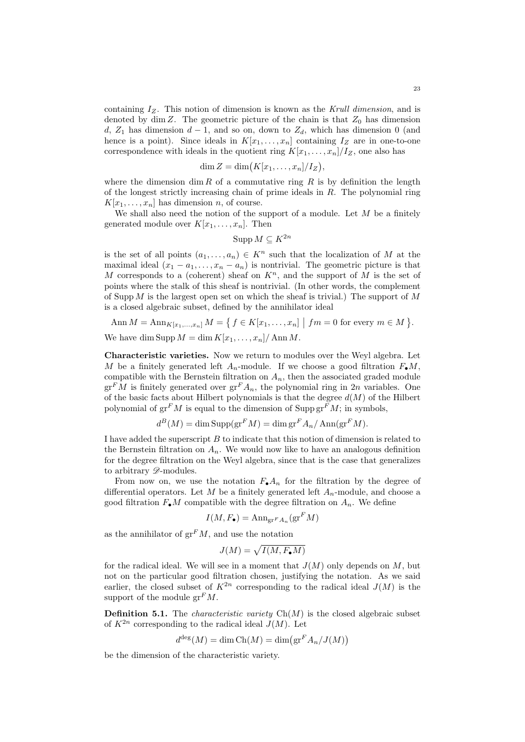containing  $I_Z$ . This notion of dimension is known as the Krull dimension, and is denoted by dim Z. The geometric picture of the chain is that  $Z_0$  has dimension d,  $Z_1$  has dimension  $d-1$ , and so on, down to  $Z_d$ , which has dimension 0 (and hence is a point). Since ideals in  $K[x_1, \ldots, x_n]$  containing  $I_Z$  are in one-to-one correspondence with ideals in the quotient ring  $K[x_1, \ldots, x_n]/I_Z$ , one also has

$$
\dim Z = \dim(K[x_1,\ldots,x_n]/I_Z),
$$

where the dimension dim R of a commutative ring R is by definition the length of the longest strictly increasing chain of prime ideals in  $R$ . The polynomial ring  $K[x_1, \ldots, x_n]$  has dimension *n*, of course.

We shall also need the notion of the support of a module. Let  $M$  be a finitely generated module over  $K[x_1, \ldots, x_n]$ . Then

$$
\operatorname{Supp} M \subseteq K^{2n}
$$

is the set of all points  $(a_1, \ldots, a_n) \in K^n$  such that the localization of M at the maximal ideal  $(x_1 - a_1, \ldots, x_n - a_n)$  is nontrivial. The geometric picture is that M corresponds to a (coherent) sheaf on  $K<sup>n</sup>$ , and the support of M is the set of points where the stalk of this sheaf is nontrivial. (In other words, the complement of Supp  $M$  is the largest open set on which the sheaf is trivial.) The support of  $M$ is a closed algebraic subset, defined by the annihilator ideal

Ann 
$$
M = \text{Ann}_{K[x_1,...,x_n]} M = \{ f \in K[x_1,...,x_n] \mid fm = 0 \text{ for every } m \in M \}.
$$

We have dim Supp  $M = \dim K[x_1, \ldots, x_n] / \operatorname{Ann} M$ .

Characteristic varieties. Now we return to modules over the Weyl algebra. Let M be a finitely generated left  $A_n$ -module. If we choose a good filtration  $F_{\bullet}M$ , compatible with the Bernstein filtration on  $A_n$ , then the associated graded module  $gr<sup>F</sup>M$  is finitely generated over  $gr<sup>F</sup>A_n$ , the polynomial ring in 2n variables. One of the basic facts about Hilbert polynomials is that the degree  $d(M)$  of the Hilbert polynomial of  $gr<sup>F</sup>M$  is equal to the dimension of Supp  $gr<sup>F</sup>M$ ; in symbols,

$$
d^{B}(M) = \dim \text{Supp}(\text{gr}^{F} M) = \dim \text{gr}^{F} A_{n} / \text{Ann}(\text{gr}^{F} M).
$$

I have added the superscript B to indicate that this notion of dimension is related to the Bernstein filtration on  $A_n$ . We would now like to have an analogous definition for the degree filtration on the Weyl algebra, since that is the case that generalizes to arbitrary  $\mathscr{D}$ -modules.

From now on, we use the notation  $F_{\bullet}A_n$  for the filtration by the degree of differential operators. Let M be a finitely generated left  $A_n$ -module, and choose a good filtration  $F_{\bullet}M$  compatible with the degree filtration on  $A_n$ . We define

$$
I(M, F_{\bullet}) = \mathrm{Ann}_{\mathrm{gr}^F A_n}(\mathrm{gr}^F M)
$$

as the annihilator of  $gr<sup>F</sup>M$ , and use the notation

$$
J(M) = \sqrt{I(M, F_{\bullet}M)}
$$

for the radical ideal. We will see in a moment that  $J(M)$  only depends on M, but not on the particular good filtration chosen, justifying the notation. As we said earlier, the closed subset of  $K^{2n}$  corresponding to the radical ideal  $J(M)$  is the support of the module  $gr<sup>F</sup>M$ .

**Definition 5.1.** The *characteristic variety*  $Ch(M)$  is the closed algebraic subset of  $K^{2n}$  corresponding to the radical ideal  $J(M)$ . Let

$$
d^{\deg}(M) = \dim \text{Ch}(M) = \dim \bigl(\text{gr}^F A_n / J(M)\bigr)
$$

be the dimension of the characteristic variety.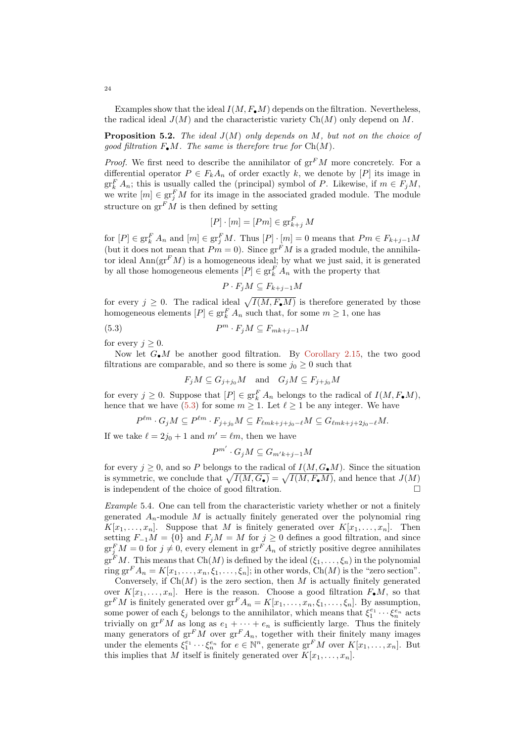Examples show that the ideal  $I(M, F_{\bullet}M)$  depends on the filtration. Nevertheless, the radical ideal  $J(M)$  and the characteristic variety  $Ch(M)$  only depend on M.

**Proposition 5.2.** The ideal  $J(M)$  only depends on M, but not on the choice of good filtration  $F_{\bullet}M$ . The same is therefore true for  $Ch(M)$ .

*Proof.* We first need to describe the annihilator of  $gr<sup>F</sup>M$  more concretely. For a differential operator  $P \in F_k A_n$  of order exactly k, we denote by  $[P]$  its image in  $gr_k^F A_n$ ; this is usually called the (principal) symbol of P. Likewise, if  $m \in F_j M$ , we write  $[m] \in \text{gr}^F_j M$  for its image in the associated graded module. The module structure on  $gr<sup>F</sup>M$  is then defined by setting

$$
[P] \cdot [m] = [Pm] \in \operatorname{gr}_{k+j}^F M
$$

for  $[P] \in \operatorname{gr}^F_k A_n$  and  $[m] \in \operatorname{gr}^F_j M$ . Thus  $[P] \cdot [m] = 0$  means that  $Pm \in F_{k+j-1}M$ (but it does not mean that  $Pm = 0$ ). Since  $gr<sup>F</sup>M$  is a graded module, the annihilator ideal  $\text{Ann}(\text{gr}^F M)$  is a homogeneous ideal; by what we just said, it is generated by all those homogeneous elements  $[P] \in \operatorname{gr}^F_k A_n$  with the property that

<span id="page-23-0"></span>
$$
P \cdot F_j M \subseteq F_{k+j-1} M
$$

for every  $j \geq 0$ . The radical ideal  $\sqrt{I(M, F_{\bullet}M)}$  is therefore generated by those homogeneous elements  $[P] \in \operatorname{gr}^F_k A_n$  such that, for some  $m \geq 1$ , one has

$$
(5.3) \t Pm \cdot F_j M \subseteq F_{mk+j-1} M
$$

for every  $j \geq 0$ .

Now let  $G_{\bullet}M$  be another good filtration. By [Corollary 2.15,](#page-9-0) the two good filtrations are comparable, and so there is some  $j_0 \geq 0$  such that

$$
F_jM \subseteq G_{j+j_0}M \quad \text{and} \quad G_jM \subseteq F_{j+j_0}M
$$

for every  $j \geq 0$ . Suppose that  $[P] \in \operatorname{gr}^F_k A_n$  belongs to the radical of  $I(M, F_{\bullet}M)$ , hence that we have [\(5.3\)](#page-23-0) for some  $m \geq 1$ . Let  $\ell \geq 1$  be any integer. We have

$$
P^{\ell m} \cdot G_j M \subseteq P^{\ell m} \cdot F_{j+j_0} M \subseteq F_{\ell m k+j+j_0-\ell} M \subseteq G_{\ell m k+j+2j_0-\ell} M.
$$

If we take  $\ell = 2j_0 + 1$  and  $m' = \ell m$ , then we have

$$
P^{m'} \cdot G_j M \subseteq G_{m'k+j-1}M
$$

for every  $j \geq 0$ , and so P belongs to the radical of  $I(M, G_{\bullet}M)$ . Since the situation is symmetric, we conclude that  $\sqrt{I(M, G_{\bullet})} = \sqrt{I(M, F_{\bullet}M)}$ , and hence that  $J(M)$ is independent of the choice of good filtration.

Example 5.4. One can tell from the characteristic variety whether or not a finitely generated  $A_n$ -module M is actually finitely generated over the polynomial ring  $K[x_1, \ldots, x_n]$ . Suppose that M is finitely generated over  $K[x_1, \ldots, x_n]$ . Then setting  $F_{-1}M = \{0\}$  and  $F_jM = M$  for  $j \geq 0$  defines a good filtration, and since  $\operatorname{gr}^F_j M = 0$  for  $j \neq 0$ , every element in  $\operatorname{gr}^F A_n$  of strictly positive degree annihilates  $gr<sup>F</sup>M$ . This means that  $Ch(M)$  is defined by the ideal  $(\xi_1, \ldots, \xi_n)$  in the polynomial ring gr<sup>F</sup> $A_n = K[x_1, \ldots, x_n, \xi_1, \ldots, \xi_n]$ ; in other words, Ch(M) is the "zero section".

Conversely, if  $Ch(M)$  is the zero section, then M is actually finitely generated over  $K[x_1, \ldots, x_n]$ . Here is the reason. Choose a good filtration  $F_{\bullet}M$ , so that  $gr<sup>F</sup>M$  is finitely generated over  $gr<sup>F</sup>A_n = K[x_1, \ldots, x_n, \xi_1, \ldots, \xi_n]$ . By assumption, some power of each  $\xi_j$  belongs to the annihilator, which means that  $\xi_1^{e_1} \cdots \xi_n^{e_n}$  acts trivially on  $gr^F M$  as long as  $e_1 + \cdots + e_n$  is sufficiently large. Thus the finitely many generators of  $gr^F M$  over  $gr^F A_n$ , together with their finitely many images under the elements  $\xi_1^{e_1} \cdots \xi_n^{e_n}$  for  $e \in \mathbb{N}^n$ , generate  $\text{gr}^F M$  over  $K[x_1, \ldots, x_n]$ . But this implies that M itself is finitely generated over  $K[x_1, \ldots, x_n]$ .

24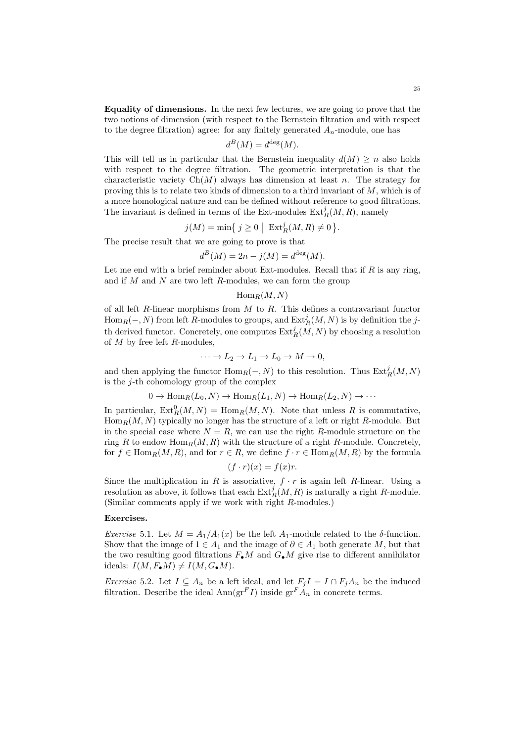Equality of dimensions. In the next few lectures, we are going to prove that the two notions of dimension (with respect to the Bernstein filtration and with respect to the degree filtration) agree: for any finitely generated  $A_n$ -module, one has

$$
d^B(M) = d^{\deg}(M).
$$

This will tell us in particular that the Bernstein inequality  $d(M) \geq n$  also holds with respect to the degree filtration. The geometric interpretation is that the characteristic variety  $Ch(M)$  always has dimension at least n. The strategy for proving this is to relate two kinds of dimension to a third invariant of  $M$ , which is of a more homological nature and can be defined without reference to good filtrations. The invariant is defined in terms of the Ext-modules  $\text{Ext}^j_R(M, R)$ , namely

$$
j(M) = \min\left\{j \ge 0 \mid \operatorname{Ext}^j_R(M, R) \ne 0\right\}.
$$

The precise result that we are going to prove is that

$$
d^B(M) = 2n - j(M) = d^{\text{deg}}(M).
$$

Let me end with a brief reminder about Ext-modules. Recall that if  $R$  is any ring, and if  $M$  and  $N$  are two left  $R$ -modules, we can form the group

# $\operatorname{Hom}_R(M, N)$

of all left  $R$ -linear morphisms from  $M$  to  $R$ . This defines a contravariant functor  $\operatorname{Hom}_R(-, N)$  from left R-modules to groups, and  $\operatorname{Ext}^j_R(M, N)$  is by definition the jth derived functor. Concretely, one computes  $\text{Ext}^j_R(M,N)$  by choosing a resolution of  $M$  by free left  $R$ -modules.

$$
\cdots \to L_2 \to L_1 \to L_0 \to M \to 0,
$$

and then applying the functor  $\text{Hom}_R(-, N)$  to this resolution. Thus  $\text{Ext}^j_R(M, N)$ is the  $j$ -th cohomology group of the complex

$$
0 \to \text{Hom}_R(L_0, N) \to \text{Hom}_R(L_1, N) \to \text{Hom}_R(L_2, N) \to \cdots
$$

In particular,  $\text{Ext}_{R}^{0}(M, N) = \text{Hom}_{R}(M, N)$ . Note that unless R is commutative,  $\operatorname{Hom}_R(M, N)$  typically no longer has the structure of a left or right R-module. But in the special case where  $N = R$ , we can use the right R-module structure on the ring R to endow  $\text{Hom}_R(M, R)$  with the structure of a right R-module. Concretely, for  $f \in \text{Hom}_R(M, R)$ , and for  $r \in R$ , we define  $f \cdot r \in \text{Hom}_R(M, R)$  by the formula

$$
(f \cdot r)(x) = f(x)r.
$$

Since the multiplication in R is associative,  $f \cdot r$  is again left R-linear. Using a resolution as above, it follows that each  $\text{Ext}_R^j(M, R)$  is naturally a right R-module. (Similar comments apply if we work with right R-modules.)

## Exercises.

Exercise 5.1. Let  $M = A_1/A_1(x)$  be the left  $A_1$ -module related to the  $\delta$ -function. Show that the image of  $1 \in A_1$  and the image of  $\partial \in A_1$  both generate M, but that the two resulting good filtrations  $F_{\bullet}M$  and  $G_{\bullet}M$  give rise to different annihilator ideals:  $I(M, F_{\bullet}M) \neq I(M, G_{\bullet}M)$ .

*Exercise* 5.2. Let  $I \subseteq A_n$  be a left ideal, and let  $F_j I = I \cap F_j A_n$  be the induced filtration. Describe the ideal  $\text{Ann}(\text{gr}^F I)$  inside  $\text{gr}^F A_n$  in concrete terms.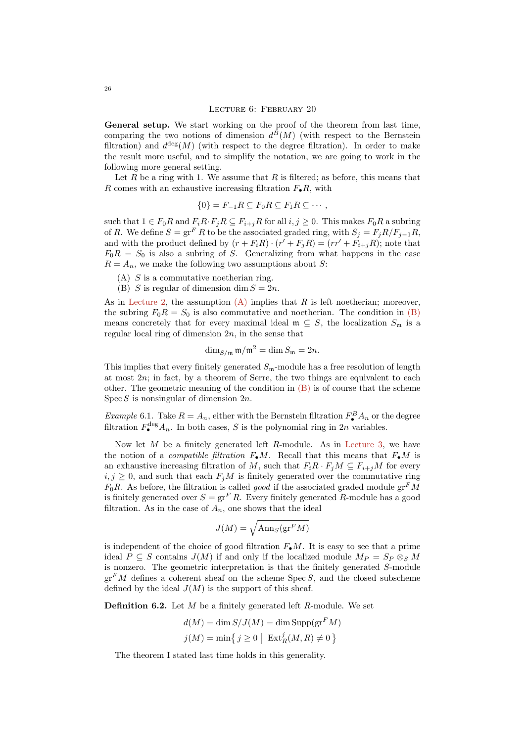General setup. We start working on the proof of the theorem from last time, comparing the two notions of dimension  $d^B(M)$  (with respect to the Bernstein filtration) and  $d^{\text{deg}}(M)$  (with respect to the degree filtration). In order to make the result more useful, and to simplify the notation, we are going to work in the following more general setting.

Let R be a ring with 1. We assume that R is filtered; as before, this means that R comes with an exhaustive increasing filtration  $F_{\bullet}R$ , with

<span id="page-25-2"></span>
$$
\{0\} = F_{-1}R \subseteq F_0R \subseteq F_1R \subseteq \cdots,
$$

such that  $1 \in F_0R$  and  $F_iR \cdot F_jR \subseteq F_{i+j}R$  for all  $i, j \ge 0$ . This makes  $F_0R$  a subring of R. We define  $S = \operatorname{gr}^F R$  to be the associated graded ring, with  $S_j = F_j R/F_{j-1}R$ , and with the product defined by  $(r + F_i R) \cdot (r' + F_j R) = (rr' + F_{i+j} R)$ ; note that  $F_0R = S_0$  is also a subring of S. Generalizing from what happens in the case  $R = A_n$ , we make the following two assumptions about S:

- <span id="page-25-0"></span> $(A)$  S is a commutative noetherian ring.
- <span id="page-25-1"></span>(B) S is regular of dimension dim  $S = 2n$ .

As in [Lecture 2,](#page-5-0) the assumption  $(A)$  implies that R is left noetherian; moreover, the subring  $F_0R = S_0$  is also commutative and noetherian. The condition in [\(B\)](#page-25-1) means concretely that for every maximal ideal  $\mathfrak{m} \subseteq S$ , the localization  $S_{\mathfrak{m}}$  is a regular local ring of dimension  $2n$ , in the sense that

$$
\dim_{S/\mathfrak{m}} \mathfrak{m}/\mathfrak{m}^2 = \dim S_{\mathfrak{m}} = 2n.
$$

This implies that every finitely generated  $S_m$ -module has a free resolution of length at most  $2n$ ; in fact, by a theorem of Serre, the two things are equivalent to each other. The geometric meaning of the condition in  $(B)$  is of course that the scheme Spec  $S$  is nonsingular of dimension  $2n$ .

*Example* 6.1. Take  $R = A_n$ , either with the Bernstein filtration  $F_{\bullet}^{B}A_n$  or the degree filtration  $F_{\bullet}^{\text{deg}} A_n$ . In both cases, S is the polynomial ring in 2n variables.

Now let  $M$  be a finitely generated left  $R$ -module. As in [Lecture 3,](#page-10-0) we have the notion of a *compatible filtration*  $F_{\bullet}M$ . Recall that this means that  $F_{\bullet}M$  is an exhaustive increasing filtration of M, such that  $F_iR \cdot F_jM \subseteq F_{i+j}M$  for every  $i, j \geq 0$ , and such that each  $F_j M$  is finitely generated over the commutative ring  $F_0R$ . As before, the filtration is called good if the associated graded module  $gr^F M$ is finitely generated over  $S = \operatorname{gr}^F R$ . Every finitely generated R-module has a good filtration. As in the case of  $A_n$ , one shows that the ideal

$$
J(M) = \sqrt{\mathrm{Ann}_S(\mathrm{gr}^FM)}
$$

is independent of the choice of good filtration  $F_{\bullet}M$ . It is easy to see that a prime ideal  $P \subseteq S$  contains  $J(M)$  if and only if the localized module  $M_P = S_P \otimes_S M$ is nonzero. The geometric interpretation is that the finitely generated S-module  $gr<sup>F</sup>M$  defines a coherent sheaf on the scheme Spec S, and the closed subscheme defined by the ideal  $J(M)$  is the support of this sheaf.

**Definition 6.2.** Let  $M$  be a finitely generated left  $R$ -module. We set

$$
d(M) = \dim S/J(M) = \dim \text{Supp}(\text{gr}^F M)
$$

$$
j(M) = \min\{j \ge 0 \mid \text{Ext}^j_R(M, R) \ne 0\}
$$

The theorem I stated last time holds in this generality.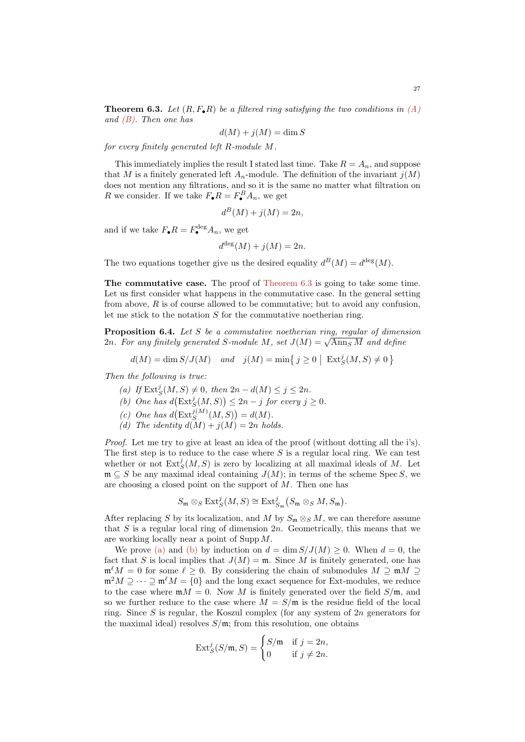<span id="page-26-0"></span>**Theorem 6.3.** Let  $(R, F_{\bullet}R)$  be a filtered ring satisfying the two conditions in  $(A)$ and  $(B)$ . Then one has

$$
d(M) + j(M) = \dim S
$$

for every finitely generated left R-module M.

This immediately implies the result I stated last time. Take  $R = A_n$ , and suppose that M is a finitely generated left  $A_n$ -module. The definition of the invariant  $j(M)$ does not mention any filtrations, and so it is the same no matter what filtration on R we consider. If we take  $F_{\bullet}R = F_{\bullet}^B A_n$ , we get

$$
d^B(M) + j(M) = 2n,
$$

and if we take  $F_{\bullet}R = F_{\bullet}^{\text{deg}}A_n$ , we get

$$
d^{\deg}(M) + j(M) = 2n.
$$

The two equations together give us the desired equality  $d^B(M) = d^{\text{deg}}(M)$ .

The commutative case. The proof of [Theorem 6.3](#page-26-0) is going to take some time. Let us first consider what happens in the commutative case. In the general setting from above,  $R$  is of course allowed to be commutative; but to avoid any confusion, let me stick to the notation  $S$  for the commutative noetherian ring.

<span id="page-26-5"></span>**Proposition 6.4.** Let  $S$  be a commutative noetherian ring, regular of dimension **Proposition 6.4.** Let 5 be a commutative noetherian ring, regular by aiment  $2n$ . For any finitely generated S-module M, set  $J(M) = \sqrt{\text{Ann}_S M}$  and define

$$
d(M) = \dim S/J(M) \quad and \quad j(M) = \min\left\{j \ge 0 \mid \operatorname{Ext}^j_S(M, S) \ne 0\right\}
$$

<span id="page-26-1"></span>Then the following is true:

- (a) If  $\text{Ext}^j_S(M, S) \neq 0$ , then  $2n d(M) \leq j \leq 2n$ .
- <span id="page-26-2"></span>(b) One has  $d\left(\text{Ext}^j_S(M, S)\right) \leq 2n - j$  for every  $j \geq 0$ .
- <span id="page-26-3"></span>(c) One has  $d\left(\text{Ext}_{S}^{j(M)}(M,S)\right) = d(M).$
- <span id="page-26-4"></span>(d) The identity  $d(M) + j(M) = 2n$  holds.

Proof. Let me try to give at least an idea of the proof (without dotting all the i's). The first step is to reduce to the case where  $S$  is a regular local ring. We can test whether or not  $\text{Ext}^j_S(M, S)$  is zero by localizing at all maximal ideals of M. Let  $\mathfrak{m} \subseteq S$  be any maximal ideal containing  $J(M)$ ; in terms of the scheme Spec S, we are choosing a closed point on the support of  $M$ . Then one has

$$
S_{\mathfrak{m}} \otimes_S \text{Ext}^j_S(M, S) \cong \text{Ext}^j_{S_{\mathfrak{m}}}(S_{\mathfrak{m}} \otimes_S M, S_{\mathfrak{m}}).
$$

After replacing S by its localization, and M by  $S_m \otimes_S M$ , we can therefore assume that S is a regular local ring of dimension  $2n$ . Geometrically, this means that we are working locally near a point of Supp M.

We prove [\(a\)](#page-26-1) and [\(b\)](#page-26-2) by induction on  $d = \dim S/J(M) \geq 0$ . When  $d = 0$ , the fact that S is local implies that  $J(M) = \mathfrak{m}$ . Since M is finitely generated, one has  $\mathfrak{m}^{\ell}M = 0$  for some  $\ell \geq 0$ . By considering the chain of submodules  $M \supseteq \mathfrak{m}M \supseteq$  $\mathfrak{m}^2M \supseteq \cdots \supseteq \mathfrak{m}^{\ell}M = \{0\}$  and the long exact sequence for Ext-modules, we reduce to the case where  $mM = 0$ . Now M is finitely generated over the field  $S/m$ , and so we further reduce to the case where  $M = S/m$  is the residue field of the local ring. Since S is regular, the Koszul complex (for any system of  $2n$  generators for the maximal ideal) resolves  $S/\mathfrak{m}$ ; from this resolution, one obtains

$$
\operatorname{Ext}^j_S(S/\mathfrak{m},S) = \begin{cases} S/\mathfrak{m} & \text{if } j = 2n, \\ 0 & \text{if } j \neq 2n. \end{cases}
$$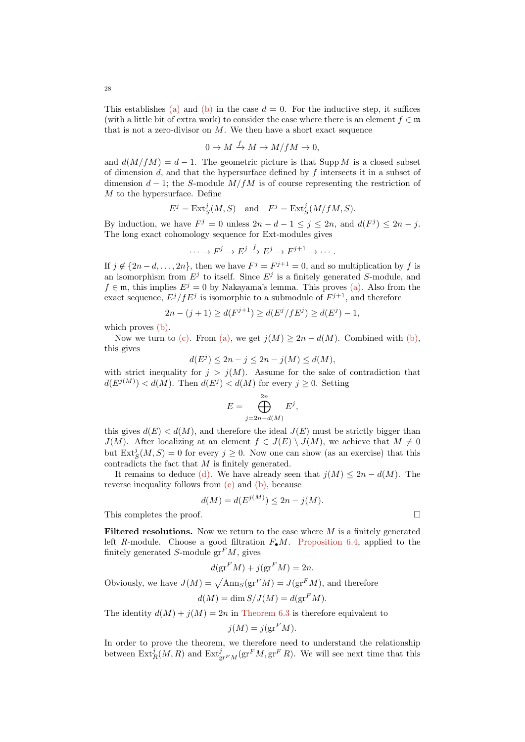This establishes [\(a\)](#page-26-1) and [\(b\)](#page-26-2) in the case  $d = 0$ . For the inductive step, it suffices (with a little bit of extra work) to consider the case where there is an element  $f \in \mathfrak{m}$ that is not a zero-divisor on  $M$ . We then have a short exact sequence

$$
0 \to M \xrightarrow{f} M \to M/fM \to 0,
$$

and  $d(M/fM) = d - 1$ . The geometric picture is that Supp M is a closed subset of dimension  $d$ , and that the hypersurface defined by  $f$  intersects it in a subset of dimension  $d-1$ ; the S-module  $M/fM$  is of course representing the restriction of M to the hypersurface. Define

$$
E^j = \text{Ext}^j_S(M, S) \quad \text{and} \quad F^j = \text{Ext}^j_S(M/fM, S).
$$

By induction, we have  $F^j = 0$  unless  $2n - d - 1 \le j \le 2n$ , and  $d(F^j) \le 2n - j$ . The long exact cohomology sequence for Ext-modules gives

$$
\cdots \to F^j \to E^j \xrightarrow{f} E^j \to F^{j+1} \to \cdots.
$$

If  $j \notin \{2n-d,\ldots,2n\}$ , then we have  $F^j = F^{j+1} = 0$ , and so multiplication by f is an isomorphism from  $E^j$  to itself. Since  $E^j$  is a finitely generated S-module, and  $f \in \mathfrak{m}$ , this implies  $E^j = 0$  by Nakayama's lemma. This proves [\(a\).](#page-26-1) Also from the exact sequence,  $E^{j}/fE^{j}$  is isomorphic to a submodule of  $F^{j+1}$ , and therefore

$$
2n - (j + 1) \ge d(F^{j+1}) \ge d(E^j / fE^j) \ge d(E^j) - 1,
$$

which proves  $(b)$ .

Now we turn to [\(c\).](#page-26-3) From [\(a\),](#page-26-1) we get  $j(M) \geq 2n - d(M)$ . Combined with [\(b\),](#page-26-2) this gives

$$
d(E^j) \le 2n - j \le 2n - j(M) \le d(M),
$$

with strict inequality for  $j > j(M)$ . Assume for the sake of contradiction that  $d(E^{j(M)}) < d(M)$ . Then  $d(E^j) < d(M)$  for every  $j \geq 0$ . Setting

$$
E = \bigoplus_{j=2n-d(M)}^{2n} E^j,
$$

this gives  $d(E) < d(M)$ , and therefore the ideal  $J(E)$  must be strictly bigger than  $J(M)$ . After localizing at an element  $f \in J(E) \setminus J(M)$ , we achieve that  $M \neq 0$ but  $\text{Ext}^j_S(M, S) = 0$  for every  $j \geq 0$ . Now one can show (as an exercise) that this contradicts the fact that M is finitely generated.

It remains to deduce [\(d\).](#page-26-4) We have already seen that  $j(M) \leq 2n - d(M)$ . The reverse inequality follows from [\(c\)](#page-26-3) and [\(b\),](#page-26-2) because

$$
d(M) = d(E^{j(M)}) \le 2n - j(M).
$$

This completes the proof.

Filtered resolutions. Now we return to the case where  $M$  is a finitely generated left R-module. Choose a good filtration  $F_{\bullet}M$ . [Proposition 6.4,](#page-26-5) applied to the finitely generated S-module  $gr<sup>F</sup>M$ , gives

$$
d(\operatorname{gr}^F M) + j(\operatorname{gr}^F M) = 2n.
$$

Obviously, we have  $J(M) = \sqrt{\text{Ann}_S(\text{gr}^F M)} = J(\text{gr}^F M)$ , and therefore

$$
d(M) = \dim S/J(M) = d(\operatorname{gr}^F M).
$$

The identity  $d(M) + i(M) = 2n$  in [Theorem 6.3](#page-26-0) is therefore equivalent to

$$
j(M) = j(\text{gr}^F M).
$$

In order to prove the theorem, we therefore need to understand the relationship between  $\text{Ext}^j_R(M, R)$  and  $\text{Ext}^j_{\text{gr}^F M}(\text{gr}^F M, \text{gr}^F R)$ . We will see next time that this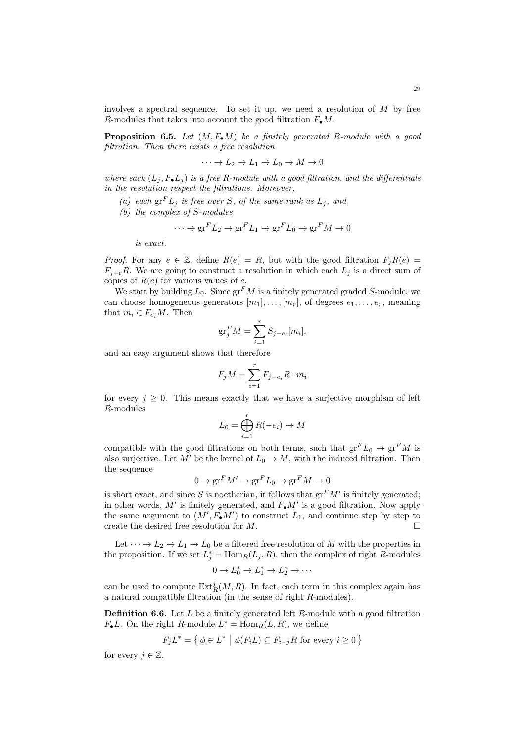involves a spectral sequence. To set it up, we need a resolution of  $M$  by free R-modules that takes into account the good filtration  $F_{\bullet}M$ .

**Proposition 6.5.** Let  $(M, F_{\bullet}M)$  be a finitely generated R-module with a good filtration. Then there exists a free resolution

 $\cdots \rightarrow L_2 \rightarrow L_1 \rightarrow L_0 \rightarrow M \rightarrow 0$ 

where each  $(L_i, F_{\bullet}L_i)$  is a free R-module with a good filtration, and the differentials in the resolution respect the filtrations. Moreover,

- (a) each  $gr^F L_j$  is free over S, of the same rank as  $L_j$ , and
- (b) the complex of S-modules

$$
\cdots \to \mathrm{gr}^F L_2 \to \mathrm{gr}^F L_1 \to \mathrm{gr}^F L_0 \to \mathrm{gr}^F M \to 0
$$

is exact.

*Proof.* For any  $e \in \mathbb{Z}$ , define  $R(e) = R$ , but with the good filtration  $F_j R(e) =$  $F_{i+e}R$ . We are going to construct a resolution in which each  $L_j$  is a direct sum of copies of  $R(e)$  for various values of e.

We start by building  $L_0$ . Since  $gr^F M$  is a finitely generated graded S-module, we can choose homogeneous generators  $[m_1], \ldots, [m_r],$  of degrees  $e_1, \ldots, e_r$ , meaning that  $m_i \in F_{e_i}M$ . Then

$$
\operatorname{gr}^F_j M = \sum_{i=1}^r S_{j-e_i}[m_i],
$$

and an easy argument shows that therefore

$$
F_j M = \sum_{i=1}^r F_{j-e_i} R \cdot m_i
$$

for every  $j \geq 0$ . This means exactly that we have a surjective morphism of left R-modules

$$
L_0 = \bigoplus_{i=1}^r R(-e_i) \to M
$$

compatible with the good filtrations on both terms, such that  $gr^F L_0 \to gr^F M$  is also surjective. Let M' be the kernel of  $L_0 \to M$ , with the induced filtration. Then the sequence

$$
0 \to \text{gr}^F M' \to \text{gr}^F L_0 \to \text{gr}^F M \to 0
$$

is short exact, and since S is noetherian, it follows that  $gr<sup>F</sup>M'$  is finitely generated; in other words,  $M'$  is finitely generated, and  $F_{\bullet}M'$  is a good filtration. Now apply the same argument to  $(M', F_{\bullet}M')$  to construct  $L_1$ , and continue step by step to create the desired free resolution for M.

Let  $\cdots \rightarrow L_2 \rightarrow L_1 \rightarrow L_0$  be a filtered free resolution of M with the properties in the proposition. If we set  $L_j^* = \text{Hom}_R(L_j, R)$ , then the complex of right R-modules

$$
0 \to L_0^* \to L_1^* \to L_2^* \to \cdots
$$

can be used to compute  $\text{Ext}^j_R(M,R)$ . In fact, each term in this complex again has a natural compatible filtration (in the sense of right R-modules).

**Definition 6.6.** Let L be a finitely generated left R-module with a good filtration  $F_{\bullet}L$ . On the right R-module  $L^* = \text{Hom}_R(L, R)$ , we define

$$
F_j L^* = \left\{ \phi \in L^* \mid \phi(F_i L) \subseteq F_{i+j} R \text{ for every } i \ge 0 \right\}
$$

for every  $j \in \mathbb{Z}$ .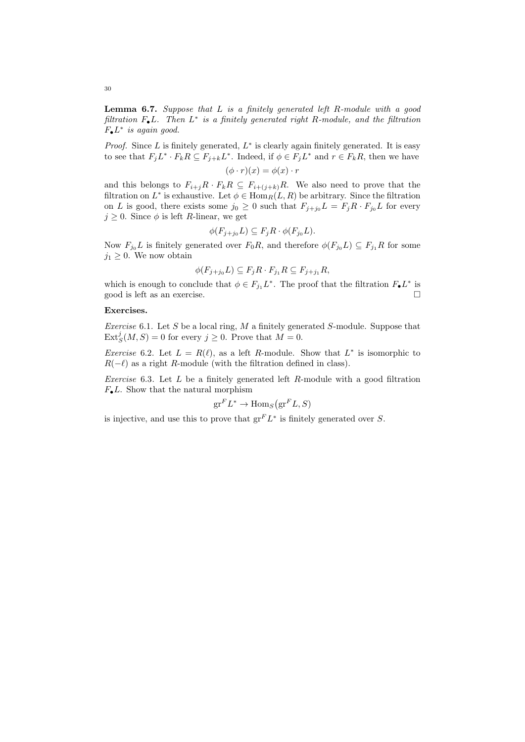**Lemma 6.7.** Suppose that  $L$  is a finitely generated left  $R$ -module with a good filtration  $F_{\bullet}L$ . Then  $L^*$  is a finitely generated right R-module, and the filtration  $F_{\bullet}L^*$  is again good.

*Proof.* Since  $L$  is finitely generated,  $L^*$  is clearly again finitely generated. It is easy to see that  $F_j L^* \cdot F_k R \subseteq F_{j+k} L^*$ . Indeed, if  $\phi \in F_j L^*$  and  $r \in F_k R$ , then we have

$$
(\phi \cdot r)(x) = \phi(x) \cdot r
$$

and this belongs to  $F_{i+j}R \cdot F_kR \subseteq F_{i+(j+k)}R$ . We also need to prove that the filtration on  $L^*$  is exhaustive. Let  $\phi \in \text{Hom}_R(L, R)$  be arbitrary. Since the filtration on L is good, there exists some  $j_0 \geq 0$  such that  $F_{j+j_0}L = F_jR \cdot F_{j_0}L$  for every  $j \geq 0$ . Since  $\phi$  is left R-linear, we get

$$
\phi(F_{j+j_0}L) \subseteq F_j R \cdot \phi(F_{j_0}L).
$$

Now  $F_{j_0} L$  is finitely generated over  $F_0 R$ , and therefore  $\phi(F_{j_0} L) \subseteq F_{j_1} R$  for some  $j_1 \geq 0$ . We now obtain

$$
\phi(F_{j+j_0}L) \subseteq F_j R \cdot F_{j_1} R \subseteq F_{j+j_1} R,
$$

which is enough to conclude that  $\phi \in F_{j_1} L^*$ . The proof that the filtration  $F_{\bullet} L^*$  is good is left as an exercise.

## Exercises.

Exercise 6.1. Let S be a local ring,  $M$  a finitely generated S-module. Suppose that  $\text{Ext}^j_S(M, S) = 0$  for every  $j \geq 0$ . Prove that  $M = 0$ .

*Exercise* 6.2. Let  $L = R(\ell)$ , as a left R-module. Show that  $L^*$  is isomorphic to  $R(-\ell)$  as a right R-module (with the filtration defined in class).

*Exercise* 6.3. Let  $L$  be a finitely generated left  $R$ -module with a good filtration  $F_{\bullet}L$ . Show that the natural morphism

$$
\mathrm{gr}^F L^* \to \mathrm{Hom}_S(\mathrm{gr}^F L, S)
$$

is injective, and use this to prove that  $gr^F L^*$  is finitely generated over S.

30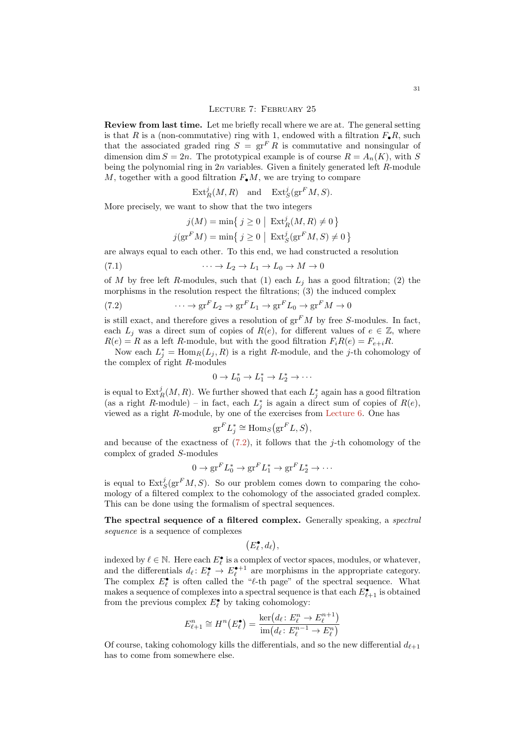Review from last time. Let me briefly recall where we are at. The general setting is that R is a (non-commutative) ring with 1, endowed with a filtration  $F_{\bullet}R$ , such that the associated graded ring  $S = \operatorname{gr}^F R$  is commutative and nonsingular of dimension dim  $S = 2n$ . The prototypical example is of course  $R = A_n(K)$ , with S being the polynomial ring in  $2n$  variables. Given a finitely generated left  $R$ -module M, together with a good filtration  $F_{\bullet}M$ , we are trying to compare

 $\text{Ext}^j_R(M,R)$  and  $\text{Ext}^j_S(\text{gr}^F M, S)$ .

More precisely, we want to show that the two integers

<span id="page-30-1"></span>
$$
j(M) = \min\left\{j \ge 0 \mid \operatorname{Ext}^j_R(M, R) \ne 0\right\}
$$

$$
j(\operatorname{gr}^F M) = \min\left\{j \ge 0 \mid \operatorname{Ext}^j_S(\operatorname{gr}^F M, S) \ne 0\right\}
$$

are always equal to each other. To this end, we had constructed a resolution

(7.1) 
$$
\cdots \to L_2 \to L_1 \to L_0 \to M \to 0
$$

of M by free left R-modules, such that (1) each  $L_i$  has a good filtration; (2) the morphisms in the resolution respect the filtrations; (3) the induced complex

<span id="page-30-0"></span>(7.2) 
$$
\cdots \to \operatorname{gr}^F L_2 \to \operatorname{gr}^F L_1 \to \operatorname{gr}^F L_0 \to \operatorname{gr}^F M \to 0
$$

is still exact, and therefore gives a resolution of  $gr<sup>F</sup>M$  by free S-modules. In fact, each  $L_i$  was a direct sum of copies of  $R(e)$ , for different values of  $e \in \mathbb{Z}$ , where  $R(e) = R$  as a left R-module, but with the good filtration  $F_i R(e) = F_{e+i} R$ .

Now each  $L_j^* = \text{Hom}_R(L_j, R)$  is a right R-module, and the j-th cohomology of the complex of right R-modules

$$
0 \to L_0^* \to L_1^* \to L_2^* \to \cdots
$$

is equal to  $\mathrm{Ext}^j_R(M,R)$ . We further showed that each  $L^*_j$  again has a good filtration (as a right R-module) – in fact, each  $L_j^*$  is again a direct sum of copies of  $R(e)$ , viewed as a right  $R$ -module, by one of the exercises from [Lecture 6.](#page-25-2) One has

$$
\operatorname{gr}^F L_j^* \cong \operatorname{Hom}_S(\operatorname{gr}^F L, S),
$$

and because of the exactness of  $(7.2)$ , it follows that the *j*-th cohomology of the complex of graded S-modules

$$
0 \to \mathrm{gr}^F L_0^* \to \mathrm{gr}^F L_1^* \to \mathrm{gr}^F L_2^* \to \cdots
$$

is equal to  $\text{Ext}^j_S(\text{gr}^F M, S)$ . So our problem comes down to comparing the cohomology of a filtered complex to the cohomology of the associated graded complex. This can be done using the formalism of spectral sequences.

The spectral sequence of a filtered complex. Generally speaking, a spectral sequence is a sequence of complexes

$$
\big(E^\bullet_\ell,d_\ell\big),
$$

indexed by  $\ell \in \mathbb{N}$ . Here each  $E_{\ell}^{\bullet}$  is a complex of vector spaces, modules, or whatever, and the differentials  $d_\ell : E_\ell^{\bullet} \to E_\ell^{\bullet+1}$  are morphisms in the appropriate category. The complex  $E_{\ell}^{\bullet}$  is often called the " $\ell$ -th page" of the spectral sequence. What makes a sequence of complexes into a spectral sequence is that each  $E^{\bullet}_{\ell+1}$  is obtained from the previous complex  $E_{\ell}^{\bullet}$  by taking cohomology:

$$
E_{\ell+1}^{n} \cong H^{n}(E_{\ell}^{\bullet}) = \frac{\ker(d_{\ell} : E_{\ell}^{n} \to E_{\ell}^{n+1})}{\text{im}(d_{\ell} : E_{\ell}^{n-1} \to E_{\ell}^{n})}
$$

Of course, taking cohomology kills the differentials, and so the new differential  $d_{\ell+1}$ has to come from somewhere else.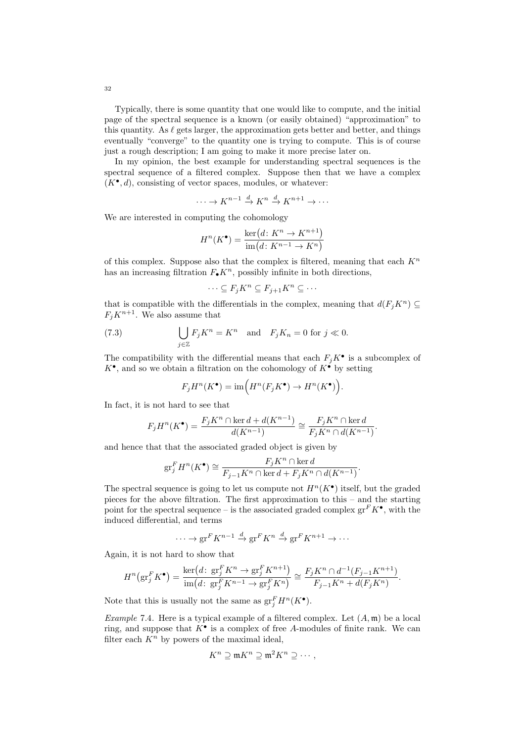Typically, there is some quantity that one would like to compute, and the initial page of the spectral sequence is a known (or easily obtained) "approximation" to this quantity. As  $\ell$  gets larger, the approximation gets better and better, and things eventually "converge" to the quantity one is trying to compute. This is of course just a rough description; I am going to make it more precise later on.

In my opinion, the best example for understanding spectral sequences is the spectral sequence of a filtered complex. Suppose then that we have a complex  $(K^{\bullet}, d)$ , consisting of vector spaces, modules, or whatever:

$$
\cdots \to K^{n-1} \xrightarrow{d} K^n \xrightarrow{d} K^{n+1} \to \cdots
$$

We are interested in computing the cohomology

$$
H^n(K^{\bullet}) = \frac{\ker(d \colon K^n \to K^{n+1})}{\text{im}(d \colon K^{n-1} \to K^n)}
$$

of this complex. Suppose also that the complex is filtered, meaning that each  $K^n$ has an increasing filtration  $F_{\bullet} K^n$ , possibly infinite in both directions,

<span id="page-31-0"></span>
$$
\cdots \subseteq F_j K^n \subseteq F_{j+1} K^n \subseteq \cdots
$$

that is compatible with the differentials in the complex, meaning that  $d(F_i K^n) \subseteq$  $F_i K^{n+1}$ . We also assume that

(7.3) 
$$
\bigcup_{j\in\mathbb{Z}} F_j K^n = K^n \text{ and } F_j K_n = 0 \text{ for } j \ll 0.
$$

The compatibility with the differential means that each  $F_j K^{\bullet}$  is a subcomplex of  $K^{\bullet}$ , and so we obtain a filtration on the cohomology of  $K^{\bullet}$  by setting

$$
F_j H^n(K^{\bullet}) = \text{im}\Big(H^n(F_j K^{\bullet}) \to H^n(K^{\bullet})\Big).
$$

In fact, it is not hard to see that

$$
F_jH^n(K^\bullet)=\frac{F_jK^n\cap\ker d+d(K^{n-1})}{d(K^{n-1})}\cong\frac{F_jK^n\cap\ker d}{F_jK^n\cap d(K^{n-1})}.
$$

and hence that that the associated graded object is given by

$$
\text{gr}^F_jH^n(K^\bullet)\cong \dfrac{F_jK^n\cap\ker d}{F_{j-1}K^n\cap\ker d+F_jK^n\cap d(K^{n-1})}.
$$

The spectral sequence is going to let us compute not  $H<sup>n</sup>(K<sup>•</sup>)$  itself, but the graded pieces for the above filtration. The first approximation to this – and the starting point for the spectral sequence – is the associated graded complex  $gr^F K^{\bullet}$ , with the induced differential, and terms

$$
\cdots \to \mathrm{gr}^F K^{n-1} \xrightarrow{d} \mathrm{gr}^F K^n \xrightarrow{d} \mathrm{gr}^F K^{n+1} \to \cdots
$$

Again, it is not hard to show that

$$
H^n(\mathrm{gr}_j^F K^{\bullet}) = \frac{\mathrm{ker}\big(d\colon \mathrm{gr}_j^F K^n \to \mathrm{gr}_j^F K^{n+1}\big)}{\mathrm{im}\big(d\colon \mathrm{gr}_j^F K^{n-1} \to \mathrm{gr}_j^F K^n\big)} \cong \frac{F_j K^n \cap d^{-1}(F_{j-1} K^{n+1})}{F_{j-1} K^n + d(F_j K^n)}.
$$

Note that this is usually not the same as  $gr_f^F H^n(K^{\bullet}).$ 

*Example* 7.4. Here is a typical example of a filtered complex. Let  $(A, \mathfrak{m})$  be a local ring, and suppose that  $K^{\bullet}$  is a complex of free A-modules of finite rank. We can filter each  $K<sup>n</sup>$  by powers of the maximal ideal,

$$
K^n\supseteq \mathfrak{m} K^n\supseteq \mathfrak{m}^2 K^n\supseteq \cdots,
$$

32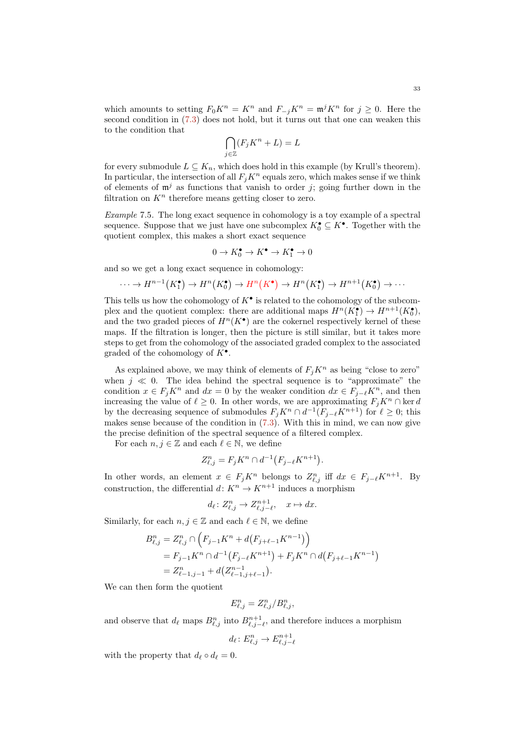which amounts to setting  $F_0K^n = K^n$  and  $F_{-j}K^n = \mathfrak{m}^j K^n$  for  $j \geq 0$ . Here the second condition in [\(7.3\)](#page-31-0) does not hold, but it turns out that one can weaken this to the condition that

$$
\bigcap_{j\in\mathbb{Z}} (F_jK^n + L) = L
$$

for every submodule  $L \subseteq K_n$ , which does hold in this example (by Krull's theorem). In particular, the intersection of all  $F_i K^n$  equals zero, which makes sense if we think of elements of  $\mathfrak{m}^{j}$  as functions that vanish to order j; going further down in the filtration on  $K<sup>n</sup>$  therefore means getting closer to zero.

Example 7.5. The long exact sequence in cohomology is a toy example of a spectral sequence. Suppose that we just have one subcomplex  $K_0^{\bullet} \subseteq K^{\bullet}$ . Together with the quotient complex, this makes a short exact sequence

$$
0\to K^\bullet_0\to K^\bullet\to K^\bullet_1\to 0
$$

and so we get a long exact sequence in cohomology:

$$
\cdots \to H^{n-1}(K_1^{\bullet}) \to H^n(K_0^{\bullet}) \to H^n(K^{\bullet}) \to H^n(K_1^{\bullet}) \to H^{n+1}(K_0^{\bullet}) \to \cdots
$$

This tells us how the cohomology of  $K^{\bullet}$  is related to the cohomology of the subcomplex and the quotient complex: there are additional maps  $H^n(K_1^{\bullet}) \to H^{n+1}(K_0^{\bullet}),$ and the two graded pieces of  $H^n(K^{\bullet})$  are the cokernel respectively kernel of these maps. If the filtration is longer, then the picture is still similar, but it takes more steps to get from the cohomology of the associated graded complex to the associated graded of the cohomology of  $K^{\bullet}$ .

As explained above, we may think of elements of  $F_i K^n$  as being "close to zero" when  $j \ll 0$ . The idea behind the spectral sequence is to "approximate" the condition  $x \in F_j K^n$  and  $dx = 0$  by the weaker condition  $dx \in F_{j-\ell} K^n$ , and then increasing the value of  $\ell \geq 0$ . In other words, we are approximating  $F_j K^n \cap \text{ker } d$ by the decreasing sequence of submodules  $F_j K^n \cap d^{-1}(F_{j-\ell} K^{n+1})$  for  $\ell \geq 0$ ; this makes sense because of the condition in [\(7.3\)](#page-31-0). With this in mind, we can now give the precise definition of the spectral sequence of a filtered complex.

For each  $n, j \in \mathbb{Z}$  and each  $\ell \in \mathbb{N}$ , we define

$$
Z_{\ell,j}^n = F_j K^n \cap d^{-1} \big( F_{j-\ell} K^{n+1} \big).
$$

In other words, an element  $x \in F_j K^n$  belongs to  $Z_{\ell,j}^n$  iff  $dx \in F_{j-\ell} K^{n+1}$ . By construction, the differential  $d: K^n \to K^{n+1}$  induces a morphism

$$
d_{\ell} \colon Z_{\ell,j}^n \to Z_{\ell,j-\ell}^{n+1}, \quad x \mapsto dx.
$$

Similarly, for each  $n, j \in \mathbb{Z}$  and each  $\ell \in \mathbb{N}$ , we define

$$
B_{\ell,j}^n = Z_{\ell,j}^n \cap \left( F_{j-1}K^n + d(F_{j+\ell-1}K^{n-1}) \right)
$$
  
=  $F_{j-1}K^n \cap d^{-1}(F_{j-\ell}K^{n+1}) + F_jK^n \cap d(F_{j+\ell-1}K^{n-1})$   
=  $Z_{\ell-1,j-1}^n + d(Z_{\ell-1,j+\ell-1}^{n-1}).$ 

We can then form the quotient

$$
E_{\ell,j}^n = Z_{\ell,j}^n / B_{\ell,j}^n,
$$

and observe that  $d_{\ell}$  maps  $B_{\ell,j}^n$  into  $B_{\ell,j-\ell}^{n+1}$ , and therefore induces a morphism

$$
d_{\ell} \colon E_{\ell,j}^n \to E_{\ell,j-\ell}^{n+1}
$$

with the property that  $d_{\ell} \circ d_{\ell} = 0$ .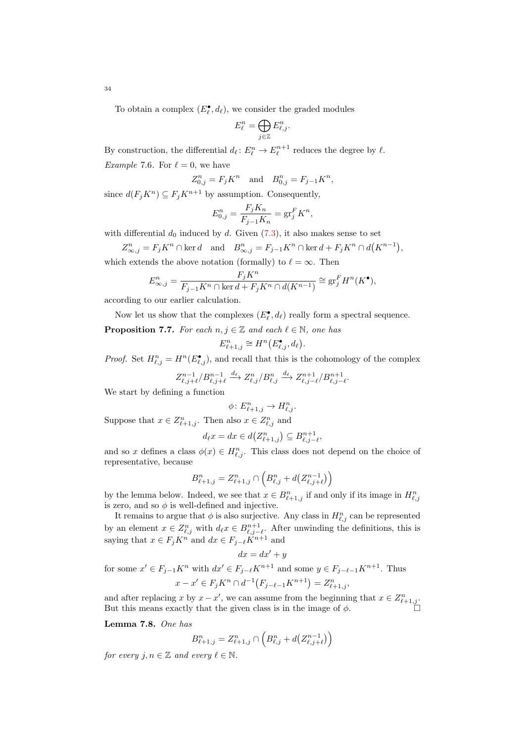To obtain a complex  $(E_{\ell}^{\bullet}, d_{\ell})$ , we consider the graded modules

$$
E^n_{\ell} = \bigoplus_{j \in \mathbb{Z}} E^n_{\ell,j}.
$$

By construction, the differential  $d_{\ell} : E_{\ell}^{n} \to E_{\ell}^{n+1}$  reduces the degree by  $\ell$ . *Example 7.6.* For  $\ell = 0$ , we have

$$
Z_{0,j}^n = F_j K^n \text{ and } B_{0,j}^n = F_{j-1} K^n,
$$

since  $d(F_j K^n) \subseteq F_j K^{n+1}$  by assumption. Consequently,

$$
E_{0,j}^n = \frac{F_j K_n}{F_{j-1} K_n} = \text{gr}_j^F K^n,
$$

with differential  $d_0$  induced by d. Given  $(7.3)$ , it also makes sense to set

 $Z_{\infty,j}^n = F_j K^n \cap \text{ker } d \quad \text{and} \quad B_{\infty,j}^n = F_{j-1} K^n \cap \text{ker } d + F_j K^n \cap d(K^{n-1}),$ 

which extends the above notation (formally) to  $\ell = \infty$ . Then

$$
E_{\infty,j}^n = \frac{F_j K^n}{F_{j-1} K^n \cap \ker d + F_j K^n \cap d(K^{n-1})} \cong \operatorname{gr}_j^F H^n(K^{\bullet}),
$$

according to our earlier calculation.

Now let us show that the complexes  $(E_{\ell}^{\bullet}, d_{\ell})$  really form a spectral sequence.

<span id="page-33-0"></span>**Proposition 7.7.** For each  $n, j \in \mathbb{Z}$  and each  $\ell \in \mathbb{N}$ , one has

$$
E_{\ell+1,j}^n \cong H^n(E_{\ell,j}^{\bullet}, d_{\ell}).
$$

*Proof.* Set  $H_{\ell,j}^n = H^n(E_{\ell,j}^{\bullet})$ , and recall that this is the cohomology of the complex

$$
Z_{\ell,j+\ell}^{n-1}/B_{\ell,j+\ell}^{n-1} \xrightarrow{d_\ell} Z_{\ell,j}^n/B_{\ell,j}^n \xrightarrow{d_\ell} Z_{\ell,j-\ell}^{n+1}/B_{\ell,j-\ell}^{n+1}.
$$

We start by defining a function

$$
\phi \colon E_{\ell+1,j}^n \to H_{\ell,j}^n.
$$

Suppose that  $x \in Z_{\ell+1,j}^n$ . Then also  $x \in Z_{\ell,j}^n$  and

$$
d_{\ell}x = dx \in d(Z^n_{\ell+1,j}) \subseteq B^{n+1}_{\ell,j-\ell},
$$

and so x defines a class  $\phi(x) \in H_{\ell,j}^n$ . This class does not depend on the choice of representative, because

$$
B_{\ell+1,j}^n = Z_{\ell+1,j}^n \cap \left( B_{\ell,j}^n + d \left( Z_{\ell,j+\ell}^{n-1} \right) \right)
$$

by the lemma below. Indeed, we see that  $x \in B_{\ell+1,j}^n$  if and only if its image in  $H_{\ell,j}^n$ is zero, and so  $\phi$  is well-defined and injective.

It remains to argue that  $\phi$  is also surjective. Any class in  $H_{\ell,j}^n$  can be represented by an element  $x \in Z^n_{\ell,j}$  with  $d_\ell x \in B^{n+1}_{\ell,j-\ell}$ . After unwinding the definitions, this is saying that  $x \in F_j K^n$  and  $dx \in F_{j-\ell} K^{n+1}$  and

$$
dx = dx' + y
$$

for some  $x' \in F_{j-1}K^n$  with  $dx' \in F_{j-\ell}K^{n+1}$  and some  $y \in F_{j-\ell-1}K^{n+1}$ . Thus  $x - x' \in F_j K^n \cap d^{-1}(F_{j-\ell-1}K^{n+1}) = Z_{\ell+1,j}^n,$ 

and after replacing x by  $x - x'$ , we can assume from the beginning that  $x \in Z_{\ell+1,j}^n$ . But this means exactly that the given class is in the image of  $\phi$ .

Lemma 7.8. One has

$$
B_{\ell+1,j}^n = Z_{\ell+1,j}^n \cap \left( B_{\ell,j}^n + d \left( Z_{\ell,j+\ell}^{n-1} \right) \right)
$$

for every  $j, n \in \mathbb{Z}$  and every  $\ell \in \mathbb{N}$ .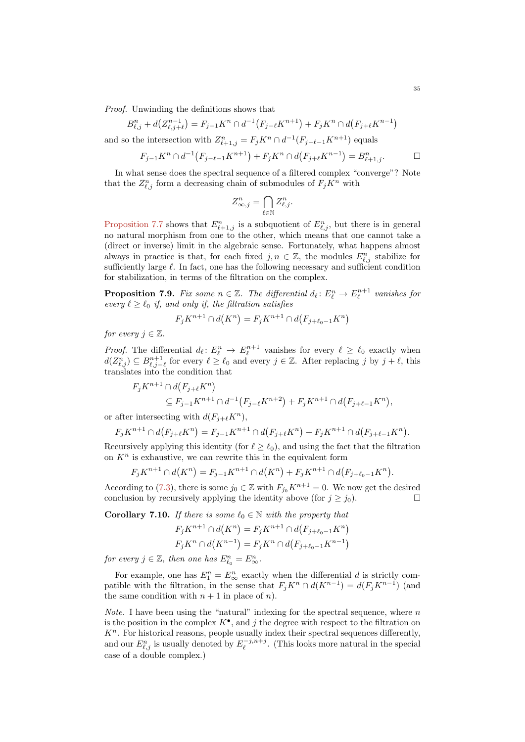Proof. Unwinding the definitions shows that

$$
B_{\ell,j}^n + d(Z_{\ell,j+\ell}^{n-1}) = F_{j-1}K^n \cap d^{-1}(F_{j-\ell}K^{n+1}) + F_jK^n \cap d(F_{j+\ell}K^{n-1})
$$

and so the intersection with  $Z_{\ell+1,j}^n = F_j K^n \cap d^{-1}(F_{j-\ell-1}K^{n+1})$  equals

$$
F_{j-1}K^n \cap d^{-1}(F_{j-\ell-1}K^{n+1}) + F_jK^n \cap d(F_{j+\ell}K^{n-1}) = B_{\ell+1,j}^n.
$$

In what sense does the spectral sequence of a filtered complex "converge"? Note that the  $Z_{\ell,j}^n$  form a decreasing chain of submodules of  $F_j K^n$  with

$$
Z^n_{\infty,j} = \bigcap_{\ell \in \mathbb{N}} Z^n_{\ell,j}.
$$

[Proposition 7.7](#page-33-0) shows that  $E_{\ell+1,j}^n$  is a subquotient of  $E_{\ell,j}^n$ , but there is in general no natural morphism from one to the other, which means that one cannot take a (direct or inverse) limit in the algebraic sense. Fortunately, what happens almost always in practice is that, for each fixed  $j, n \in \mathbb{Z}$ , the modules  $E_{\ell,j}^n$  stabilize for sufficiently large  $\ell$ . In fact, one has the following necessary and sufficient condition for stabilization, in terms of the filtration on the complex.

**Proposition 7.9.** Fix some  $n \in \mathbb{Z}$ . The differential  $d_{\ell} : E_{\ell}^n \to E_{\ell}^{n+1}$  vanishes for every  $\ell \geq \ell_0$  if, and only if, the filtration satisfies

$$
F_j K^{n+1} \cap d(K^n) = F_j K^{n+1} \cap d(F_{j+\ell_0-1} K^n)
$$

for every  $j \in \mathbb{Z}$ .

*Proof.* The differential  $d_\ell : E^n_\ell \to E^{n+1}_\ell$  vanishes for every  $\ell \geq \ell_0$  exactly when  $d(Z_{\ell,j}^n) \subseteq B_{\ell,j-\ell}^{n+1}$  for every  $\ell \geq \ell_0$  and every  $j \in \mathbb{Z}$ . After replacing j by  $j+\ell$ , this translates into the condition that

$$
F_j K^{n+1} \cap d(F_{j+\ell} K^n)
$$
  
\n
$$
\subseteq F_{j-1} K^{n+1} \cap d^{-1}(F_{j-\ell} K^{n+2}) + F_j K^{n+1} \cap d(F_{j+\ell-1} K^n),
$$

or after intersecting with  $d(F_{i+\ell}K^n)$ ,

$$
F_j K^{n+1} \cap d(F_{j+\ell} K^n) = F_{j-1} K^{n+1} \cap d(F_{j+\ell} K^n) + F_j K^{n+1} \cap d(F_{j+\ell-1} K^n).
$$

Recursively applying this identity (for  $\ell \geq \ell_0$ ), and using the fact that the filtration on  $K<sup>n</sup>$  is exhaustive, we can rewrite this in the equivalent form

$$
F_j K^{n+1} \cap d(K^n) = F_{j-1} K^{n+1} \cap d(K^n) + F_j K^{n+1} \cap d(F_{j+\ell_0-1} K^n).
$$

According to [\(7.3\)](#page-31-0), there is some  $j_0 \in \mathbb{Z}$  with  $F_{j_0}K^{n+1} = 0$ . We now get the desired conclusion by recursively applying the identity above (for  $j \ge j_0$ ).

<span id="page-34-0"></span>**Corollary 7.10.** If there is some  $\ell_0 \in \mathbb{N}$  with the property that

$$
F_j K^{n+1} \cap d(K^n) = F_j K^{n+1} \cap d(F_{j+\ell_0-1} K^n)
$$
  

$$
F_j K^n \cap d(K^{n-1}) = F_j K^n \cap d(F_{j+\ell_0-1} K^{n-1})
$$

for every  $j \in \mathbb{Z}$ , then one has  $E_{\ell_0}^n = E_{\infty}^n$ .

For example, one has  $E_1^n = E_\infty^n$  exactly when the differential d is strictly compatible with the filtration, in the sense that  $F_j K^n \cap d(K^{n-1}) = d(F_j K^{n-1})$  (and the same condition with  $n + 1$  in place of n).

*Note.* I have been using the "natural" indexing for the spectral sequence, where  $n$ is the position in the complex  $K^{\bullet}$ , and j the degree with respect to the filtration on  $K<sup>n</sup>$ . For historical reasons, people usually index their spectral sequences differently, and our  $E_{\ell,j}^n$  is usually denoted by  $E_{\ell}^{-j,n+j}$ . (This looks more natural in the special case of a double complex.)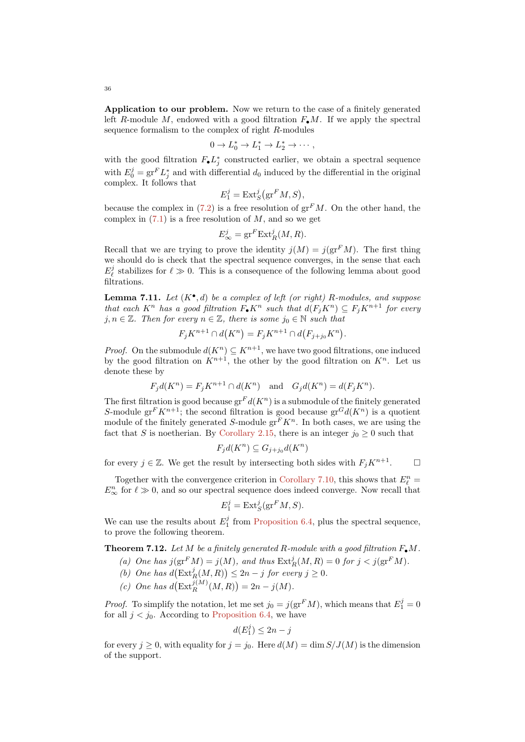Application to our problem. Now we return to the case of a finitely generated left R-module M, endowed with a good filtration  $F_{\bullet}M$ . If we apply the spectral sequence formalism to the complex of right R-modules

$$
0 \to L_0^* \to L_1^* \to L_2^* \to \cdots,
$$

with the good filtration  $F_{\bullet} L_j^*$  constructed earlier, we obtain a spectral sequence with  $E_0^j = \text{gr}^F L_j^*$  and with differential  $d_0$  induced by the differential in the original complex. It follows that

$$
E_1^j = \text{Ext}_S^j(\text{gr}^F M, S),
$$

because the complex in  $(7.2)$  is a free resolution of  $gr<sup>F</sup>M$ . On the other hand, the complex in  $(7.1)$  is a free resolution of M, and so we get

$$
E_{\infty}^j = \text{gr}^F \text{Ext}_R^j(M, R).
$$

Recall that we are trying to prove the identity  $i(M) = i(\text{gr}^F M)$ . The first thing we should do is check that the spectral sequence converges, in the sense that each  $E^j_\ell$  stabilizes for  $\ell \gg 0$ . This is a consequence of the following lemma about good filtrations.

**Lemma 7.11.** Let  $(K^{\bullet}, d)$  be a complex of left (or right) R-modules, and suppose that each  $K^n$  has a good filtration  $F_{\bullet} K^n$  such that  $d(F_i K^n) \subseteq F_i K^{n+1}$  for every  $j, n \in \mathbb{Z}$ . Then for every  $n \in \mathbb{Z}$ , there is some  $j_0 \in \mathbb{N}$  such that

$$
F_jK^{n+1} \cap d(K^n) = F_jK^{n+1} \cap d(F_{j+j_0}K^n).
$$

*Proof.* On the submodule  $d(K^n) \subseteq K^{n+1}$ , we have two good filtrations, one induced by the good filtration on  $\overrightarrow{K}^{n+1}$ , the other by the good filtration on  $K^n$ . Let us denote these by

$$
F_j d(K^n) = F_j K^{n+1} \cap d(K^n) \quad \text{and} \quad G_j d(K^n) = d(F_j K^n).
$$

The first filtration is good because  $gr<sup>F</sup> d(K<sup>n</sup>)$  is a submodule of the finitely generated S-module gr<sup>F</sup>K<sup>n+1</sup>; the second filtration is good because gr<sup>G</sup>d(K<sup>n</sup>) is a quotient module of the finitely generated S-module  $gr<sup>F</sup> K<sup>n</sup>$ . In both cases, we are using the fact that S is noetherian. By [Corollary 2.15,](#page-9-0) there is an integer  $j_0 \geq 0$  such that

$$
F_j d(K^n) \subseteq G_{j+j_0} d(K^n)
$$

for every  $j \in \mathbb{Z}$ . We get the result by intersecting both sides with  $F_j K^{n+1}$ .

 $\Box$ 

Together with the convergence criterion in [Corollary 7.10,](#page-34-0) this shows that  $E_{\ell}^{n} =$  $E_{\infty}^{n}$  for  $\ell \gg 0$ , and so our spectral sequence does indeed converge. Now recall that

$$
E_1^j = \text{Ext}_S^j(\text{gr}^F M, S).
$$

We can use the results about  $E_1^j$  from [Proposition 6.4,](#page-26-5) plus the spectral sequence, to prove the following theorem.

**Theorem 7.12.** Let M be a finitely generated R-module with a good filtration  $F_{\bullet}M$ .

- (a) One has  $j(\text{gr}^F M) = j(M)$ , and thus  $\text{Ext}^j_R(M, R) = 0$  for  $j < j(\text{gr}^F M)$ .
- (b) One has  $d\left(\text{Ext}^j_R(M,R)\right) \leq 2n-j$  for every  $j \geq 0$ .
- (c) One has  $d\left(\text{Ext}_{R}^{j(M)}(M,R)\right)=2n-j(M).$

*Proof.* To simplify the notation, let me set  $j_0 = j(\text{gr}^F M)$ , which means that  $E_1^j = 0$ for all  $j < j_0$ . According to [Proposition 6.4,](#page-26-5) we have

$$
d(E_1^j) \le 2n - j
$$

for every  $j \geq 0$ , with equality for  $j = j_0$ . Here  $d(M) = \dim S/J(M)$  is the dimension of the support.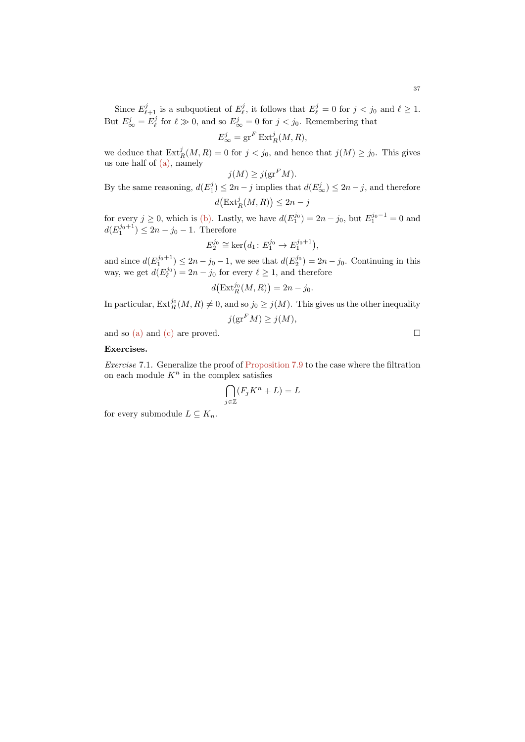Since  $E_{\ell+1}^j$  is a subquotient of  $E_{\ell}^j$ , it follows that  $E_{\ell}^j = 0$  for  $j < j_0$  and  $\ell \geq 1$ . But  $E^j_{\infty} = E^j_{\ell}$  for  $\ell \gg 0$ , and so  $E^j_{\infty} = 0$  for  $j < j_0$ . Remembering that

$$
E^j_{\infty} = \operatorname{gr}^F \operatorname{Ext}^j_R(M, R),
$$

we deduce that  $\text{Ext}^j_R(M, R) = 0$  for  $j < j_0$ , and hence that  $j(M) \geq j_0$ . This gives us one half of  $(a)$ , namely

$$
j(M) \ge j(\operatorname{gr}^F M).
$$

By the same reasoning,  $d(E_1^j) \leq 2n - j$  implies that  $d(E_\infty^j) \leq 2n - j$ , and therefore  $d\left(\text{Ext}_{R}^{j}(M,R)\right) \leq 2n - j$ 

for every  $j \ge 0$ , which is [\(b\).](#page-37-1) Lastly, we have  $d(E_1^{j_0}) = 2n - j_0$ , but  $E_1^{j_0-1} = 0$  and  $d(E_1^{j_0+1}) \leq 2n - j_0 - 1$ . Therefore

$$
E_2^{j_0} \cong \ker (d_1 : E_1^{j_0} \to E_1^{j_0+1}),
$$

and since  $d(E_1^{j_0+1}) \le 2n - j_0 - 1$ , we see that  $d(E_2^{j_0}) = 2n - j_0$ . Continuing in this way, we get  $d(E_{\ell}^{j_0}) = 2n - j_0$  for every  $\ell \geq 1$ , and therefore

$$
d\big(\operatorname{Ext}^{j_0}_R(M,R)\big)=2n-j_0.
$$

In particular,  $\mathrm{Ext}^{j_0}_R(M,R) \neq 0$ , and so  $j_0 \geq j(M)$ . This gives us the other inequality

$$
j(\operatorname{gr}^F M) \ge j(M),
$$

and so [\(a\)](#page-37-0) and [\(c\)](#page-37-2) are proved.  $\square$ 

## Exercises.

Exercise 7.1. Generalize the proof of [Proposition 7.9](#page-34-0) to the case where the filtration on each module  $K^n$  in the complex satisfies

$$
\bigcap_{j\in\mathbb{Z}} (F_jK^n + L) = L
$$

for every submodule  $L \subseteq K_n$ .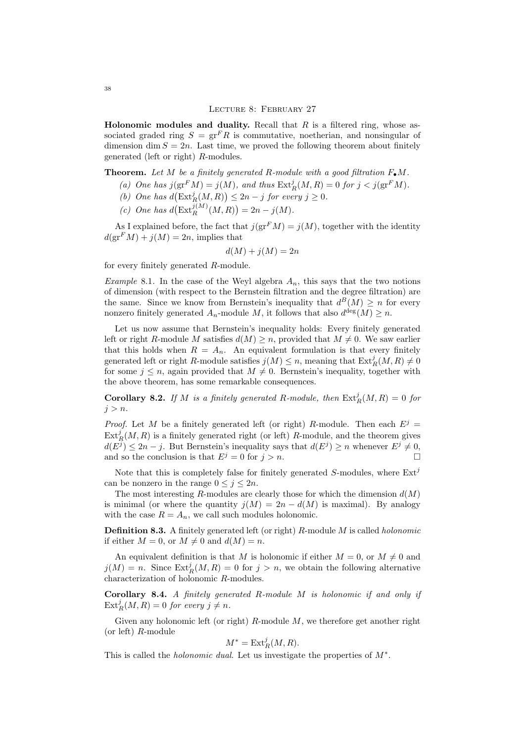Holonomic modules and duality. Recall that  $R$  is a filtered ring, whose associated graded ring  $S = \text{gr}^F R$  is commutative, noetherian, and nonsingular of dimension dim  $S = 2n$ . Last time, we proved the following theorem about finitely generated (left or right) R-modules.

<span id="page-37-0"></span>**Theorem.** Let M be a finitely generated R-module with a good filtration  $F_{\bullet}M$ .

- (a) One has  $j(\text{gr}^F M) = j(M)$ , and thus  $\text{Ext}^j_R(M, R) = 0$  for  $j < j(\text{gr}^F M)$ .
- <span id="page-37-1"></span>(b) One has  $d\left(\text{Ext}^j_R(M,R)\right) \leq 2n-j$  for every  $j \geq 0$ .
- <span id="page-37-2"></span>(c) One has  $d\left(\text{Ext}_{R}^{j(M)}(M,R)\right)=2n-j(M).$

As I explained before, the fact that  $j(\text{gr}^F M) = j(M)$ , together with the identity  $d(\mathrm{gr}^F M) + i(M) = 2n$ , implies that

$$
d(M) + j(M) = 2n
$$

for every finitely generated R-module.

*Example* 8.1. In the case of the Weyl algebra  $A_n$ , this says that the two notions of dimension (with respect to the Bernstein filtration and the degree filtration) are the same. Since we know from Bernstein's inequality that  $d^B(M) \geq n$  for every nonzero finitely generated  $A_n$ -module M, it follows that also  $d^{\text{deg}}(M) \geq n$ .

Let us now assume that Bernstein's inequality holds: Every finitely generated left or right R-module M satisfies  $d(M) \geq n$ , provided that  $M \neq 0$ . We saw earlier that this holds when  $R = A_n$ . An equivalent formulation is that every finitely generated left or right R-module satisfies  $j(M) \leq n$ , meaning that  $\text{Ext}^j_R(M, R) \neq 0$ for some  $j \leq n$ , again provided that  $M \neq 0$ . Bernstein's inequality, together with the above theorem, has some remarkable consequences.

**Corollary 8.2.** If M is a finitely generated R-module, then  $\text{Ext}_R^j(M, R) = 0$  for  $j > n$ .

*Proof.* Let M be a finitely generated left (or right) R-module. Then each  $E^j$  =  $\text{Ext}_R^j(M, R)$  is a finitely generated right (or left) R-module, and the theorem gives  $d(E^{j}) \leq 2n - j$ . But Bernstein's inequality says that  $d(E^{j}) \geq n$  whenever  $E^{j} \neq 0$ , and so the conclusion is that  $E^j = 0$  for  $j > n$ .

Note that this is completely false for finitely generated  $S$ -modules, where  $Ext<sup>J</sup>$ can be nonzero in the range  $0 \leq j \leq 2n$ .

The most interesting R-modules are clearly those for which the dimension  $d(M)$ is minimal (or where the quantity  $j(M) = 2n - d(M)$  is maximal). By analogy with the case  $R = A_n$ , we call such modules holonomic.

**Definition 8.3.** A finitely generated left (or right)  $R$ -module  $M$  is called *holonomic* if either  $M = 0$ , or  $M \neq 0$  and  $d(M) = n$ .

An equivalent definition is that M is holonomic if either  $M = 0$ , or  $M \neq 0$  and  $j(M) = n$ . Since  $\text{Ext}^j_R(M, R) = 0$  for  $j > n$ , we obtain the following alternative characterization of holonomic R-modules.

Corollary 8.4. A finitely generated R-module M is holonomic if and only if  $\text{Ext}_{R}^{j}(M,R) = 0$  for every  $j \neq n$ .

Given any holonomic left (or right)  $R$ -module  $M$ , we therefore get another right (or left)  $R$ -module

$$
M^* = \operatorname{Ext}^j_R(M, R).
$$

This is called the *holonomic dual*. Let us investigate the properties of  $M^*$ .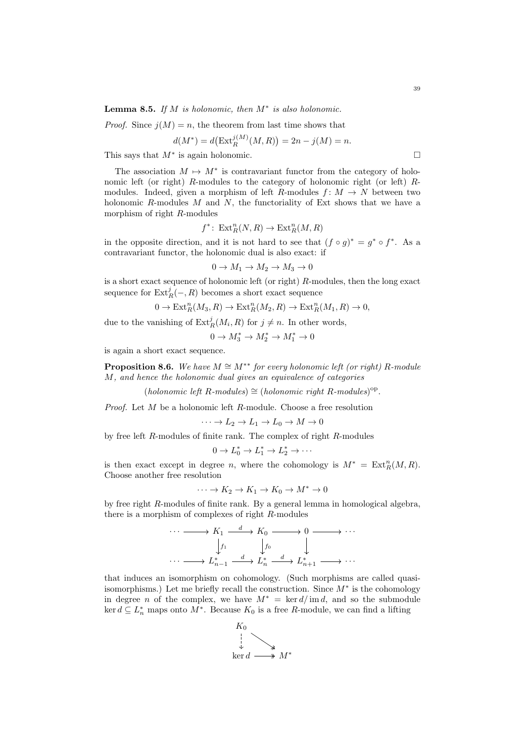**Lemma 8.5.** If M is holonomic, then  $M^*$  is also holonomic.

*Proof.* Since  $j(M) = n$ , the theorem from last time shows that

$$
d(M^*) = d\big(\text{Ext}^{j(M)}_R(M,R)\big) = 2n - j(M) = n.
$$

This says that  $M^*$  is again holonomic.

The association  $M \mapsto M^*$  is contravariant functor from the category of holonomic left (or right) R-modules to the category of holonomic right (or left) Rmodules. Indeed, given a morphism of left R-modules  $f: M \to N$  between two holonomic  $R$ -modules  $M$  and  $N$ , the functoriality of Ext shows that we have a morphism of right R-modules

$$
f^* \colon \operatorname{Ext}^n_R(N,R) \to \operatorname{Ext}^n_R(M,R)
$$

in the opposite direction, and it is not hard to see that  $(f \circ g)^* = g^* \circ f^*$ . As a contravariant functor, the holonomic dual is also exact: if

$$
0 \to M_1 \to M_2 \to M_3 \to 0
$$

is a short exact sequence of holonomic left (or right) R-modules, then the long exact sequence for  $\text{Ext}^j_R(-,R)$  becomes a short exact sequence

$$
0 \to \text{Ext}^n_R(M_3, R) \to \text{Ext}^n_R(M_2, R) \to \text{Ext}^n_R(M_1, R) \to 0,
$$

due to the vanishing of  $\text{Ext}^j_R(M_i, R)$  for  $j \neq n$ . In other words,

$$
0 \to M_3^* \to M_2^* \to M_1^* \to 0
$$

is again a short exact sequence.

**Proposition 8.6.** We have  $M \cong M^{**}$  for every holonomic left (or right) R-module M, and hence the holonomic dual gives an equivalence of categories

 $(holonomic left R-modules) \cong (holonomic right R-modules)$ <sup>op</sup>.

*Proof.* Let  $M$  be a holonomic left  $R$ -module. Choose a free resolution

$$
\cdots \to L_2 \to L_1 \to L_0 \to M \to 0
$$

by free left R-modules of finite rank. The complex of right R-modules

$$
0 \to L_0^* \to L_1^* \to L_2^* \to \cdots
$$

is then exact except in degree n, where the cohomology is  $M^* = \text{Ext}^n_R(M, R)$ . Choose another free resolution

$$
\cdots \to K_2 \to K_1 \to K_0 \to M^* \to 0
$$

by free right R-modules of finite rank. By a general lemma in homological algebra, there is a morphism of complexes of right R-modules

$$
\cdots \longrightarrow K_1 \xrightarrow{d} K_0 \longrightarrow 0 \longrightarrow \cdots
$$

$$
\downarrow f_1 \qquad \qquad \downarrow f_0 \qquad \qquad \downarrow
$$

$$
\cdots \longrightarrow L_{n-1}^* \xrightarrow{d} L_n^* \xrightarrow{d} L_{n+1}^* \longrightarrow \cdots
$$

that induces an isomorphism on cohomology. (Such morphisms are called quasiisomorphisms.) Let me briefly recall the construction. Since  $M^*$  is the cohomology in degree *n* of the complex, we have  $M^* = \text{ker } d / \text{im } d$ , and so the submodule  $\ker d \subseteq L_n^*$  maps onto  $M^*$ . Because  $K_0$  is a free R-module, we can find a lifting

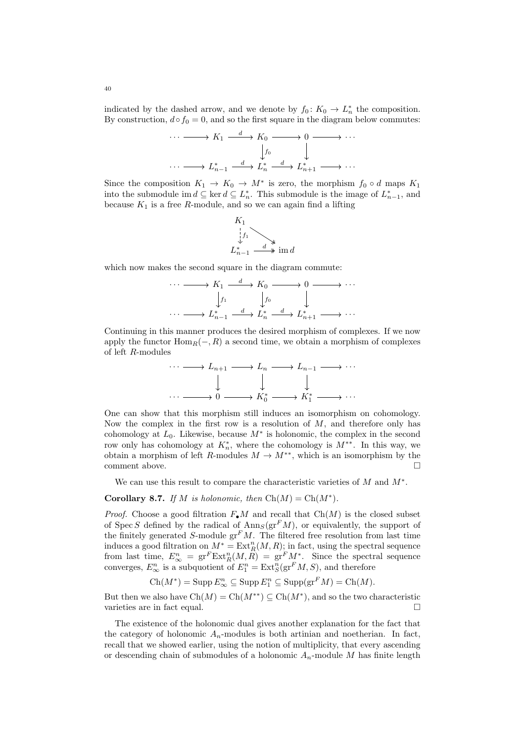indicated by the dashed arrow, and we denote by  $f_0: K_0 \to L_n^*$  the composition. By construction,  $d \circ f_0 = 0$ , and so the first square in the diagram below commutes:

$$
\cdots \longrightarrow K_1 \xrightarrow{d} K_0 \longrightarrow 0 \longrightarrow \cdots
$$
  
\n
$$
\downarrow f_0 \qquad \qquad \downarrow
$$
  
\n
$$
\cdots \longrightarrow L_{n-1}^* \xrightarrow{d} L_n^* \xrightarrow{d} L_{n+1}^* \longrightarrow \cdots
$$

Since the composition  $K_1 \to K_0 \to M^*$  is zero, the morphism  $f_0 \circ d$  maps  $K_1$ into the submodule im  $d \subseteq \text{ker } d \subseteq L_n^*$ . This submodule is the image of  $L_{n-1}^*$ , and because  $K_1$  is a free R-module, and so we can again find a lifting



which now makes the second square in the diagram commute:

$$
\cdots \longrightarrow K_1 \xrightarrow{d} K_0 \longrightarrow 0 \longrightarrow \cdots
$$

$$
\downarrow f_1 \qquad \qquad \downarrow f_0 \qquad \qquad \downarrow
$$

$$
\cdots \longrightarrow L_{n-1}^* \xrightarrow{d} L_n^* \xrightarrow{d} L_{n+1}^* \longrightarrow \cdots
$$

Continuing in this manner produces the desired morphism of complexes. If we now apply the functor  $\text{Hom}_R(-, R)$  a second time, we obtain a morphism of complexes of left R-modules



One can show that this morphism still induces an isomorphism on cohomology. Now the complex in the first row is a resolution of  $M$ , and therefore only has cohomology at  $L_0$ . Likewise, because  $M^*$  is holonomic, the complex in the second row only has cohomology at  $K_n^*$ , where the cohomology is  $M^{**}$ . In this way, we obtain a morphism of left R-modules  $M \to M^{**}$ , which is an isomorphism by the comment above.  $\square$ 

We can use this result to compare the characteristic varieties of  $M$  and  $M^*$ .

# **Corollary 8.7.** If M is holonomic, then  $Ch(M) = Ch(M^*)$ .

*Proof.* Choose a good filtration  $F_{\bullet}M$  and recall that  $Ch(M)$  is the closed subset of Spec S defined by the radical of  $\text{Ann}_S(\text{gr}^F M)$ , or equivalently, the support of the finitely generated S-module  $gr<sup>F</sup>M$ . The filtered free resolution from last time induces a good filtration on  $M^* = \text{Ext}^n_R(M, R)$ ; in fact, using the spectral sequence from last time,  $E_{\infty}^n = \text{gr}^F \text{Ext}_R^n(M, R) = \text{gr}^F M^*$ . Since the spectral sequence converges,  $E_{\infty}^n$  is a subquotient of  $E_1^n = \text{Ext}^n_S(\text{gr}^F M, S)$ , and therefore

$$
Ch(M^*) = \operatorname{Supp} E_{\infty}^n \subseteq \operatorname{Supp} E_1^n \subseteq \operatorname{Supp}(\operatorname{gr}^F M) = Ch(M).
$$

But then we also have  $\text{Ch}(M) = \text{Ch}(M^{**}) \subseteq \text{Ch}(M^*)$ , and so the two characteristic varieties are in fact equal.

The existence of the holonomic dual gives another explanation for the fact that the category of holonomic  $A_n$ -modules is both artinian and noetherian. In fact, recall that we showed earlier, using the notion of multiplicity, that every ascending or descending chain of submodules of a holonomic  $A_n$ -module M has finite length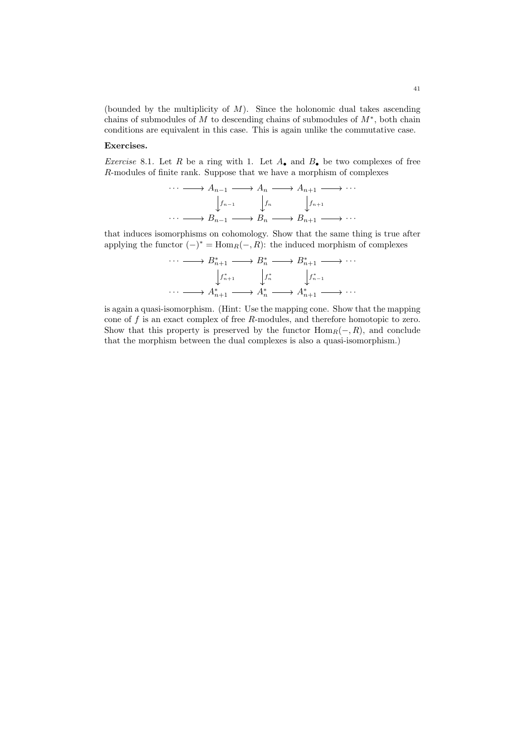(bounded by the multiplicity of  $M$ ). Since the holonomic dual takes ascending chains of submodules of  $M$  to descending chains of submodules of  $M^*$ , both chain conditions are equivalent in this case. This is again unlike the commutative case.

## Exercises.

Exercise 8.1. Let R be a ring with 1. Let  $A_{\bullet}$  and  $B_{\bullet}$  be two complexes of free R-modules of finite rank. Suppose that we have a morphism of complexes

$$
\cdots \longrightarrow A_{n-1} \longrightarrow A_n \longrightarrow A_{n+1} \longrightarrow \cdots
$$

$$
\downarrow f_{n-1} \qquad \downarrow f_n \qquad \downarrow f_{n+1}
$$

$$
\cdots \longrightarrow B_{n-1} \longrightarrow B_n \longrightarrow B_{n+1} \longrightarrow \cdots
$$

that induces isomorphisms on cohomology. Show that the same thing is true after applying the functor  $(-)^* = \text{Hom}_R(-, R)$ : the induced morphism of complexes

$$
\cdots \longrightarrow B_{n+1}^* \longrightarrow B_n^* \longrightarrow B_{n+1}^* \longrightarrow \cdots
$$

$$
\downarrow f_{n+1}^* \qquad \downarrow f_n^* \qquad \downarrow f_{n-1}^* \qquad \cdots \longrightarrow A_{n+1}^* \longrightarrow A_n^* \longrightarrow A_{n+1}^* \longrightarrow \cdots
$$

is again a quasi-isomorphism. (Hint: Use the mapping cone. Show that the mapping cone of  $f$  is an exact complex of free  $R$ -modules, and therefore homotopic to zero. Show that this property is preserved by the functor  $\text{Hom}_R(-, R)$ , and conclude that the morphism between the dual complexes is also a quasi-isomorphism.)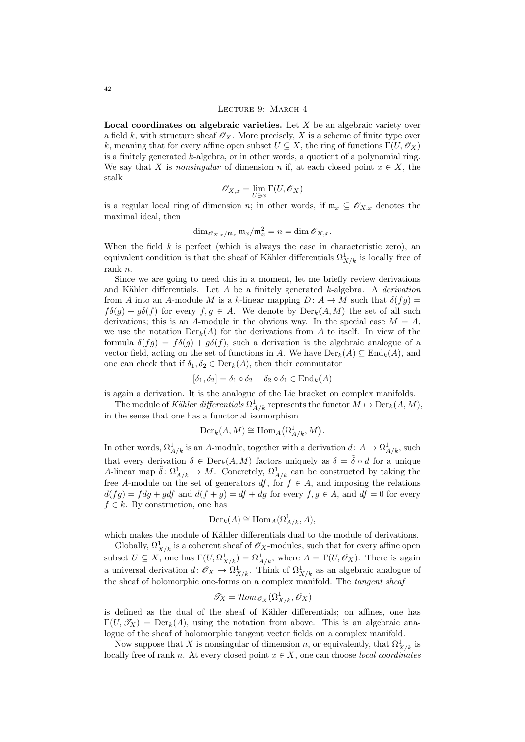#### <span id="page-41-0"></span>Lecture 9: March 4

Local coordinates on algebraic varieties. Let  $X$  be an algebraic variety over a field k, with structure sheaf  $\mathscr{O}_X$ . More precisely, X is a scheme of finite type over k, meaning that for every affine open subset  $U \subseteq X$ , the ring of functions  $\Gamma(U, \mathscr{O}_X)$ is a finitely generated  $k$ -algebra, or in other words, a quotient of a polynomial ring. We say that X is nonsingular of dimension n if, at each closed point  $x \in X$ , the stalk

$$
\mathscr{O}_{X,x} = \lim_{U \ni x} \Gamma(U, \mathscr{O}_X)
$$

is a regular local ring of dimension n; in other words, if  $\mathfrak{m}_x \subseteq \mathscr{O}_{X,x}$  denotes the maximal ideal, then

$$
\dim_{\mathscr{O}_{X,x}/\mathfrak{m}_x} \mathfrak{m}_x/\mathfrak{m}_x^2 = n = \dim \mathscr{O}_{X,x}.
$$

When the field  $k$  is perfect (which is always the case in characteristic zero), an equivalent condition is that the sheaf of Kähler differentials  $\Omega^1_{X/k}$  is locally free of rank n.

Since we are going to need this in a moment, let me briefly review derivations and Kähler differentials. Let  $A$  be a finitely generated  $k$ -algebra. A *derivation* from A into an A-module M is a k-linear mapping  $D: A \to M$  such that  $\delta(fg)$  $f\delta(g) + g\delta(f)$  for every  $f, g \in A$ . We denote by  $Der_k(A, M)$  the set of all such derivations; this is an A-module in the obvious way. In the special case  $M = A$ , we use the notation  $Der_k(A)$  for the derivations from A to itself. In view of the formula  $\delta(fg) = f\delta(g) + g\delta(f)$ , such a derivation is the algebraic analogue of a vector field, acting on the set of functions in A. We have  $Der_k(A) \subseteq End_k(A)$ , and one can check that if  $\delta_1, \delta_2 \in \text{Der}_k(A)$ , then their commutator

$$
[\delta_1, \delta_2] = \delta_1 \circ \delta_2 - \delta_2 \circ \delta_1 \in \text{End}_k(A)
$$

is again a derivation. It is the analogue of the Lie bracket on complex manifolds.

The module of Kähler differentials  $\Omega^1_{A/k}$  represents the functor  $M \mapsto \text{Der}_k(A, M)$ , in the sense that one has a functorial isomorphism

$$
\mathrm{Der}_k(A, M) \cong \mathrm{Hom}_A(\Omega^1_{A/k}, M).
$$

In other words,  $\Omega^1_{A/k}$  is an A-module, together with a derivation  $d: A \to \Omega^1_{A/k}$ , such that every derivation  $\delta \in \text{Der}_k(A, M)$  factors uniquely as  $\delta = \tilde{\delta} \circ d$  for a unique A-linear map  $\tilde{\delta}: \Omega^1_{A/k} \to M$ . Concretely,  $\Omega^1_{A/k}$  can be constructed by taking the free A-module on the set of generators  $df$ , for  $f \in A$ , and imposing the relations  $d(fg) = f dg + g df$  and  $d(f + g) = df + dg$  for every  $f, g \in A$ , and  $df = 0$  for every  $f \in k$ . By construction, one has

$$
\operatorname{Der}_k(A) \cong \operatorname{Hom}_A(\Omega^1_{A/k}, A),
$$

which makes the module of Kähler differentials dual to the module of derivations.

Globally,  $\Omega^1_{X/k}$  is a coherent sheaf of  $\mathscr{O}_X$ -modules, such that for every affine open subset  $U \subseteq X$ , one has  $\Gamma(U_{X}/k) = \Omega^1_{A/k}$ , where  $A = \Gamma(U, \mathscr{O}_X)$ . There is again a universal derivation  $d \colon \mathscr{O}_X \to \Omega^1_{X/k}$ . Think of  $\Omega^1_{X/k}$  as an algebraic analogue of the sheaf of holomorphic one-forms on a complex manifold. The tangent sheaf

$$
\mathscr{T}_X = \mathcal{H}om_{\mathscr{O}_X}(\Omega^1_{X/k}, \mathscr{O}_X)
$$

is defined as the dual of the sheaf of Kähler differentials; on affines, one has  $\Gamma(U, \mathscr{T}_X) = \text{Der}_k(A)$ , using the notation from above. This is an algebraic analogue of the sheaf of holomorphic tangent vector fields on a complex manifold.

Now suppose that X is nonsingular of dimension n, or equivalently, that  $\Omega^1_{X/k}$  is locally free of rank n. At every closed point  $x \in X$ , one can choose *local coordinates*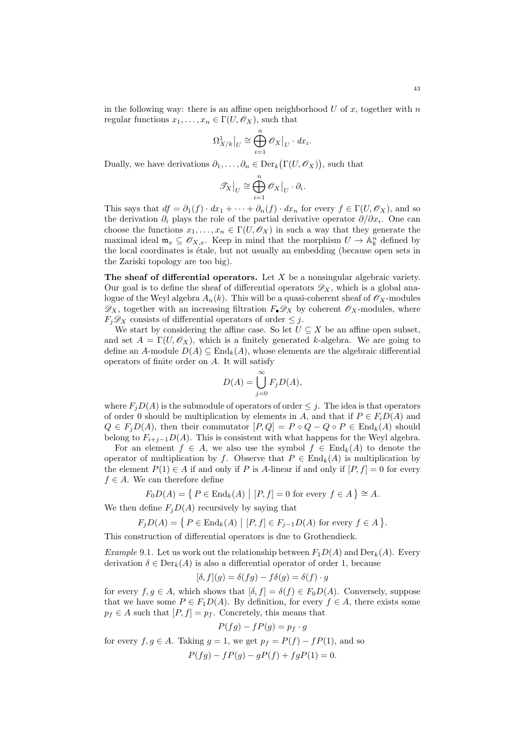in the following way: there is an affine open neighborhood  $U$  of  $x$ , together with  $n$ regular functions  $x_1, \ldots, x_n \in \Gamma(U, \mathscr{O}_X)$ , such that

$$
\Omega^1_{X/k}\big|_U \cong \bigoplus_{i=1}^n \mathscr{O}_X\big|_U \cdot dx_i.
$$

Dually, we have derivations  $\partial_1, \ldots, \partial_n \in \text{Der}_k(\Gamma(U, \mathscr{O}_X)),$  such that

$$
\mathscr{T}_X\big|_U \cong \bigoplus_{i=1}^n \mathscr{O}_X\big|_U \cdot \partial_i
$$

.

This says that  $df = \partial_1(f) \cdot dx_1 + \cdots + \partial_n(f) \cdot dx_n$  for every  $f \in \Gamma(U, \mathcal{O}_X)$ , and so the derivation  $\partial_i$  plays the role of the partial derivative operator  $\partial/\partial x_i$ . One can choose the functions  $x_1, \ldots, x_n \in \Gamma(U, \mathcal{O}_X)$  in such a way that they generate the maximal ideal  $\mathfrak{m}_x \subseteq \mathscr{O}_{X,x}$ . Keep in mind that the morphism  $U \to \mathbb{A}_k^n$  defined by the local coordinates is étale, but not usually an embedding (because open sets in the Zariski topology are too big).

The sheaf of differential operators. Let  $X$  be a nonsingular algebraic variety. Our goal is to define the sheaf of differential operators  $\mathscr{D}_X$ , which is a global analogue of the Weyl algebra  $A_n(k)$ . This will be a quasi-coherent sheaf of  $\mathscr{O}_X$ -modules  $\mathscr{D}_X$ , together with an increasing filtration  $F_{\bullet}\mathscr{D}_X$  by coherent  $\mathscr{O}_X$ -modules, where  $F_j\mathscr{D}_X$  consists of differential operators of order  $\leq j$ .

We start by considering the affine case. So let  $U \subseteq X$  be an affine open subset, and set  $A = \Gamma(U, \mathscr{O}_X)$ , which is a finitely generated k-algebra. We are going to define an A-module  $D(A) \subseteq \text{End}_k(A)$ , whose elements are the algebraic differential operators of finite order on A. It will satisfy

$$
D(A) = \bigcup_{j=0}^{\infty} F_j D(A),
$$

where  $F_jD(A)$  is the submodule of operators of order  $\leq j$ . The idea is that operators of order 0 should be multiplication by elements in A, and that if  $P \in F_i D(A)$  and  $Q \in F_i D(A)$ , then their commutator  $[P,Q] = P \circ Q - Q \circ P \in \text{End}_k(A)$  should belong to  $F_{i+j-1}D(A)$ . This is consistent with what happens for the Weyl algebra.

For an element  $f \in A$ , we also use the symbol  $f \in End_k(A)$  to denote the operator of multiplication by f. Observe that  $P \in \text{End}_k(A)$  is multiplication by the element  $P(1) \in A$  if and only if P is A-linear if and only if  $[P, f] = 0$  for every  $f \in A$ . We can therefore define

$$
F_0D(A) = \{ P \in \text{End}_k(A) \mid [P, f] = 0 \text{ for every } f \in A \} \cong A.
$$

We then define  $F_iD(A)$  recursively by saying that

$$
F_jD(A) = \{ P \in \text{End}_k(A) \mid [P, f] \in F_{j-1}D(A) \text{ for every } f \in A \}.
$$

This construction of differential operators is due to Grothendieck.

*Example* 9.1. Let us work out the relationship between  $F_1D(A)$  and  $Der_k(A)$ . Every derivation  $\delta \in \text{Der}_k(A)$  is also a differential operator of order 1, because

$$
[\delta, f](g) = \delta(fg) - f\delta(g) = \delta(f) \cdot g
$$

for every  $f, g \in A$ , which shows that  $[\delta, f] = \delta(f) \in F_0D(A)$ . Conversely, suppose that we have some  $P \in F_1D(A)$ . By definition, for every  $f \in A$ , there exists some  $p_f \in A$  such that  $[P, f] = p_f$ . Concretely, this means that

$$
P(fg) - fP(g) = p_f \cdot g
$$

for every  $f, g \in A$ . Taking  $g = 1$ , we get  $p_f = P(f) - fP(1)$ , and so  $P(fq) - fP(q) - qP(f) + fqP(1) = 0.$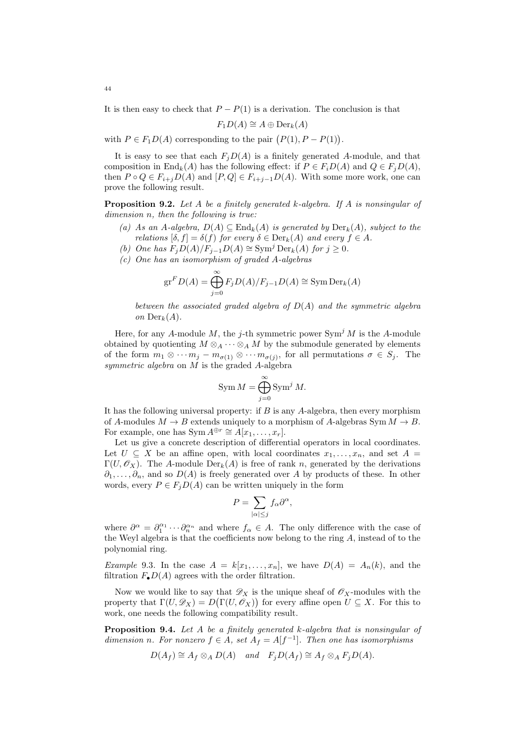It is then easy to check that  $P - P(1)$  is a derivation. The conclusion is that

$$
F_1D(A) \cong A \oplus \mathrm{Der}_k(A)
$$

with  $P \in F_1D(A)$  corresponding to the pair  $(P(1), P - P(1))$ .

It is easy to see that each  $F_iD(A)$  is a finitely generated A-module, and that composition in End<sub>k</sub>(A) has the following effect: if  $P \in F_iD(A)$  and  $Q \in F_jD(A)$ , then  $P \circ Q \in F_{i+j}D(A)$  and  $[P,Q] \in F_{i+j-1}D(A)$ . With some more work, one can prove the following result.

<span id="page-43-0"></span>**Proposition 9.2.** Let A be a finitely generated k-algebra. If A is nonsingular of dimension n, then the following is true:

- (a) As an A-algebra,  $D(A) \subseteq \text{End}_k(A)$  is generated by  $\text{Der}_k(A)$ , subject to the relations  $[\delta, f] = \delta(f)$  for every  $\delta \in \text{Der}_k(A)$  and every  $f \in A$ .
- (b) One has  $F_iD(A)/F_{i-1}D(A) \cong \text{Sym}^j \text{Der}_k(A)$  for  $j \geq 0$ .
- (c) One has an isomorphism of graded A-algebras

$$
\operatorname{gr}^F D(A) = \bigoplus_{j=0}^{\infty} F_j D(A) / F_{j-1} D(A) \cong \operatorname{Sym} \operatorname{Der}_k(A)
$$

between the associated graded algebra of  $D(A)$  and the symmetric algebra on  $Der_k(A)$ .

Here, for any A-module M, the *j*-th symmetric power  $Sym^j M$  is the A-module obtained by quotienting  $M \otimes_A \cdots \otimes_A M$  by the submodule generated by elements of the form  $m_1 \otimes \cdots m_j - m_{\sigma(1)} \otimes \cdots m_{\sigma(j)}$ , for all permutations  $\sigma \in S_j$ . The symmetric algebra on M is the graded A-algebra

$$
\text{Sym } M = \bigoplus_{j=0}^{\infty} \text{Sym}^j M.
$$

It has the following universal property: if  $B$  is any  $A$ -algebra, then every morphism of A-modules  $M \to B$  extends uniquely to a morphism of A-algebras Sym  $M \to B$ . For example, one has Sym  $A^{\oplus r} \cong A[x_1, \ldots, x_r].$ 

Let us give a concrete description of differential operators in local coordinates. Let  $U \subseteq X$  be an affine open, with local coordinates  $x_1, \ldots, x_n$ , and set  $A =$  $\Gamma(U, \mathscr{O}_X)$ . The A-module  $\text{Der}_k(A)$  is free of rank n, generated by the derivations  $\partial_1, \ldots, \partial_n$ , and so  $D(A)$  is freely generated over A by products of these. In other words, every  $P \in F_jD(A)$  can be written uniquely in the form

$$
P = \sum_{|\alpha| \le j} f_{\alpha} \partial^{\alpha},
$$

where  $\partial^{\alpha} = \partial_1^{\alpha_1} \cdots \partial_n^{\alpha_n}$  and where  $f_{\alpha} \in A$ . The only difference with the case of the Weyl algebra is that the coefficients now belong to the ring  $A$ , instead of to the polynomial ring.

*Example* 9.3. In the case  $A = k[x_1, \ldots, x_n]$ , we have  $D(A) = A_n(k)$ , and the filtration  $F_{\bullet}D(A)$  agrees with the order filtration.

Now we would like to say that  $\mathscr{D}_X$  is the unique sheaf of  $\mathscr{O}_X$ -modules with the property that  $\Gamma(U, \mathscr{D}_X) = D(\Gamma(U, \mathscr{O}_X))$  for every affine open  $U \subseteq X$ . For this to work, one needs the following compatibility result.

**Proposition 9.4.** Let  $A$  be a finitely generated  $k$ -algebra that is nonsingular of dimension n. For nonzero  $f \in A$ , set  $A_f = A[f^{-1}]$ . Then one has isomorphisms

$$
D(A_f) \cong A_f \otimes_A D(A)
$$
 and  $F_j D(A_f) \cong A_f \otimes_A F_j D(A)$ .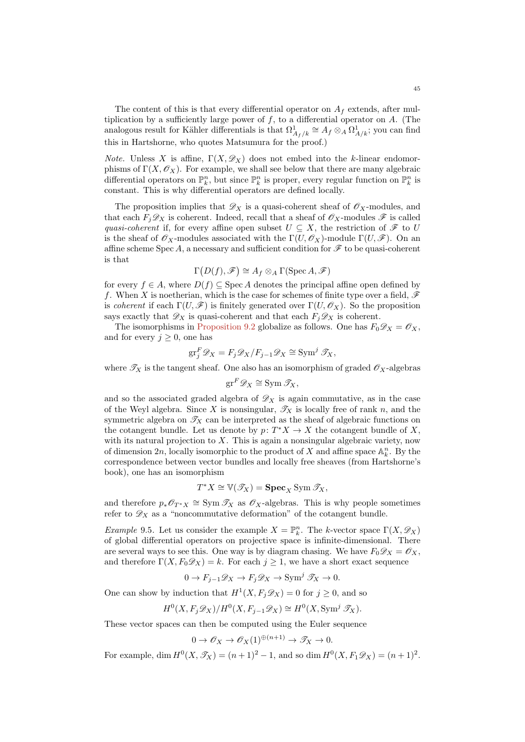The content of this is that every differential operator on  $A_f$  extends, after multiplication by a sufficiently large power of  $f$ , to a differential operator on  $A$ . (The analogous result for Kähler differentials is that  $\Omega^1_{A_f/k} \cong A_f \otimes_A \Omega^1_{A/k}$ ; you can find this in Hartshorne, who quotes Matsumura for the proof.)

*Note.* Unless X is affine,  $\Gamma(X, \mathscr{D}_X)$  does not embed into the k-linear endomorphisms of  $\Gamma(X, \mathscr{O}_X)$ . For example, we shall see below that there are many algebraic differential operators on  $\mathbb{P}_k^n$ , but since  $\mathbb{P}_k^n$  is proper, every regular function on  $\mathbb{P}_k^n$  is constant. This is why differential operators are defined locally.

The proposition implies that  $\mathscr{D}_X$  is a quasi-coherent sheaf of  $\mathscr{O}_X$ -modules, and that each  $F_j \mathscr{D}_X$  is coherent. Indeed, recall that a sheaf of  $\mathscr{O}_X$ -modules  $\mathscr{F}$  is called quasi-coherent if, for every affine open subset  $U \subseteq X$ , the restriction of  $\mathscr F$  to U is the sheaf of  $\mathscr{O}_X$ -modules associated with the  $\Gamma(U, \mathscr{O}_X)$ -module  $\Gamma(U, \mathscr{F})$ . On an affine scheme Spec A, a necessary and sufficient condition for  $\mathscr F$  to be quasi-coherent is that

$$
\Gamma(D(f),\mathscr{F})\cong A_f\otimes_A\Gamma(\operatorname{Spec} A,\mathscr{F})
$$

for every  $f \in A$ , where  $D(f) \subseteq \text{Spec } A$  denotes the principal affine open defined by f. When X is noetherian, which is the case for schemes of finite type over a field,  $\mathscr F$ is coherent if each  $\Gamma(U, \mathscr{F})$  is finitely generated over  $\Gamma(U, \mathscr{O}_X)$ . So the proposition says exactly that  $\mathscr{D}_X$  is quasi-coherent and that each  $F_j\mathscr{D}_X$  is coherent.

The isomorphisms in [Proposition 9.2](#page-43-0) globalize as follows. One has  $F_0 \mathscr{D}_X = \mathscr{O}_X$ , and for every  $j \geq 0$ , one has

$$
\operatorname{gr}^F_j \mathscr{D}_X = F_j \mathscr{D}_X / F_{j-1} \mathscr{D}_X \cong \operatorname{Sym}^j \mathscr{T}_X,
$$

where  $\mathcal{T}_X$  is the tangent sheaf. One also has an isomorphism of graded  $\mathcal{O}_X$ -algebras

$$
\mathrm{gr}^F \mathscr{D}_X \cong \mathrm{Sym} \, \mathscr{T}_X,
$$

and so the associated graded algebra of  $\mathscr{D}_X$  is again commutative, as in the case of the Weyl algebra. Since X is nonsingular,  $\mathscr{T}_X$  is locally free of rank n, and the symmetric algebra on  $\mathcal{T}_X$  can be interpreted as the sheaf of algebraic functions on the cotangent bundle. Let us denote by  $p: T^*X \to X$  the cotangent bundle of X, with its natural projection to  $X$ . This is again a nonsingular algebraic variety, now of dimension  $2n$ , locally isomorphic to the product of X and affine space  $\mathbb{A}_k^n$ . By the correspondence between vector bundles and locally free sheaves (from Hartshorne's book), one has an isomorphism

$$
T^*X \cong \mathbb{V}(\mathscr{T}_X) = \mathbf{Spec}_X \mathrm{Sym}\, \mathscr{T}_X,
$$

and therefore  $p_*\mathscr{O}_{T^*X} \cong \text{Sym }\mathscr{T}_X$  as  $\mathscr{O}_X$ -algebras. This is why people sometimes refer to  $\mathscr{D}_X$  as a "noncommutative deformation" of the cotangent bundle.

*Example* 9.5. Let us consider the example  $X = \mathbb{P}_k^n$ . The k-vector space  $\Gamma(X, \mathscr{D}_X)$ of global differential operators on projective space is infinite-dimensional. There are several ways to see this. One way is by diagram chasing. We have  $F_0 \mathscr{D}_X = \mathscr{O}_X$ , and therefore  $\Gamma(X, F_0 \mathscr{D}_X) = k$ . For each  $j \geq 1$ , we have a short exact sequence

$$
0 \to F_{j-1} \mathscr{D}_X \to F_j \mathscr{D}_X \to \text{Sym}^j \mathscr{T}_X \to 0.
$$

One can show by induction that  $H^1(X, F_j \mathscr{D}_X) = 0$  for  $j \geq 0$ , and so

$$
H^{0}(X, F_{j}\mathscr{D}_{X})/H^{0}(X, F_{j-1}\mathscr{D}_{X}) \cong H^{0}(X, \text{Sym}^{j} \mathscr{T}_{X}).
$$

These vector spaces can then be computed using the Euler sequence

$$
0 \to \mathscr{O}_X \to \mathscr{O}_X(1)^{\oplus (n+1)} \to \mathscr{T}_X \to 0.
$$

For example, dim  $H^0(X, \mathcal{T}_X) = (n+1)^2 - 1$ , and so dim  $H^0(X, F_1 \mathcal{D}_X) = (n+1)^2$ .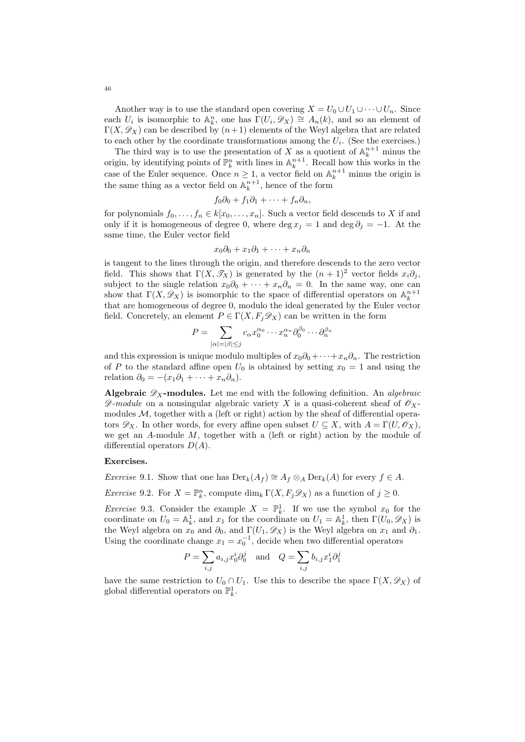Another way is to use the standard open covering  $X = U_0 \cup U_1 \cup \cdots \cup U_n$ . Since each  $U_i$  is isomorphic to  $\mathbb{A}_k^n$ , one has  $\Gamma(U_i, \mathscr{D}_X) \cong A_n(k)$ , and so an element of  $\Gamma(X, \mathscr{D}_X)$  can be described by  $(n+1)$  elements of the Weyl algebra that are related to each other by the coordinate transformations among the  $U_i$ . (See the exercises.)

The third way is to use the presentation of X as a quotient of  $\mathbb{A}_k^{n+1}$  minus the origin, by identifying points of  $\mathbb{P}_k^n$  with lines in  $\mathbb{A}_k^{n+1}$ . Recall how this works in the case of the Euler sequence. Once  $n \geq 1$ , a vector field on  $\mathbb{A}_k^{n+1}$  minus the origin is the same thing as a vector field on  $\mathbb{A}_k^{n+1}$ , hence of the form

$$
f_0\partial_0+f_1\partial_1+\cdots+f_n\partial_n,
$$

for polynomials  $f_0, \ldots, f_n \in k[x_0, \ldots, x_n]$ . Such a vector field descends to X if and only if it is homogeneous of degree 0, where deg  $x_j = 1$  and deg  $\partial_j = -1$ . At the same time, the Euler vector field

$$
x_0\partial_0 + x_1\partial_1 + \cdots + x_n\partial_n
$$

is tangent to the lines through the origin, and therefore descends to the zero vector field. This shows that  $\Gamma(X, \mathscr{T}_X)$  is generated by the  $(n + 1)^2$  vector fields  $x_i \partial_j$ , subject to the single relation  $x_0\partial_0 + \cdots + x_n\partial_n = 0$ . In the same way, one can show that  $\Gamma(X, \mathscr{D}_X)$  is isomorphic to the space of differential operators on  $\mathbb{A}_k^{n+1}$ that are homogeneous of degree 0, modulo the ideal generated by the Euler vector field. Concretely, an element  $P \in \Gamma(X, F_i \mathscr{D}_X)$  can be written in the form

$$
P = \sum_{|\alpha| = |\beta| \le j} c_{\alpha} x_0^{\alpha_0} \cdots x_n^{\alpha_n} \partial_0^{\beta_0} \cdots \partial_n^{\beta_n}
$$

and this expression is unique modulo multiples of  $x_0\partial_0+\cdots+x_n\partial_n$ . The restriction of P to the standard affine open  $U_0$  is obtained by setting  $x_0 = 1$  and using the relation  $\partial_0 = -(x_1\partial_1 + \cdots + x_n\partial_n).$ 

Algebraic  $\mathscr{D}_X$ -modules. Let me end with the following definition. An *algebraic*  $\mathscr{D}\text{-}module$  on a nonsingular algebraic variety X is a quasi-coherent sheaf of  $\mathscr{O}_X$ modules  $M$ , together with a (left or right) action by the sheaf of differential operators  $\mathscr{D}_X$ . In other words, for every affine open subset  $U \subseteq X$ , with  $A = \Gamma(U, \mathscr{O}_X)$ , we get an  $A$ -module  $M$ , together with a (left or right) action by the module of differential operators  $D(A)$ .

#### Exercises.

Exercise 9.1. Show that one has  $Der_k(A_f) \cong A_f \otimes_A Der_k(A)$  for every  $f \in A$ .

*Exercise* 9.2. For  $X = \mathbb{P}_k^n$ , compute  $\dim_k \Gamma(X, F_j \mathscr{D}_X)$  as a function of  $j \geq 0$ .

*Exercise* 9.3. Consider the example  $X = \mathbb{P}_k^1$ . If we use the symbol  $x_0$  for the coordinate on  $U_0 = \mathbb{A}_k^1$ , and  $x_1$  for the coordinate on  $U_1 = \mathbb{A}_k^1$ , then  $\Gamma(U_0, \mathscr{D}_X)$  is the Weyl algebra on  $x_0$  and  $\partial_0$ , and  $\Gamma(U_1, \mathscr{D}_X)$  is the Weyl algebra on  $x_1$  and  $\partial_1$ . Using the coordinate change  $x_1 = x_0^{-1}$ , decide when two differential operators

$$
P = \sum_{i,j} a_{i,j} x_0^i \partial_0^j \quad \text{and} \quad Q = \sum_{i,j} b_{i,j} x_1^i \partial_1^j
$$

have the same restriction to  $U_0 \cap U_1$ . Use this to describe the space  $\Gamma(X, \mathscr{D}_X)$  of global differential operators on  $\mathbb{P}^1_k$ .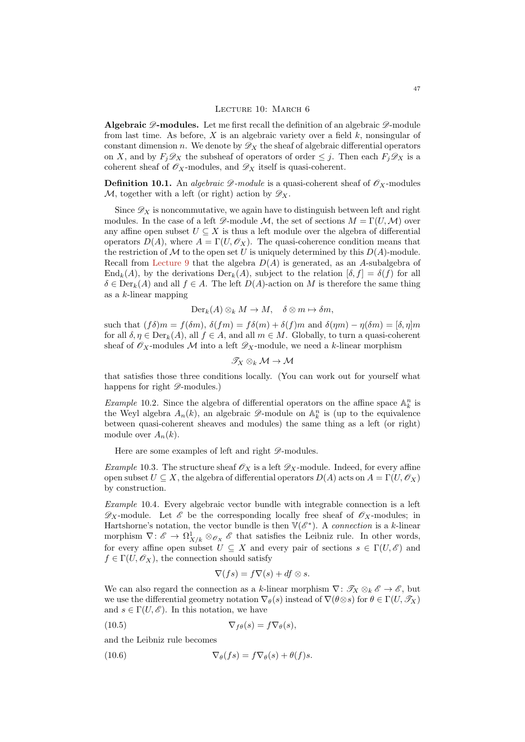#### LECTURE 10: MARCH 6

Algebraic  $\mathscr{D}\text{-modules.}$  Let me first recall the definition of an algebraic  $\mathscr{D}\text{-module}$ from last time. As before, X is an algebraic variety over a field  $k$ , nonsingular of constant dimension n. We denote by  $\mathscr{D}_X$  the sheaf of algebraic differential operators on X, and by  $F_j \mathscr{D}_X$  the subsheaf of operators of order  $\leq j$ . Then each  $F_j \mathscr{D}_X$  is a coherent sheaf of  $\mathscr{O}_X$ -modules, and  $\mathscr{D}_X$  itself is quasi-coherent.

**Definition 10.1.** An *algebraic*  $\mathscr{D}$ -module is a quasi-coherent sheaf of  $\mathscr{O}_X$ -modules M, together with a left (or right) action by  $\mathscr{D}_X$ .

Since  $\mathscr{D}_X$  is noncommutative, we again have to distinguish between left and right modules. In the case of a left  $\mathscr{D}$ -module M, the set of sections  $M = \Gamma(U, \mathcal{M})$  over any affine open subset  $U \subseteq X$  is thus a left module over the algebra of differential operators  $D(A)$ , where  $A = \Gamma(U, \mathcal{O}_X)$ . The quasi-coherence condition means that the restriction of M to the open set U is uniquely determined by this  $D(A)$ -module. Recall from [Lecture 9](#page-41-0) that the algebra  $D(A)$  is generated, as an A-subalgebra of  $\text{End}_k(A)$ , by the derivations  $\text{Der}_k(A)$ , subject to the relation  $[\delta, f] = \delta(f)$  for all  $\delta \in \text{Der}_k(A)$  and all  $f \in A$ . The left  $D(A)$ -action on M is therefore the same thing as a k-linear mapping

$$
\operatorname{Der}_k(A) \otimes_k M \to M, \quad \delta \otimes m \mapsto \delta m,
$$

such that  $(f\delta)m = f(\delta m)$ ,  $\delta(fm) = f\delta(m) + \delta(f)m$  and  $\delta(\eta m) - \eta(\delta m) = [\delta, \eta]m$ for all  $\delta, \eta \in \text{Der}_k(A)$ , all  $f \in A$ , and all  $m \in M$ . Globally, to turn a quasi-coherent sheaf of  $\mathscr{O}_X$ -modules M into a left  $\mathscr{D}_X$ -module, we need a k-linear morphism

$$
\mathscr{T}_X\otimes_k \mathcal{M}\to \mathcal{M}
$$

that satisfies those three conditions locally. (You can work out for yourself what happens for right  $\mathscr{D}\text{-modules.}$ 

*Example* 10.2. Since the algebra of differential operators on the affine space  $\mathbb{A}_k^n$  is the Weyl algebra  $A_n(k)$ , an algebraic  $\mathscr{D}$ -module on  $\mathbb{A}_k^n$  is (up to the equivalence between quasi-coherent sheaves and modules) the same thing as a left (or right) module over  $A_n(k)$ .

Here are some examples of left and right  $\mathscr{D}\text{-modules.}$ 

*Example* 10.3. The structure sheaf  $\mathscr{O}_X$  is a left  $\mathscr{D}_X$ -module. Indeed, for every affine open subset  $U \subseteq X$ , the algebra of differential operators  $D(A)$  acts on  $A = \Gamma(U, \mathcal{O}_X)$ by construction.

Example 10.4. Every algebraic vector bundle with integrable connection is a left  $\mathscr{D}_X$ -module. Let  $\mathscr{E}$  be the corresponding locally free sheaf of  $\mathscr{O}_X$ -modules; in Hartshorne's notation, the vector bundle is then  $\mathbb{V}(\mathscr{E}^*)$ . A connection is a k-linear morphism  $\nabla: \mathscr{E} \to \Omega^1_{X/k} \otimes_{\mathscr{O}_X} \mathscr{E}$  that satisfies the Leibniz rule. In other words, for every affine open subset  $U \subseteq X$  and every pair of sections  $s \in \Gamma(U, \mathscr{E})$  and  $f \in \Gamma(U, \mathscr{O}_X)$ , the connection should satisfy

<span id="page-46-1"></span><span id="page-46-0"></span>
$$
\nabla(f s) = f \nabla(s) + df \otimes s.
$$

We can also regard the connection as a k-linear morphism  $\nabla: \mathcal{T}_X \otimes_k \mathcal{E} \to \mathcal{E}$ , but we use the differential geometry notation  $\nabla_{\theta}(s)$  instead of  $\nabla(\theta \otimes s)$  for  $\theta \in \Gamma(U, \mathscr{T}_X)$ and  $s \in \Gamma(U, \mathscr{E})$ . In this notation, we have

(10.5) 
$$
\nabla_{f\theta}(s) = f \nabla_{\theta}(s),
$$

and the Leibniz rule becomes

(10.6) 
$$
\nabla_{\theta}(fs) = f \nabla_{\theta}(s) + \theta(f)s.
$$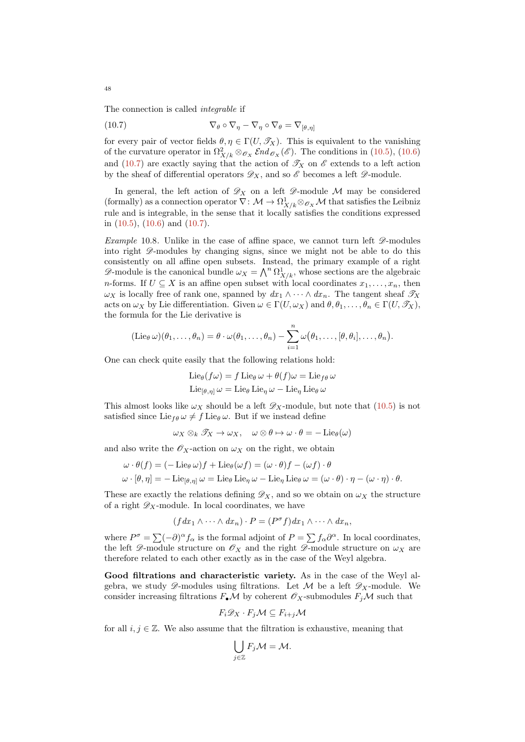The connection is called *integrable* if

<span id="page-47-0"></span>(10.7) 
$$
\nabla_{\theta} \circ \nabla_{\eta} - \nabla_{\eta} \circ \nabla_{\theta} = \nabla_{[\theta, \eta]}
$$

for every pair of vector fields  $\theta, \eta \in \Gamma(U, \mathscr{T}_X)$ . This is equivalent to the vanishing of the curvature operator in  $\Omega^2_{X/k} \otimes_{\mathscr{O}_X} \mathscr{E}nd_{\mathscr{O}_X}(\mathscr{E})$ . The conditions in [\(10.5\)](#page-46-0), [\(10.6\)](#page-46-1) and [\(10.7\)](#page-47-0) are exactly saying that the action of  $\mathscr{T}_X$  on  $\mathscr{E}$  extends to a left action by the sheaf of differential operators  $\mathscr{D}_X$ , and so  $\mathscr{E}$  becomes a left  $\mathscr{D}$ -module.

In general, the left action of  $\mathscr{D}_X$  on a left  $\mathscr{D}$ -module M may be considered (formally) as a connection operator  $\nabla: \mathcal{M} \to \Omega^1_{X/k} \otimes_{\mathscr{O}_X} \mathcal{M}$  that satisfies the Leibniz rule and is integrable, in the sense that it locally satisfies the conditions expressed in  $(10.5)$ ,  $(10.6)$  and  $(10.7)$ .

Example 10.8. Unlike in the case of affine space, we cannot turn left  $\mathscr{D}\text{-modules}$ into right  $\mathscr{D}$ -modules by changing signs, since we might not be able to do this consistently on all affine open subsets. Instead, the primary example of a right  $\mathscr{D}$ -module is the canonical bundle  $\omega_X = \bigwedge^n \Omega^1_{X/k}$ , whose sections are the algebraic *n*-forms. If  $U \subseteq X$  is an affine open subset with local coordinates  $x_1, \ldots, x_n$ , then  $\omega_X$  is locally free of rank one, spanned by  $dx_1 \wedge \cdots \wedge dx_n$ . The tangent sheaf  $\mathscr{T}_X$ acts on  $\omega_X$  by Lie differentiation. Given  $\omega \in \Gamma(U, \omega_X)$  and  $\theta, \theta_1, \ldots, \theta_n \in \Gamma(U, \mathscr{T}_X)$ . the formula for the Lie derivative is

$$
(\mathrm{Lie}_{\theta}\,\omega)(\theta_1,\ldots,\theta_n)=\theta\cdot\omega(\theta_1,\ldots,\theta_n)-\sum_{i=1}^n\omega(\theta_1,\ldots,[\theta,\theta_i],\ldots,\theta_n).
$$

One can check quite easily that the following relations hold:

$$
\text{Lie}_{\theta}(f\omega) = f \text{ Lie}_{\theta} \omega + \theta(f)\omega = \text{Lie}_{f\theta} \omega
$$

$$
\text{Lie}_{[\theta,\eta]} \omega = \text{Lie}_{\theta} \text{Lie}_{\eta} \omega - \text{Lie}_{\eta} \text{Lie}_{\theta} \omega
$$

This almost looks like  $\omega_X$  should be a left  $\mathscr{D}_X$ -module, but note that [\(10.5\)](#page-46-0) is not satisfied since Lie<sub>f θ</sub>  $\omega \neq f$  Lie<sub>θ</sub>  $\omega$ . But if we instead define

$$
\omega_X \otimes_k \mathscr{T}_X \to \omega_X, \quad \omega \otimes \theta \mapsto \omega \cdot \theta = -\mathrm{Lie}_\theta(\omega)
$$

and also write the  $\mathscr{O}_X$ -action on  $\omega_X$  on the right, we obtain

$$
\omega \cdot \theta(f) = (-\operatorname{Lie}_{\theta} \omega)f + \operatorname{Lie}_{\theta}(\omega f) = (\omega \cdot \theta)f - (\omega f) \cdot \theta
$$
  

$$
\omega \cdot [\theta, \eta] = -\operatorname{Lie}_{[\theta, \eta]} \omega = \operatorname{Lie}_{\theta} \operatorname{Lie}_{\eta} \omega - \operatorname{Lie}_{\eta} \operatorname{Lie}_{\theta} \omega = (\omega \cdot \theta) \cdot \eta - (\omega \cdot \eta) \cdot \theta.
$$

These are exactly the relations defining  $\mathscr{D}_X$ , and so we obtain on  $\omega_X$  the structure of a right  $\mathscr{D}_X$ -module. In local coordinates, we have

$$
(f dx_1 \wedge \cdots \wedge dx_n) \cdot P = (P^{\sigma} f) dx_1 \wedge \cdots \wedge dx_n,
$$

where  $P^{\sigma} = \sum_{\alpha} (-\partial)^{\alpha} f_{\alpha}$  is the formal adjoint of  $P = \sum f_{\alpha} \partial^{\alpha}$ . In local coordinates, the left  $\mathscr{D}$ -module structure on  $\mathscr{O}_X$  and the right  $\mathscr{D}$ -module structure on  $\omega_X$  are therefore related to each other exactly as in the case of the Weyl algebra.

Good filtrations and characteristic variety. As in the case of the Weyl algebra, we study  $\mathscr{D}$ -modules using filtrations. Let M be a left  $\mathscr{D}_X$ -module. We consider increasing filtrations  $F_{\bullet} \mathcal{M}$  by coherent  $\mathcal{O}_X$ -submodules  $F_i \mathcal{M}$  such that

$$
F_i \mathscr{D}_X \cdot F_j \mathcal{M} \subseteq F_{i+j} \mathcal{M}
$$

for all  $i, j \in \mathbb{Z}$ . We also assume that the filtration is exhaustive, meaning that

$$
\bigcup_{j\in\mathbb{Z}}F_j\mathcal{M}=\mathcal{M}.
$$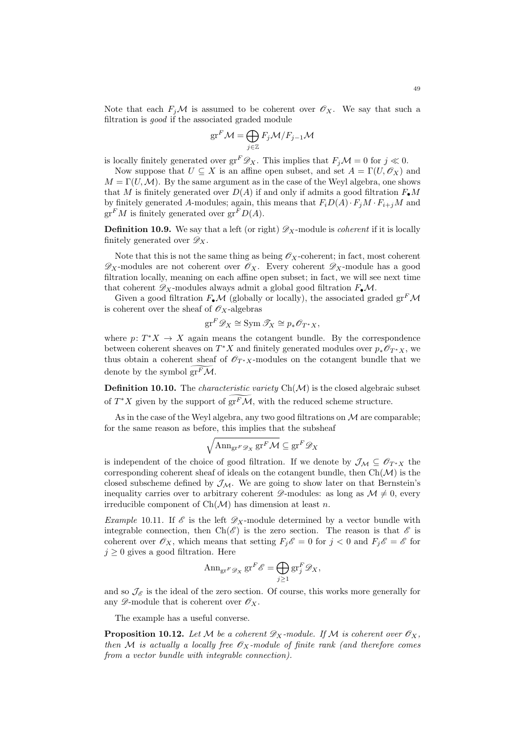Note that each  $F_i\mathcal{M}$  is assumed to be coherent over  $\mathcal{O}_X$ . We say that such a filtration is good if the associated graded module

$$
\mathrm{gr}^F \mathcal{M} = \bigoplus_{j \in \mathbb{Z}} F_j \mathcal{M} / F_{j-1} \mathcal{M}
$$

is locally finitely generated over  $gr^F \mathscr{D}_X$ . This implies that  $F_i \mathcal{M} = 0$  for  $i \ll 0$ .

Now suppose that  $U \subseteq X$  is an affine open subset, and set  $A = \Gamma(U, \mathcal{O}_X)$  and  $M = \Gamma(U, \mathcal{M})$ . By the same argument as in the case of the Weyl algebra, one shows that M is finitely generated over  $D(A)$  if and only if admits a good filtration  $F_{\bullet}M$ by finitely generated A-modules; again, this means that  $F_iD(A)\cdot F_jM\cdot F_{i+j}M$  and  $gr<sup>F</sup>M$  is finitely generated over  $gr<sup>F</sup>D(A)$ .

**Definition 10.9.** We say that a left (or right)  $\mathscr{D}_X$ -module is *coherent* if it is locally finitely generated over  $\mathscr{D}_X$ .

Note that this is not the same thing as being  $\mathscr{O}_X$ -coherent; in fact, most coherent  $\mathscr{D}_X$ -modules are not coherent over  $\mathscr{O}_X$ . Every coherent  $\mathscr{D}_X$ -module has a good filtration locally, meaning on each affine open subset; in fact, we will see next time that coherent  $\mathscr{D}_X$ -modules always admit a global good filtration  $F_{\bullet}\mathcal{M}$ .

Given a good filtration  $F_{\bullet}M$  (globally or locally), the associated graded  $gr^{F}\mathcal{M}$ is coherent over the sheaf of  $\mathscr{O}_X$ -algebras

$$
\mathrm{gr}^F \mathscr{D}_X \cong \mathrm{Sym} \, \mathscr{T}_X \cong p_* \mathscr{O}_{T^*X},
$$

where  $p: T^*X \to X$  again means the cotangent bundle. By the correspondence between coherent sheaves on  $T^*X$  and finitely generated modules over  $p_*\mathscr{O}_{T^*X}$ , we thus obtain a coherent sheaf of  $\mathscr{O}_{T^*X}$ -modules on the cotangent bundle that we denote by the symbol  $gr<sup>F</sup>M$ .

**Definition 10.10.** The *characteristic variety*  $Ch(M)$  is the closed algebraic subset of  $T^*X$  given by the support of  $gr^F\mathcal{M}$ , with the reduced scheme structure.

As in the case of the Weyl algebra, any two good filtrations on  $\mathcal M$  are comparable; for the same reason as before, this implies that the subsheaf

$$
\sqrt{\mathrm{Ann}_{\mathrm{gr}^F \mathscr{D}_X} \mathrm{gr}^F \mathcal{M}} \subseteq \mathrm{gr}^F \mathscr{D}_X
$$

is independent of the choice of good filtration. If we denote by  $\mathcal{J}_{\mathcal{M}} \subseteq \mathcal{O}_{T^*X}$  the corresponding coherent sheaf of ideals on the cotangent bundle, then  $Ch(\mathcal{M})$  is the closed subscheme defined by  $\mathcal{J}_{\mathcal{M}}$ . We are going to show later on that Bernstein's inequality carries over to arbitrary coherent  $\mathscr{D}$ -modules: as long as  $\mathcal{M} \neq 0$ , every irreducible component of  $Ch(\mathcal{M})$  has dimension at least n.

Example 10.11. If  $\mathscr E$  is the left  $\mathscr D_X$ -module determined by a vector bundle with integrable connection, then  $Ch(\mathscr{E})$  is the zero section. The reason is that  $\mathscr{E}$  is coherent over  $\mathscr{O}_X$ , which means that setting  $F_j\mathscr{E} = 0$  for  $j < 0$  and  $F_j\mathscr{E} = \mathscr{E}$  for  $j \geq 0$  gives a good filtration. Here

$$
\operatorname{Ann}_{\operatorname{gr}^F \mathscr{D}_X} \operatorname{gr}^F \mathscr{E} = \bigoplus_{j \ge 1} \operatorname{gr}_j^F \mathscr{D}_X,
$$

and so  $\mathcal{J}_{\mathscr{E}}$  is the ideal of the zero section. Of course, this works more generally for any  $\mathscr{D}$ -module that is coherent over  $\mathscr{O}_X$ .

The example has a useful converse.

<span id="page-48-0"></span>**Proposition 10.12.** Let M be a coherent  $\mathscr{D}_X$ -module. If M is coherent over  $\mathscr{O}_X$ , then M is actually a locally free  $\mathscr{O}_X$ -module of finite rank (and therefore comes from a vector bundle with integrable connection).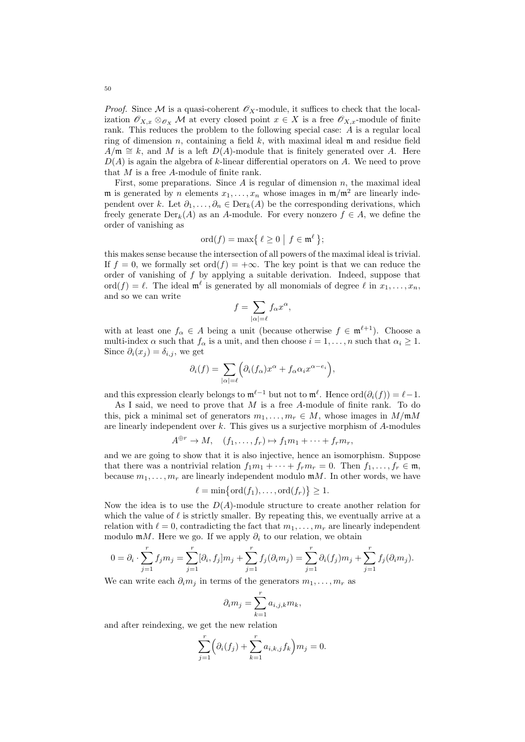*Proof.* Since M is a quasi-coherent  $\mathcal{O}_X$ -module, it suffices to check that the localization  $\mathscr{O}_{X,x} \otimes_{\mathscr{O}_X} M$  at every closed point  $x \in X$  is a free  $\mathscr{O}_{X,x}$ -module of finite rank. This reduces the problem to the following special case: A is a regular local ring of dimension n, containing a field  $k$ , with maximal ideal m and residue field  $A/\mathfrak{m} \cong k$ , and M is a left  $D(A)$ -module that is finitely generated over A. Here  $D(A)$  is again the algebra of k-linear differential operators on A. We need to prove that M is a free A-module of finite rank.

First, some preparations. Since  $A$  is regular of dimension  $n$ , the maximal ideal m is generated by n elements  $x_1, \ldots, x_n$  whose images in  $m/m^2$  are linearly independent over k. Let  $\partial_1, \ldots, \partial_n \in \text{Der}_k(A)$  be the corresponding derivations, which freely generate  $Der_k(A)$  as an A-module. For every nonzero  $f \in A$ , we define the order of vanishing as

$$
\mathrm{ord}(f)=\max\left\{\,\ell\geq 0\,\,\big|\,\,f\in\mathfrak{m}^\ell\,\right\};
$$

this makes sense because the intersection of all powers of the maximal ideal is trivial. If  $f = 0$ , we formally set ord $(f) = +\infty$ . The key point is that we can reduce the order of vanishing of  $f$  by applying a suitable derivation. Indeed, suppose that ord $(f) = \ell$ . The ideal  $\mathfrak{m}^{\ell}$  is generated by all monomials of degree  $\ell$  in  $x_1, \ldots, x_n$ , and so we can write

$$
f = \sum_{|\alpha|=\ell} f_{\alpha} x^{\alpha},
$$

with at least one  $f_{\alpha} \in A$  being a unit (because otherwise  $f \in \mathfrak{m}^{\ell+1}$ ). Choose a multi-index  $\alpha$  such that  $f_{\alpha}$  is a unit, and then choose  $i = 1, ..., n$  such that  $\alpha_i \geq 1$ . Since  $\partial_i(x_j) = \delta_{i,j}$ , we get

$$
\partial_i(f) = \sum_{|\alpha|=\ell} \Big( \partial_i(f_\alpha) x^\alpha + f_\alpha \alpha_i x^{\alpha - e_i} \Big),
$$

and this expression clearly belongs to  $\mathfrak{m}^{\ell-1}$  but not to  $\mathfrak{m}^{\ell}$ . Hence  $\text{ord}(\partial_i(f)) = \ell-1$ .

As I said, we need to prove that  $M$  is a free A-module of finite rank. To do this, pick a minimal set of generators  $m_1, \ldots, m_r \in M$ , whose images in  $M/\mathfrak{m}M$ are linearly independent over  $k$ . This gives us a surjective morphism of  $A$ -modules

$$
A^{\oplus r} \to M, \quad (f_1, \ldots, f_r) \mapsto f_1 m_1 + \cdots + f_r m_r,
$$

and we are going to show that it is also injective, hence an isomorphism. Suppose that there was a nontrivial relation  $f_1m_1 + \cdots + f_r m_r = 0$ . Then  $f_1, \ldots, f_r \in \mathfrak{m}$ , because  $m_1, \ldots, m_r$  are linearly independent modulo  $mM$ . In other words, we have

$$
\ell = \min\{\operatorname{ord}(f_1), \dots, \operatorname{ord}(f_r)\} \ge 1.
$$

Now the idea is to use the  $D(A)$ -module structure to create another relation for which the value of  $\ell$  is strictly smaller. By repeating this, we eventually arrive at a relation with  $\ell = 0$ , contradicting the fact that  $m_1, \ldots, m_r$  are linearly independent modulo mM. Here we go. If we apply  $\partial_i$  to our relation, we obtain

$$
0 = \partial_i \cdot \sum_{j=1}^r f_j m_j = \sum_{j=1}^r [\partial_i, f_j] m_j + \sum_{j=1}^r f_j(\partial_i m_j) = \sum_{j=1}^r \partial_i(f_j) m_j + \sum_{j=1}^r f_j(\partial_i m_j).
$$

We can write each  $\partial_i m_j$  in terms of the generators  $m_1, \ldots, m_r$  as

$$
\partial_i m_j = \sum_{k=1}^r a_{i,j,k} m_k,
$$

and after reindexing, we get the new relation

$$
\sum_{j=1}^{r} \left( \partial_i (f_j) + \sum_{k=1}^{r} a_{i,k,j} f_k \right) m_j = 0.
$$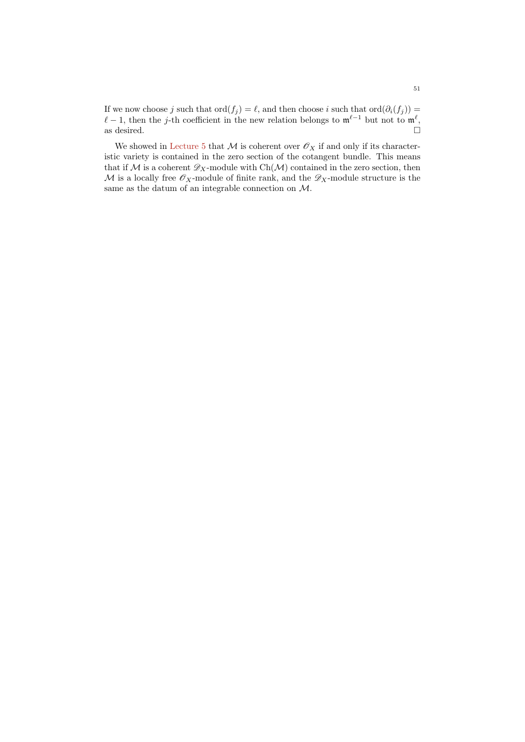If we now choose j such that  $\text{ord}(f_j) = \ell$ , and then choose i such that  $\text{ord}(\partial_i(f_j)) =$  $\ell - 1$ , then the j-th coefficient in the new relation belongs to  $\mathfrak{m}^{\ell-1}$  but not to  $\mathfrak{m}^{\ell}$ , as desired.  $\hfill \square$ 

We showed in [Lecture 5](#page-21-0) that  $M$  is coherent over  $\mathscr{O}_X$  if and only if its characteristic variety is contained in the zero section of the cotangent bundle. This means that if  $M$  is a coherent  $\mathscr{D}_X$ -module with Ch( $M$ ) contained in the zero section, then  $\mathcal M$  is a locally free  $\mathscr O_X$ -module of finite rank, and the  $\mathscr D_X$ -module structure is the same as the datum of an integrable connection on  $\mathcal{M}.$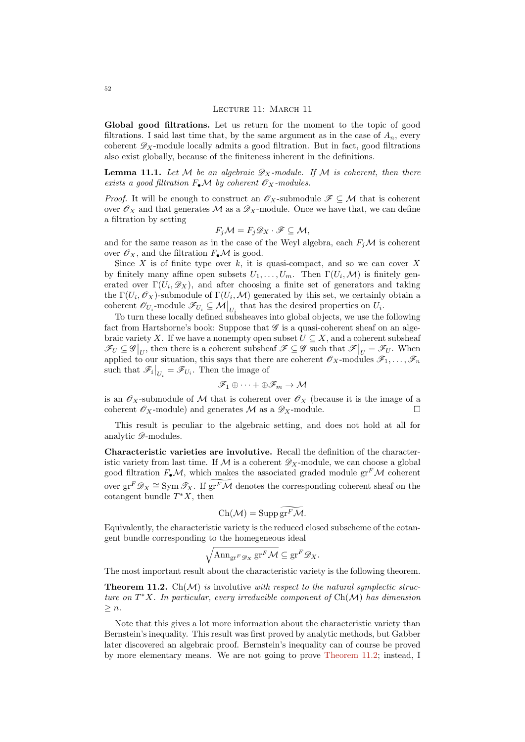#### LECTURE 11: MARCH 11

Global good filtrations. Let us return for the moment to the topic of good filtrations. I said last time that, by the same argument as in the case of  $A_n$ , every coherent  $\mathscr{D}_X$ -module locally admits a good filtration. But in fact, good filtrations also exist globally, because of the finiteness inherent in the definitions.

**Lemma 11.1.** Let M be an algebraic  $\mathscr{D}_X$ -module. If M is coherent, then there exists a good filtration  $F_{\bullet} \mathcal{M}$  by coherent  $\mathcal{O}_X$ -modules.

*Proof.* It will be enough to construct an  $\mathscr{O}_X$ -submodule  $\mathscr{F} \subseteq \mathcal{M}$  that is coherent over  $\mathscr{O}_X$  and that generates M as a  $\mathscr{D}_X$ -module. Once we have that, we can define a filtration by setting

$$
F_j \mathcal{M} = F_j \mathcal{D}_X \cdot \mathcal{F} \subseteq \mathcal{M},
$$

and for the same reason as in the case of the Weyl algebra, each  $F_i\mathcal{M}$  is coherent over  $\mathscr{O}_X$ , and the filtration  $F_{\bullet} \mathcal{M}$  is good.

Since  $X$  is of finite type over  $k$ , it is quasi-compact, and so we can cover  $X$ by finitely many affine open subsets  $U_1, \ldots, U_m$ . Then  $\Gamma(U_i, \mathcal{M})$  is finitely generated over  $\Gamma(U_i, \mathscr{D}_X)$ , and after choosing a finite set of generators and taking the  $\Gamma(U_i, \mathscr{O}_X)$ -submodule of  $\Gamma(U_i, \mathcal{M})$  generated by this set, we certainly obtain a coherent  $\mathscr{O}_{U_i}$ -module  $\mathscr{F}_{U_i} \subseteq \mathcal{M}|_{U_i}$  that has the desired properties on  $U_i$ .

To turn these locally defined subsheaves into global objects, we use the following fact from Hartshorne's book: Suppose that  $\mathscr G$  is a quasi-coherent sheaf on an algebraic variety X. If we have a nonempty open subset  $U \subseteq X$ , and a coherent subsheaf  $\mathscr{F}_U \subseteq \mathscr{G}\big|_U$ , then there is a coherent subsheaf  $\mathscr{F} \subseteq \mathscr{G}$  such that  $\mathscr{F}\big|_U = \mathscr{F}_U$ . When applied to our situation, this says that there are coherent  $\mathscr{O}_X$ -modules  $\mathscr{F}_1, \ldots, \mathscr{F}_n$ such that  $\mathscr{F}_i\big|_{U_i} = \mathscr{F}_{U_i}$ . Then the image of

$$
\mathscr{F}_1\oplus\cdots+\oplus\mathscr{F}_m\to\mathcal{M}
$$

is an  $\mathscr{O}_X$ -submodule of M that is coherent over  $\mathscr{O}_X$  (because it is the image of a coherent  $\mathscr{O}_X$ -module) and generates  $\mathscr{M}$  as a  $\mathscr{D}_X$ -module.

This result is peculiar to the algebraic setting, and does not hold at all for analytic  $\mathscr{D}\text{-modules.}$ 

Characteristic varieties are involutive. Recall the definition of the characteristic variety from last time. If  $\mathcal M$  is a coherent  $\mathscr D_X$ -module, we can choose a global good filtration  $F_{\bullet}\mathcal{M}$ , which makes the associated graded module  $gr^F\mathcal{M}$  coherent over  $gr^F \mathscr{D}_X \cong \text{Sym }\mathscr{T}_X$ . If  $\widetilde{gr^F \mathcal{M}}$  denotes the corresponding coherent sheaf on the cotangent bundle  $T^*X$ , then

$$
Ch(\mathcal{M}) = \operatorname{Supp} \operatorname{gr}^F \mathcal{M}.
$$

Equivalently, the characteristic variety is the reduced closed subscheme of the cotangent bundle corresponding to the homegeneous ideal

$$
\sqrt{\mathrm{Ann}_{\mathrm{gr}^F \mathscr{D}_X} \mathrm{gr}^F \mathcal{M}} \subseteq \mathrm{gr}^F \mathscr{D}_X.
$$

The most important result about the characteristic variety is the following theorem.

<span id="page-51-0"></span>**Theorem 11.2.** Ch( $\mathcal{M}$ ) is involutive with respect to the natural symplectic structure on  $T^*X$ . In particular, every irreducible component of  $Ch(\mathcal{M})$  has dimension  $\geq n$ .

Note that this gives a lot more information about the characteristic variety than Bernstein's inequality. This result was first proved by analytic methods, but Gabber later discovered an algebraic proof. Bernstein's inequality can of course be proved by more elementary means. We are not going to prove [Theorem 11.2;](#page-51-0) instead, I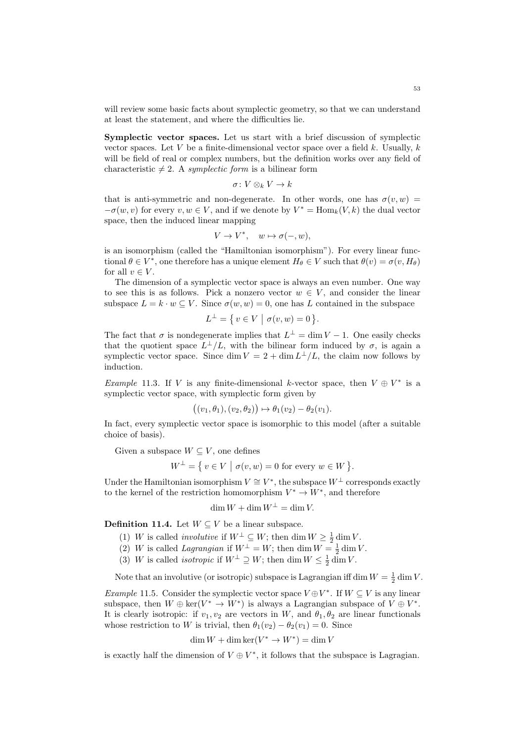will review some basic facts about symplectic geometry, so that we can understand at least the statement, and where the difficulties lie.

Symplectic vector spaces. Let us start with a brief discussion of symplectic vector spaces. Let V be a finite-dimensional vector space over a field k. Usually,  $k$ will be field of real or complex numbers, but the definition works over any field of characteristic  $\neq 2$ . A symplectic form is a bilinear form

$$
\sigma\colon V\otimes_k V\to k
$$

that is anti-symmetric and non-degenerate. In other words, one has  $\sigma(v, w)$  =  $-\sigma(w, v)$  for every  $v, w \in V$ , and if we denote by  $V^* = \text{Hom}_k(V, k)$  the dual vector space, then the induced linear mapping

$$
V \to V^*, \quad w \mapsto \sigma(-, w),
$$

is an isomorphism (called the "Hamiltonian isomorphism"). For every linear functional  $\theta \in V^*$ , one therefore has a unique element  $H_{\theta} \in V$  such that  $\theta(v) = \sigma(v, H_{\theta})$ for all  $v \in V$ .

The dimension of a symplectic vector space is always an even number. One way to see this is as follows. Pick a nonzero vector  $w \in V$ , and consider the linear subspace  $L = k \cdot w \subseteq V$ . Since  $\sigma(w, w) = 0$ , one has L contained in the subspace

$$
L^{\perp} = \{ v \in V \mid \sigma(v, w) = 0 \}.
$$

The fact that  $\sigma$  is nondegenerate implies that  $L^{\perp} = \dim V - 1$ . One easily checks that the quotient space  $L^{\perp}/L$ , with the bilinear form induced by  $\sigma$ , is again a symplectic vector space. Since dim  $V = 2 + \dim L^{\perp}/L$ , the claim now follows by induction.

<span id="page-52-0"></span>*Example* 11.3. If V is any finite-dimensional k-vector space, then  $V \oplus V^*$  is a symplectic vector space, with symplectic form given by

$$
((v_1,\theta_1),(v_2,\theta_2))\mapsto \theta_1(v_2)-\theta_2(v_1).
$$

In fact, every symplectic vector space is isomorphic to this model (after a suitable choice of basis).

Given a subspace  $W \subseteq V$ , one defines

$$
W^{\perp} = \{ v \in V \mid \sigma(v, w) = 0 \text{ for every } w \in W \}.
$$

Under the Hamiltonian isomorphism  $V \cong V^*$ , the subspace  $W^{\perp}$  corresponds exactly to the kernel of the restriction homomorphism  $V^* \to W^*$ , and therefore

$$
\dim W + \dim W^{\perp} = \dim V.
$$

**Definition 11.4.** Let  $W \subseteq V$  be a linear subspace.

- (1) W is called *involutive* if  $W^{\perp} \subseteq W$ ; then dim  $W \ge \frac{1}{2}$  dim V.
- (2) W is called Lagrangian if  $W^{\perp} = W$ ; then dim  $W = \frac{1}{2} \dim V$ .
- (3) W is called *isotropic* if  $W^{\perp} \supseteq W$ ; then dim  $W \leq \frac{1}{2}$  dim V.

Note that an involutive (or isotropic) subspace is Lagrangian iff dim  $W = \frac{1}{2} \dim V$ .

<span id="page-52-1"></span>*Example* 11.5. Consider the symplectic vector space  $V \oplus V^*$ . If  $W \subseteq V$  is any linear subspace, then  $W \oplus \ker(V^* \to W^*)$  is always a Lagrangian subspace of  $V \oplus V^*$ . It is clearly isotropic: if  $v_1, v_2$  are vectors in W, and  $\theta_1, \theta_2$  are linear functionals whose restriction to W is trivial, then  $\theta_1(v_2) - \theta_2(v_1) = 0$ . Since

$$
\dim W + \dim \ker (V^* \to W^*) = \dim V
$$

is exactly half the dimension of  $V \oplus V^*$ , it follows that the subspace is Lagragian.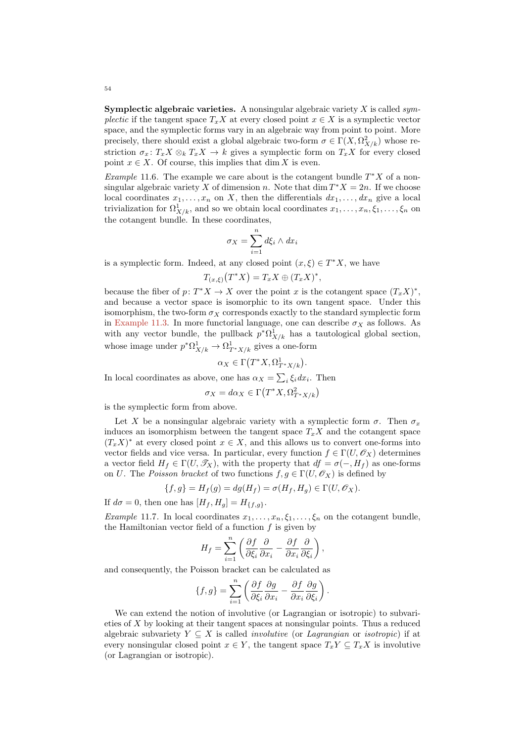**Symplectic algebraic varieties.** A nonsingular algebraic variety  $X$  is called symplectic if the tangent space  $T_xX$  at every closed point  $x \in X$  is a symplectic vector space, and the symplectic forms vary in an algebraic way from point to point. More precisely, there should exist a global algebraic two-form  $\sigma \in \Gamma(X, \Omega^2_{X/k})$  whose restriction  $\sigma_x: T_x X \otimes_k T_x X \to k$  gives a symplectic form on  $T_x X$  for every closed point  $x \in X$ . Of course, this implies that dim X is even.

Example 11.6. The example we care about is the cotangent bundle  $T^*X$  of a nonsingular algebraic variety X of dimension n. Note that  $\dim T^*X = 2n$ . If we choose local coordinates  $x_1, \ldots, x_n$  on X, then the differentials  $dx_1, \ldots, dx_n$  give a local trivialization for  $\Omega^1_{X/k}$ , and so we obtain local coordinates  $x_1, \ldots, x_n, \xi_1, \ldots, \xi_n$  on the cotangent bundle. In these coordinates,

$$
\sigma_X = \sum_{i=1}^n d\xi_i \wedge dx_i
$$

is a symplectic form. Indeed, at any closed point  $(x, \xi) \in T^*X$ , we have

$$
T_{(x,\xi)}(T^*X) = T_x X \oplus (T_x X)^*,
$$

because the fiber of  $p: T^*X \to X$  over the point x is the cotangent space  $(T_x X)^*$ , and because a vector space is isomorphic to its own tangent space. Under this isomorphism, the two-form  $\sigma_X$  corresponds exactly to the standard symplectic form in [Example 11.3.](#page-52-0) In more functorial language, one can describe  $\sigma_X$  as follows. As with any vector bundle, the pullback  $p^*\Omega^1_{X/k}$  has a tautological global section, whose image under  $p^*\Omega^1_{X/k} \to \Omega^1_{T^*X/k}$  gives a one-form

$$
\alpha_X \in \Gamma\big(T^*X, \Omega^1_{T^*X/k}\big).
$$

In local coordinates as above, one has  $\alpha_X = \sum_i \xi_i dx_i$ . Then

$$
\sigma_X = d\alpha_X \in \Gamma\big(T^*X, \Omega^2_{T^*X/k}\big)
$$

is the symplectic form from above.

Let X be a nonsingular algebraic variety with a symplectic form  $\sigma$ . Then  $\sigma_x$ induces an isomorphism between the tangent space  $T_xX$  and the cotangent space  $(T_x X)^*$  at every closed point  $x \in X$ , and this allows us to convert one-forms into vector fields and vice versa. In particular, every function  $f \in \Gamma(U, \mathscr{O}_X)$  determines a vector field  $H_f \in \Gamma(U, \mathscr{T}_X)$ , with the property that  $df = \sigma(-, H_f)$  as one-forms on U. The Poisson bracket of two functions  $f, g \in \Gamma(U, \mathcal{O}_X)$  is defined by

$$
\{f,g\} = H_f(g) = dg(H_f) = \sigma(H_f, H_g) \in \Gamma(U, \mathcal{O}_X).
$$

If  $d\sigma = 0$ , then one has  $[H_f, H_g] = H_{\{f,g\}}$ .

Example 11.7. In local coordinates  $x_1, \ldots, x_n, \xi_1, \ldots, \xi_n$  on the cotangent bundle, the Hamiltonian vector field of a function  $f$  is given by

$$
H_f = \sum_{i=1}^n \left( \frac{\partial f}{\partial \xi_i} \frac{\partial}{\partial x_i} - \frac{\partial f}{\partial x_i} \frac{\partial}{\partial \xi_i} \right),
$$

and consequently, the Poisson bracket can be calculated as

$$
\{f,g\}=\sum_{i=1}^n\left(\frac{\partial f}{\partial\xi_i}\frac{\partial g}{\partial x_i}-\frac{\partial f}{\partial x_i}\frac{\partial g}{\partial\xi_i}\right).
$$

We can extend the notion of involutive (or Lagrangian or isotropic) to subvarieties of X by looking at their tangent spaces at nonsingular points. Thus a reduced algebraic subvariety  $Y \subseteq X$  is called *involutive* (or *Lagrangian* or *isotropic*) if at every nonsingular closed point  $x \in Y$ , the tangent space  $T_xY \subseteq T_xX$  is involutive (or Lagrangian or isotropic).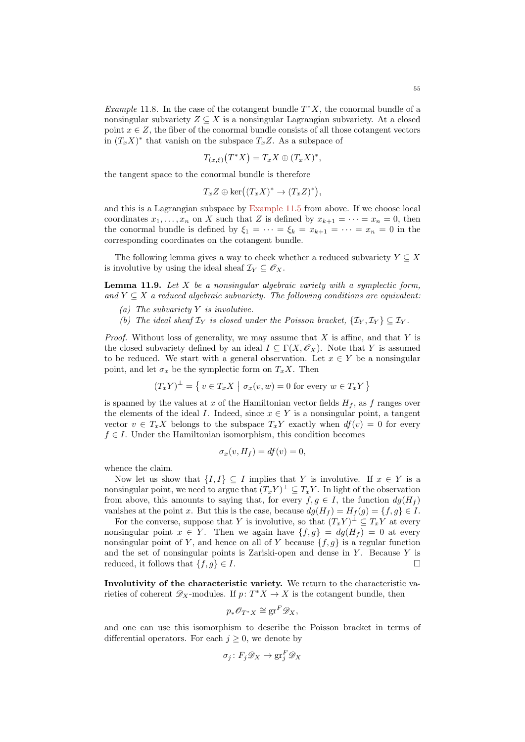$$
T_{(x,\xi)}(T^*X) = T_x X \oplus (T_x X)^*,
$$

the tangent space to the conormal bundle is therefore

$$
T_x Z \oplus \ker((T_x X)^* \to (T_x Z)^*),
$$

and this is a Lagrangian subspace by [Example 11.5](#page-52-1) from above. If we choose local coordinates  $x_1, \ldots, x_n$  on X such that Z is defined by  $x_{k+1} = \cdots = x_n = 0$ , then the conormal bundle is defined by  $\xi_1 = \cdots = \xi_k = x_{k+1} = \cdots = x_n = 0$  in the corresponding coordinates on the cotangent bundle.

The following lemma gives a way to check whether a reduced subvariety  $Y \subseteq X$ is involutive by using the ideal sheaf  $\mathcal{I}_Y \subseteq \mathscr{O}_X$ .

**Lemma 11.9.** Let  $X$  be a nonsingular algebraic variety with a symplectic form, and  $Y \subseteq X$  a reduced algebraic subvariety. The following conditions are equivalent:

- (a) The subvariety  $Y$  is involutive.
- (b) The ideal sheaf  $\mathcal{I}_Y$  is closed under the Poisson bracket,  $\{\mathcal{I}_Y, \mathcal{I}_Y\} \subseteq \mathcal{I}_Y$ .

*Proof.* Without loss of generality, we may assume that  $X$  is affine, and that  $Y$  is the closed subvariety defined by an ideal  $I \subseteq \Gamma(X, \mathcal{O}_X)$ . Note that Y is assumed to be reduced. We start with a general observation. Let  $x \in Y$  be a nonsingular point, and let  $\sigma_x$  be the symplectic form on  $T_xX$ . Then

$$
(T_xY)^{\perp} = \{ v \in T_xX \mid \sigma_x(v, w) = 0 \text{ for every } w \in T_xY \}
$$

is spanned by the values at x of the Hamiltonian vector fields  $H_f$ , as f ranges over the elements of the ideal I. Indeed, since  $x \in Y$  is a nonsingular point, a tangent vector  $v \in T_x X$  belongs to the subspace  $T_x Y$  exactly when  $df(v) = 0$  for every  $f \in I$ . Under the Hamiltonian isomorphism, this condition becomes

$$
\sigma_x(v, H_f) = df(v) = 0,
$$

whence the claim.

Now let us show that  $\{I, I\} \subseteq I$  implies that Y is involutive. If  $x \in Y$  is a nonsingular point, we need to argue that  $(T_x Y)^{\perp} \subseteq T_x Y$ . In light of the observation from above, this amounts to saying that, for every  $f, g \in I$ , the function  $dg(H_f)$ vanishes at the point x. But this is the case, because  $dg(H_f) = H_f(g) = \{f, g\} \in I$ .

For the converse, suppose that Y is involutive, so that  $(T_xY)^{\perp} \subseteq T_xY$  at every nonsingular point  $x \in Y$ . Then we again have  $\{f, g\} = dg(H_f) = 0$  at every nonsingular point of Y, and hence on all of Y because  $\{f, g\}$  is a regular function and the set of nonsingular points is Zariski-open and dense in  $Y$ . Because  $Y$  is reduced, it follows that  $\{f, g\} \in I$ .

Involutivity of the characteristic variety. We return to the characteristic varieties of coherent  $\mathscr{D}_X$ -modules. If  $p: T^*X \to X$  is the cotangent bundle, then

$$
p_*\mathscr{O}_{T^*X} \cong \operatorname{gr}^F \mathscr{D}_X,
$$

and one can use this isomorphism to describe the Poisson bracket in terms of differential operators. For each  $j \geq 0$ , we denote by

$$
\sigma_j \colon F_j \mathscr{D}_X \to \operatorname{gr}^F_j \mathscr{D}_X
$$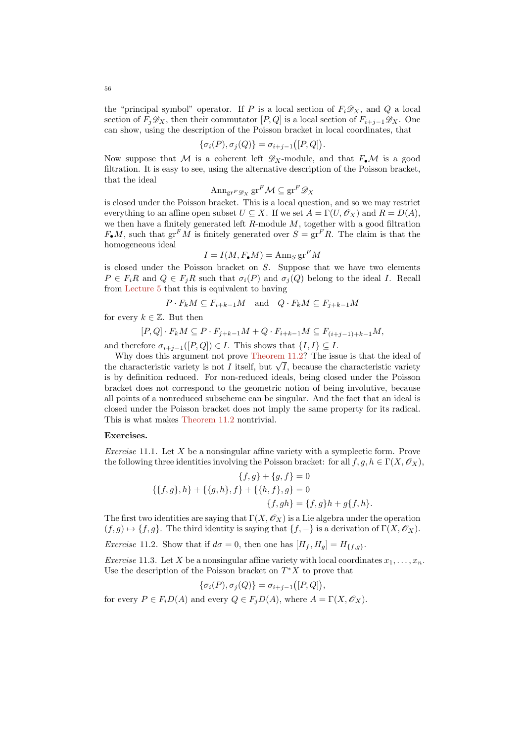the "principal symbol" operator. If P is a local section of  $F_i \mathscr{D}_X$ , and Q a local section of  $F_j\mathscr{D}_X$ , then their commutator  $[P,Q]$  is a local section of  $F_{i+j-1}\mathscr{D}_X$ . One can show, using the description of the Poisson bracket in local coordinates, that

$$
\{\sigma_i(P), \sigma_j(Q)\} = \sigma_{i+j-1}([P, Q]).
$$

Now suppose that M is a coherent left  $\mathscr{D}_X$ -module, and that  $F_{\bullet} \mathcal{M}$  is a good filtration. It is easy to see, using the alternative description of the Poisson bracket, that the ideal

$$
\mathrm{Ann}_{\mathrm{gr}^F \mathscr{D}_X} \mathrm{gr}^F \mathcal{M} \subseteq \mathrm{gr}^F \mathscr{D}_X
$$

is closed under the Poisson bracket. This is a local question, and so we may restrict everything to an affine open subset  $U \subseteq X$ . If we set  $A = \Gamma(U, \mathcal{O}_X)$  and  $R = D(A)$ , we then have a finitely generated left  $R$ -module  $M$ , together with a good filtration  $F_{\bullet}M$ , such that  $gr^F M$  is finitely generated over  $S = gr^F R$ . The claim is that the homogeneous ideal

$$
I = I(M, F_{\bullet}M) = \operatorname{Ann}_S \operatorname{gr}^F M
$$

is closed under the Poisson bracket on S. Suppose that we have two elements  $P \in F_iR$  and  $Q \in F_iR$  such that  $\sigma_i(P)$  and  $\sigma_i(Q)$  belong to the ideal I. Recall from [Lecture 5](#page-21-0) that this is equivalent to having

$$
P \cdot F_k M \subseteq F_{i+k-1} M \quad \text{and} \quad Q \cdot F_k M \subseteq F_{j+k-1} M
$$

for every  $k \in \mathbb{Z}$ . But then

$$
[P,Q] \cdot F_k M \subseteq P \cdot F_{j+k-1} M + Q \cdot F_{i+k-1} M \subseteq F_{(i+j-1)+k-1} M,
$$

and therefore  $\sigma_{i+j-1}([P,Q]) \in I$ . This shows that  $\{I,I\} \subseteq I$ .

Why does this argument not prove [Theorem 11.2?](#page-51-0) The issue is that the ideal of Why does this argument not prove Theorem 11.2. The issue is that the ideal of the characteristic variety is not I itself, but  $\sqrt{I}$ , because the characteristic variety is by definition reduced. For non-reduced ideals, being closed under the Poisson bracket does not correspond to the geometric notion of being involutive, because all points of a nonreduced subscheme can be singular. And the fact that an ideal is closed under the Poisson bracket does not imply the same property for its radical. This is what makes [Theorem 11.2](#page-51-0) nontrivial.

## Exercises.

Exercise 11.1. Let  $X$  be a nonsingular affine variety with a symplectic form. Prove the following three identities involving the Poisson bracket: for all  $f, g, h \in \Gamma(X, \mathcal{O}_X)$ ,

$$
\{f,g\} + \{g,f\} = 0
$$
  

$$
\{\{f,g\},h\} + \{\{g,h\},f\} + \{\{h,f\},g\} = 0
$$
  

$$
\{f,gh\} = \{f,g\}h + g\{f,h\}.
$$

The first two identities are saying that  $\Gamma(X, \mathcal{O}_X)$  is a Lie algebra under the operation  $(f, g) \mapsto \{f, g\}.$  The third identity is saying that  $\{f, -\}$  is a derivation of  $\Gamma(X, \mathscr{O}_X)$ .

Exercise 11.2. Show that if  $d\sigma = 0$ , then one has  $[H_f, H_g] = H_{\{f, g\}}$ .

*Exercise* 11.3. Let X be a nonsingular affine variety with local coordinates  $x_1, \ldots, x_n$ . Use the description of the Poisson bracket on  $T^*X$  to prove that

 $\{\sigma_i(P), \sigma_j(Q)\} = \sigma_{i+j-1}([P,Q]),$ for every  $P \in F_i D(A)$  and every  $Q \in F_i D(A)$ , where  $A = \Gamma(X, \mathcal{O}_X)$ .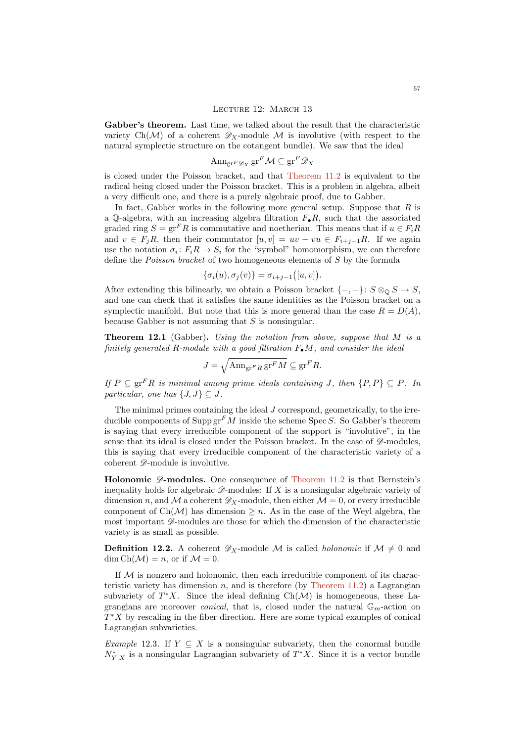Gabber's theorem. Last time, we talked about the result that the characteristic variety Ch(M) of a coherent  $\mathscr{D}_X$ -module M is involutive (with respect to the natural symplectic structure on the cotangent bundle). We saw that the ideal

<span id="page-56-0"></span>
$$
\mathrm{Ann}_{\mathrm{gr}^F \mathscr{D}_X} \mathrm{gr}^F \mathcal{M} \subseteq \mathrm{gr}^F \mathscr{D}_X
$$

is closed under the Poisson bracket, and that [Theorem 11.2](#page-51-0) is equivalent to the radical being closed under the Poisson bracket. This is a problem in algebra, albeit a very difficult one, and there is a purely algebraic proof, due to Gabber.

In fact, Gabber works in the following more general setup. Suppose that  $R$  is a Q-algebra, with an increasing algebra filtration  $F_{\bullet}R$ , such that the associated graded ring  $S = \text{gr}^F R$  is commutative and noetherian. This means that if  $u \in F_i R$ and  $v \in F_iR$ , then their commutator  $[u, v] = uv - vu \in F_{i+j-1}R$ . If we again use the notation  $\sigma_i: F_i R \to S_i$  for the "symbol" homomorphism, we can therefore define the *Poisson bracket* of two homogeneous elements of S by the formula

$$
\{\sigma_i(u), \sigma_j(v)\} = \sigma_{i+j-1}([u, v]).
$$

After extending this bilinearly, we obtain a Poisson bracket  $\{-,-\}: S \otimes_{\mathbb{Q}} S \to S$ , and one can check that it satisfies the same identities as the Poisson bracket on a symplectic manifold. But note that this is more general than the case  $R = D(A)$ , because Gabber is not assuming that  $S$  is nonsingular.

**Theorem 12.1** (Gabber). Using the notation from above, suppose that  $M$  is a finitely generated R-module with a good filtration  $F_{\bullet}M$ , and consider the ideal

$$
J = \sqrt{\operatorname{Ann}_{\operatorname{gr}^F R} \operatorname{gr}^F M} \subseteq \operatorname{gr}^F R.
$$

If  $P \subseteq \text{gr}^F R$  is minimal among prime ideals containing J, then  $\{P, P\} \subseteq P$ . In particular, one has  $\{J, J\} \subseteq J$ .

The minimal primes containing the ideal  $J$  correspond, geometrically, to the irreducible components of  $\text{Supp}\,\text{gr}^F\widetilde{M}$  inside the scheme Spec S. So Gabber's theorem is saying that every irreducible component of the support is "involutive", in the sense that its ideal is closed under the Poisson bracket. In the case of  $\mathscr{D}$ -modules, this is saying that every irreducible component of the characteristic variety of a coherent  $\mathscr{D}$ -module is involutive.

**Holonomic**  $\mathscr{D}$ **-modules.** One consequence of [Theorem 11.2](#page-51-0) is that Bernstein's inequality holds for algebraic  $\mathscr{D}$ -modules: If X is a nonsingular algebraic variety of dimension n, and M a coherent  $\mathscr{D}_X$ -module, then either  $\mathcal{M} = 0$ , or every irreducible component of  $Ch(\mathcal{M})$  has dimension  $\geq n$ . As in the case of the Weyl algebra, the most important  $\mathscr{D}$ -modules are those for which the dimension of the characteristic variety is as small as possible.

**Definition 12.2.** A coherent  $\mathscr{D}_X$ -module M is called *holonomic* if  $\mathcal{M} \neq 0$  and  $\dim Ch(\mathcal{M}) = n$ , or if  $\mathcal{M} = 0$ .

If  $M$  is nonzero and holonomic, then each irreducible component of its charac-teristic variety has dimension n, and is therefore (by [Theorem 11.2\)](#page-51-0) a Lagrangian subvariety of  $T^*X$ . Since the ideal defining  $Ch(\mathcal{M})$  is homogeneous, these Lagrangians are moreover *conical*, that is, closed under the natural  $\mathbb{G}_m$ -action on  $T^*X$  by rescaling in the fiber direction. Here are some typical examples of conical Lagrangian subvarieties.

Example 12.3. If  $Y \subseteq X$  is a nonsingular subvariety, then the conormal bundle  $N_{Y|X}^*$  is a nonsingular Lagrangian subvariety of  $T^*X$ . Since it is a vector bundle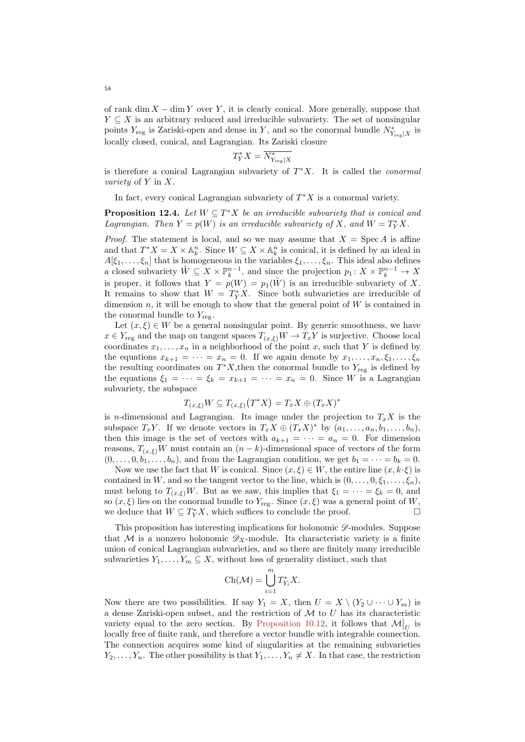of rank dim  $X - \dim Y$  over Y, it is clearly conical. More generally, suppose that  $Y \subseteq X$  is an arbitrary reduced and irreducible subvariety. The set of nonsingular points  $Y_{\text{reg}}$  is Zariski-open and dense in Y, and so the conormal bundle  $N_{Y_{\text{reg}}|X}^*$  is locally closed, conical, and Lagrangian. Its Zariski closure

$$
T_Y^*X=\overline{N^*_{Y_{\text{reg}}|X}}
$$

is therefore a conical Lagrangian subvariety of  $T^*X$ . It is called the *conormal* variety of Y in X.

In fact, every conical Lagrangian subvariety of  $T^*X$  is a conormal variety.

**Proposition 12.4.** Let  $W \subseteq T^*X$  be an irreducible subvariety that is conical and Lagrangian. Then  $Y = p(W)$  is an irreducible subvariety of X, and  $W = T_Y^*X$ .

*Proof.* The statement is local, and so we may assume that  $X = \text{Spec } A$  is affine and that  $T^*X = X \times \mathbb{A}_k^n$ . Since  $W \subseteq X \times \mathbb{A}_k^n$  is conical, it is defined by an ideal in  $A[\xi_1,\ldots,\xi_n]$  that is homogeneous in the variables  $\xi_1,\ldots,\xi_n$ . This ideal also defines a closed subvariety  $\tilde{W} \subseteq X \times \mathbb{P}_{k}^{n-1}$ , and since the projection  $p_1: X \times \mathbb{P}_{k}^{n-1} \to X$ is proper, it follows that  $Y = p(W) = p_1(\tilde{W})$  is an irreducible subvariety of X. It remains to show that  $W = T_Y^* X$ . Since both subvarieties are irreducible of dimension n, it will be enough to show that the general point of  $W$  is contained in the conormal bundle to  $Y_{\text{reg}}$ .

Let  $(x, \xi) \in W$  be a general nonsingular point. By generic smoothness, we have  $x \in Y_{\text{reg}}$  and the map on tangent spaces  $T(x,\xi)W \to T_xY$  is surjective. Choose local coordinates  $x_1, \ldots, x_n$  in a neighborhood of the point x, such that Y is defined by the equations  $x_{k+1} = \cdots = x_n = 0$ . If we again denote by  $x_1, \ldots, x_n, \xi_1, \ldots, \xi_n$ the resulting coordinates on  $T^*X$ , then the conormal bundle to  $Y_{\text{reg}}$  is defined by the equations  $\xi_1 = \cdots = \xi_k = x_{k+1} = \cdots = x_n = 0$ . Since W is a Lagrangian subvariety, the subspace

$$
T_{(x,\xi)}W \subseteq T_{(x,\xi)}(T^*X) = T_xX \oplus (T_xX)^*
$$

is n-dimensional and Lagrangian. Its image under the projection to  $T_xX$  is the subspace  $T_xY$ . If we denote vectors in  $T_xX \oplus (T_xX)^*$  by  $(a_1, \ldots, a_n, b_1, \ldots, b_n)$ , then this image is the set of vectors with  $a_{k+1} = \cdots = a_n = 0$ . For dimension reasons,  $T_{(x,\xi)}W$  must contain an  $(n-k)$ -dimensional space of vectors of the form  $(0, \ldots, 0, b_1, \ldots, b_n)$ , and from the Lagrangian condition, we get  $b_1 = \cdots = b_k = 0$ .

Now we use the fact that W is conical. Since  $(x, \xi) \in W$ , the entire line  $(x, k \cdot \xi)$  is contained in W, and so the tangent vector to the line, which is  $(0, \ldots, 0, \xi_1, \ldots, \xi_n)$ , must belong to  $T_{(x,\xi)}W$ . But as we saw, this implies that  $\xi_1 = \cdots = \xi_k = 0$ , and so  $(x, \xi)$  lies on the conormal bundle to  $Y_{\text{rec}}$ . Since  $(x, \xi)$  was a general point of W, we deduce that  $W \subseteq T_Y^*X$ , which suffices to conclude the proof.

This proposition has interesting implications for holonomic  $\mathscr{D}$ -modules. Suppose that M is a nonzero holonomic  $\mathscr{D}_X$ -module. Its characteristic variety is a finite union of conical Lagrangian subvarieties, and so there are finitely many irreducible subvarieties  $Y_1, \ldots, Y_m \subseteq X$ , without loss of generality distinct, such that

$$
\operatorname{Ch}(\mathcal{M}) = \bigcup_{i=1}^m T^*_{Y_i} X.
$$

Now there are two possibilities. If say  $Y_1 = X$ , then  $U = X \setminus (Y_2 \cup \cdots \cup Y_m)$  is a dense Zariski-open subset, and the restriction of  $\mathcal M$  to  $U$  has its characteristic variety equal to the zero section. By [Proposition 10.12,](#page-48-0) it follows that  $\mathcal{M}|_U$  is locally free of finite rank, and therefore a vector bundle with integrable connection. The connection acquires some kind of singularities at the remaining subvarieties  $Y_2, \ldots, Y_n$ . The other possibility is that  $Y_1, \ldots, Y_n \neq X$ . In that case, the restriction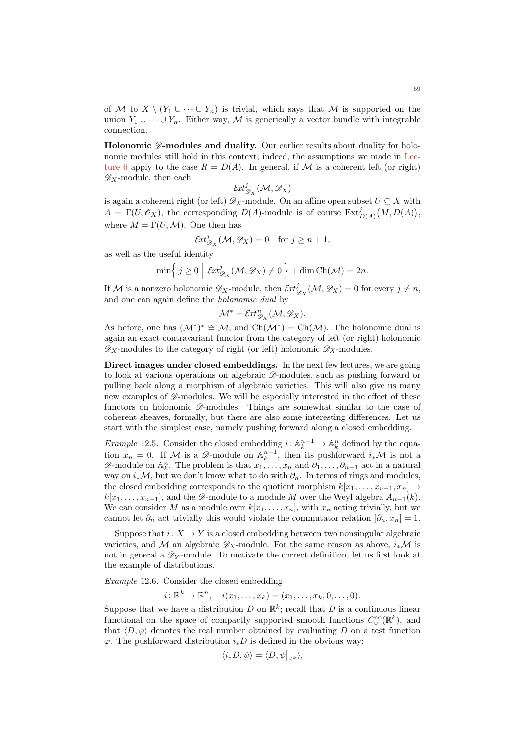of M to  $X \setminus (Y_1 \cup \cdots \cup Y_n)$  is trivial, which says that M is supported on the union  $Y_1 \cup \cdots \cup Y_n$ . Either way, M is generically a vector bundle with integrable connection.

Holonomic  $\mathscr{D}$ -modules and duality. Our earlier results about duality for holonomic modules still hold in this context; indeed, the assumptions we made in [Lec](#page-25-0)[ture 6](#page-25-0) apply to the case  $R = D(A)$ . In general, if M is a coherent left (or right)  $\mathscr{D}_X$ -module, then each

$$
{\mathcal{E}} \! {\it{xt}}^j_{{\mathscr{D}}_X}({\mathcal{M}},{\mathscr{D}}_X)
$$

is again a coherent right (or left)  $\mathscr{D}_X$ -module. On an affine open subset  $U \subseteq X$  with  $A = \Gamma(U, \mathscr{O}_X)$ , the corresponding  $D(A)$ -module is of course  $\text{Ext}^j_{D(A)}(M, D(A)),$ where  $M = \Gamma(U, \mathcal{M})$ . One then has

$$
\mathcal{E}xt^j_{\mathscr{D}_X}(\mathcal{M},\mathscr{D}_X)=0 \quad \text{for } j \ge n+1,
$$

as well as the useful identity

$$
\min\left\{j\geq 0 \mid \mathcal{E}xt^j_{\mathcal{D}_X}(\mathcal{M},\mathcal{D}_X)\neq 0\right\}+\dim \mathrm{Ch}(\mathcal{M})=2n.
$$

If M is a nonzero holonomic  $\mathscr{D}_X$ -module, then  $\mathcal{E}xt^j_{\mathscr{D}_X}(\mathcal{M}, \mathscr{D}_X) = 0$  for every  $j \neq n$ , and one can again define the holonomic dual by

$$
\mathcal{M}^* = \mathcal{E}xt_{\mathscr{D}_X}^n(\mathcal{M}, \mathscr{D}_X).
$$

As before, one has  $(\mathcal{M}^*)^* \cong \mathcal{M}$ , and  $\text{Ch}(\mathcal{M}^*) = \text{Ch}(\mathcal{M})$ . The holonomic dual is again an exact contravariant functor from the category of left (or right) holonomic  $\mathscr{D}_X$ -modules to the category of right (or left) holonomic  $\mathscr{D}_X$ -modules.

Direct images under closed embeddings. In the next few lectures, we are going to look at various operations on algebraic  $\mathscr{D}$ -modules, such as pushing forward or pulling back along a morphism of algebraic varieties. This will also give us many new examples of  $\mathscr{D}$ -modules. We will be especially interested in the effect of these functors on holonomic  $\mathscr{D}$ -modules. Things are somewhat similar to the case of coherent sheaves, formally, but there are also some interesting differences. Let us start with the simplest case, namely pushing forward along a closed embedding.

*Example* 12.5. Consider the closed embedding  $i: \mathbb{A}_k^{n-1} \to \mathbb{A}_k^n$  defined by the equation  $x_n = 0$ . If M is a  $\mathscr{D}$ -module on  $\mathbb{A}_k^{n-1}$ , then its pushforward  $i_*\mathcal{M}$  is not a  $\mathscr{D}$ -module on  $\mathbb{A}_k^n$ . The problem is that  $x_1, \ldots, x_n$  and  $\partial_1, \ldots, \partial_{n-1}$  act in a natural way on  $i_*\mathcal{M}$ , but we don't know what to do with  $\partial_n$ . In terms of rings and modules, the closed embedding corresponds to the quotient morphism  $k[x_1, \ldots, x_{n-1}, x_n] \rightarrow$  $k[x_1, \ldots, x_{n-1}]$ , and the  $\mathscr{D}$ -module to a module M over the Weyl algebra  $A_{n-1}(k)$ . We can consider M as a module over  $k[x_1, \ldots, x_n]$ , with  $x_n$  acting trivially, but we cannot let  $\partial_n$  act trivially this would violate the commutator relation  $[\partial_n, x_n] = 1$ .

Suppose that  $i: X \to Y$  is a closed embedding between two nonsingular algebraic varieties, and M an algebraic  $\mathscr{D}_X$ -module. For the same reason as above,  $i_*\mathcal{M}$  is not in general a  $\mathscr{D}_Y$ -module. To motivate the correct definition, let us first look at the example of distributions.

Example 12.6. Consider the closed embedding

 $i: \mathbb{R}^k \to \mathbb{R}^n$ ,  $i(x_1, \ldots, x_k) = (x_1, \ldots, x_k, 0, \ldots, 0)$ .

Suppose that we have a distribution D on  $\mathbb{R}^k$ ; recall that D is a continuous linear functional on the space of compactly supported smooth functions  $C_0^{\infty}(\mathbb{R}^k)$ , and that  $\langle D, \varphi \rangle$  denotes the real number obtained by evaluating D on a test function  $\varphi$ . The pushforward distribution  $i_*D$  is defined in the obvious way:

$$
\langle i_*D, \psi \rangle = \langle D, \psi \big|_{\mathbb{R}^k} \rangle,
$$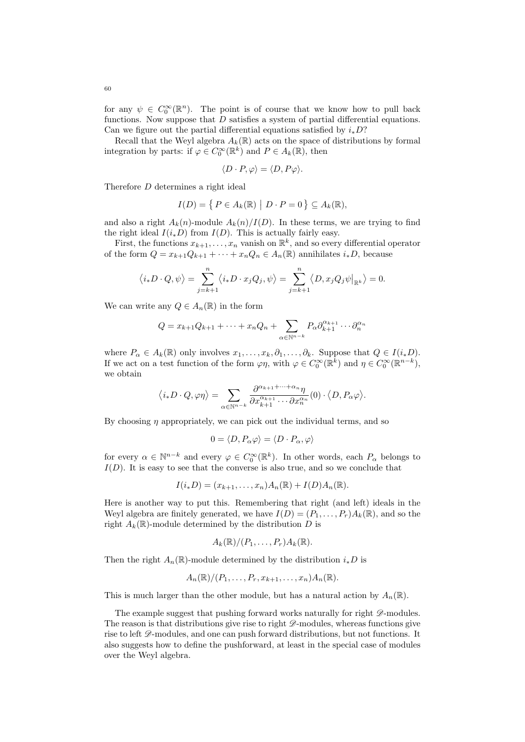for any  $\psi \in C_0^{\infty}(\mathbb{R}^n)$ . The point is of course that we know how to pull back functions. Now suppose that  $D$  satisfies a system of partial differential equations. Can we figure out the partial differential equations satisfied by  $i_*D$ ?

Recall that the Weyl algebra  $A_k(\mathbb{R})$  acts on the space of distributions by formal integration by parts: if  $\varphi \in C_0^{\infty}(\mathbb{R}^k)$  and  $P \in A_k(\mathbb{R})$ , then

$$
\langle D \cdot P, \varphi \rangle = \langle D, P\varphi \rangle.
$$

Therefore D determines a right ideal

$$
I(D) = \{ P \in A_k(\mathbb{R}) \mid D \cdot P = 0 \} \subseteq A_k(\mathbb{R}),
$$

and also a right  $A_k(n)$ -module  $A_k(n)/I(D)$ . In these terms, we are trying to find the right ideal  $I(i_{*}D)$  from  $I(D)$ . This is actually fairly easy.

First, the functions  $x_{k+1}, \ldots, x_n$  vanish on  $\mathbb{R}^k$ , and so every differential operator of the form  $Q = x_{k+1}Q_{k+1} + \cdots + x_nQ_n \in A_n(\mathbb{R})$  annihilates  $i_*D$ , because

$$
\langle i_*D \cdot Q, \psi \rangle = \sum_{j=k+1}^n \langle i_*D \cdot x_j Q_j, \psi \rangle = \sum_{j=k+1}^n \langle D, x_j Q_j \psi |_{\mathbb{R}^k} \rangle = 0.
$$

We can write any  $Q \in A_n(\mathbb{R})$  in the form

$$
Q = x_{k+1}Q_{k+1} + \dots + x_nQ_n + \sum_{\alpha \in \mathbb{N}^{n-k}} P_{\alpha} \partial_{k+1}^{\alpha_{k+1}} \cdots \partial_n^{\alpha_n}
$$

where  $P_{\alpha} \in A_k(\mathbb{R})$  only involves  $x_1, \ldots, x_k, \partial_1, \ldots, \partial_k$ . Suppose that  $Q \in I(i_*D)$ . If we act on a test function of the form  $\varphi \eta$ , with  $\varphi \in C_0^{\infty}(\mathbb{R}^k)$  and  $\eta \in C_0^{\infty}(\mathbb{R}^{n-k})$ , we obtain

$$
\langle i_*D\cdot Q,\varphi\eta\rangle=\sum_{\alpha\in\mathbb{N}^{n-k}}\frac{\partial^{\alpha_{k+1}+\cdots+\alpha_n}\eta}{\partial x_{k+1}^{\alpha_{k+1}}\cdots\partial x_n^{\alpha_n}}(0)\cdot\big\langle D,P_\alpha\varphi\big\rangle.
$$

By choosing  $\eta$  appropriately, we can pick out the individual terms, and so

$$
0 = \langle D, P_{\alpha} \varphi \rangle = \langle D \cdot P_{\alpha}, \varphi \rangle
$$

for every  $\alpha \in \mathbb{N}^{n-k}$  and every  $\varphi \in C_0^{\infty}(\mathbb{R}^k)$ . In other words, each  $P_{\alpha}$  belongs to  $I(D)$ . It is easy to see that the converse is also true, and so we conclude that

$$
I(i_*D) = (x_{k+1},\ldots,x_n)A_n(\mathbb{R}) + I(D)A_n(\mathbb{R}).
$$

Here is another way to put this. Remembering that right (and left) ideals in the Weyl algebra are finitely generated, we have  $I(D) = (P_1, \ldots, P_r)A_k(\mathbb{R})$ , and so the right  $A_k(\mathbb{R})$ -module determined by the distribution D is

$$
A_k(\mathbb{R})/(P_1,\ldots,P_r)A_k(\mathbb{R}).
$$

Then the right  $A_n(\mathbb{R})$ -module determined by the distribution  $i_*D$  is

$$
A_n(\mathbb{R})/(P_1,\ldots,P_r,x_{k+1},\ldots,x_n)A_n(\mathbb{R}).
$$

This is much larger than the other module, but has a natural action by  $A_n(\mathbb{R})$ .

The example suggest that pushing forward works naturally for right  $\mathscr{D}\text{-modules.}$ The reason is that distributions give rise to right  $\mathcal{D}\text{-modules}$ , whereas functions give rise to left  $\mathscr D$ -modules, and one can push forward distributions, but not functions. It also suggests how to define the pushforward, at least in the special case of modules over the Weyl algebra.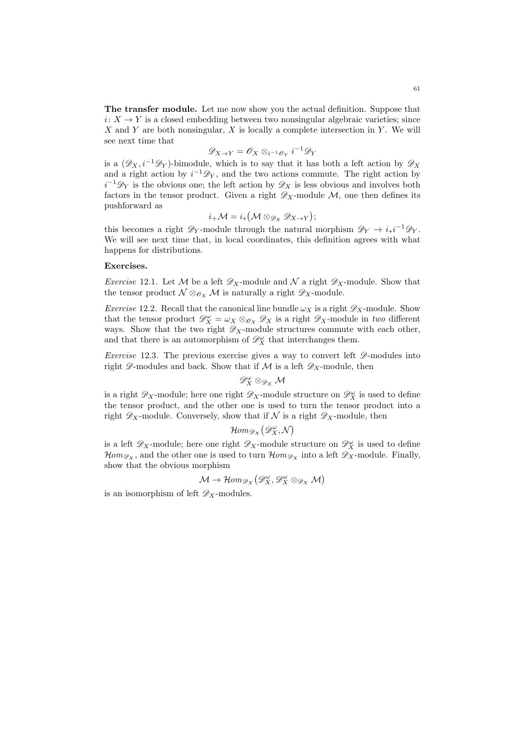The transfer module. Let me now show you the actual definition. Suppose that  $i: X \to Y$  is a closed embedding between two nonsingular algebraic varieties; since X and Y are both nonsingular, X is locally a complete intersection in Y. We will see next time that

$$
\mathscr{D}_{X \to Y} = \mathscr{O}_X \otimes_{i^{-1}\mathscr{O}_Y} i^{-1} \mathscr{D}_Y
$$

is a  $(\mathscr{D}_X, i^{-1}\mathscr{D}_Y)$ -bimodule, which is to say that it has both a left action by  $\mathscr{D}_X$ and a right action by  $i^{-1}\mathscr{D}_Y$ , and the two actions commute. The right action by  $i^{-1}\mathscr{D}_Y$  is the obvious one; the left action by  $\mathscr{D}_X$  is less obvious and involves both factors in the tensor product. Given a right  $\mathscr{D}_X$ -module M, one then defines its pushforward as

$$
i_{+}\mathcal{M}=i_{*}(\mathcal{M}\otimes_{\mathscr{D}_{X}}\mathscr{D}_{X\to Y});
$$

this becomes a right  $\mathscr{D}_Y$ -module through the natural morphism  $\mathscr{D}_Y \to i_*i^{-1}\mathscr{D}_Y$ . We will see next time that, in local coordinates, this definition agrees with what happens for distributions.

## Exercises.

*Exercise* 12.1. Let M be a left  $\mathscr{D}_X$ -module and N a right  $\mathscr{D}_X$ -module. Show that the tensor product  $\mathcal{N} \otimes_{\mathcal{O}_X} \mathcal{M}$  is naturally a right  $\mathscr{D}_X$ -module.

*Exercise* 12.2. Recall that the canonical line bundle  $\omega_X$  is a right  $\mathscr{D}_X$ -module. Show that the tensor product  $\mathscr{D}_{X}^{\omega} = \omega_{X} \otimes_{\mathscr{O}_{X}} \mathscr{D}_{X}$  is a right  $\mathscr{D}_{X}$ -module in two different ways. Show that the two right  $\mathscr{D}_X$ -module structures commute with each other, and that there is an automorphism of  $\mathscr{D}_{X}^{\omega}$  that interchanges them.

*Exercise* 12.3. The previous exercise gives a way to convert left  $\mathscr{D}$ -modules into right  $\mathscr{D}$ -modules and back. Show that if M is a left  $\mathscr{D}_X$ -module, then

$$
\mathscr{D}_X^\omega\otimes_{\mathscr{D}_X}\mathcal{M}
$$

is a right  $\mathscr{D}_X$ -module; here one right  $\mathscr{D}_X$ -module structure on  $\mathscr{D}_X^{\omega}$  is used to define the tensor product, and the other one is used to turn the tensor product into a right  $\mathscr{D}_X$ -module. Conversely, show that if  $\mathcal N$  is a right  $\mathscr{D}_X$ -module, then

$$
\mathcal{H}\hspace{-1pt}\mathit{om}_{\mathscr{D}_X}\big(\mathscr{D}^\omega_X,\mathcal{N}\big)
$$

is a left  $\mathscr{D}_X$ -module; here one right  $\mathscr{D}_X$ -module structure on  $\mathscr{D}_X^{\omega}$  is used to define  $\mathcal{H}om_{\mathscr{D}_X}$ , and the other one is used to turn  $\mathcal{H}om_{\mathscr{D}_X}$  into a left  $\mathscr{D}_X$ -module. Finally, show that the obvious morphism

$$
\mathcal{M}\to \mathcal{H}om_{\mathscr{D}_X}\big(\mathscr{D}_X^\omega,\mathscr{D}_X^\omega\otimes_{\mathscr{D}_X}\mathcal{M}\big)
$$

is an isomorphism of left  $\mathscr{D}_X$ -modules.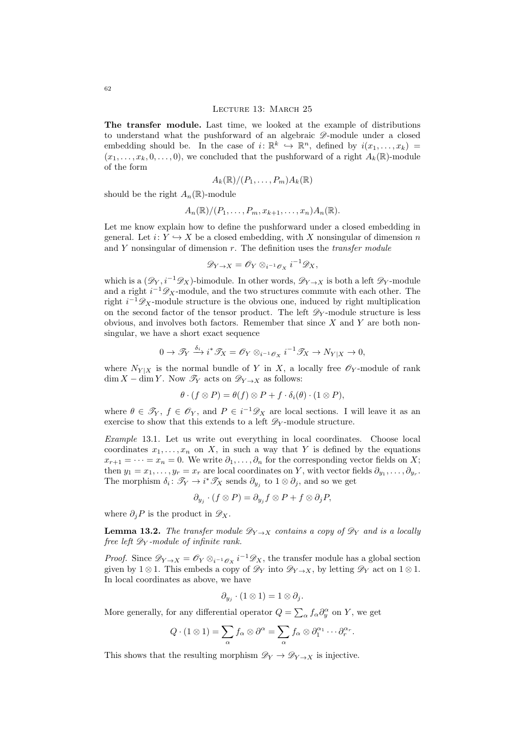#### LECTURE 13: MARCH 25

The transfer module. Last time, we looked at the example of distributions to understand what the pushforward of an algebraic  $\mathscr{D}$ -module under a closed embedding should be. In the case of  $i: \mathbb{R}^k \to \mathbb{R}^n$ , defined by  $i(x_1, \ldots, x_k) =$  $(x_1, \ldots, x_k, 0, \ldots, 0)$ , we concluded that the pushforward of a right  $A_k(\mathbb{R})$ -module of the form

$$
A_k(\mathbb{R})/(P_1,\ldots,P_m)A_k(\mathbb{R})
$$

should be the right  $A_n(\mathbb{R})$ -module

$$
A_n(\mathbb{R})/(P_1,\ldots,P_m,x_{k+1},\ldots,x_n)A_n(\mathbb{R}).
$$

Let me know explain how to define the pushforward under a closed embedding in general. Let  $i: Y \hookrightarrow X$  be a closed embedding, with X nonsingular of dimension n and  $Y$  nonsingular of dimension  $r$ . The definition uses the *transfer module* 

$$
\mathscr{D}_{Y\to X}=\mathscr{O}_Y\otimes_{i^{-1}\mathscr{O}_X}i^{-1}\mathscr{D}_X,
$$

which is a  $(\mathscr{D}_Y, i^{-1}\mathscr{D}_X)$ -bimodule. In other words,  $\mathscr{D}_{Y\to X}$  is both a left  $\mathscr{D}_Y$ -module and a right  $i^{-1}\mathscr{D}_X$ -module, and the two structures commute with each other. The right  $i^{-1}\mathscr{D}_X$ -module structure is the obvious one, induced by right multiplication on the second factor of the tensor product. The left  $\mathscr{D}_Y$ -module structure is less obvious, and involves both factors. Remember that since  $X$  and  $Y$  are both nonsingular, we have a short exact sequence

$$
0 \to \mathscr{T}_Y \xrightarrow{\delta_i} i^* \mathscr{T}_X = \mathscr{O}_Y \otimes_{i^{-1} \mathscr{O}_X} i^{-1} \mathscr{T}_X \to N_{Y|X} \to 0,
$$

where  $N_{Y|X}$  is the normal bundle of Y in X, a locally free  $\mathscr{O}_Y$ -module of rank  $\dim X - \dim Y$ . Now  $\mathscr{T}_Y$  acts on  $\mathscr{D}_{Y\to X}$  as follows:

$$
\theta \cdot (f \otimes P) = \theta(f) \otimes P + f \cdot \delta_i(\theta) \cdot (1 \otimes P),
$$

where  $\theta \in \mathcal{T}_Y$ ,  $f \in \mathcal{O}_Y$ , and  $P \in i^{-1} \mathcal{D}_X$  are local sections. I will leave it as an exercise to show that this extends to a left  $\mathscr{D}_Y$ -module structure.

Example 13.1. Let us write out everything in local coordinates. Choose local coordinates  $x_1, \ldots, x_n$  on X, in such a way that Y is defined by the equations  $x_{r+1} = \cdots = x_n = 0$ . We write  $\partial_1, \ldots, \partial_n$  for the corresponding vector fields on X; then  $y_1 = x_1, \ldots, y_r = x_r$  are local coordinates on Y, with vector fields  $\partial_{y_1}, \ldots, \partial_{y_r}$ . The morphism  $\delta_i: \mathscr{T}_Y \to i^*\mathscr{T}_X$  sends  $\partial_{y_j}$  to  $1 \otimes \partial_j$ , and so we get

$$
\partial_{y_j} \cdot (f \otimes P) = \partial_{y_j} f \otimes P + f \otimes \partial_j P,
$$

where  $\partial_i P$  is the product in  $\mathscr{D}_X$ .

**Lemma 13.2.** The transfer module  $\mathscr{D}_{Y\to X}$  contains a copy of  $\mathscr{D}_Y$  and is a locally free left  $\mathscr{D}_Y$ -module of infinite rank.

*Proof.* Since  $\mathscr{D}_{Y\to X} = \mathscr{O}_Y \otimes_{i^{-1}\mathscr{O}_X} i^{-1}\mathscr{D}_X$ , the transfer module has a global section given by 1 ⊗ 1. This embeds a copy of  $\mathscr{D}_Y$  into  $\mathscr{D}_{Y\to X}$ , by letting  $\mathscr{D}_Y$  act on 1 ⊗ 1. In local coordinates as above, we have

$$
\partial_{y_j} \cdot (1 \otimes 1) = 1 \otimes \partial_j.
$$

More generally, for any differential operator  $Q = \sum_{\alpha} f_{\alpha} \partial_y^{\alpha}$  on Y, we get

$$
Q \cdot (1 \otimes 1) = \sum_{\alpha} f_{\alpha} \otimes \partial^{\alpha} = \sum_{\alpha} f_{\alpha} \otimes \partial_1^{\alpha_1} \cdots \partial_r^{\alpha_r}.
$$

This shows that the resulting morphism  $\mathscr{D}_Y \to \mathscr{D}_{Y \to X}$  is injective.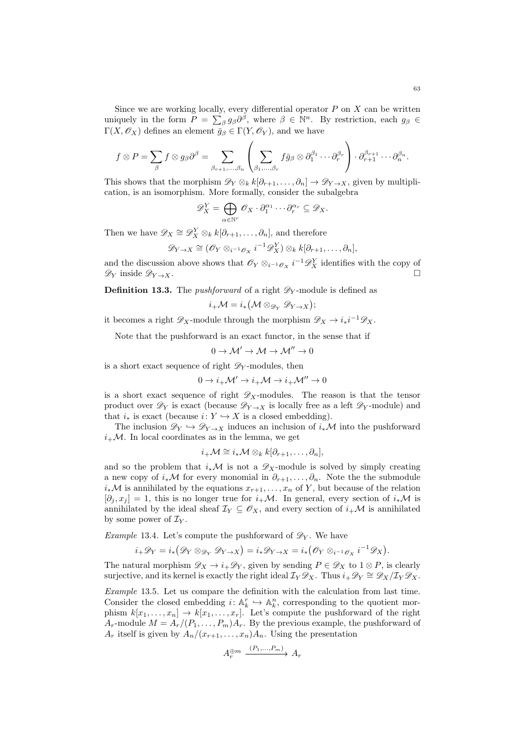Since we are working locally, every differential operator  $P$  on  $X$  can be written uniquely in the form  $P = \sum_{\beta} g_{\beta} \partial^{\beta}$ , where  $\beta \in \mathbb{N}^n$ . By restriction, each  $g_{\beta} \in$  $\Gamma(X, \mathscr{O}_X)$  defines an element  $\bar{g}_{\beta} \in \Gamma(Y, \mathscr{O}_Y)$ , and we have

$$
f \otimes P = \sum_{\beta} f \otimes g_{\beta} \partial^{\beta} = \sum_{\beta_{r+1}, \dots, \beta_n} \left( \sum_{\beta_1, \dots, \beta_r} f \bar{g}_{\beta} \otimes \partial_1^{\beta_1} \cdots \partial_r^{\beta_r} \right) \cdot \partial_{r+1}^{\beta_{r+1}} \cdots \partial_n^{\beta_n}.
$$

This shows that the morphism  $\mathscr{D}_Y \otimes_k k[\partial_{r+1}, \ldots, \partial_n] \to \mathscr{D}_{Y \to X}$ , given by multiplication, is an isomorphism. More formally, consider the subalgebra

$$
\mathscr{D}_{X}^{Y} = \bigoplus_{\alpha \in \mathbb{N}^{r}} \mathscr{O}_{X} \cdot \partial_{1}^{\alpha_{1}} \cdots \partial_{r}^{\alpha_{r}} \subseteq \mathscr{D}_{X}.
$$

Then we have  $\mathscr{D}_X \cong \mathscr{D}_X^Y \otimes_k k[\partial_{r+1}, \ldots, \partial_n]$ , and therefore

$$
\mathscr{D}_{Y\to X} \cong (\mathscr{O}_Y \otimes_{i^{-1}\mathscr{O}_X} i^{-1}\mathscr{D}_X^Y) \otimes_k k[\partial_{r+1},\ldots,\partial_n],
$$

and the discussion above shows that  $\mathscr{O}_Y \otimes_{i^{-1}\mathscr{O}_X} i^{-1}\mathscr{D}_X^Y$  identifies with the copy of  $\mathscr{D}_Y$  inside  $\mathscr{D}_{Y\to X}$ .

**Definition 13.3.** The *pushforward* of a right  $\mathscr{D}_Y$ -module is defined as

$$
i_+\mathcal{M}=i_*\big(\mathcal{M}\otimes_{\mathscr{D}_Y}\mathscr{D}_{Y\to X}\big)
$$

;

it becomes a right  $\mathscr{D}_X$ -module through the morphism  $\mathscr{D}_X \to i_*i^{-1}\mathscr{D}_X$ .

Note that the pushforward is an exact functor, in the sense that if

$$
0\to \mathcal{M}'\to \mathcal{M}\to \mathcal{M}''\to 0
$$

is a short exact sequence of right  $\mathscr{D}_Y$ -modules, then

$$
0\to i_+\mathcal{M}'\to i_+\mathcal{M}\to i_+\mathcal{M}''\to 0
$$

is a short exact sequence of right  $\mathscr{D}_X$ -modules. The reason is that the tensor product over  $\mathscr{D}_Y$  is exact (because  $\mathscr{D}_{Y\to X}$  is locally free as a left  $\mathscr{D}_Y$ -module) and that  $i_*$  is exact (because  $i: Y \hookrightarrow X$  is a closed embedding).

The inclusion  $\mathscr{D}_Y \hookrightarrow \mathscr{D}_{Y\to X}$  induces an inclusion of  $i_*\mathcal{M}$  into the pushforward  $i_{+}\mathcal{M}$ . In local coordinates as in the lemma, we get

$$
i_{+} \mathcal{M} \cong i_{*} \mathcal{M} \otimes_{k} k[\partial_{r+1}, \ldots, \partial_{n}],
$$

and so the problem that  $i_*\mathcal{M}$  is not a  $\mathscr{D}_X$ -module is solved by simply creating a new copy of  $i_*\mathcal{M}$  for every monomial in  $\partial_{r+1}, \ldots, \partial_n$ . Note the submodule  $i_*\mathcal{M}$  is annihilated by the equations  $x_{r+1}, \ldots, x_n$  of Y, but because of the relation  $[\partial_i, x_i] = 1$ , this is no longer true for  $i_{+}M$ . In general, every section of  $i_{*}M$  is annihilated by the ideal sheaf  $\mathcal{I}_Y \subseteq \mathscr{O}_X$ , and every section of  $i_{+}\mathcal{M}$  is annihilated by some power of  $\mathcal{I}_Y$ .

*Example* 13.4. Let's compute the pushforward of  $\mathscr{D}_Y$ . We have

$$
i_{+}\mathscr{D}_{Y} = i_{*}(\mathscr{D}_{Y} \otimes_{\mathscr{D}_{Y}} \mathscr{D}_{Y \to X}) = i_{*}\mathscr{D}_{Y \to X} = i_{*}(\mathscr{O}_{Y} \otimes_{i^{-1}\mathscr{O}_{X}} i^{-1}\mathscr{D}_{X}).
$$

The natural morphism  $\mathscr{D}_X \to i_+\mathscr{D}_Y$ , given by sending  $P \in \mathscr{D}_X$  to  $1 \otimes P$ , is clearly surjective, and its kernel is exactly the right ideal  $\mathcal{I}_Y \mathscr{D}_X$ . Thus  $i_+ \mathscr{D}_Y \cong \mathscr{D}_X/\mathcal{I}_Y \mathscr{D}_X$ .

Example 13.5. Let us compare the definition with the calculation from last time. Consider the closed embedding  $i: \mathbb{A}_k^r \hookrightarrow \mathbb{A}_k^n$ , corresponding to the quotient morphism  $k[x_1, \ldots, x_n] \to k[x_1, \ldots, x_n]$ . Let's compute the pushforward of the right  $A_r$ -module  $M = A_r/(P_1, \ldots, P_m)A_r$ . By the previous example, the pushforward of  $A_r$  itself is given by  $A_n/(x_{r+1},...,x_n)A_n$ . Using the presentation

$$
A_r^{\oplus m} \xrightarrow{(P_1, \dots, P_m)} A_r
$$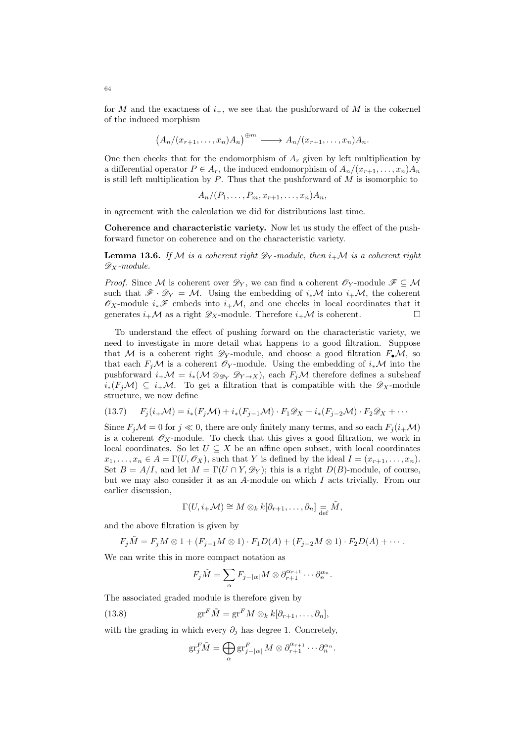for M and the exactness of  $i_{+}$ , we see that the pushforward of M is the cokernel of the induced morphism

$$
(A_n/(x_{r+1},\ldots,x_n)A_n)^{\oplus m} \longrightarrow A_n/(x_{r+1},\ldots,x_n)A_n.
$$

One then checks that for the endomorphism of  $A_r$  given by left multiplication by a differential operator  $P \in A_r$ , the induced endomorphism of  $A_n/(x_{r+1},...,x_n)A_n$ is still left multiplication by  $P$ . Thus that the pushforward of  $M$  is isomorphic to

$$
A_n/(P_1,\ldots,P_m,x_{r+1},\ldots,x_n)A_n,
$$

in agreement with the calculation we did for distributions last time.

Coherence and characteristic variety. Now let us study the effect of the pushforward functor on coherence and on the characteristic variety.

**Lemma 13.6.** If M is a coherent right  $\mathscr{D}_Y$ -module, then  $i_+\mathcal{M}$  is a coherent right  $\mathscr{D}_X$ -module.

*Proof.* Since M is coherent over  $\mathscr{D}_Y$ , we can find a coherent  $\mathscr{O}_Y$ -module  $\mathscr{F} \subseteq \mathcal{M}$ such that  $\mathscr{F} \cdot \mathscr{D}_Y = \mathcal{M}$ . Using the embedding of  $i_*\mathcal{M}$  into  $i_*\mathcal{M}$ , the coherent  $\mathscr{O}_X$ -module  $i_*\mathscr{F}$  embeds into  $i_{+}\mathcal{M}$ , and one checks in local coordinates that it generates  $i_+\mathcal{M}$  as a right  $\mathscr{D}_X$ -module. Therefore  $i_+\mathcal{M}$  is coherent.

To understand the effect of pushing forward on the characteristic variety, we need to investigate in more detail what happens to a good filtration. Suppose that M is a coherent right  $\mathscr{D}_Y$ -module, and choose a good filtration  $F_\bullet \mathcal{M}$ , so that each  $F_i\mathcal{M}$  is a coherent  $\mathcal{O}_Y$ -module. Using the embedding of  $i_*\mathcal{M}$  into the pushforward  $i_+\mathcal{M} = i_*(\mathcal{M} \otimes_{\mathscr{D}_Y} \mathscr{D}_{Y\to X}),$  each  $F_i\mathcal{M}$  therefore defines a subsheaf  $i_*(F_i\mathcal{M}) \subseteq i_+\mathcal{M}$ . To get a filtration that is compatible with the  $\mathscr{D}_X$ -module structure, we now define

<span id="page-63-1"></span>
$$
(13.7) \qquad F_j(i_{+} \mathcal{M}) = i_*(F_j \mathcal{M}) + i_*(F_{j-1} \mathcal{M}) \cdot F_1 \mathcal{D}_X + i_*(F_{j-2} \mathcal{M}) \cdot F_2 \mathcal{D}_X + \cdots
$$

Since  $F_i\mathcal{M} = 0$  for  $j \ll 0$ , there are only finitely many terms, and so each  $F_i(i+\mathcal{M})$ is a coherent  $\mathscr{O}_X$ -module. To check that this gives a good filtration, we work in local coordinates. So let  $U \subseteq X$  be an affine open subset, with local coordinates  $x_1, \ldots, x_n \in A = \Gamma(U, \mathscr{O}_X)$ , such that Y is defined by the ideal  $I = (x_{r+1}, \ldots, x_n)$ . Set  $B = A/I$ , and let  $M = \Gamma(U \cap Y, \mathscr{D}_Y)$ ; this is a right  $D(B)$ -module, of course, but we may also consider it as an A-module on which I acts trivially. From our earlier discussion,

$$
\Gamma(U, i_{+} \mathcal{M}) \cong M \otimes_{k} k[\partial_{r+1}, \ldots, \partial_{n}] = \tilde{M},
$$

and the above filtration is given by

$$
F_j\tilde{M}=F_jM\otimes 1+(F_{j-1}M\otimes 1)\cdot F_1D(A)+(F_{j-2}M\otimes 1)\cdot F_2D(A)+\cdots.
$$

We can write this in more compact notation as

$$
F_j\tilde{M} = \sum_{\alpha} F_{j-|\alpha|} M \otimes \partial_{r+1}^{\alpha_{r+1}} \cdots \partial_n^{\alpha_n}.
$$

The associated graded module is therefore given by

(13.8) 
$$
\operatorname{gr}^F \tilde{M} = \operatorname{gr}^F M \otimes_k k[\partial_{r+1}, \dots, \partial_n],
$$

with the grading in which every  $\partial_j$  has degree 1. Concretely,

<span id="page-63-0"></span>
$$
\operatorname{gr}^F_j \tilde{M} = \bigoplus_{\alpha} \operatorname{gr}^F_{j-|\alpha|} M \otimes \partial_{r+1}^{\alpha_{r+1}} \cdots \partial_n^{\alpha_n}.
$$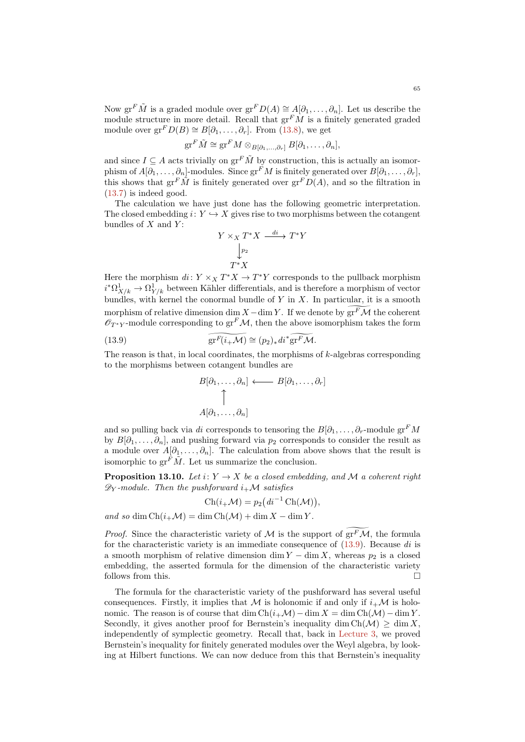$$
\operatorname{gr}^F \tilde{M} \cong \operatorname{gr}^F M \otimes_{B[\partial_1,\ldots,\partial_r]} B[\partial_1,\ldots,\partial_n],
$$

and since  $I \subseteq A$  acts trivially on  $gr^F \tilde{M}$  by construction, this is actually an isomorphism of  $A[\partial_1,\ldots,\partial_n]$ -modules. Since  $gr^F M$  is finitely generated over  $B[\partial_1,\ldots,\partial_n]$ , this shows that  $gr^F \tilde{M}$  is finitely generated over  $gr^F D(A)$ , and so the filtration in [\(13.7\)](#page-63-1) is indeed good.

The calculation we have just done has the following geometric interpretation. The closed embedding  $i: Y \hookrightarrow X$  gives rise to two morphisms between the cotangent bundles of  $X$  and  $Y$ :

$$
Y \times_X T^*X \xrightarrow{di} T^*Y
$$

$$
\downarrow^{p_2} T^*X
$$

Here the morphism  $di: Y \times_X T^*X \to T^*Y$  corresponds to the pullback morphism  $i^* \Omega^1_{X/k} \to \Omega^1_{Y/k}$  between Kähler differentials, and is therefore a morphism of vector bundles, with kernel the conormal bundle of  $Y$  in  $X$ . In particular, it is a smooth morphism of relative dimension dim  $X - \dim Y$ . If we denote by  $gr^F \mathcal{M}$  the coherent  $\mathscr{O}_{T^*Y}$ -module corresponding to  $gr^F\mathcal{M}$ , then the above isomorphism takes the form

(13.9) 
$$
\widehat{\mathrm{gr}^F(i_{+}\mathcal{M})} \cong (p_2)_* d i^* \widehat{\mathrm{gr}^F \mathcal{M}}.
$$

The reason is that, in local coordinates, the morphisms of k-algebras corresponding to the morphisms between cotangent bundles are

<span id="page-64-0"></span>
$$
B[\partial_1, \dots, \partial_n] \longleftarrow B[\partial_1, \dots, \partial_r]
$$
  
\n
$$
\uparrow
$$
  
\n
$$
A[\partial_1, \dots, \partial_n]
$$

and so pulling back via di corresponds to tensoring the  $B[\partial_1, \ldots, \partial_r]$ -module gr<sup>F</sup>M by  $B[\partial_1,\ldots,\partial_n]$ , and pushing forward via  $p_2$  corresponds to consider the result as a module over  $A[\partial_1,\ldots,\partial_n]$ . The calculation from above shows that the result is isomorphic to  $gr^F\tilde{M}$ . Let us summarize the conclusion.

<span id="page-64-1"></span>**Proposition 13.10.** Let  $i: Y \to X$  be a closed embedding, and M a coherent right  $\mathscr{D}_{\mathbf{Y}}$ -module. Then the pushforward  $i_{+}\mathcal{M}$  satisfies

$$
Ch(i_{+}\mathcal{M}) = p_2\big(\mathrm{d}i^{-1}\operatorname{Ch}(\mathcal{M})\big),
$$

and so dim  $\text{Ch}(i_+\mathcal{M}) = \dim \text{Ch}(\mathcal{M}) + \dim X - \dim Y$ .

*Proof.* Since the characteristic variety of M is the support of  $grF\mathcal{M}$ , the formula for the characteristic variety is an immediate consequence of  $(13.9)$ . Because di is a smooth morphism of relative dimension dim  $Y - \dim X$ , whereas  $p_2$  is a closed embedding, the asserted formula for the dimension of the characteristic variety follows from this.

The formula for the characteristic variety of the pushforward has several useful consequences. Firstly, it implies that M is holonomic if and only if  $i_{+}M$  is holonomic. The reason is of course that dim Ch( $i_+\mathcal{M}$ ) – dim  $X = \dim Ch(\mathcal{M}) - \dim Y$ . Secondly, it gives another proof for Bernstein's inequality dim  $Ch(\mathcal{M}) > \dim X$ . independently of symplectic geometry. Recall that, back in [Lecture 3,](#page-10-0) we proved Bernstein's inequality for finitely generated modules over the Weyl algebra, by looking at Hilbert functions. We can now deduce from this that Bernstein's inequality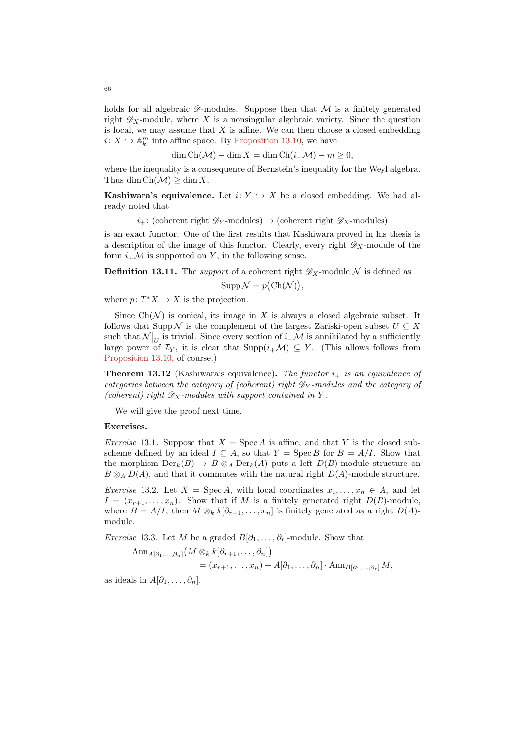holds for all algebraic  $\mathscr{D}$ -modules. Suppose then that  $\mathcal M$  is a finitely generated right  $\mathscr{D}_X$ -module, where X is a nonsingular algebraic variety. Since the question is local, we may assume that  $X$  is affine. We can then choose a closed embedding  $i: X \hookrightarrow \mathbb{A}_k^m$  into affine space. By [Proposition 13.10,](#page-64-1) we have

$$
\dim Ch(\mathcal{M}) - \dim X = \dim Ch(i_+\mathcal{M}) - m \ge 0,
$$

where the inequality is a consequence of Bernstein's inequality for the Weyl algebra. Thus dim  $Ch(\mathcal{M}) > \dim X$ .

**Kashiwara's equivalence.** Let  $i: Y \hookrightarrow X$  be a closed embedding. We had already noted that

 $i_{+}$ : (coherent right  $\mathscr{D}_{Y}$ -modules)  $\rightarrow$  (coherent right  $\mathscr{D}_{X}$ -modules)

is an exact functor. One of the first results that Kashiwara proved in his thesis is a description of the image of this functor. Clearly, every right  $\mathscr{D}_X$ -module of the form  $i_{+}\mathcal{M}$  is supported on Y, in the following sense.

**Definition 13.11.** The *support* of a coherent right  $\mathscr{D}_X$ -module N is defined as

 $\text{Supp}\,\mathcal{N}=p(\text{Ch}(\mathcal{N})),$ 

where  $p: T^*X \to X$  is the projection.

Since  $Ch(\mathcal{N})$  is conical, its image in X is always a closed algebraic subset. It follows that Supp N is the complement of the largest Zariski-open subset  $U \subseteq X$ such that  $\mathcal{N}|_{U}$  is trivial. Since every section of  $i_{+}\mathcal{M}$  is annihilated by a sufficiently large power of  $\mathcal{I}_Y$ , it is clear that  $\text{Supp}(i_+\mathcal{M}) \subseteq Y$ . (This allows follows from [Proposition 13.10,](#page-64-1) of course.)

**Theorem 13.12** (Kashiwara's equivalence). The functor  $i_{+}$  is an equivalence of categories between the category of (coherent) right  $\mathscr{D}_Y$ -modules and the category of (coherent) right  $\mathscr{D}_X$ -modules with support contained in Y.

We will give the proof next time.

## Exercises.

*Exercise* 13.1. Suppose that  $X = \text{Spec } A$  is affine, and that Y is the closed subscheme defined by an ideal  $I \subseteq A$ , so that  $Y = \text{Spec } B$  for  $B = A/I$ . Show that the morphism  $\text{Der}_k(B) \to B \otimes_A \text{Der}_k(A)$  puts a left  $D(B)$ -module structure on  $B \otimes_A D(A)$ , and that it commutes with the natural right  $D(A)$ -module structure.

Exercise 13.2. Let  $X = \text{Spec } A$ , with local coordinates  $x_1, \ldots, x_n \in A$ , and let  $I = (x_{r+1}, \ldots, x_n)$ . Show that if M is a finitely generated right  $D(B)$ -module, where  $B = A/I$ , then  $M \otimes_k k[\partial_{r+1}, \ldots, x_n]$  is finitely generated as a right  $D(A)$ module.

*Exercise* 13.3. Let M be a graded  $B[\partial_1, \ldots, \partial_r]$ -module. Show that

$$
\operatorname{Ann}_{A[\partial_1,\ldots,\partial_n]}(M \otimes_k k[\partial_{r+1},\ldots,\partial_n])
$$
  
=  $(x_{r+1},\ldots,x_n) + A[\partial_1,\ldots,\partial_n] \cdot \operatorname{Ann}_{B[\partial_1,\ldots,\partial_r]} M,$ 

as ideals in  $A[\partial_1,\ldots,\partial_n]$ .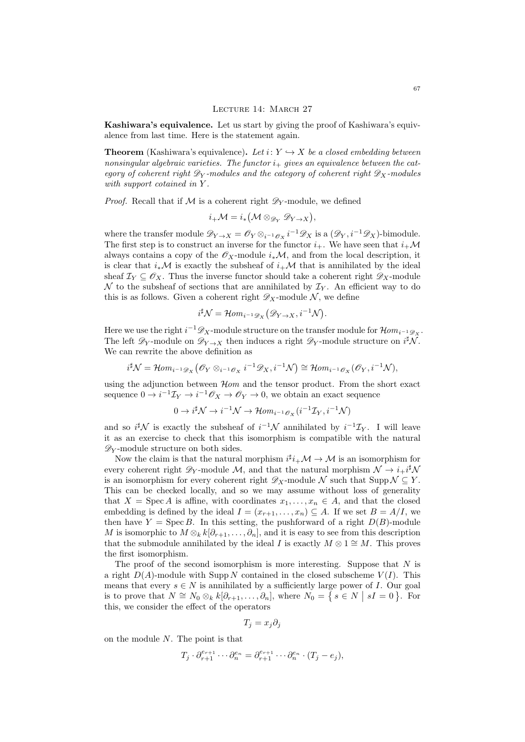## LECTURE 14: MARCH 27

Kashiwara's equivalence. Let us start by giving the proof of Kashiwara's equivalence from last time. Here is the statement again.

**Theorem** (Kashiwara's equivalence). Let  $i: Y \hookrightarrow X$  be a closed embedding between nonsingular algebraic varieties. The functor  $i_{+}$  gives an equivalence between the category of coherent right  $\mathscr{D}_Y$ -modules and the category of coherent right  $\mathscr{D}_X$ -modules with support cotained in Y.

*Proof.* Recall that if  $M$  is a coherent right  $\mathscr{D}_Y$ -module, we defined

$$
i_{+}\mathcal{M}=i_{*}(\mathcal{M}\otimes_{\mathscr{D}_{Y}}\mathscr{D}_{Y\rightarrow X}),
$$

where the transfer module  $\mathscr{D}_{Y\to X} = \mathscr{O}_Y \otimes_{i^{-1}\mathscr{O}_X} i^{-1} \mathscr{D}_X$  is a  $(\mathscr{D}_Y, i^{-1}\mathscr{D}_X)$ -bimodule. The first step is to construct an inverse for the functor  $i_{+}$ . We have seen that  $i_{+}\mathcal{M}$ always contains a copy of the  $\mathscr{O}_X$ -module  $i_*\mathcal{M}$ , and from the local description, it is clear that  $i_*\mathcal{M}$  is exactly the subsheaf of  $i_{+}\mathcal{M}$  that is annihilated by the ideal sheaf  $\mathcal{I}_Y \subseteq \mathscr{O}_X$ . Thus the inverse functor should take a coherent right  $\mathscr{D}_X$ -module  $\mathcal N$  to the subsheaf of sections that are annihilated by  $\mathcal I_Y$ . An efficient way to do this is as follows. Given a coherent right  $\mathscr{D}_X$ -module N, we define

$$
i^{\sharp}\mathcal{N}=\mathcal{H}om_{i^{-1}\mathscr{D}_X}(\mathscr{D}_{Y\to X},i^{-1}\mathcal{N}).
$$

Here we use the right  $i^{-1}\mathscr{D}_X$ -module structure on the transfer module for  $\mathcal{H} om_{i^{-1}\mathscr{D}_X}$ . The left  $\mathscr{D}_Y$ -module on  $\mathscr{D}_{Y\to X}$  then induces a right  $\mathscr{D}_Y$ -module structure on  $i^{\sharp}\mathcal{N}$ . We can rewrite the above definition as

$$
i^{\sharp} \mathcal{N} = \mathcal{H}om_{i^{-1}\mathscr{D}_X}(\mathscr{O}_Y \otimes_{i^{-1}\mathscr{O}_X} i^{-1}\mathscr{D}_X, i^{-1}\mathcal{N}) \cong \mathcal{H}om_{i^{-1}\mathscr{O}_X}(\mathscr{O}_Y, i^{-1}\mathcal{N}),
$$

using the adjunction between  $\mathcal{H}$  and the tensor product. From the short exact sequence  $0 \to i^{-1} \mathcal{I}_Y \to i^{-1} \mathcal{O}_X \to \mathcal{O}_Y \to 0$ , we obtain an exact sequence

$$
0 \to i^{\sharp} \mathcal{N} \to i^{-1} \mathcal{N} \to \mathcal{H}om_{i^{-1}\mathscr{O}_X}(i^{-1}\mathcal{I}_Y, i^{-1}\mathcal{N})
$$

and so  $i^{\sharp}\mathcal{N}$  is exactly the subsheaf of  $i^{-1}\mathcal{N}$  annihilated by  $i^{-1}\mathcal{I}_Y$ . I will leave it as an exercise to check that this isomorphism is compatible with the natural  $\mathscr{D}_Y$ -module structure on both sides.

Now the claim is that the natural morphism  $i^{\sharp}i_{+}\mathcal{M} \to \mathcal{M}$  is an isomorphism for every coherent right  $\mathscr{D}_Y$ -module M, and that the natural morphism  $\mathcal{N} \to i_+i^{\sharp} \mathcal{N}$ is an isomorphism for every coherent right  $\mathscr{D}_X$ -module N such that Supp  $\mathcal{N} \subseteq Y$ . This can be checked locally, and so we may assume without loss of generality that  $X = \text{Spec } A$  is affine, with coordinates  $x_1, \ldots, x_n \in A$ , and that the closed embedding is defined by the ideal  $I = (x_{r+1}, \ldots, x_n) \subseteq A$ . If we set  $B = A/I$ , we then have  $Y = \text{Spec } B$ . In this setting, the pushforward of a right  $D(B)$ -module M is isomorphic to  $M \otimes_k k[\partial_{r+1}, \ldots, \partial_n]$ , and it is easy to see from this description that the submodule annihilated by the ideal I is exactly  $M \otimes 1 \cong M$ . This proves the first isomorphism.

The proof of the second isomorphism is more interesting. Suppose that  $N$  is a right  $D(A)$ -module with Supp N contained in the closed subscheme  $V(I)$ . This means that every  $s \in N$  is annihilated by a sufficiently large power of I. Our goal is to prove that  $N \cong N_0 \otimes_k k[\partial_{r+1}, \ldots, \partial_n],$  where  $N_0 = \{ s \in N \mid sI = 0 \}.$  For this, we consider the effect of the operators

$$
T_j = x_j \partial_j
$$

on the module  $N$ . The point is that

$$
T_j \cdot \partial_{r+1}^{e_{r+1}} \cdots \partial_n^{e_n} = \partial_{r+1}^{e_{r+1}} \cdots \partial_n^{e_n} \cdot (T_j - e_j),
$$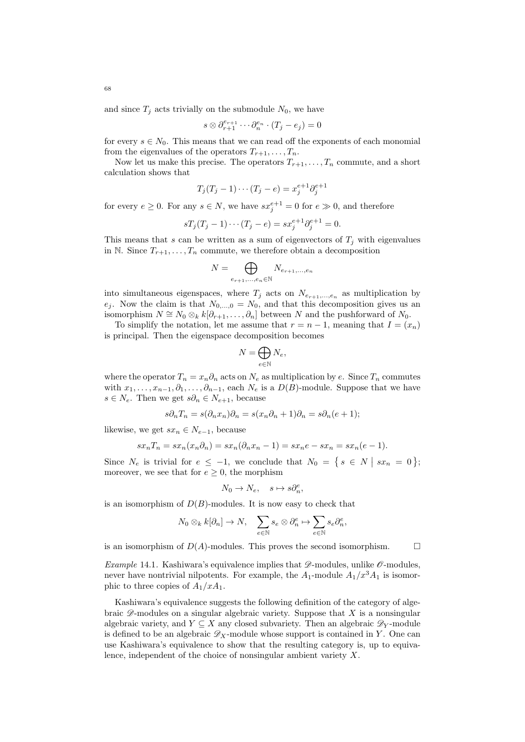and since  $T_j$  acts trivially on the submodule  $N_0$ , we have

$$
s\otimes \partial_{r+1}^{e_{r+1}}\cdots \partial_n^{e_n}\cdot (T_j-e_j)=0
$$

for every  $s \in N_0$ . This means that we can read off the exponents of each monomial from the eigenvalues of the operators  $T_{r+1}, \ldots, T_n$ .

Now let us make this precise. The operators  $T_{r+1}, \ldots, T_n$  commute, and a short calculation shows that

$$
T_j(T_j-1)\cdots(T_j-e)=x_j^{e+1}\partial_j^{e+1}
$$

for every  $e \geq 0$ . For any  $s \in N$ , we have  $sx_j^{e+1} = 0$  for  $e \gg 0$ , and therefore

$$
sT_j(T_j - 1) \cdots (T_j - e) = s x_j^{e+1} \partial_j^{e+1} = 0.
$$

This means that s can be written as a sum of eigenvectors of  $T_i$  with eigenvalues in N. Since  $T_{r+1}, \ldots, T_n$  commute, we therefore obtain a decomposition

$$
N = \bigoplus_{e_{r+1},\ldots,e_n \in \mathbb{N}} N_{e_{r+1},\ldots,e_n}
$$

into simultaneous eigenspaces, where  $T_j$  acts on  $N_{e_{r+1},...,e_n}$  as multiplication by  $e_j$ . Now the claim is that  $N_{0,\dots,0} = N_0$ , and that this decomposition gives us an isomorphism  $N \cong N_0 \otimes_k k[\partial_{r+1}, \ldots, \partial_n]$  between N and the pushforward of  $N_0$ .

To simplify the notation, let me assume that  $r = n - 1$ , meaning that  $I = (x_n)$ is principal. Then the eigenspace decomposition becomes

$$
N=\bigoplus_{e\in\mathbb{N}}N_e,
$$

where the operator  $T_n = x_n \partial_n$  acts on  $N_e$  as multiplication by e. Since  $T_n$  commutes with  $x_1, \ldots, x_{n-1}, \partial_1, \ldots, \partial_{n-1}$ , each  $N_e$  is a  $D(B)$ -module. Suppose that we have  $s \in N_e$ . Then we get  $s\partial_n \in N_{e+1}$ , because

$$
s\partial_n T_n = s(\partial_n x_n)\partial_n = s(x_n\partial_n + 1)\partial_n = s\partial_n(e+1);
$$

likewise, we get  $sx_n \in N_{e-1}$ , because

$$
sx_nT_n = sx_n(x_n\partial_n) = sx_n(\partial_nx_n - 1) = sx_ne - sx_n = sx_n(e - 1).
$$

Since  $N_e$  is trivial for  $e \leq -1$ , we conclude that  $N_0 = \{ s \in N \mid sx_n = 0 \}$ ; moreover, we see that for  $e \geq 0$ , the morphism

$$
N_0 \to N_e, \quad s \mapsto s \partial_n^e,
$$

is an isomorphism of  $D(B)$ -modules. It is now easy to check that

$$
N_0 \otimes_k k[\partial_n] \to N, \quad \sum_{e \in \mathbb{N}} s_e \otimes \partial_n^e \mapsto \sum_{e \in \mathbb{N}} s_e \partial_n^e,
$$

is an isomorphism of  $D(A)$ -modules. This proves the second isomorphism.  $\square$ 

Example 14.1. Kashiwara's equivalence implies that  $\mathscr{D}$ -modules, unlike  $\mathscr{O}$ -modules. never have nontrivial nilpotents. For example, the  $A_1$ -module  $A_1/x^3A_1$  is isomorphic to three copies of  $A_1/xA_1$ .

Kashiwara's equivalence suggests the following definition of the category of algebraic  $\mathscr{D}$ -modules on a singular algebraic variety. Suppose that X is a nonsingular algebraic variety, and  $Y \subseteq X$  any closed subvariety. Then an algebraic  $\mathscr{D}_Y$ -module is defined to be an algebraic  $\mathscr{D}_X$ -module whose support is contained in Y. One can use Kashiwara's equivalence to show that the resulting category is, up to equivalence, independent of the choice of nonsingular ambient variety X.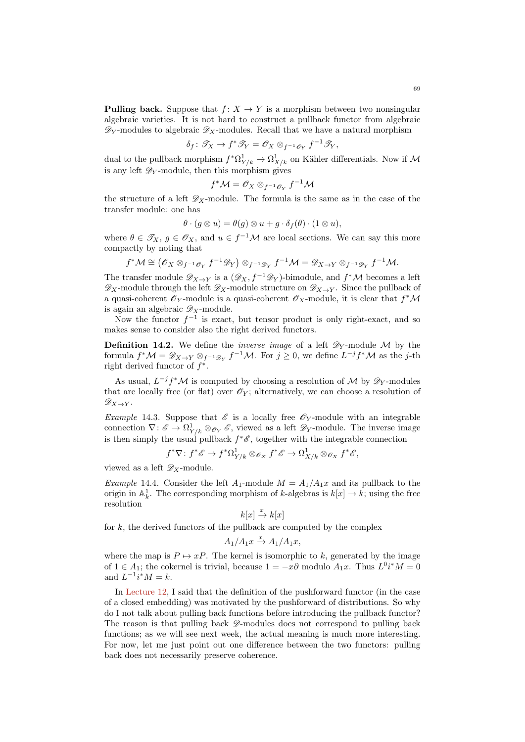$$
\delta_f\colon \mathscr{T}_X\to f^*\mathscr{T}_Y=\mathscr{O}_X\otimes_{f^{-1}\mathscr{O}_Y}f^{-1}\mathscr{T}_Y,
$$

dual to the pullback morphism  $f^* \Omega^1_{Y/k} \to \Omega^1_{X/k}$  on Kähler differentials. Now if M is any left  $\mathscr{D}_Y$ -module, then this morphism gives

$$
f^{\ast} \mathcal{M} = \mathscr{O}_X \otimes_{f^{-1} \mathscr{O}_Y} f^{-1} \mathcal{M}
$$

the structure of a left  $\mathscr{D}_X$ -module. The formula is the same as in the case of the transfer module: one has

$$
\theta \cdot (g \otimes u) = \theta(g) \otimes u + g \cdot \delta_f(\theta) \cdot (1 \otimes u),
$$

where  $\theta \in \mathscr{T}_X$ ,  $g \in \mathscr{O}_X$ , and  $u \in f^{-1}M$  are local sections. We can say this more compactly by noting that

$$
f^*\mathcal{M}\cong \left(\mathscr{O}_X\otimes_{f^{-1}\mathscr{O}_Y}f^{-1}\mathscr{D}_Y\right)\otimes_{f^{-1}\mathscr{D}_Y}f^{-1}\mathcal{M}=\mathscr{D}_{X\to Y}\otimes_{f^{-1}\mathscr{D}_Y}f^{-1}\mathcal{M}.
$$

The transfer module  $\mathscr{D}_{X\to Y}$  is a  $(\mathscr{D}_X, f^{-1}\mathscr{D}_Y)$ -bimodule, and  $f^*\mathcal{M}$  becomes a left  $\mathscr{D}_X$ -module through the left  $\mathscr{D}_X$ -module structure on  $\mathscr{D}_{X\to Y}$ . Since the pullback of a quasi-coherent  $\mathscr{O}_Y$ -module is a quasi-coherent  $\mathscr{O}_X$ -module, it is clear that  $f^*\mathcal{M}$ is again an algebraic  $\mathscr{D}_X$ -module.

Now the functor  $f^{-1}$  is exact, but tensor product is only right-exact, and so makes sense to consider also the right derived functors.

**Definition 14.2.** We define the *inverse image* of a left  $\mathscr{D}_Y$ -module M by the formula  $f^*\mathcal{M} = \mathscr{D}_{X\to Y} \otimes_{f^{-1}\mathscr{D}_Y} f^{-1}\mathcal{M}$ . For  $j \geq 0$ , we define  $L^{-j}f^*\mathcal{M}$  as the j-th right derived functor of  $f^*$ .

As usual,  $L^{-j}f^{\ast}\mathcal{M}$  is computed by choosing a resolution of  $\mathcal{M}$  by  $\mathscr{D}_{Y}$ -modules that are locally free (or flat) over  $\mathscr{O}_Y$ ; alternatively, we can choose a resolution of  $\mathscr{D}_{X\rightarrow Y}$ .

*Example* 14.3. Suppose that  $\mathscr E$  is a locally free  $\mathscr O_Y$ -module with an integrable connection  $\nabla: \mathscr{E} \to \Omega^1_{Y/k} \otimes_{\mathscr{O}_Y} \mathscr{E}$ , viewed as a left  $\mathscr{D}_Y$ -module. The inverse image is then simply the usual pullback  $f^*\mathscr{E}$ , together with the integrable connection

$$
f^*\nabla: f^*\mathscr{E} \to f^*\Omega^1_{Y/k} \otimes_{\mathscr{O}_X} f^*\mathscr{E} \to \Omega^1_{X/k} \otimes_{\mathscr{O}_X} f^*\mathscr{E},
$$

viewed as a left  $\mathscr{D}_X$ -module.

*Example* 14.4. Consider the left  $A_1$ -module  $M = A_1/A_1x$  and its pullback to the origin in  $\mathbb{A}^1_k$ . The corresponding morphism of k-algebras is  $k[x] \to k$ ; using the free resolution

$$
k[x] \xrightarrow{x} k[x]
$$

for  $k$ , the derived functors of the pullback are computed by the complex

$$
A_1/A_1x \xrightarrow{x} A_1/A_1x,
$$

where the map is  $P \mapsto xP$ . The kernel is isomorphic to k, generated by the image of  $1 \in A_1$ ; the cokernel is trivial, because  $1 = -x\partial$  modulo  $A_1x$ . Thus  $L^0i^*M = 0$ and  $L^{-1}i^*M = k$ .

In [Lecture 12,](#page-56-0) I said that the definition of the pushforward functor (in the case of a closed embedding) was motivated by the pushforward of distributions. So why do I not talk about pulling back functions before introducing the pullback functor? The reason is that pulling back  $\mathscr{D}$ -modules does not correspond to pulling back functions; as we will see next week, the actual meaning is much more interesting. For now, let me just point out one difference between the two functors: pulling back does not necessarily preserve coherence.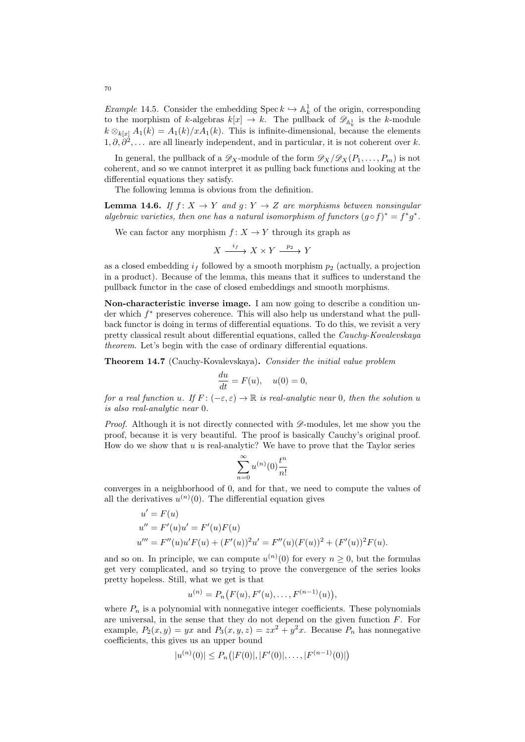Example 14.5. Consider the embedding Spec  $k \hookrightarrow \mathbb{A}^1_k$  of the origin, corresponding to the morphism of k-algebras  $k[x] \to k$ . The pullback of  $\mathscr{D}_{\mathbb{A}^1_k}$  is the k-module  $k \otimes_{k[x]} A_1(k) = A_1(k)/xA_1(k)$ . This is infinite-dimensional, because the elements  $1, \partial, \partial^2, \ldots$  are all linearly independent, and in particular, it is not coherent over k.

In general, the pullback of a  $\mathscr{D}_X$ -module of the form  $\mathscr{D}_X/\mathscr{D}_X(P_1,\ldots,P_m)$  is not coherent, and so we cannot interpret it as pulling back functions and looking at the differential equations they satisfy.

The following lemma is obvious from the definition.

**Lemma 14.6.** If  $f: X \to Y$  and  $g: Y \to Z$  are morphisms between nonsingular algebraic varieties, then one has a natural isomorphism of functors  $(g \circ f)^* = f^*g^*$ .

We can factor any morphism  $f: X \to Y$  through its graph as

$$
X \xrightarrow{i_f} X \times Y \xrightarrow{p_2} Y
$$

as a closed embedding  $i_f$  followed by a smooth morphism  $p_2$  (actually, a projection in a product). Because of the lemma, this means that it suffices to understand the pullback functor in the case of closed embeddings and smooth morphisms.

Non-characteristic inverse image. I am now going to describe a condition under which  $f^*$  preserves coherence. This will also help us understand what the pullback functor is doing in terms of differential equations. To do this, we revisit a very pretty classical result about differential equations, called the Cauchy-Kovalevskaya theorem. Let's begin with the case of ordinary differential equations.

Theorem 14.7 (Cauchy-Kovalevskaya). Consider the initial value problem

$$
\frac{du}{dt} = F(u), \quad u(0) = 0,
$$

for a real function u. If  $F: (-\varepsilon, \varepsilon) \to \mathbb{R}$  is real-analytic near 0, then the solution u is also real-analytic near 0.

*Proof.* Although it is not directly connected with  $\mathscr{D}$ -modules, let me show you the proof, because it is very beautiful. The proof is basically Cauchy's original proof. How do we show that  $u$  is real-analytic? We have to prove that the Taylor series

$$
\sum_{n=0}^{\infty} u^{(n)}(0) \frac{t^n}{n!}
$$

converges in a neighborhood of 0, and for that, we need to compute the values of all the derivatives  $u^{(n)}(0)$ . The differential equation gives

 $\mathbf{v} = \mathbf{v}$ 

$$
u' = F(u)
$$
  
\n
$$
u'' = F'(u)u' = F'(u)F(u)
$$
  
\n
$$
u''' = F''(u)u'F(u) + (F'(u))^2u' = F''(u)(F(u))^2 + (F'(u))^2F(u).
$$

and so on. In principle, we can compute  $u^{(n)}(0)$  for every  $n \geq 0$ , but the formulas get very complicated, and so trying to prove the convergence of the series looks pretty hopeless. Still, what we get is that

$$
u^{(n)} = P_n(F(u), F'(u), \dots, F^{(n-1)}(u)),
$$

where  $P_n$  is a polynomial with nonnegative integer coefficients. These polynomials are universal, in the sense that they do not depend on the given function  $F$ . For example,  $P_2(x,y) = yx$  and  $P_3(x,y,z) = zx^2 + y^2x$ . Because  $P_n$  has nonnegative coefficients, this gives us an upper bound

$$
|u^{(n)}(0)| \le P_n(|F(0)|, |F'(0)|, \dots, |F^{(n-1)}(0)|)
$$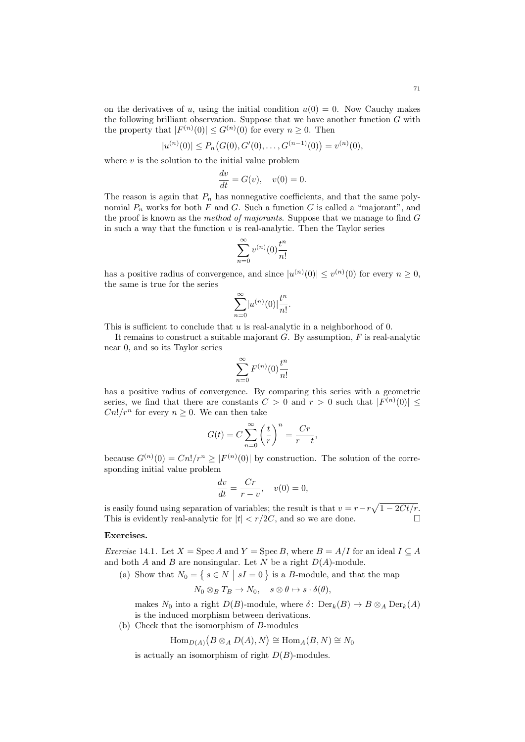$$
|u^{(n)}(0)| \le P_n(G(0), G'(0), \ldots, G^{(n-1)}(0)) = v^{(n)}(0),
$$

where  $v$  is the solution to the initial value problem

$$
\frac{dv}{dt} = G(v), \quad v(0) = 0.
$$

The reason is again that  $P_n$  has nonnegative coefficients, and that the same polynomial  $P_n$  works for both F and G. Such a function G is called a "majorant", and the proof is known as the method of majorants. Suppose that we manage to find  $G$ in such a way that the function  $v$  is real-analytic. Then the Taylor series

$$
\sum_{n=0}^{\infty} v^{(n)}(0) \frac{t^n}{n!}
$$

has a positive radius of convergence, and since  $|u^{(n)}(0)| \le v^{(n)}(0)$  for every  $n \ge 0$ , the same is true for the series

$$
\sum_{n=0}^{\infty} |u^{(n)}(0)| \frac{t^n}{n!}.
$$

This is sufficient to conclude that u is real-analytic in a neighborhood of 0.

It remains to construct a suitable majorant  $G$ . By assumption,  $F$  is real-analytic near 0, and so its Taylor series

$$
\sum_{n=0}^{\infty} F^{(n)}(0) \frac{t^n}{n!}
$$

has a positive radius of convergence. By comparing this series with a geometric series, we find that there are constants  $C > 0$  and  $r > 0$  such that  $|F^{(n)}(0)| \leq$  $Cn!/r^n$  for every  $n \geq 0$ . We can then take

$$
G(t) = C \sum_{n=0}^{\infty} \left(\frac{t}{r}\right)^n = \frac{Cr}{r-t},
$$

because  $G^{(n)}(0) = Cn!/r^n \geq |F^{(n)}(0)|$  by construction. The solution of the corresponding initial value problem

$$
\frac{dv}{dt} = \frac{Cr}{r - v}, \quad v(0) = 0,
$$

is easily found using separation of variables; the result is that  $v = r - r\sqrt{1 - 2Ct/r}$ . This is evidently real-analytic for  $|t| < r/2C$ , and so we are done.

## Exercises.

Exercise 14.1. Let  $X = \text{Spec } A$  and  $Y = \text{Spec } B$ , where  $B = A/I$  for an ideal  $I \subseteq A$ and both  $A$  and  $B$  are nonsingular. Let  $N$  be a right  $D(A)$ -module.

(a) Show that  $N_0 = \{ s \in N \mid sI = 0 \}$  is a B-module, and that the map

$$
N_0\otimes_B T_B\to N_0,\quad s\otimes\theta\mapsto s\cdot\delta(\theta),
$$

makes  $N_0$  into a right  $D(B)$ -module, where  $\delta$ :  $\text{Der}_k(B) \to B \otimes_A \text{Der}_k(A)$ is the induced morphism between derivations.

(b) Check that the isomorphism of B-modules

 $\text{Hom}_{D(A)}(B \otimes_A D(A), N) \cong \text{Hom}_A(B, N) \cong N_0$ 

is actually an isomorphism of right  $D(B)$ -modules.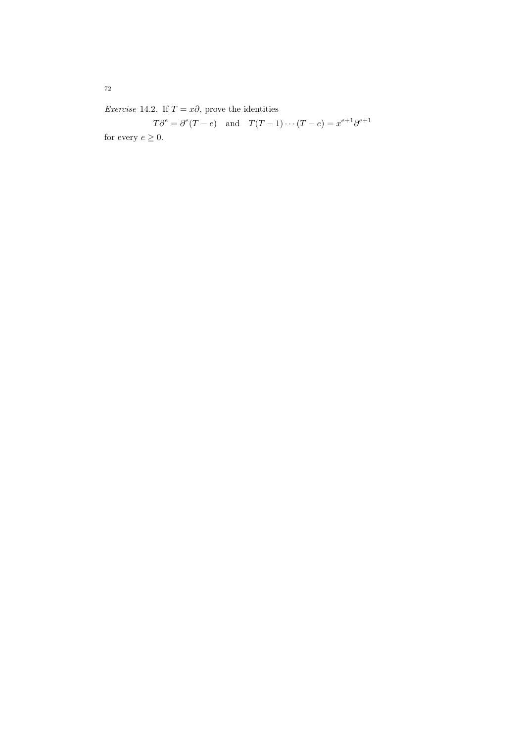Exercise 14.2. If  $T = x\partial$ , prove the identities

 $T\partial^e = \partial^e(T-e)$  and  $T(T-1)\cdots(T-e) = x^{e+1}\partial^{e+1}$ for every  $e\geq 0.$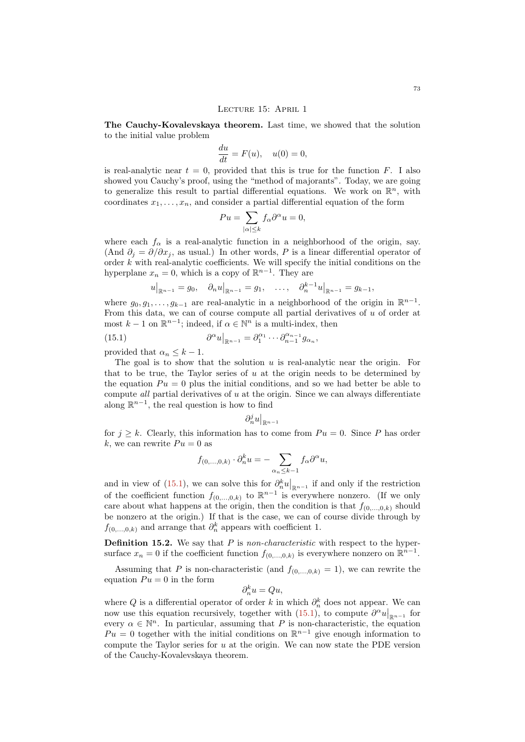#### LECTURE 15: APRIL 1

The Cauchy-Kovalevskaya theorem. Last time, we showed that the solution to the initial value problem

$$
\frac{du}{dt} = F(u), \quad u(0) = 0,
$$

is real-analytic near  $t = 0$ , provided that this is true for the function F. I also showed you Cauchy's proof, using the "method of majorants". Today, we are going to generalize this result to partial differential equations. We work on  $\mathbb{R}^n$ , with coordinates  $x_1, \ldots, x_n$ , and consider a partial differential equation of the form

$$
Pu = \sum_{|\alpha| \le k} f_{\alpha} \partial^{\alpha} u = 0,
$$

where each  $f_{\alpha}$  is a real-analytic function in a neighborhood of the origin, say. (And  $\partial_i = \partial/\partial x_i$ , as usual.) In other words, P is a linear differential operator of order  $k$  with real-analytic coefficients. We will specify the initial conditions on the hyperplane  $x_n = 0$ , which is a copy of  $\mathbb{R}^{n-1}$ . They are

<span id="page-72-0"></span>
$$
u|_{\mathbb{R}^{n-1}} = g_0
$$
,  $\partial_n u|_{\mathbb{R}^{n-1}} = g_1$ , ...,  $\partial_n^{k-1} u|_{\mathbb{R}^{n-1}} = g_{k-1}$ ,

where  $g_0, g_1, \ldots, g_{k-1}$  are real-analytic in a neighborhood of the origin in  $\mathbb{R}^{n-1}$ . From this data, we can of course compute all partial derivatives of u of order at most  $k-1$  on  $\mathbb{R}^{n-1}$ ; indeed, if  $\alpha \in \mathbb{N}^n$  is a multi-index, then

(15.1) 
$$
\partial^{\alpha} u|_{\mathbb{R}^{n-1}} = \partial_1^{\alpha_1} \cdots \partial_{n-1}^{\alpha_{n-1}} g_{\alpha_n},
$$

provided that  $\alpha_n \leq k-1$ .

The goal is to show that the solution  $u$  is real-analytic near the origin. For that to be true, the Taylor series of  $u$  at the origin needs to be determined by the equation  $Pu = 0$  plus the initial conditions, and so we had better be able to compute all partial derivatives of  $u$  at the origin. Since we can always differentiate along  $\mathbb{R}^{n-1}$ , the real question is how to find

$$
\partial^j_n u\big|_{\mathbb{R}^{n-1}}
$$

for  $j \geq k$ . Clearly, this information has to come from  $Pu = 0$ . Since P has order k, we can rewrite  $Pu = 0$  as

$$
f_{(0,\ldots,0,k)} \cdot \partial_n^k u = - \sum_{\alpha_n \le k-1} f_\alpha \partial^\alpha u,
$$

and in view of [\(15.1\)](#page-72-0), we can solve this for  $\partial_n^k u|_{\mathbb{R}^{n-1}}$  if and only if the restriction of the coefficient function  $f_{(0,...,0,k)}$  to  $\mathbb{R}^{n-1}$  is everywhere nonzero. (If we only care about what happens at the origin, then the condition is that  $f_{(0,\ldots,0,k)}$  should be nonzero at the origin.) If that is the case, we can of course divide through by  $f_{(0,...,0,k)}$  and arrange that  $\partial_n^k$  appears with coefficient 1.

**Definition 15.2.** We say that  $P$  is non-characteristic with respect to the hypersurface  $x_n = 0$  if the coefficient function  $f_{(0,...,0,k)}$  is everywhere nonzero on  $\mathbb{R}^{n-1}$ .

Assuming that P is non-characteristic (and  $f_{(0,...,0,k)} = 1$ ), we can rewrite the equation  $Pu = 0$  in the form

$$
\partial_n^k u = Qu,
$$

where Q is a differential operator of order k in which  $\partial_n^k$  does not appear. We can now use this equation recursively, together with  $(15.1)$ , to compute  $\partial^{\alpha}u|_{\mathbb{R}^{n-1}}$  for every  $\alpha \in \mathbb{N}^n$ . In particular, assuming that P is non-characteristic, the equation  $Pu = 0$  together with the initial conditions on  $\mathbb{R}^{n-1}$  give enough information to compute the Taylor series for  $u$  at the origin. We can now state the PDE version of the Cauchy-Kovalevskaya theorem.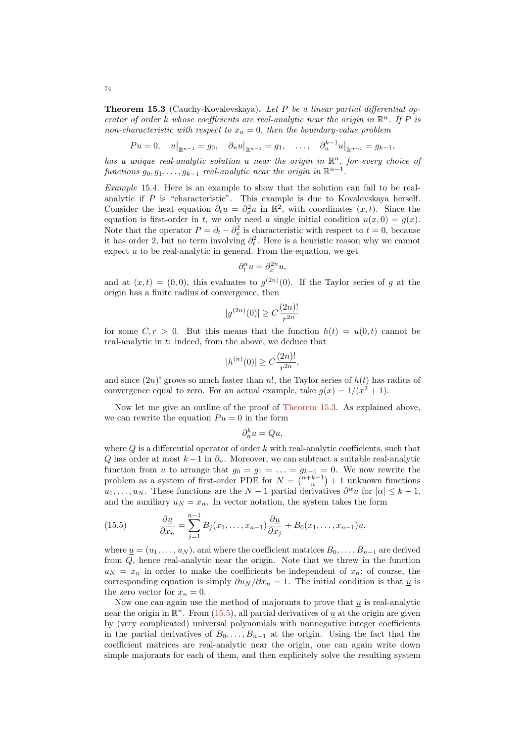<span id="page-73-0"></span>Theorem 15.3 (Cauchy-Kovalevskaya). Let P be a linear partial differential operator of order k whose coefficients are real-analytic near the origin in  $\mathbb{R}^n$ . If P is non-characteristic with respect to  $x_n = 0$ , then the boundary-value problem

$$
Pu = 0
$$
,  $u|_{\mathbb{R}^{n-1}} = g_0$ ,  $\partial_n u|_{\mathbb{R}^{n-1}} = g_1$ , ...,  $\partial_n^{k-1} u|_{\mathbb{R}^{n-1}} = g_{k-1}$ ,

has a unique real-analytic solution u near the origin in  $\mathbb{R}^n$ , for every choice of  $\emph{functions }~ g_0, g_1, \ldots, g_{k-1} ~\emph{real-analytic near the origin in} ~\mathbb{R}^{n-1}.$ 

Example 15.4. Here is an example to show that the solution can fail to be realanalytic if P is "characteristic". This example is due to Kovalevskaya herself. Consider the heat equation  $\partial_t u = \partial_x^2 u$  in  $\mathbb{R}^2$ , with coordinates  $(x, t)$ . Since the equation is first-order in t, we only need a single initial condition  $u(x, 0) = g(x)$ . Note that the operator  $P = \partial_t - \partial_x^2$  is characteristic with respect to  $t = 0$ , because it has order 2, but no term involving  $\partial_t^2$ . Here is a heuristic reason why we cannot expect  $u$  to be real-analytic in general. From the equation, we get

$$
\partial_t^n u = \partial_x^{2n} u,
$$

and at  $(x,t) = (0,0)$ , this evaluates to  $g^{(2n)}(0)$ . If the Taylor series of g at the origin has a finite radius of convergence, then

$$
|g^{(2n)}(0)| \ge C \frac{(2n)!}{r^{2n}}
$$

for some  $C, r > 0$ . But this means that the function  $h(t) = u(0, t)$  cannot be real-analytic in t: indeed, from the above, we deduce that

$$
|h^{(n)}(0)| \ge C\frac{(2n)!}{r^{2n}},
$$

and since  $(2n)!$  grows so much faster than n!, the Taylor series of  $h(t)$  has radius of convergence equal to zero. For an actual example, take  $g(x) = 1/(x^2 + 1)$ .

Now let me give an outline of the proof of [Theorem 15.3.](#page-73-0) As explained above, we can rewrite the equation  $Pu = 0$  in the form

$$
\partial_n^k u = Qu,
$$

where  $Q$  is a differential operator of order  $k$  with real-analytic coefficients, such that Q has order at most  $k-1$  in  $\partial_n$ . Moreover, we can subtract a suitable real-analytic function from u to arrange that  $g_0 = g_1 = \ldots = g_{k-1} = 0$ . We now rewrite the problem as a system of first-order PDE for  $N = \binom{n+k-1}{n} + 1$  unknown functions  $u_1, \ldots, u_N$ . These functions are the  $N-1$  partial derivatives  $\partial^\alpha u$  for  $|\alpha| \leq k-1$ , and the auxiliary  $u_N = x_n$ . In vector notation, the system takes the form

<span id="page-73-1"></span>(15.5) 
$$
\frac{\partial \underline{u}}{\partial x_n} = \sum_{j=1}^{n-1} B_j(x_1, \dots, x_{n-1}) \frac{\partial \underline{u}}{\partial x_j} + B_0(x_1, \dots, x_{n-1}) \underline{u},
$$

where  $u = (u_1, \ldots, u_N)$ , and where the coefficient matrices  $B_0, \ldots, B_{n-1}$  are derived from Q, hence real-analytic near the origin. Note that we threw in the function  $u_N = x_n$  in order to make the coefficients be independent of  $x_n$ ; of course, the corresponding equation is simply  $\partial u_N / \partial x_n = 1$ . The initial condition is that  $\underline{u}$  is the zero vector for  $x_n = 0$ .

Now one can again use the method of majorants to prove that  $u$  is real-analytic near the origin in  $\mathbb{R}^n$ . From [\(15.5\)](#page-73-1), all partial derivatives of  $\underline{u}$  at the origin are given by (very complicated) universal polynomials with nonnegative integer coefficients in the partial derivatives of  $B_0, \ldots, B_{n-1}$  at the origin. Using the fact that the coefficient matrices are real-analytic near the origin, one can again write down simple majorants for each of them, and then explicitely solve the resulting system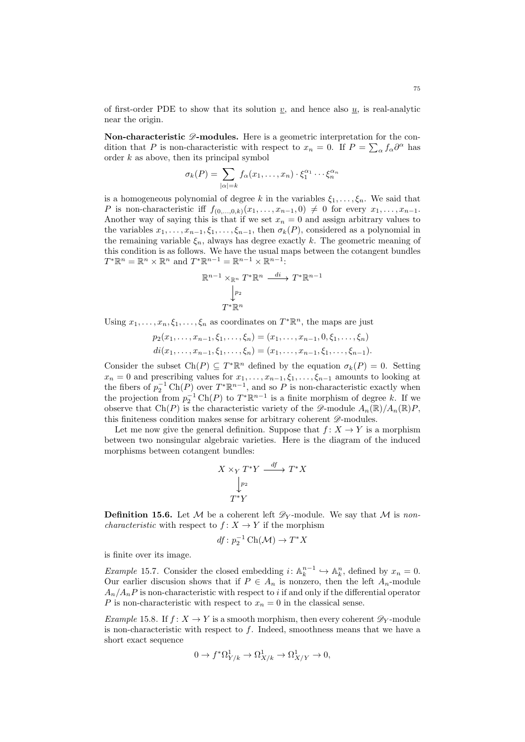of first-order PDE to show that its solution  $v$ , and hence also  $u$ , is real-analytic near the origin.

Non-characteristic  $\mathscr{D}$ -modules. Here is a geometric interpretation for the condition that P is non-characteristic with respect to  $x_n = 0$ . If  $P = \sum_{\alpha} f_{\alpha} \partial^{\alpha}$  has order  $k$  as above, then its principal symbol

$$
\sigma_k(P) = \sum_{|\alpha|=k} f_{\alpha}(x_1,\ldots,x_n) \cdot \xi_1^{\alpha_1} \cdots \xi_n^{\alpha_n}
$$

is a homogeneous polynomial of degree k in the variables  $\xi_1, \ldots, \xi_n$ . We said that P is non-characteristic iff  $f_{(0,\ldots,0,k)}(x_1,\ldots,x_{n-1},0) \neq 0$  for every  $x_1,\ldots,x_{n-1}$ . Another way of saying this is that if we set  $x_n = 0$  and assign arbitrary values to the variables  $x_1, \ldots, x_{n-1}, \xi_1, \ldots, \xi_{n-1}$ , then  $\sigma_k(P)$ , considered as a polynomial in the remaining variable  $\xi_n$ , always has degree exactly k. The geometric meaning of this condition is as follows. We have the usual maps between the cotangent bundles  $T^*\mathbb{R}^n = \mathbb{R}^n \times \mathbb{R}^n$  and  $T^*\mathbb{R}^{n-1} = \mathbb{R}^{n-1} \times \mathbb{R}^{n-1}$ :

$$
\mathbb{R}^{n-1} \times_{\mathbb{R}^n} T^* \mathbb{R}^n \xrightarrow{di} T^* \mathbb{R}^{n-1}
$$

$$
\downarrow^{p_2}
$$

$$
T^* \mathbb{R}^n
$$

Using  $x_1, \ldots, x_n, \xi_1, \ldots, \xi_n$  as coordinates on  $T^* \mathbb{R}^n$ , the maps are just

$$
p_2(x_1, \ldots, x_{n-1}, \xi_1, \ldots, \xi_n) = (x_1, \ldots, x_{n-1}, 0, \xi_1, \ldots, \xi_n)
$$
  

$$
di(x_1, \ldots, x_{n-1}, \xi_1, \ldots, \xi_n) = (x_1, \ldots, x_{n-1}, \xi_1, \ldots, \xi_{n-1}).
$$

Consider the subset  $Ch(P) \subseteq T^*\mathbb{R}^n$  defined by the equation  $\sigma_k(P) = 0$ . Setting  $x_n = 0$  and prescribing values for  $x_1, \ldots, x_{n-1}, \xi_1, \ldots, \xi_{n-1}$  amounts to looking at the fibers of  $p_2^{-1} \text{Ch}(P)$  over  $T^* \mathbb{R}^{n-1}$ , and so P is non-characteristic exactly when the projection from  $p_2^{-1} \text{Ch}(P)$  to  $T^* \mathbb{R}^{n-1}$  is a finite morphism of degree k. If we observe that Ch(P) is the characteristic variety of the  $\mathscr{D}\text{-module }A_n(\mathbb{R})/A_n(\mathbb{R})P$ , this finiteness condition makes sense for arbitrary coherent  $\mathscr{D}\text{-modules.}$ 

Let me now give the general definition. Suppose that  $f: X \to Y$  is a morphism between two nonsingular algebraic varieties. Here is the diagram of the induced morphisms between cotangent bundles:

$$
X \times_Y T^*Y \xrightarrow{df} T^*X
$$

$$
\downarrow_{P_2} T^*Y
$$

**Definition 15.6.** Let M be a coherent left  $\mathscr{D}_Y$ -module. We say that M is non*characteristic* with respect to  $f: X \to Y$  if the morphism

$$
df: p_2^{-1} \operatorname{Ch}(\mathcal{M}) \to T^*X
$$

is finite over its image.

*Example* 15.7. Consider the closed embedding  $i: \mathbb{A}_k^{n-1} \hookrightarrow \mathbb{A}_k^n$ , defined by  $x_n = 0$ . Our earlier discusion shows that if  $P \in A_n$  is nonzero, then the left  $A_n$ -module  $A_n/A_nP$  is non-characteristic with respect to i if and only if the differential operator P is non-characteristic with respect to  $x_n = 0$  in the classical sense.

*Example* 15.8. If  $f: X \to Y$  is a smooth morphism, then every coherent  $\mathscr{D}_Y$ -module is non-characteristic with respect to  $f$ . Indeed, smoothness means that we have a short exact sequence

$$
0 \to f^* \Omega^1_{Y/k} \to \Omega^1_{X/k} \to \Omega^1_{X/Y} \to 0,
$$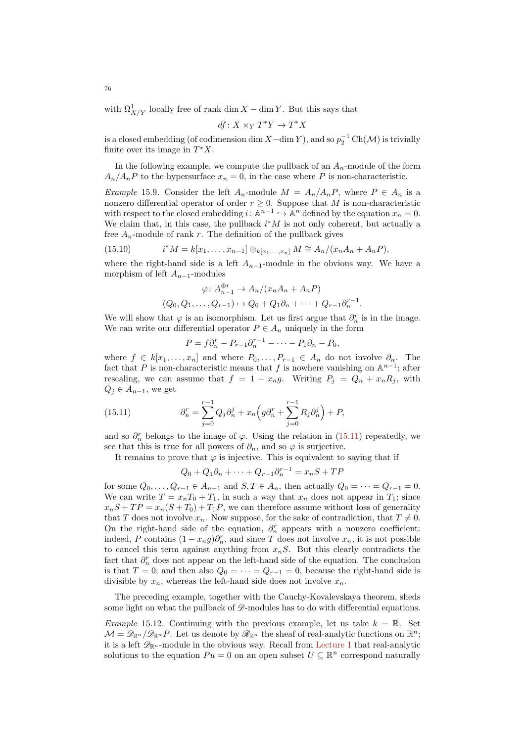with  $\Omega^1_{X/Y}$  locally free of rank dim X – dim Y. But this says that

$$
df: X \times_Y T^*Y \to T^*X
$$

is a closed embedding (of codimension dim  $X-\dim Y$ ), and so  $p_2^{-1}\operatorname{Ch}(\mathcal{M})$  is trivially finite over its image in  $T^*X$ .

In the following example, we compute the pullback of an  $A_n$ -module of the form  $A_n/A_nP$  to the hypersurface  $x_n = 0$ , in the case where P is non-characteristic.

*Example* 15.9. Consider the left  $A_n$ -module  $M = A_n/A_nP$ , where  $P \in A_n$  is a nonzero differential operator of order  $r \geq 0$ . Suppose that M is non-characteristic with respect to the closed embedding  $i: \mathbb{A}^{n-1} \hookrightarrow \mathbb{A}^n$  defined by the equation  $x_n = 0$ . We claim that, in this case, the pullback  $i^*M$  is not only coherent, but actually a free  $A_n$ -module of rank r. The definition of the pullback gives

(15.10) 
$$
i^*M = k[x_1, ..., x_{n-1}] \otimes_{k[x_1, ..., x_n]} M \cong A_n/(x_nA_n + A_nP),
$$

where the right-hand side is a left  $A_{n-1}$ -module in the obvious way. We have a morphism of left  $A_{n-1}$ -modules

$$
\varphi: A_{n-1}^{\oplus r} \to A_n/(x_n A_n + A_n P)
$$
  

$$
(Q_0, Q_1, \dots, Q_{r-1}) \mapsto Q_0 + Q_1 \partial_n + \dots + Q_{r-1} \partial_n^{r-1}.
$$

We will show that  $\varphi$  is an isomorphism. Let us first argue that  $\partial_n^r$  is in the image. We can write our differential operator  $P \in A_n$  uniquely in the form

$$
P = f\partial_n^r - P_{r-1}\partial_n^{r-1} - \cdots - P_1\partial_n - P_0,
$$

where  $f \in k[x_1, \ldots, x_n]$  and where  $P_0, \ldots, P_{r-1} \in A_n$  do not involve  $\partial_n$ . The fact that P is non-characteristic means that f is nowhere vanishing on  $\mathbb{A}^{n-1}$ ; after rescaling, we can assume that  $f = 1 - x_n g$ . Writing  $P_j = Q_n + x_n R_j$ , with  $Q_j \in A_{n-1}$ , we get

(15.11) 
$$
\partial_n^r = \sum_{j=0}^{r-1} Q_j \partial_n^j + x_n \left( g \partial_n^r + \sum_{j=0}^{r-1} R_j \partial_n^j \right) + P,
$$

and so  $\partial_n^r$  belongs to the image of  $\varphi$ . Using the relation in [\(15.11\)](#page-75-0) repeatedly, we see that this is true for all powers of  $\partial_n$ , and so  $\varphi$  is surjective.

It remains to prove that  $\varphi$  is injective. This is equivalent to saying that if

<span id="page-75-0"></span>
$$
Q_0 + Q_1 \partial_n + \dots + Q_{r-1} \partial_n^{r-1} = x_n S + T P
$$

for some  $Q_0, \ldots, Q_{r-1} \in A_{n-1}$  and  $S, T \in A_n$ , then actually  $Q_0 = \cdots = Q_{r-1} = 0$ . We can write  $T = x_n T_0 + T_1$ , in such a way that  $x_n$  does not appear in  $T_1$ ; since  $x_nS + TP = x_n(S + T_0) + T_1P$ , we can therefore assume without loss of generality that T does not involve  $x_n$ . Now suppose, for the sake of contradiction, that  $T \neq 0$ . On the right-hand side of the equation,  $\partial_n^r$  appears with a nonzero coefficient: indeed, P contains  $(1 - x_n g)\partial_n^r$ , and since T does not involve  $x_n$ , it is not possible to cancel this term against anything from  $x_nS$ . But this clearly contradicts the fact that  $\partial_n^r$  does not appear on the left-hand side of the equation. The conclusion is that  $T = 0$ ; and then also  $Q_0 = \cdots = Q_{r-1} = 0$ , because the right-hand side is divisible by  $x_n$ , whereas the left-hand side does not involve  $x_n$ .

The preceding example, together with the Cauchy-Kovalevskaya theorem, sheds some light on what the pullback of  $\mathscr{D}$ -modules has to do with differential equations.

<span id="page-75-1"></span>*Example* 15.12. Continuing with the previous example, let us take  $k = \mathbb{R}$ . Set  $\mathcal{M} = \mathscr{D}_{\mathbb{R}^n}/\mathscr{D}_{\mathbb{R}^n}P$ . Let us denote by  $\mathscr{R}_{\mathbb{R}^n}$  the sheaf of real-analytic functions on  $\mathbb{R}^n$ ; it is a left  $\mathscr{D}_{\mathbb{R}^n}$ -module in the obvious way. Recall from [Lecture 1](#page-0-0) that real-analytic solutions to the equation  $Pu = 0$  on an open subset  $U \subseteq \mathbb{R}^n$  correspond naturally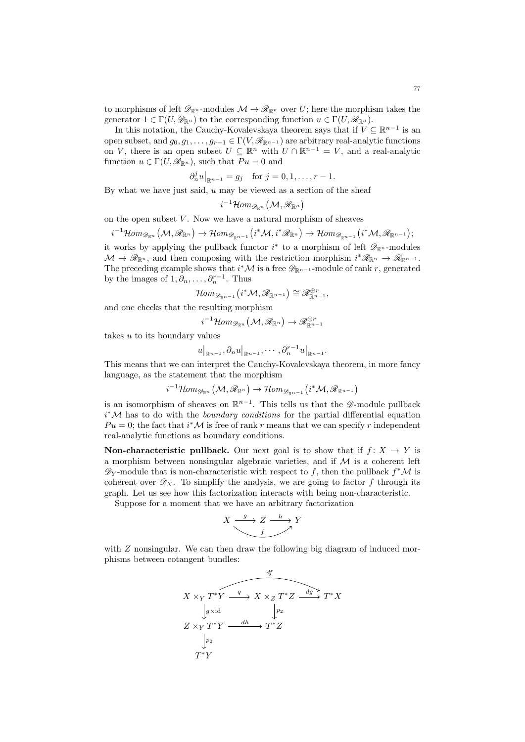to morphisms of left  $\mathscr{D}_{\mathbb{R}^n}$ -modules  $\mathcal{M} \to \mathscr{R}_{\mathbb{R}^n}$  over U; here the morphism takes the generator  $1 \in \Gamma(U, \mathscr{D}_{\mathbb{R}^n})$  to the corresponding function  $u \in \Gamma(U, \mathscr{R}_{\mathbb{R}^n})$ .

In this notation, the Cauchy-Kovalevskaya theorem says that if  $V \subseteq \mathbb{R}^{n-1}$  is an open subset, and  $g_0, g_1, \ldots, g_{r-1} \in \Gamma(V, \mathscr{R}_{\mathbb{R}^{n-1}})$  are arbitrary real-analytic functions on V, there is an open subset  $U \subseteq \mathbb{R}^n$  with  $U \cap \mathbb{R}^{n-1} = V$ , and a real-analytic function  $u \in \Gamma(U, \mathscr{R}_{\mathbb{R}^n})$ , such that  $Pu = 0$  and

$$
\partial_n^j u|_{\mathbb{R}^{n-1}} = g_j
$$
 for  $j = 0, 1, ..., r - 1$ .

By what we have just said,  $u$  may be viewed as a section of the sheaf

$$
i^{-1}\mathcal{H}\hspace{-1pt}\mathit{om}_{\mathscr{D}_{\mathbb{R}^n}}\hspace{0.04cm}\big(\mathcal{M},\mathscr{R}_{\mathbb{R}^n}\big)
$$

on the open subset  $V$ . Now we have a natural morphism of sheaves

$$
i^{-1}\mathcal{H}om_{\mathscr{D}_{\mathbb{R}^n}}(\mathcal{M},\mathscr{R}_{\mathbb{R}^n})\rightarrow \mathcal{H}om_{\mathscr{D}_{\mathbb{R}^{n-1}}}(i^*\mathcal{M},i^*\mathscr{R}_{\mathbb{R}^n})\rightarrow \mathcal{H}om_{\mathscr{D}_{\mathbb{R}^{n-1}}}(i^*\mathcal{M},\mathscr{R}_{\mathbb{R}^{n-1}});
$$

it works by applying the pullback functor  $i^*$  to a morphism of left  $\mathscr{D}_{\mathbb{R}^n}$ -modules  $\mathcal{M} \to \mathscr{R}_{\mathbb{R}^n}$ , and then composing with the restriction morphism  $i^*\mathscr{R}_{\mathbb{R}^n} \to \mathscr{R}_{\mathbb{R}^{n-1}}$ . The preceding example shows that  $i^*M$  is a free  $\mathscr{D}_{\mathbb{R}^{n-1}}$ -module of rank r, generated by the images of  $1, \partial_n, \ldots, \partial_n^{r-1}$ . Thus

$$
\mathcal{H}om_{\mathscr{D}_{\mathbb{R}^{n-1}}}(i^*\mathcal{M},\mathscr{R}_{\mathbb{R}^{n-1}}) \cong \mathscr{R}_{\mathbb{R}^{n-1}}^{\oplus r},
$$

and one checks that the resulting morphism

i

$$
^{-1}\mathcal{H}om_{\mathscr{D}_{\mathbb{R}^n}}\left(\mathcal{M},\mathscr{R}_{\mathbb{R}^n}\right)\rightarrow \mathscr{R}_{\mathbb{R}^{n-1}}^{\oplus r}
$$

takes  $u$  to its boundary values

$$
u\big|_{\mathbb{R}^{n-1}}, \partial_n u\big|_{\mathbb{R}^{n-1}}, \cdots, \partial_n^{r-1} u\big|_{\mathbb{R}^{n-1}}.
$$

This means that we can interpret the Cauchy-Kovalevskaya theorem, in more fancy language, as the statement that the morphism

$$
i^{-1}\mathcal{H}om_{\mathscr{D}_{\mathbb{R}^n}}(\mathcal{M},\mathscr{R}_{\mathbb{R}^n})\to \mathcal{H}om_{\mathscr{D}_{\mathbb{R}^{n-1}}}(i^*\mathcal{M},\mathscr{R}_{\mathbb{R}^{n-1}})
$$

is an isomorphism of sheaves on  $\mathbb{R}^{n-1}$ . This tells us that the  $\mathscr{D}$ -module pullback  $i^*$ M has to do with the *boundary conditions* for the partial differential equation  $Pu = 0$ ; the fact that  $i^*M$  is free of rank r means that we can specify r independent real-analytic functions as boundary conditions.

**Non-characteristic pullback.** Our next goal is to show that if  $f: X \rightarrow Y$  is a morphism between nonsingular algebraic varieties, and if  $\mathcal M$  is a coherent left  $\mathscr{D}_Y$ -module that is non-characteristic with respect to f, then the pullback  $f^*\mathcal{M}$  is coherent over  $\mathscr{D}_X$ . To simplify the analysis, we are going to factor f through its graph. Let us see how this factorization interacts with being non-characteristic.

Suppose for a moment that we have an arbitrary factorization

$$
X \xrightarrow{g} Z \xrightarrow{h} Y
$$

with  $Z$  nonsingular. We can then draw the following big diagram of induced morphisms between cotangent bundles:

$$
X \times_Y T^*Y \xrightarrow{q} X \times_Z T^*Z \xrightarrow{dg} T^*X
$$
  
\n
$$
Z \times_Y T^*Y \xrightarrow{dh} T^*Z
$$
  
\n
$$
\downarrow p_2
$$
  
\n
$$
T^*Y
$$
  
\n
$$
T^*Y
$$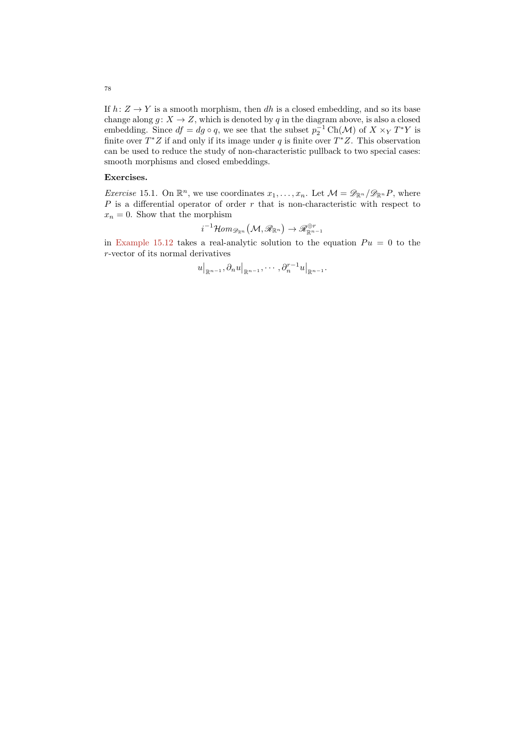If  $h: Z \to Y$  is a smooth morphism, then dh is a closed embedding, and so its base change along  $g: X \to Z$ , which is denoted by q in the diagram above, is also a closed embedding. Since  $df = dg \circ q$ , we see that the subset  $p_2^{-1} \text{Ch}(\mathcal{M})$  of  $X \times_Y T^*Y$  is finite over  $T^*Z$  if and only if its image under q is finite over  $T^*Z$ . This observation can be used to reduce the study of non-characteristic pullback to two special cases: smooth morphisms and closed embeddings.

# Exercises.

*Exercise* 15.1. On  $\mathbb{R}^n$ , we use coordinates  $x_1, \ldots, x_n$ . Let  $\mathcal{M} = \mathscr{D}_{\mathbb{R}^n}/\mathscr{D}_{\mathbb{R}^n}P$ , where  $P$  is a differential operator of order  $r$  that is non-characteristic with respect to  $x_n = 0$ . Show that the morphism

$$
i^{-1}\mathcal{H}\hspace{-1pt}\mathit{om}_{\mathscr{D}_{\mathbb{R}^n}}\big(\mathcal{M},\mathscr{R}_{\mathbb{R}^n}\big)\rightarrow \mathscr{R}_{\mathbb{R}^{n-1}}^{\oplus r}
$$

in [Example 15.12](#page-75-1) takes a real-analytic solution to the equation  $Pu = 0$  to the r-vector of its normal derivatives

$$
u\big|_{\mathbb{R}^{n-1}}, \partial_n u\big|_{\mathbb{R}^{n-1}}, \cdots, \partial_n^{r-1} u\big|_{\mathbb{R}^{n-1}}.
$$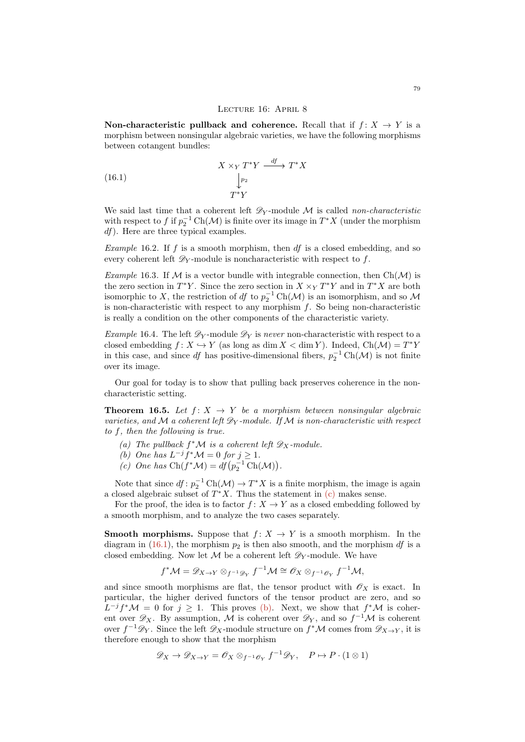#### <span id="page-78-1"></span>LECTURE 16: APRIL 8

Non-characteristic pullback and coherence. Recall that if  $f: X \to Y$  is a morphism between nonsingular algebraic varieties, we have the following morphisms between cotangent bundles:

(16.1) 
$$
X \times_Y T^*Y \xrightarrow{df} T^*X
$$

$$
\downarrow_{p_2}^{p_2}
$$

$$
T^*Y
$$

We said last time that a coherent left  $\mathscr{D}_Y$ -module M is called non-characteristic with respect to f if  $p_2^{-1} \text{Ch}(\mathcal{M})$  is finite over its image in  $T^*X$  (under the morphism df). Here are three typical examples.

*Example* 16.2. If f is a smooth morphism, then  $df$  is a closed embedding, and so every coherent left  $\mathscr{D}_Y$ -module is noncharacteristic with respect to f.

Example 16.3. If M is a vector bundle with integrable connection, then  $Ch(\mathcal{M})$  is the zero section in  $T^*Y$ . Since the zero section in  $X \times_Y T^*Y$  and in  $T^*X$  are both isomorphic to X, the restriction of  $df$  to  $p_2^{-1} \text{Ch}(\mathcal{M})$  is an isomorphism, and so  $\mathcal M$ is non-characteristic with respect to any morphism  $f$ . So being non-characteristic is really a condition on the other components of the characteristic variety.

Example 16.4. The left  $\mathscr{D}_Y$ -module  $\mathscr{D}_Y$  is never non-characteristic with respect to a closed embedding  $f: X \hookrightarrow Y$  (as long as dim  $X < \dim Y$ ). Indeed,  $Ch(\mathcal{M}) = T^*Y$ in this case, and since df has positive-dimensional fibers,  $p_2^{-1} \text{Ch}(\mathcal{M})$  is not finite over its image.

Our goal for today is to show that pulling back preserves coherence in the noncharacteristic setting.

<span id="page-78-3"></span>**Theorem 16.5.** Let  $f: X \rightarrow Y$  be a morphism between nonsingular algebraic varieties, and M a coherent left  $\mathscr{D}_Y$ -module. If M is non-characteristic with respect to f, then the following is true.

- (a) The pullback  $f^{\ast} \mathcal{M}$  is a coherent left  $\mathscr{D}_X$ -module.
- <span id="page-78-2"></span>(b) One has  $L^{-j}f^*\mathcal{M}=0$  for  $j\geq 1$ .
- <span id="page-78-0"></span>(c) One has  $\text{Ch}(f^*\mathcal{M}) = df(p_2^{-1} \text{Ch}(\mathcal{M})).$

Note that since  $df: p_2^{-1} \text{Ch}(\mathcal{M}) \to T^*X$  is a finite morphism, the image is again a closed algebraic subset of  $T^*X$ . Thus the statement in  $(c)$  makes sense.

For the proof, the idea is to factor  $f: X \to Y$  as a closed embedding followed by a smooth morphism, and to analyze the two cases separately.

**Smooth morphisms.** Suppose that  $f: X \to Y$  is a smooth morphism. In the diagram in [\(16.1\)](#page-78-1), the morphism  $p_2$  is then also smooth, and the morphism df is a closed embedding. Now let  $M$  be a coherent left  $\mathscr{D}_Y$ -module. We have

$$
f^{\ast}\mathcal{M}=\mathscr{D}_{X\to Y}\otimes_{f^{-1}\mathscr{D}_Y}f^{-1}\mathcal{M}\cong \mathscr{O}_X\otimes_{f^{-1}\mathscr{O}_Y}f^{-1}\mathcal{M},
$$

and since smooth morphisms are flat, the tensor product with  $\mathscr{O}_X$  is exact. In particular, the higher derived functors of the tensor product are zero, and so  $L^{-j}f^*\mathcal{M} = 0$  for  $j \ge 1$ . This proves [\(b\).](#page-78-2) Next, we show that  $f^*\mathcal{M}$  is coherent over  $\mathscr{D}_X$ . By assumption, M is coherent over  $\mathscr{D}_Y$ , and so  $f^{-1}M$  is coherent over  $f^{-1}\mathscr{D}_Y$ . Since the left  $\mathscr{D}_X$ -module structure on  $f^*\mathcal{M}$  comes from  $\mathscr{D}_{X\to Y}$ , it is therefore enough to show that the morphism

$$
\mathscr{D}_X \to \mathscr{D}_{X \to Y} = \mathscr{O}_X \otimes_{f^{-1}\mathscr{O}_Y} f^{-1}\mathscr{D}_Y, \quad P \mapsto P \cdot (1 \otimes 1)
$$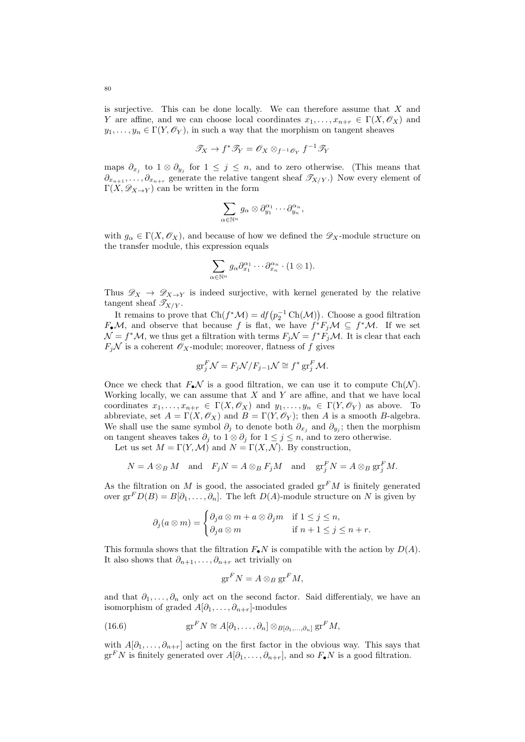is surjective. This can be done locally. We can therefore assume that  $X$  and Y are affine, and we can choose local coordinates  $x_1, \ldots, x_{n+r} \in \Gamma(X, \mathscr{O}_X)$  and  $y_1, \ldots, y_n \in \Gamma(Y, \mathscr{O}_Y)$ , in such a way that the morphism on tangent sheaves

$$
\mathscr{T}_X \to f^* \mathscr{T}_Y = \mathscr{O}_X \otimes_{f^{-1} \mathscr{O}_Y} f^{-1} \mathscr{T}_Y
$$

maps  $\partial_{x_j}$  to  $1 \otimes \partial_{y_j}$  for  $1 \leq j \leq n$ , and to zero otherwise. (This means that  $\partial_{x_{n+1}},\ldots,\partial_{x_{n+r}}$  generate the relative tangent sheaf  $\mathscr{T}_{X/Y}$ .) Now every element of  $\Gamma(X, \mathscr{D}_{X\to Y})$  can be written in the form

$$
\sum_{\alpha\in\mathbb{N}^n}g_\alpha\otimes\partial_{y_1}^{\alpha_1}\cdots\partial_{y_n}^{\alpha_n},
$$

with  $g_{\alpha} \in \Gamma(X, \mathscr{O}_X)$ , and because of how we defined the  $\mathscr{D}_X$ -module structure on the transfer module, this expression equals

$$
\sum_{\alpha \in \mathbb{N}^n} g_{\alpha} \partial_{x_1}^{\alpha_1} \cdots \partial_{x_n}^{\alpha_n} \cdot (1 \otimes 1).
$$

Thus  $\mathscr{D}_X \to \mathscr{D}_{X\to Y}$  is indeed surjective, with kernel generated by the relative tangent sheaf  $\mathscr{T}_{X/Y}$ .

It remains to prove that  $\text{Ch}(f^*\mathcal{M}) = df(p_2^{-1} \text{Ch}(\mathcal{M}))$ . Choose a good filtration  $F_{\bullet}\mathcal{M}$ , and observe that because f is flat, we have  $f^*F_j\mathcal{M} \subseteq f^*\mathcal{M}$ . If we set  $\mathcal{N} = f^* \mathcal{M}$ , we thus get a filtration with terms  $F_j \mathcal{N} = f^* \overline{F_j} \mathcal{M}$ . It is clear that each  $F_j\mathcal{N}$  is a coherent  $\mathscr{O}_X$ -module; moreover, flatness of f gives

$$
\mathrm{gr}^F_j \mathcal{N} = F_j \mathcal{N} / F_{j-1} \mathcal{N} \cong f^* \mathrm{gr}^F_j \mathcal{M}.
$$

Once we check that  $F_{\bullet}\mathcal{N}$  is a good filtration, we can use it to compute Ch( $\mathcal{N}$ ). Working locally, we can assume that  $X$  and  $Y$  are affine, and that we have local coordinates  $x_1, \ldots, x_{n+r} \in \Gamma(X, \mathscr{O}_X)$  and  $y_1, \ldots, y_n \in \Gamma(Y, \mathscr{O}_Y)$  as above. To abbreviate, set  $A = \Gamma(X, \mathscr{O}_X)$  and  $B = \Gamma(Y, \mathscr{O}_Y)$ ; then A is a smooth B-algebra. We shall use the same symbol  $\partial_j$  to denote both  $\partial_{x_j}$  and  $\partial_{y_j}$ ; then the morphism on tangent sheaves takes  $\partial_j$  to  $1 \otimes \partial_j$  for  $1 \leq j \leq n$ , and to zero otherwise.

Let us set  $M = \Gamma(Y, \mathcal{M})$  and  $N = \Gamma(X, \mathcal{N})$ . By construction,

$$
N = A \otimes_B M \quad \text{and} \quad F_j N = A \otimes_B F_j M \quad \text{and} \quad \text{gr}_j^F N = A \otimes_B \text{gr}_j^F M.
$$

As the filtration on M is good, the associated graded  $gr<sup>F</sup>M$  is finitely generated over  $gr^F D(B) = B[\partial_1, \ldots, \partial_n]$ . The left  $D(A)$ -module structure on N is given by

$$
\partial_j(a\otimes m) = \begin{cases} \partial_j a\otimes m + a\otimes \partial_j m & \text{if } 1 \leq j \leq n, \\ \partial_j a\otimes m & \text{if } n+1 \leq j \leq n+r. \end{cases}
$$

This formula shows that the filtration  $F_{\bullet}N$  is compatible with the action by  $D(A)$ . It also shows that  $\partial_{n+1}, \ldots, \partial_{n+r}$  act trivially on

<span id="page-79-0"></span>
$$
\operatorname{gr}^F N = A \otimes_B \operatorname{gr}^F M,
$$

and that  $\partial_1, \ldots, \partial_n$  only act on the second factor. Said differentialy, we have an isomorphism of graded  $A[\partial_1,\ldots,\partial_{n+r}]$ -modules

(16.6) 
$$
\operatorname{gr}^F N \cong A[\partial_1,\ldots,\partial_n] \otimes_{B[\partial_1,\ldots,\partial_n]} \operatorname{gr}^F M,
$$

with  $A[\partial_1,\ldots,\partial_{n+r}]$  acting on the first factor in the obvious way. This says that  $gr<sup>F</sup>N$  is finitely generated over  $A[\partial_1,\ldots,\partial_{n+r}],$  and so  $F_{\bullet}N$  is a good filtration.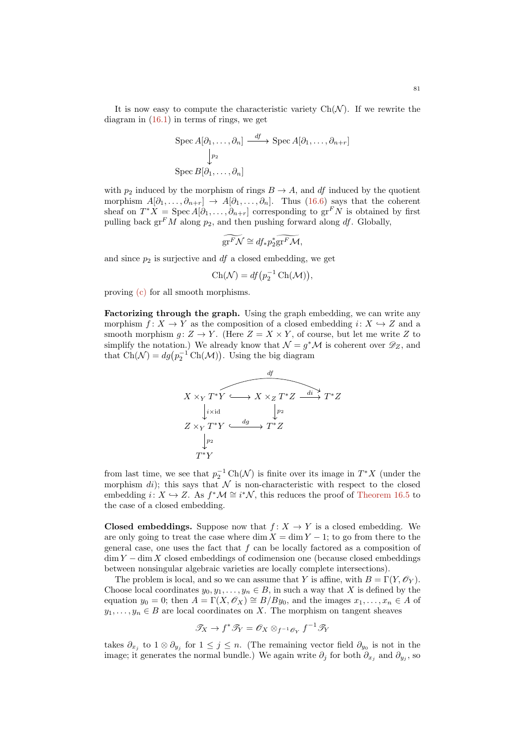It is now easy to compute the characteristic variety  $Ch(\mathcal{N})$ . If we rewrite the diagram in [\(16.1\)](#page-78-1) in terms of rings, we get

$$
\operatorname{Spec} A[\partial_1, \dots, \partial_n] \xrightarrow{df} \operatorname{Spec} A[\partial_1, \dots, \partial_{n+r}]
$$
  

$$
\downarrow_{P_2}
$$
  

$$
\operatorname{Spec} B[\partial_1, \dots, \partial_n]
$$

with  $p_2$  induced by the morphism of rings  $B \to A$ , and df induced by the quotient morphism  $A[\partial_1,\ldots,\partial_{n+r}] \rightarrow A[\partial_1,\ldots,\partial_n]$ . Thus [\(16.6\)](#page-79-0) says that the coherent sheaf on  $T^*X = \text{Spec } A[\partial_1, \ldots, \partial_{n+r}]$  corresponding to  $\text{gr}^F N$  is obtained by first pulling back  $gr<sup>F</sup>M$  along  $p<sub>2</sub>$ , and then pushing forward along df. Globally,

$$
\widetilde{\mathrm{gr}^F\mathcal{N}} \cong df_*p_2^*\widetilde{\mathrm{gr}^F\mathcal{M}},
$$

and since  $p_2$  is surjective and  $df$  a closed embedding, we get

$$
Ch(\mathcal{N}) = df(p_2^{-1} Ch(\mathcal{M})),
$$

proving [\(c\)](#page-78-0) for all smooth morphisms.

Factorizing through the graph. Using the graph embedding, we can write any morphism  $f: X \to Y$  as the composition of a closed embedding  $i: X \to Z$  and a smooth morphism  $g: Z \to Y$ . (Here  $Z = X \times Y$ , of course, but let me write Z to simplify the notation.) We already know that  $\mathcal{N} = g^* \mathcal{M}$  is coherent over  $\mathscr{D}_Z$ , and that  $\text{Ch}(\mathcal{N}) = dg(p_2^{-1} \text{Ch}(\mathcal{M}))$ . Using the big diagram

$$
X \times_Y T^*Y \longrightarrow X \times_Z T^*Z \xrightarrow{di} T^*Z
$$
  
\n
$$
Z \times_Y T^*Y \xrightarrow{dg} T^*Z
$$
  
\n
$$
\downarrow p_2
$$
  
\n
$$
T^*Y
$$
  
\n
$$
T^*Y
$$

from last time, we see that  $p_2^{-1} \text{Ch}(\mathcal{N})$  is finite over its image in  $T^*X$  (under the morphism di); this says that  $\mathcal N$  is non-characteristic with respect to the closed embedding  $i: X \hookrightarrow Z$ . As  $f^*\mathcal{M} \cong i^*\mathcal{N}$ , this reduces the proof of [Theorem 16.5](#page-78-3) to the case of a closed embedding.

**Closed embeddings.** Suppose now that  $f: X \to Y$  is a closed embedding. We are only going to treat the case where dim  $X = \dim Y - 1$ ; to go from there to the general case, one uses the fact that  $f$  can be locally factored as a composition of  $\dim Y - \dim X$  closed embeddings of codimension one (because closed embeddings between nonsingular algebraic varieties are locally complete intersections).

The problem is local, and so we can assume that Y is affine, with  $B = \Gamma(Y, \mathcal{O}_Y)$ . Choose local coordinates  $y_0, y_1, \ldots, y_n \in B$ , in such a way that X is defined by the equation  $y_0 = 0$ ; then  $A = \Gamma(X, \mathcal{O}_X) \cong B/By_0$ , and the images  $x_1, \ldots, x_n \in A$  of  $y_1, \ldots, y_n \in B$  are local coordinates on X. The morphism on tangent sheaves

$$
\mathscr{T}_X \to f^* \mathscr{T}_Y = \mathscr{O}_X \otimes_{f^{-1} \mathscr{O}_Y} f^{-1} \mathscr{T}_Y
$$

takes  $\partial_{x_j}$  to  $1 \otimes \partial_{y_j}$  for  $1 \leq j \leq n$ . (The remaining vector field  $\partial_{y_0}$  is not in the image; it generates the normal bundle.) We again write  $\partial_j$  for both  $\partial_{x_j}$  and  $\partial_{y_j}$ , so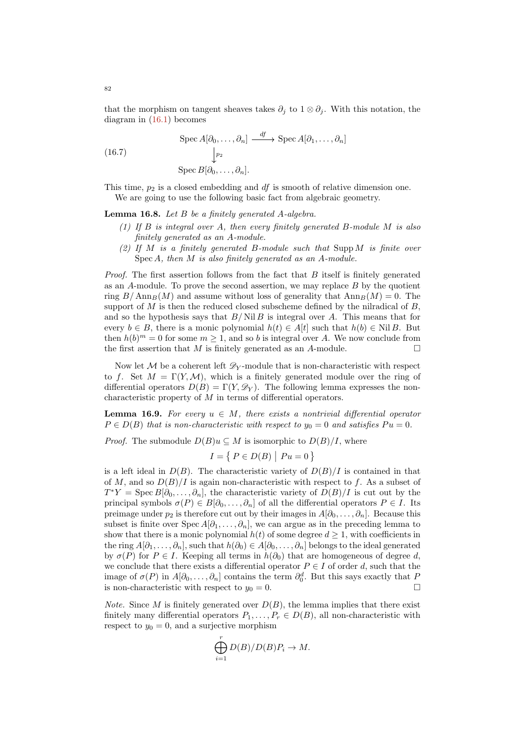that the morphism on tangent sheaves takes  $\partial_i$  to  $1 \otimes \partial_j$ . With this notation, the diagram in [\(16.1\)](#page-78-1) becomes

<span id="page-81-0"></span>(16.7) 
$$
\operatorname{Spec} A[\partial_0, \dots, \partial_n] \xrightarrow{df} \operatorname{Spec} A[\partial_1, \dots, \partial_n]
$$

$$
\downarrow_{p_2}
$$

$$
\operatorname{Spec} B[\partial_0, \dots, \partial_n].
$$

This time,  $p_2$  is a closed embedding and  $df$  is smooth of relative dimension one. We are going to use the following basic fact from algebraic geometry.

Lemma 16.8. Let B be a finitely generated A-algebra.

- (1) If B is integral over A, then every finitely generated B-module M is also finitely generated as an A-module.
- (2) If M is a finitely generated B-module such that Supp M is finite over Spec A, then M is also finitely generated as an A-module.

*Proof.* The first assertion follows from the fact that  $B$  itself is finitely generated as an  $A$ -module. To prove the second assertion, we may replace  $B$  by the quotient ring  $B/\text{Ann}_B(M)$  and assume without loss of generality that  $\text{Ann}_B(M) = 0$ . The support of M is then the reduced closed subscheme defined by the nilradical of  $B$ . and so the hypothesis says that  $B/NilB$  is integral over A. This means that for every  $b \in B$ , there is a monic polynomial  $h(t) \in A[t]$  such that  $h(b) \in NilB$ . But then  $h(b)^m = 0$  for some  $m \geq 1$ , and so b is integral over A. We now conclude from the first assertion that  $M$  is finitely generated as an A-module.  $\Box$ 

Now let M be a coherent left  $\mathscr{D}_{V}$ -module that is non-characteristic with respect to f. Set  $M = \Gamma(Y, \mathcal{M})$ , which is a finitely generated module over the ring of differential operators  $D(B) = \Gamma(Y, \mathscr{D}_Y)$ . The following lemma expresses the noncharacteristic property of M in terms of differential operators.

<span id="page-81-1"></span>**Lemma 16.9.** For every  $u \in M$ , there exists a nontrivial differential operator  $P \in D(B)$  that is non-characteristic with respect to  $y_0 = 0$  and satisfies  $Pu = 0$ .

*Proof.* The submodule  $D(B)u \subseteq M$  is isomorphic to  $D(B)/I$ , where

$$
I = \{ P \in D(B) \mid Pu = 0 \}
$$

is a left ideal in  $D(B)$ . The characteristic variety of  $D(B)/I$  is contained in that of M, and so  $D(B)/I$  is again non-characteristic with respect to f. As a subset of  $T^*Y = \text{Spec } B[\partial_0, \ldots, \partial_n],$  the characteristic variety of  $D(B)/I$  is cut out by the principal symbols  $\sigma(P) \in B[\partial_0, \ldots, \partial_n]$  of all the differential operators  $P \in I$ . Its preimage under  $p_2$  is therefore cut out by their images in  $A[\partial_0, \ldots, \partial_n]$ . Because this subset is finite over Spec  $A[\partial_1,\ldots,\partial_n]$ , we can argue as in the preceding lemma to show that there is a monic polynomial  $h(t)$  of some degree  $d \geq 1$ , with coefficients in the ring  $A[\partial_1,\ldots,\partial_n]$ , such that  $h(\partial_0) \in A[\partial_0,\ldots,\partial_n]$  belongs to the ideal generated by  $\sigma(P)$  for  $P \in I$ . Keeping all terms in  $h(\partial_0)$  that are homogeneous of degree d, we conclude that there exists a differential operator  $P \in I$  of order d, such that the image of  $\sigma(P)$  in  $A[\partial_0,\ldots,\partial_n]$  contains the term  $\partial_0^d$ . But this says exactly that P is non-characteristic with respect to  $y_0 = 0$ .

*Note.* Since M is finitely generated over  $D(B)$ , the lemma implies that there exist finitely many differential operators  $P_1, \ldots, P_r \in D(B)$ , all non-characteristic with respect to  $y_0 = 0$ , and a surjective morphism

$$
\bigoplus_{i=1}^r D(B)/D(B)P_i \to M.
$$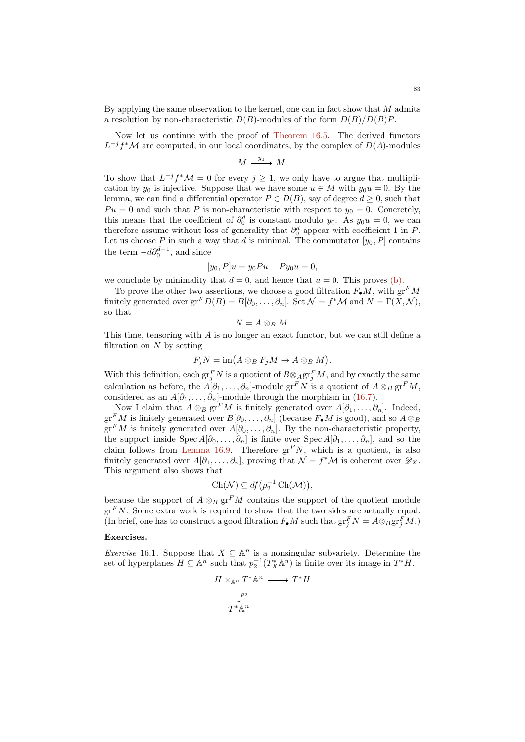By applying the same observation to the kernel, one can in fact show that M admits a resolution by non-characteristic  $D(B)$ -modules of the form  $D(B)/D(B)P$ .

Now let us continue with the proof of [Theorem 16.5.](#page-78-3) The derived functors  $L^{-j}f^{\ast}{\cal M}$  are computed, in our local coordinates, by the complex of  $D(A)$ -modules

$$
M \xrightarrow{y_0} M.
$$

To show that  $L^{-j} f^* \mathcal{M} = 0$  for every  $j \geq 1$ , we only have to argue that multiplication by  $y_0$  is injective. Suppose that we have some  $u \in M$  with  $y_0u = 0$ . By the lemma, we can find a differential operator  $P \in D(B)$ , say of degree  $d \geq 0$ , such that  $Pu = 0$  and such that P is non-characteristic with respect to  $y_0 = 0$ . Concretely, this means that the coefficient of  $\partial_0^d$  is constant modulo y<sub>0</sub>. As y<sub>0</sub>u = 0, we can therefore assume without loss of generality that  $\partial_0^d$  appear with coefficient 1 in P. Let us choose P in such a way that d is minimal. The commutator  $[y_0, P]$  contains the term  $-d\partial_0^{d-1}$ , and since

$$
[y_0, P]u = y_0Pu - Py_0u = 0,
$$

we conclude by minimality that  $d = 0$ , and hence that  $u = 0$ . This proves [\(b\).](#page-78-2)

To prove the other two assertions, we choose a good filtration  $F_{\bullet}M$ , with  $gr^FM$ finitely generated over  $gr^F D(B) = B[\partial_0, \ldots, \partial_n]$ . Set  $\mathcal{N} = f^* \mathcal{M}$  and  $N = \Gamma(X, \mathcal{N}),$ so that

$$
N=A\otimes_B M.
$$

This time, tensoring with  $A$  is no longer an exact functor, but we can still define a filtration on  $N$  by setting

$$
F_j N = \operatorname{im}(A \otimes_B F_j M \to A \otimes_B M).
$$

With this definition, each  $\operatorname{gr}^F_j N$  is a quotient of  $B \otimes_A \operatorname{gr}^F_j M$ , and by exactly the same calculation as before, the  $A[\partial_1,\ldots,\partial_n]$ -module gr<sup>F</sup>N is a quotient of  $A\otimes_B$  gr<sup>F</sup>M, considered as an  $A[\partial_1,\ldots,\partial_n]$ -module through the morphism in [\(16.7\)](#page-81-0).

Now I claim that  $A \otimes_B \text{gr}^F M$  is finitely generated over  $A[\partial_1, \ldots, \partial_n]$ . Indeed,  $gr<sup>F</sup>M$  is finitely generated over  $B[\partial_0, \ldots, \partial_n]$  (because  $F_{\bullet}M$  is good), and so  $A \otimes_B$  $gr<sup>F</sup>M$  is finitely generated over  $A[\partial_0,\ldots,\partial_n]$ . By the non-characteristic property, the support inside Spec  $A[\partial_0, \ldots, \partial_n]$  is finite over Spec  $A[\partial_1, \ldots, \partial_n]$ , and so the claim follows from [Lemma 16.9.](#page-81-1) Therefore  $gr^FN$ , which is a quotient, is also finitely generated over  $A[\partial_1,\ldots,\partial_n]$ , proving that  $\mathcal{N}=f^*\mathcal{M}$  is coherent over  $\mathscr{D}_X$ . This argument also shows that

$$
Ch(\mathcal{N}) \subseteq df(p_2^{-1} Ch(\mathcal{M})),
$$

because the support of  $A \otimes_B \mathrm{gr}^F M$  contains the support of the quotient module  $gr<sup>F</sup>N$ . Some extra work is required to show that the two sides are actually equal. (In brief, one has to construct a good filtration  $F_{\bullet}M$  such that  $gr^F_jN = A\otimes_B gr^F_jM$ .)

## Exercises.

*Exercise* 16.1. Suppose that  $X \subseteq \mathbb{A}^n$  is a nonsingular subvariety. Determine the set of hyperplanes  $H \subseteq \mathbb{A}^n$  such that  $p_2^{-1}(T^*_X \mathbb{A}^n)$  is finite over its image in  $T^*H$ .

$$
H \times_{\mathbb{A}^n} T^* \mathbb{A}^n \longrightarrow T^* H
$$

$$
\downarrow_{p_2}
$$

$$
T^* \mathbb{A}^n
$$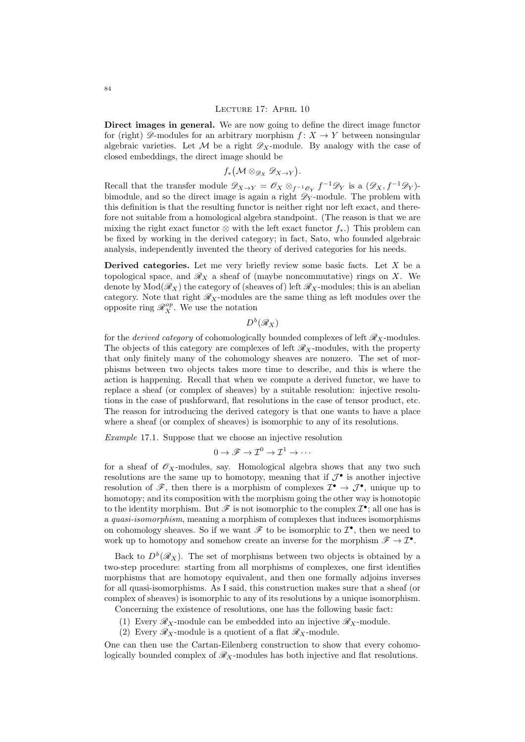Direct images in general. We are now going to define the direct image functor for (right)  $\mathscr{D}$ -modules for an arbitrary morphism  $f: X \to Y$  between nonsingular algebraic varieties. Let M be a right  $\mathscr{D}_X$ -module. By analogy with the case of closed embeddings, the direct image should be

<span id="page-83-0"></span>
$$
f_*\bigl({\mathcal M}\otimes_{{\mathscr D}_X}{\mathscr D}_{X\to Y}\bigr).
$$

Recall that the transfer module  $\mathscr{D}_{X\to Y} = \mathscr{O}_X \otimes_{f^{-1}\mathscr{O}_Y} f^{-1}\mathscr{D}_Y$  is a  $(\mathscr{D}_X, f^{-1}\mathscr{D}_Y)$ bimodule, and so the direct image is again a right  $\mathscr{D}_Y$ -module. The problem with this definition is that the resulting functor is neither right nor left exact, and therefore not suitable from a homological algebra standpoint. (The reason is that we are mixing the right exact functor  $\otimes$  with the left exact functor  $f_*$ .) This problem can be fixed by working in the derived category; in fact, Sato, who founded algebraic analysis, independently invented the theory of derived categories for his needs.

**Derived categories.** Let me very briefly review some basic facts. Let  $X$  be a topological space, and  $\mathscr{R}_X$  a sheaf of (maybe noncommutative) rings on X. We denote by  $Mod(\mathscr{R}_X)$  the category of (sheaves of) left  $\mathscr{R}_X$ -modules; this is an abelian category. Note that right  $\mathcal{R}_X$ -modules are the same thing as left modules over the opposite ring  $\mathcal{R}_X^{op}$ . We use the notation

 $D^b(\mathscr{R}_X)$ 

for the *derived category* of cohomologically bounded complexes of left  $\mathscr{R}_X$ -modules. The objects of this category are complexes of left  $\mathscr{R}_X$ -modules, with the property that only finitely many of the cohomology sheaves are nonzero. The set of morphisms between two objects takes more time to describe, and this is where the action is happening. Recall that when we compute a derived functor, we have to replace a sheaf (or complex of sheaves) by a suitable resolution: injective resolutions in the case of pushforward, flat resolutions in the case of tensor product, etc. The reason for introducing the derived category is that one wants to have a place where a sheaf (or complex of sheaves) is isomorphic to any of its resolutions.

Example 17.1. Suppose that we choose an injective resolution

$$
0 \to \mathscr{F} \to \mathcal{I}^0 \to \mathcal{I}^1 \to \cdots
$$

for a sheaf of  $\mathscr{O}_X$ -modules, say. Homological algebra shows that any two such resolutions are the same up to homotopy, meaning that if  $\mathcal{J}^{\bullet}$  is another injective resolution of  $\mathscr{F}$ , then there is a morphism of complexes  $\mathcal{I}^{\bullet} \to \mathcal{J}^{\bullet}$ , unique up to homotopy; and its composition with the morphism going the other way is homotopic to the identity morphism. But  $\mathscr F$  is not isomorphic to the complex  $\mathcal I^{\bullet}$ ; all one has is a quasi-isomorphism, meaning a morphism of complexes that induces isomorphisms on cohomology sheaves. So if we want  $\mathscr F$  to be isomorphic to  $\mathcal I^\bullet$ , then we need to work up to homotopy and somehow create an inverse for the morphism  $\mathscr{F} \to \mathcal{I}^{\bullet}$ .

Back to  $D^b(\mathscr{R}_X)$ . The set of morphisms between two objects is obtained by a two-step procedure: starting from all morphisms of complexes, one first identifies morphisms that are homotopy equivalent, and then one formally adjoins inverses for all quasi-isomorphisms. As I said, this construction makes sure that a sheaf (or complex of sheaves) is isomorphic to any of its resolutions by a unique isomorphism.

Concerning the existence of resolutions, one has the following basic fact:

- (1) Every  $\mathscr{R}_X$ -module can be embedded into an injective  $\mathscr{R}_X$ -module.
- (2) Every  $\mathscr{R}_X$ -module is a quotient of a flat  $\mathscr{R}_X$ -module.

One can then use the Cartan-Eilenberg construction to show that every cohomologically bounded complex of  $\mathcal{R}_X$ -modules has both injective and flat resolutions.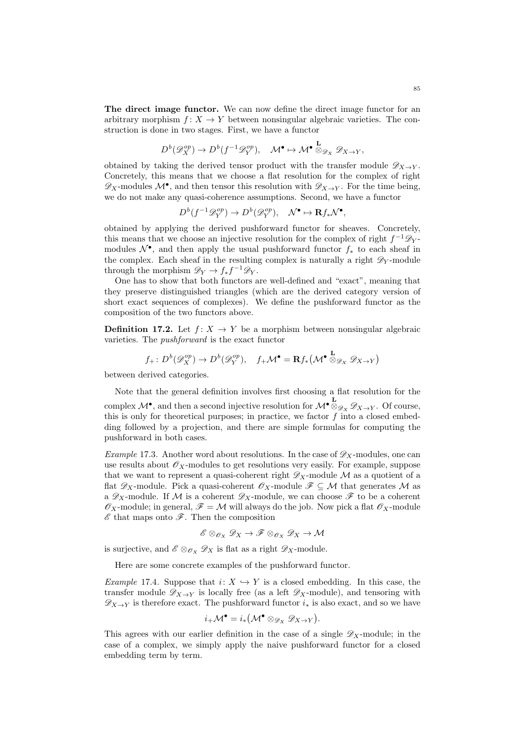The direct image functor. We can now define the direct image functor for an arbitrary morphism  $f: X \to Y$  between nonsingular algebraic varieties. The construction is done in two stages. First, we have a functor

$$
D^b(\mathscr{D}_{X}^{op}) \to D^b(f^{-1}\mathscr{D}_{Y}^{op}), \quad \mathcal{M}^{\bullet} \mapsto \mathcal{M}^{\bullet} \overset{\mathbf{L}}{\otimes}_{\mathscr{D}_X} \mathscr{D}_{X \to Y},
$$

obtained by taking the derived tensor product with the transfer module  $\mathscr{D}_{X\to Y}$ . Concretely, this means that we choose a flat resolution for the complex of right  $\mathscr{D}_X$ -modules  $\mathcal{M}^{\bullet}$ , and then tensor this resolution with  $\mathscr{D}_{X\to Y}$ . For the time being, we do not make any quasi-coherence assumptions. Second, we have a functor

$$
D^b(f^{-1}\mathscr{D}_Y^{op}) \to D^b(\mathscr{D}_Y^{op}), \quad \mathcal{N}^\bullet \mapsto \mathbf{R}f_*\mathcal{N}^\bullet,
$$

obtained by applying the derived pushforward functor for sheaves. Concretely, this means that we choose an injective resolution for the complex of right  $f^{-1}\mathscr{D}_Y$ modules  $\mathcal{N}^{\bullet}$ , and then apply the usual pushforward functor  $f_*$  to each sheaf in the complex. Each sheaf in the resulting complex is naturally a right  $\mathscr{D}_Y$ -module through the morphism  $\mathscr{D}_Y \to f_* f^{-1} \mathscr{D}_Y$ .

One has to show that both functors are well-defined and "exact", meaning that they preserve distinguished triangles (which are the derived category version of short exact sequences of complexes). We define the pushforward functor as the composition of the two functors above.

**Definition 17.2.** Let  $f: X \rightarrow Y$  be a morphism between nonsingular algebraic varieties. The pushforward is the exact functor

$$
f_+ : D^b(\mathscr{D}_{X}^{op}) \to D^b(\mathscr{D}_{Y}^{op}), \quad f_+ \mathcal{M}^{\bullet} = \mathbf{R} f_* \big( \mathcal{M}^{\bullet} \overset{\mathbf{L}}{\otimes}_{\mathscr{D}_X} \mathscr{D}_{X \to Y} \big)
$$

between derived categories.

Note that the general definition involves first choosing a flat resolution for the complex  $\mathcal{M}^{\bullet}$ , and then a second injective resolution for  $\mathcal{M}^{\bullet} \overset{\mathbf{L}}{\otimes}_{\mathscr{D}_X} \mathscr{D}_{X \to Y}$ . Of course, this is only for theoretical purposes; in practice, we factor  $f$  into a closed embedding followed by a projection, and there are simple formulas for computing the pushforward in both cases.

*Example* 17.3. Another word about resolutions. In the case of  $\mathscr{D}_X$ -modules, one can use results about  $\mathscr{O}_X$ -modules to get resolutions very easily. For example, suppose that we want to represent a quasi-coherent right  $\mathscr{D}_X$ -module  $\mathcal M$  as a quotient of a flat  $\mathscr{D}_X$ -module. Pick a quasi-coherent  $\mathscr{O}_X$ -module  $\mathscr{F} \subseteq \mathcal{M}$  that generates  $\mathcal M$  as a  $\mathscr{D}_X$ -module. If M is a coherent  $\mathscr{D}_X$ -module, we can choose  $\mathscr{F}$  to be a coherent  $\mathscr{O}_X$ -module; in general,  $\mathscr{F} = \mathcal{M}$  will always do the job. Now pick a flat  $\mathscr{O}_X$ -module  $\mathscr E$  that maps onto  $\mathscr F$ . Then the composition

$$
\mathscr{E} \otimes_{\mathscr{O}_X} \mathscr{D}_X \to \mathscr{F} \otimes_{\mathscr{O}_X} \mathscr{D}_X \to \mathcal{M}
$$

is surjective, and  $\mathscr{E} \otimes_{\mathscr{O}_X} \mathscr{D}_X$  is flat as a right  $\mathscr{D}_X$ -module.

Here are some concrete examples of the pushforward functor.

Example 17.4. Suppose that  $i: X \hookrightarrow Y$  is a closed embedding. In this case, the transfer module  $\mathscr{D}_{X\to Y}$  is locally free (as a left  $\mathscr{D}_X$ -module), and tensoring with  $\mathscr{D}_{X\to Y}$  is therefore exact. The pushforward functor  $i_*$  is also exact, and so we have

$$
i_{+}\mathcal{M}^{\bullet} = i_{*}(\mathcal{M}^{\bullet} \otimes_{\mathscr{D}_{X}} \mathscr{D}_{X \to Y}).
$$

This agrees with our earlier definition in the case of a single  $\mathscr{D}_X$ -module; in the case of a complex, we simply apply the naive pushforward functor for a closed embedding term by term.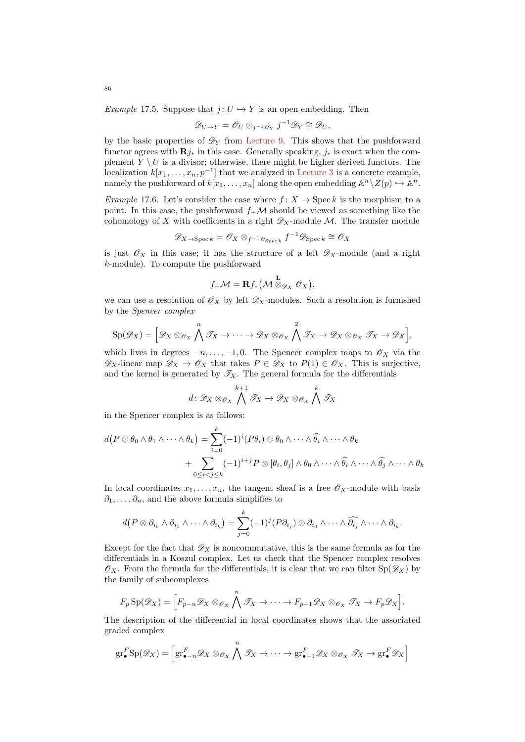Example 17.5. Suppose that  $j: U \hookrightarrow Y$  is an open embedding. Then

$$
\mathscr{D}_{U\to Y}=\mathscr{O}_U\otimes_{j^{-1}\mathscr{O}_Y}j^{-1}\mathscr{D}_Y\cong \mathscr{D}_U,
$$

by the basic properties of  $\mathscr{D}_Y$  from [Lecture 9.](#page-41-0) This shows that the pushforward functor agrees with  $\mathbf{R}j_*$  in this case. Generally speaking,  $j_*$  is exact when the complement  $Y \setminus U$  is a divisor; otherwise, there might be higher derived functors. The localization  $k[x_1, \ldots, x_n, p^{-1}]$  that we analyzed in [Lecture 3](#page-10-0) is a concrete example, namely the pushforward of  $k[x_1, \ldots, x_n]$  along the open embedding  $\mathbb{A}^n \setminus Z(p) \hookrightarrow \mathbb{A}^n$ .

Example 17.6. Let's consider the case where  $f: X \to \text{Spec } k$  is the morphism to a point. In this case, the pushforward  $f_{+}\mathcal{M}$  should be viewed as something like the cohomology of X with coefficients in a right  $\mathscr{D}_X$ -module M. The transfer module

$$
\mathscr{D}_{X \to \operatorname{Spec} k} = \mathscr{O}_{X} \otimes_{f^{-1} \mathscr{O}_{\operatorname{Spec} k}} f^{-1} \mathscr{D}_{\operatorname{Spec} k} \cong \mathscr{O}_{X}
$$

is just  $\mathscr{O}_X$  in this case; it has the structure of a left  $\mathscr{D}_X$ -module (and a right k-module). To compute the pushforward

$$
f_{+}{\mathcal M}={\mathbf R}f_{*}\bigl({\mathcal M}\stackrel{{\mathbf L}}{\otimes}_{{\mathscr D}_X}{\mathscr O}_X\bigr),
$$

we can use a resolution of  $\mathcal{O}_X$  by left  $\mathscr{D}_X$ -modules. Such a resolution is furnished by the Spencer complex

$$
\mathrm{Sp}(\mathscr{D}_X) = \left[ \mathscr{D}_X \otimes_{\mathscr{O}_X} \bigwedge^n \mathscr{D}_X \to \cdots \to \mathscr{D}_X \otimes_{\mathscr{O}_X} \bigwedge^n \mathscr{D}_X \to \mathscr{D}_X \otimes_{\mathscr{O}_X} \mathscr{D}_X \to \mathscr{D}_X \right],
$$

which lives in degrees  $-n, \ldots, -1, 0$ . The Spencer complex maps to  $\mathscr{O}_X$  via the  $\mathscr{D}_X$ -linear map  $\mathscr{D}_X \to \mathscr{O}_X$  that takes  $P \in \mathscr{D}_X$  to  $P(1) \in \mathscr{O}_X$ . This is surjective, and the kernel is generated by  $\mathscr{T}_X$ . The general formula for the differentials

$$
d\colon \mathscr{D}_X\otimes_{\mathscr{O}_X} {\bigwedge^{k+1}} \mathscr{T}_X \to \mathscr{D}_X\otimes_{\mathscr{O}_X} {\bigwedge^{k}} \mathscr{T}_X
$$

in the Spencer complex is as follows:

$$
d(P \otimes \theta_0 \wedge \theta_1 \wedge \cdots \wedge \theta_k) = \sum_{i=0}^k (-1)^i (P\theta_i) \otimes \theta_0 \wedge \cdots \wedge \widehat{\theta_i} \wedge \cdots \wedge \theta_k
$$
  
+ 
$$
\sum_{0 \leq i < j \leq k} (-1)^{i+j} P \otimes [\theta_i, \theta_j] \wedge \theta_0 \wedge \cdots \wedge \widehat{\theta_i} \wedge \cdots \wedge \widehat{\theta_j} \wedge \cdots \wedge \theta_k
$$

In local coordinates  $x_1, \ldots, x_n$ , the tangent sheaf is a free  $\mathscr{O}_X$ -module with basis  $\partial_1, \ldots, \partial_n$ , and the above formula simplifies to

$$
d(P\otimes \partial_{i_0}\wedge \partial_{i_1}\wedge\cdots\wedge\partial_{i_k})=\sum_{j=0}^k (-1)^j(P\partial_{i_j})\otimes \partial_{i_0}\wedge\cdots\wedge\widehat{\partial_{i_j}}\wedge\cdots\wedge\partial_{i_k}.
$$

Except for the fact that  $\mathscr{D}_X$  is noncommutative, this is the same formula as for the differentials in a Koszul complex. Let us check that the Spencer complex resolves  $\mathscr{O}_X$ . From the formula for the differentials, it is clear that we can filter  $Sp(\mathscr{D}_X)$  by the family of subcomplexes

$$
F_p \text{Sp}(\mathscr{D}_X) = \Big[ F_{p-n} \mathscr{D}_X \otimes_{\mathscr{O}_X} \bigwedge^n \mathscr{T}_X \to \cdots \to F_{p-1} \mathscr{D}_X \otimes_{\mathscr{O}_X} \mathscr{T}_X \to F_p \mathscr{D}_X \Big].
$$

The description of the differential in local coordinates shows that the associated graded complex

$$
\mathrm{gr}^F_{\bullet}\mathrm{Sp}(\mathscr{D}_X)=\left[\mathrm{gr}^F_{\bullet-n}\mathscr{D}_X\otimes_{\mathscr{O}_X}\bigwedge^n\mathscr{T}_X\to\cdots\to\mathrm{gr}^F_{\bullet-1}\mathscr{D}_X\otimes_{\mathscr{O}_X}\mathscr{T}_X\to\mathrm{gr}^F_{\bullet}\mathscr{D}_X\right]
$$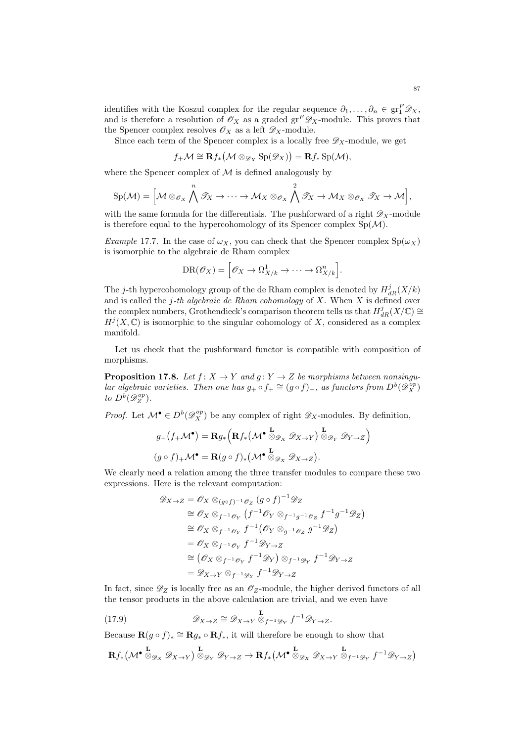identifies with the Koszul complex for the regular sequence  $\partial_1, \dots, \partial_n \in \text{gr}_1^F \mathscr{D}_X$ , and is therefore a resolution of  $\mathscr{O}_X$  as a graded  $gr^F \mathscr{D}_X$ -module. This proves that the Spencer complex resolves  $\mathscr{O}_X$  as a left  $\mathscr{D}_X$ -module.

Since each term of the Spencer complex is a locally free  $\mathscr{D}_X$ -module, we get

$$
f_{+}\mathcal{M}\cong \mathbf{R}f_{*}\big(\mathcal{M}\otimes_{\mathscr{D}_{X}}\mathrm{Sp}(\mathscr{D}_{X})\big)=\mathbf{R}f_{*}\,\mathrm{Sp}(\mathcal{M}),
$$

where the Spencer complex of  $M$  is defined analogously by

$$
\mathrm{Sp}(\mathcal{M}) = \Big[\mathcal{M} \otimes_{\mathscr{O}_X} \bigwedge^n \mathscr{T}_X \to \cdots \to \mathcal{M}_X \otimes_{\mathscr{O}_X} \bigwedge^n \mathscr{T}_X \to \mathcal{M}_X \otimes_{\mathscr{O}_X} \mathscr{T}_X \to \mathcal{M}\Big],
$$

with the same formula for the differentials. The pushforward of a right  $\mathscr{D}_X$ -module is therefore equal to the hypercohomology of its Spencer complex  $Sp(\mathcal{M})$ .

Example 17.7. In the case of  $\omega_X$ , you can check that the Spencer complex  $Sp(\omega_X)$ is isomorphic to the algebraic de Rham complex

$$
DR(\mathscr{O}_X) = \left[ \mathscr{O}_X \to \Omega^1_{X/k} \to \cdots \to \Omega^n_{X/k} \right].
$$

The j-th hypercohomology group of the de Rham complex is denoted by  $H^j_{dR}(X/k)$ and is called the  $j$ -th algebraic de Rham cohomology of  $X$ . When  $X$  is defined over the complex numbers, Grothendieck's comparison theorem tells us that  $H^j_{dR}(X/\mathbb{C}) \cong$  $H^{j}(X,\mathbb{C})$  is isomorphic to the singular cohomology of X, considered as a complex manifold.

Let us check that the pushforward functor is compatible with composition of morphisms.

**Proposition 17.8.** Let  $f: X \to Y$  and  $g: Y \to Z$  be morphisms between nonsingular algebraic varieties. Then one has  $g_+ \circ f_+ \cong (g \circ f)_+$ , as functors from  $D^b(\mathscr{D}_{X}^{op})$ to  $D^b(\mathscr{D}_Z^{op})$ .

*Proof.* Let  $\mathcal{M}^{\bullet} \in D^b(\mathscr{D}_{X}^{op})$  be any complex of right  $\mathscr{D}_X$ -modules. By definition,

$$
g_{+}(f_{+}\mathcal{M}^{\bullet}) = \mathbf{R}g_{*}\left(\mathbf{R}f_{*}(\mathcal{M}^{\bullet} \overset{\mathbf{L}}{\otimes}_{\mathscr{D}_{X}} \mathscr{D}_{X \to Y}) \overset{\mathbf{L}}{\otimes}_{\mathscr{D}_{Y}} \mathscr{D}_{Y \to Z}\right)
$$

$$
(g \circ f)_{+}\mathcal{M}^{\bullet} = \mathbf{R}(g \circ f)_{*}(\mathcal{M}^{\bullet} \overset{\mathbf{L}}{\otimes}_{\mathscr{D}_{X}} \mathscr{D}_{X \to Z}).
$$

We clearly need a relation among the three transfer modules to compare these two expressions. Here is the relevant computation:

$$
\mathcal{D}_{X \to Z} = \mathcal{O}_X \otimes_{(g \circ f)^{-1} \mathcal{O}_Z} (g \circ f)^{-1} \mathcal{D}_Z
$$
  
\n
$$
\cong \mathcal{O}_X \otimes_{f^{-1} \mathcal{O}_Y} (f^{-1} \mathcal{O}_Y \otimes_{f^{-1}g^{-1} \mathcal{O}_Z} f^{-1} g^{-1} \mathcal{D}_Z)
$$
  
\n
$$
\cong \mathcal{O}_X \otimes_{f^{-1} \mathcal{O}_Y} f^{-1} (\mathcal{O}_Y \otimes_{g^{-1} \mathcal{O}_Z} g^{-1} \mathcal{D}_Z)
$$
  
\n
$$
= \mathcal{O}_X \otimes_{f^{-1} \mathcal{O}_Y} f^{-1} \mathcal{D}_{Y \to Z}
$$
  
\n
$$
\cong (\mathcal{O}_X \otimes_{f^{-1} \mathcal{O}_Y} f^{-1} \mathcal{D}_Y) \otimes_{f^{-1} \mathcal{D}_Y} f^{-1} \mathcal{D}_{Y \to Z}
$$
  
\n
$$
= \mathcal{D}_{X \to Y} \otimes_{f^{-1} \mathcal{D}_Y} f^{-1} \mathcal{D}_{Y \to Z}
$$

In fact, since  $\mathscr{D}_Z$  is locally free as an  $\mathscr{O}_Z$ -module, the higher derived functors of all the tensor products in the above calculation are trivial, and we even have

(17.9) 
$$
\mathscr{D}_{X \to Z} \cong \mathscr{D}_{X \to Y} \otimes_{f^{-1}\mathscr{D}_Y} f^{-1}\mathscr{D}_{Y \to Z}.
$$

Because  $\mathbf{R}(g \circ f)_* \cong \mathbf{R}g_* \circ \mathbf{R}f_*,$  it will therefore be enough to show that

$$
\mathbf{R} f_* \left( \mathcal{M}^{\bullet} \overset{\mathbf{L}}{\otimes}_{\mathscr{D}_X} \mathscr{D}_{X \to Y} \right) \overset{\mathbf{L}}{\otimes}_{\mathscr{D}_Y} \mathscr{D}_{Y \to Z} \to \mathbf{R} f_* \left( \mathcal{M}^{\bullet} \overset{\mathbf{L}}{\otimes}_{\mathscr{D}_X} \mathscr{D}_{X \to Y} \overset{\mathbf{L}}{\otimes}_{f^{-1} \mathscr{D}_Y} f^{-1} \mathscr{D}_{Y \to Z} \right)
$$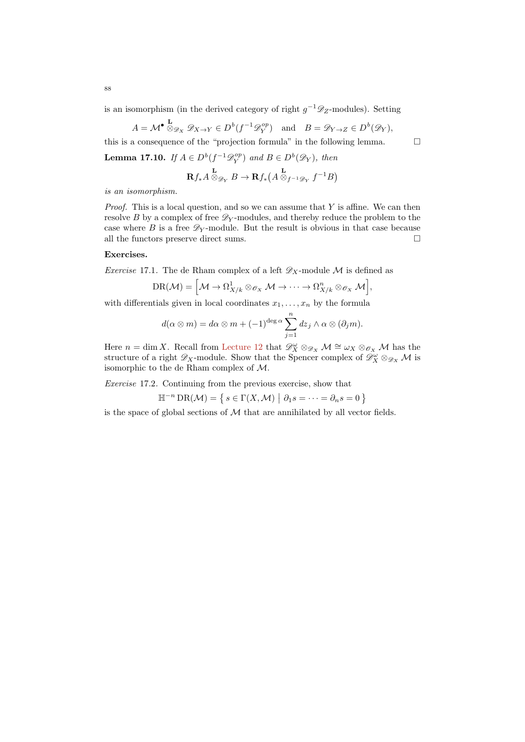is an isomorphism (in the derived category of right  $g^{-1}\mathscr{D}_Z$ -modules). Setting

$$
A = \mathcal{M}^{\bullet} \stackrel{\mathbf{L}}{\otimes}_{\mathscr{D}_X} \mathscr{D}_{X \to Y} \in D^b(f^{-1}\mathscr{D}_Y^{op}) \quad \text{and} \quad B = \mathscr{D}_{Y \to Z} \in D^b(\mathscr{D}_Y),
$$

this is a consequence of the "projection formula" in the following lemma.  $\Box$ **Lemma 17.10.** If  $A \in D^b(f^{-1}\mathscr{D}_Y^{op})$  and  $B \in D^b(\mathscr{D}_Y)$ , then

$$
\mathbf{R} f_* A\overset{\mathbf{L}}{\otimes}_{\mathscr{D}_Y} B \to \mathbf{R} f_* \big(A \overset{\mathbf{L}}{\otimes}_{f^{-1}\mathscr{D}_Y} f^{-1} B\big)
$$

is an isomorphism.

*Proof.* This is a local question, and so we can assume that  $Y$  is affine. We can then resolve  $B$  by a complex of free  $\mathscr{D}_Y$ -modules, and thereby reduce the problem to the case where B is a free  $\mathscr{D}_Y$ -module. But the result is obvious in that case because all the functors preserve direct sums.  $\hfill \Box$ 

## Exercises.

*Exercise* 17.1. The de Rham complex of a left  $\mathscr{D}_X$ -module M is defined as

$$
\mathrm{DR}(\mathcal{M}) = \Big[\mathcal{M} \to \Omega_{X/k}^1 \otimes_{\mathscr{O}_X} \mathcal{M} \to \cdots \to \Omega_{X/k}^n \otimes_{\mathscr{O}_X} \mathcal{M}\Big],
$$

with differentials given in local coordinates  $x_1, \ldots, x_n$  by the formula

$$
d(\alpha \otimes m) = d\alpha \otimes m + (-1)^{\deg \alpha} \sum_{j=1}^{n} dz_j \wedge \alpha \otimes (\partial_j m).
$$

Here  $n = \dim X$ . Recall from [Lecture 12](#page-56-0) that  $\mathscr{D}_X^{\omega} \otimes_{\mathscr{D}_X} \mathcal{M} \cong \omega_X \otimes_{\mathscr{O}_X} \mathcal{M}$  has the structure of a right  $\mathscr{D}_X$ -module. Show that the Spencer complex of  $\mathscr{D}_X^{\omega} \otimes_{\mathscr{D}_X} \mathcal{M}$  is isomorphic to the de Rham complex of M.

Exercise 17.2. Continuing from the previous exercise, show that

$$
\mathbb{H}^{-n} \operatorname{DR}(\mathcal{M}) = \{ s \in \Gamma(X, \mathcal{M}) \mid \partial_1 s = \dots = \partial_n s = 0 \}
$$

is the space of global sections of  $M$  that are annihilated by all vector fields.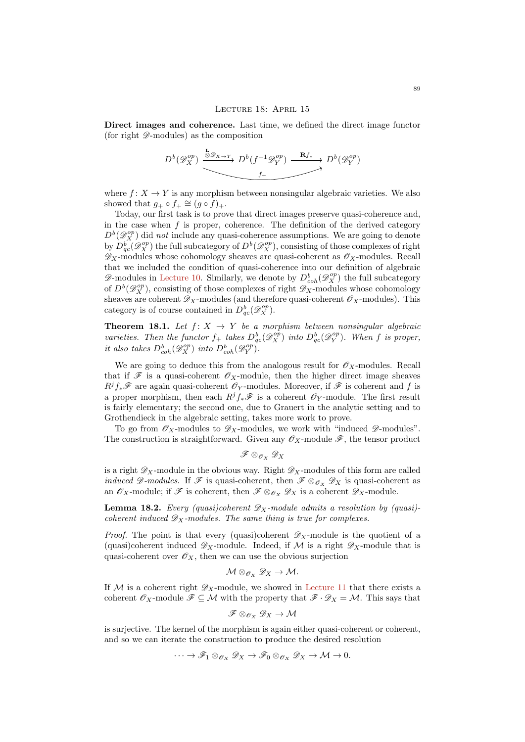### LECTURE 18: APRIL 15

Direct images and coherence. Last time, we defined the direct image functor (for right  $\mathscr{D}\text{-modules}$ ) as the composition

$$
D^{b}(\mathscr{D}_{X}^{op}) \xrightarrow{\overset{\mathbf{L}}{\otimes} \mathscr{D}_{X \to Y}} D^{b}(f^{-1}\mathscr{D}_{Y}^{op}) \xrightarrow{\mathbf{R}f_*} D^{b}(\mathscr{D}_{Y}^{op})
$$

where  $f: X \to Y$  is any morphism between nonsingular algebraic varieties. We also showed that  $g_+ \circ f_+ \cong (g \circ f)_+.$ 

Today, our first task is to prove that direct images preserve quasi-coherence and, in the case when  $f$  is proper, coherence. The definition of the derived category  $D^{b}(\mathscr{D}_{X}^{op})$  did not include any quasi-coherence assumptions. We are going to denote by  $D_{qc}^b(\mathscr{D}_X^{op})$  the full subcategory of  $D^b(\mathscr{D}_X^{op})$ , consisting of those complexes of right  $\mathscr{D}_X$ -modules whose cohomology sheaves are quasi-coherent as  $\mathscr{O}_X$ -modules. Recall that we included the condition of quasi-coherence into our definition of algebraic  $\mathscr{D}$ -modules in [Lecture 10.](#page-46-0) Similarly, we denote by  $D^b_{coh}(\mathscr{D}^{op}_X)$  the full subcategory of  $D^b(\mathscr{D}_{X}^{op})$ , consisting of those complexes of right  $\mathscr{D}_{X}$ -modules whose cohomology sheaves are coherent  $\mathscr{D}_X$ -modules (and therefore quasi-coherent  $\mathscr{O}_X$ -modules). This category is of course contained in  $D_{qc}^b(\mathscr{D}_X^{op})$ .

<span id="page-88-0"></span>**Theorem 18.1.** Let  $f: X \rightarrow Y$  be a morphism between nonsingular algebraic varieties. Then the functor  $f_+$  takes  $D^b_{qc}(\mathscr{D}^{op}_X)$  into  $D^b_{qc}(\mathscr{D}^{op}_Y)$ . When f is proper, it also takes  $D^b_{coh}(\mathscr{D}^{op}_X)$  into  $D^b_{coh}(\mathscr{D}^{op}_Y)$ .

We are going to deduce this from the analogous result for  $\mathscr{O}_X$ -modules. Recall that if  $\mathscr F$  is a quasi-coherent  $\mathscr O_X$ -module, then the higher direct image sheaves  $R^jf_*\mathscr{F}$  are again quasi-coherent  $\mathscr{O}_Y$ -modules. Moreover, if  $\mathscr{F}$  is coherent and f is a proper morphism, then each  $R^j f_* \mathscr{F}$  is a coherent  $\mathscr{O}_Y$ -module. The first result is fairly elementary; the second one, due to Grauert in the analytic setting and to Grothendieck in the algebraic setting, takes more work to prove.

To go from  $\mathscr{O}_X$ -modules to  $\mathscr{D}_X$ -modules, we work with "induced  $\mathscr{D}$ -modules". The construction is straightforward. Given any  $\mathscr{O}_X$ -module  $\mathscr{F}$ , the tensor product

$$
\mathscr{F} \otimes_{\mathscr{O}_X} \mathscr{D}_X
$$

is a right  $\mathscr{D}_X$ -module in the obvious way. Right  $\mathscr{D}_X$ -modules of this form are called induced  $\mathscr{D}\text{-modules.}$  If  $\mathscr{F}$  is quasi-coherent, then  $\mathscr{F} \otimes_{\mathscr{O}_X} \mathscr{D}_X$  is quasi-coherent as an  $\mathscr{O}_X$ -module; if  $\mathscr{F}$  is coherent, then  $\mathscr{F} \otimes_{\mathscr{O}_X} \mathscr{D}_X$  is a coherent  $\mathscr{D}_X$ -module.

**Lemma 18.2.** Every (quasi)coherent  $\mathscr{D}_X$ -module admits a resolution by (quasi)coherent induced  $\mathscr{D}_X$ -modules. The same thing is true for complexes.

*Proof.* The point is that every (quasi)coherent  $\mathscr{D}_X$ -module is the quotient of a (quasi)coherent induced  $\mathscr{D}_X$ -module. Indeed, if M is a right  $\mathscr{D}_X$ -module that is quasi-coherent over  $\mathscr{O}_X$ , then we can use the obvious surjection

$$
\mathcal{M} \otimes_{\mathscr{O}_X} \mathscr{D}_X \to \mathcal{M}.
$$

If M is a coherent right  $\mathscr{D}_X$ -module, we showed in [Lecture 11](#page-51-0) that there exists a coherent  $\mathscr{O}_X$ -module  $\mathscr{F} \subseteq \mathcal{M}$  with the property that  $\mathscr{F} \cdot \mathscr{D}_X = \mathcal{M}$ . This says that

$$
\mathscr{F} \otimes_{\mathscr{O}_X} \mathscr{D}_X \to \mathcal{M}
$$

is surjective. The kernel of the morphism is again either quasi-coherent or coherent, and so we can iterate the construction to produce the desired resolution

$$
\cdots \to \mathscr{F}_1 \otimes_{\mathscr{O}_X} \mathscr{D}_X \to \mathscr{F}_0 \otimes_{\mathscr{O}_X} \mathscr{D}_X \to \mathcal{M} \to 0.
$$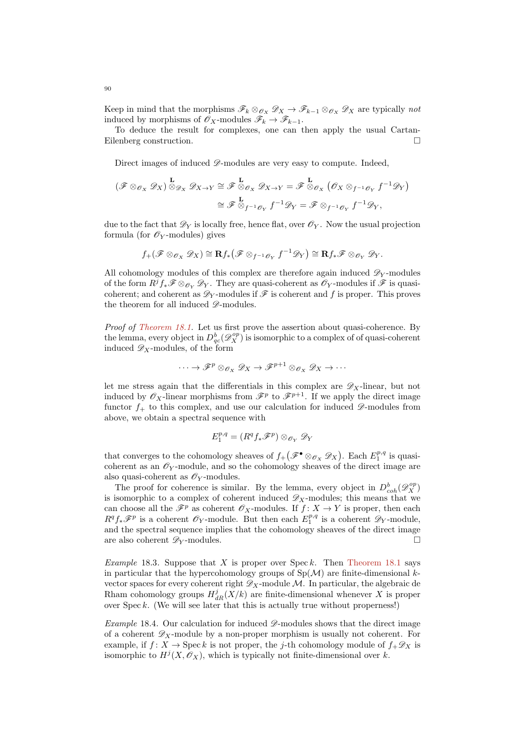Keep in mind that the morphisms  $\mathscr{F}_k \otimes_{\mathscr{O}_X} \mathscr{D}_X \to \mathscr{F}_{k-1} \otimes_{\mathscr{O}_X} \mathscr{D}_X$  are typically not induced by morphisms of  $\mathscr{O}_X$ -modules  $\mathscr{F}_k \to \mathscr{F}_{k-1}$ .

To deduce the result for complexes, one can then apply the usual Cartan-Eilenberg construction.

Direct images of induced  $\mathscr{D}$ -modules are very easy to compute. Indeed,

$$
(\mathscr{F} \otimes_{\mathscr{O}_X} \mathscr{D}_X) \overset{\mathbf{L}}{\otimes}_{\mathscr{D}_X} \mathscr{D}_{X \to Y} \cong \mathscr{F} \overset{\mathbf{L}}{\otimes}_{\mathscr{O}_X} \mathscr{D}_{X \to Y} = \mathscr{F} \overset{\mathbf{L}}{\otimes}_{\mathscr{O}_X} (\mathscr{O}_X \otimes_{f^{-1}\mathscr{O}_Y} f^{-1}\mathscr{D}_Y)
$$

$$
\cong \mathscr{F} \overset{\mathbf{L}}{\otimes}_{f^{-1}\mathscr{O}_Y} f^{-1}\mathscr{D}_Y = \mathscr{F} \otimes_{f^{-1}\mathscr{O}_Y} f^{-1}\mathscr{D}_Y,
$$

due to the fact that  $\mathscr{D}_Y$  is locally free, hence flat, over  $\mathscr{O}_Y$ . Now the usual projection formula (for  $\mathscr{O}_Y$ -modules) gives

$$
f_+(\mathscr{F} \otimes_{\mathscr{O}_X} \mathscr{D}_X) \cong \mathbf{R} f_*\big(\mathscr{F} \otimes_{f^{-1}\mathscr{O}_Y} f^{-1}\mathscr{D}_Y\big) \cong \mathbf{R} f_*\mathscr{F} \otimes_{\mathscr{O}_Y} \mathscr{D}_Y.
$$

All cohomology modules of this complex are therefore again induced  $\mathscr{D}_Y$ -modules of the form  $R^jf_*\mathscr{F}\otimes_{\mathscr{O}_Y}\mathscr{D}_Y$ . They are quasi-coherent as  $\mathscr{O}_Y$ -modules if  $\mathscr{F}$  is quasicoherent; and coherent as  $\mathscr{D}_Y$ -modules if  $\mathscr F$  is coherent and f is proper. This proves the theorem for all induced  $\mathscr{D}\text{-modules.}$ 

Proof of [Theorem 18.1.](#page-88-0) Let us first prove the assertion about quasi-coherence. By the lemma, every object in  $D^b_{qc}(\mathscr{D}^{op}_X)$  is isomorphic to a complex of of quasi-coherent induced  $\mathscr{D}_X$ -modules, of the form

$$
\cdots \to \mathscr{F}^p \otimes_{\mathscr{O}_X} \mathscr{D}_X \to \mathscr{F}^{p+1} \otimes_{\mathscr{O}_X} \mathscr{D}_X \to \cdots
$$

let me stress again that the differentials in this complex are  $\mathscr{D}_X$ -linear, but not induced by  $\mathscr{O}_X$ -linear morphisms from  $\mathscr{F}^p$  to  $\mathscr{F}^{p+1}$ . If we apply the direct image functor  $f_+$  to this complex, and use our calculation for induced  $\mathscr{D}$ -modules from above, we obtain a spectral sequence with

$$
E_1^{p,q} = (R^q f_* \mathscr{F}^p) \otimes_{\mathscr{O}_Y} \mathscr{D}_Y
$$

that converges to the cohomology sheaves of  $f_+(\mathscr{F}^\bullet \otimes_{\mathscr{O}_X} \mathscr{D}_X)$ . Each  $E_1^{p,q}$  is quasicoherent as an  $\mathscr{O}_Y$ -module, and so the cohomology sheaves of the direct image are also quasi-coherent as  $\mathscr{O}_Y$ -modules.

The proof for coherence is similar. By the lemma, every object in  $D^b_{coh}(\mathscr{D}_X^{op})$ is isomorphic to a complex of coherent induced  $\mathscr{D}_X$ -modules; this means that we can choose all the  $\mathscr{F}^p$  as coherent  $\mathscr{O}_X$ -modules. If  $f: X \to Y$  is proper, then each  $R^q f_* \mathscr{F}^p$  is a coherent  $\mathscr{O}_Y$ -module. But then each  $E_1^{p,q}$  is a coherent  $\mathscr{D}_Y$ -module, and the spectral sequence implies that the cohomology sheaves of the direct image are also coherent  $\mathscr{D}_Y$ -modules.

*Example* 18.3. Suppose that X is proper over Spec k. Then [Theorem 18.1](#page-88-0) says in particular that the hypercohomology groups of  $Sp(\mathcal{M})$  are finite-dimensional kvector spaces for every coherent right  $\mathscr{D}_X$ -module M. In particular, the algebraic de Rham cohomology groups  $H_{dR}^j(X/k)$  are finite-dimensional whenever X is proper over Spec k. (We will see later that this is actually true without properness!)

Example 18.4. Our calculation for induced  $\mathscr{D}$ -modules shows that the direct image of a coherent  $\mathscr{D}_X$ -module by a non-proper morphism is usually not coherent. For example, if  $f: X \to \text{Spec } k$  is not proper, the j-th cohomology module of  $f_{+}\mathscr{D}_{X}$  is isomorphic to  $H^{j}(X, \mathcal{O}_{X})$ , which is typically not finite-dimensional over k.

90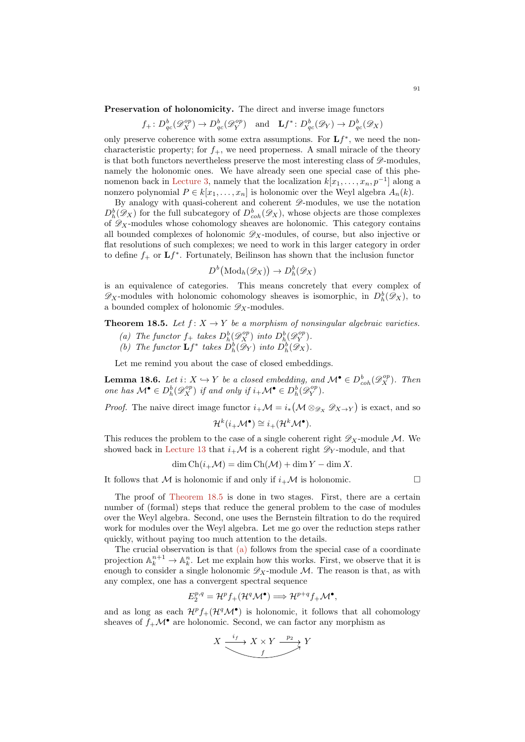Preservation of holonomicity. The direct and inverse image functors

$$
f_+ : D^b_{qc}(\mathcal{D}^{op}_X) \to D^b_{qc}(\mathcal{D}^{op}_Y)
$$
 and  $\mathbf{L}f^* : D^b_{qc}(\mathcal{D}_Y) \to D^b_{qc}(\mathcal{D}_X)$ 

only preserve coherence with some extra assumptions. For  $Lf^*$ , we need the noncharacteristic property; for  $f_{+}$ , we need properness. A small miracle of the theory is that both functors nevertheless preserve the most interesting class of  $\mathscr{D}$ -modules. namely the holonomic ones. We have already seen one special case of this phe-nomenon back in [Lecture 3,](#page-10-0) namely that the localization  $k[x_1, \ldots, x_n, p^{-1}]$  along a nonzero polynomial  $P \in k[x_1, \ldots, x_n]$  is holonomic over the Weyl algebra  $A_n(k)$ .

By analogy with quasi-coherent and coherent  $\mathscr{D}\text{-modules}$ , we use the notation  $D_h^b(\mathscr{D}_X)$  for the full subcategory of  $D_{coh}^b(\mathscr{D}_X)$ , whose objects are those complexes of  $\mathscr{D}_X$ -modules whose cohomology sheaves are holonomic. This category contains all bounded complexes of holonomic  $\mathscr{D}_X$ -modules, of course, but also injective or flat resolutions of such complexes; we need to work in this larger category in order to define  $f_+$  or  $\mathbf{L} f^*$ . Fortunately, Beilinson has shown that the inclusion functor

$$
D^b(\text{Mod}_h(\mathscr{D}_X)) \to D^b_h(\mathscr{D}_X)
$$

is an equivalence of categories. This means concretely that every complex of  $\mathscr{D}_X$ -modules with holonomic cohomology sheaves is isomorphic, in  $D_h^b(\mathscr{D}_X)$ , to a bounded complex of holonomic  $\mathscr{D}_X$ -modules.

<span id="page-90-1"></span><span id="page-90-0"></span>**Theorem 18.5.** Let  $f: X \to Y$  be a morphism of nonsingular algebraic varieties.

- (a) The functor  $f_+$  takes  $D_h^b(\mathscr{D}_X^{op})$  into  $D_h^b(\mathscr{D}_Y^{op})$ .
- <span id="page-90-2"></span>(b) The functor  $\mathbf{L}f^*$  takes  $D_h^b(\mathscr{D}_Y)$  into  $D_h^b(\mathscr{D}_X)$ .

Let me remind you about the case of closed embeddings.

**Lemma 18.6.** Let  $i: X \hookrightarrow Y$  be a closed embedding, and  $\mathcal{M}^{\bullet} \in D^b_{coh}(\mathscr{D}^{op}_X)$ . Then one has  $\mathcal{M}^{\bullet} \in D_h^b(\mathscr{D}_X^{op})$  if and only if  $i_{+}\mathcal{M}^{\bullet} \in D_h^b(\mathscr{D}_Y^{op})$ .

*Proof.* The naive direct image functor  $i_+\mathcal{M} = i_*(\mathcal{M} \otimes_{\mathscr{D}_X} \mathscr{D}_{X\to Y})$  is exact, and so

$$
\mathcal{H}^k(i_+\mathcal{M}^\bullet) \cong i_+(\mathcal{H}^k\mathcal{M}^\bullet).
$$

This reduces the problem to the case of a single coherent right  $\mathscr{D}_X$ -module M. We showed back in [Lecture 13](#page-61-0) that  $i_{+}\mathcal{M}$  is a coherent right  $\mathscr{D}_{Y}$ -module, and that

$$
\dim \text{Ch}(i_{+} \mathcal{M}) = \dim \text{Ch}(\mathcal{M}) + \dim Y - \dim X.
$$

It follows that M is holonomic if and only if  $i_{+}M$  is holonomic.

$$
\qquad \qquad \Box
$$

The proof of [Theorem 18.5](#page-90-0) is done in two stages. First, there are a certain number of (formal) steps that reduce the general problem to the case of modules over the Weyl algebra. Second, one uses the Bernstein filtration to do the required work for modules over the Weyl algebra. Let me go over the reduction steps rather quickly, without paying too much attention to the details.

The crucial observation is that [\(a\)](#page-90-1) follows from the special case of a coordinate projection  $\mathbb{A}_k^{n+1} \to \mathbb{A}_k^n$ . Let me explain how this works. First, we observe that it is enough to consider a single holonomic  $\mathscr{D}_X$ -module M. The reason is that, as with any complex, one has a convergent spectral sequence

$$
E_2^{p,q} = \mathcal{H}^p f_+(\mathcal{H}^q \mathcal{M}^\bullet) \Longrightarrow \mathcal{H}^{p+q} f_+ \mathcal{M}^\bullet,
$$

and as long as each  $\mathcal{H}^p f_+(\mathcal{H}^q \mathcal{M}^{\bullet})$  is holonomic, it follows that all cohomology sheaves of  $f_{+}\mathcal{M}^{\bullet}$  are holonomic. Second, we can factor any morphism as

$$
X \xrightarrow{\phantom{a}if\phantom{a}} X \times Y \xrightarrow{\phantom{a}p_2} Y
$$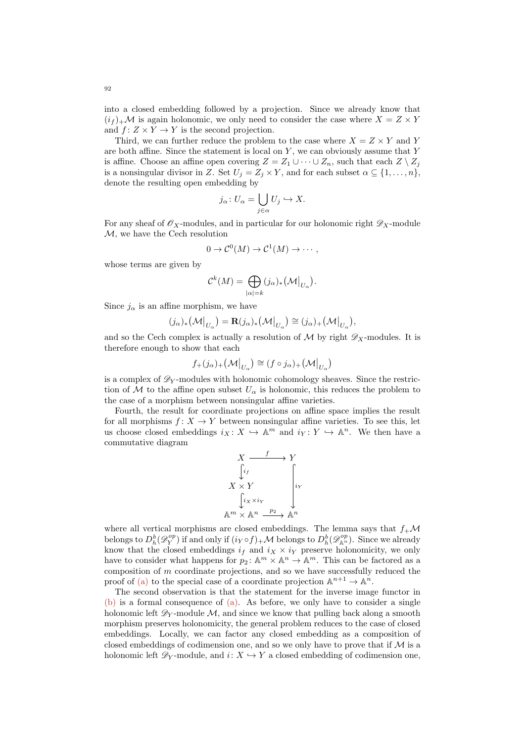into a closed embedding followed by a projection. Since we already know that  $(i_f)_+ \mathcal{M}$  is again holonomic, we only need to consider the case where  $X = Z \times Y$ and  $f: Z \times Y \to Y$  is the second projection.

Third, we can further reduce the problem to the case where  $X = Z \times Y$  and Y are both affine. Since the statement is local on  $Y$ , we can obviously assume that  $Y$ is affine. Choose an affine open covering  $Z = Z_1 \cup \cdots \cup Z_n$ , such that each  $Z \setminus Z_i$ is a nonsingular divisor in Z. Set  $U_j = Z_j \times Y$ , and for each subset  $\alpha \subseteq \{1, \ldots, n\}$ , denote the resulting open embedding by

$$
j_{\alpha} \colon U_{\alpha} = \bigcup_{j \in \alpha} U_j \hookrightarrow X.
$$

For any sheaf of  $\mathscr{O}_X$ -modules, and in particular for our holonomic right  $\mathscr{D}_X$ -module M, we have the Cech resolution

$$
0 \to \mathcal{C}^0(M) \to \mathcal{C}^1(M) \to \cdots,
$$

whose terms are given by

$$
\mathcal{C}^k(M)=\bigoplus_{|\alpha|=k}(j_{\alpha})_*\bigl(\mathcal{M}\bigl|_{U_{\alpha}}\bigr).
$$

Since  $j_{\alpha}$  is an affine morphism, we have

$$
(j_{\alpha})_{*}(\mathcal{M}|_{U_{\alpha}}) = \mathbf{R}(j_{\alpha})_{*}(\mathcal{M}|_{U_{\alpha}}) \cong (j_{\alpha})_{+}(\mathcal{M}|_{U_{\alpha}}),
$$

and so the Cech complex is actually a resolution of  $\mathcal M$  by right  $\mathscr D_X$ -modules. It is therefore enough to show that each

$$
f_+(j_\alpha)_+\big(\mathcal{M}\big|_{U_\alpha}\big)\cong (f\circ j_\alpha)_+\big(\mathcal{M}\big|_{U_\alpha}\big)
$$

is a complex of  $\mathscr{D}_Y$ -modules with holonomic cohomology sheaves. Since the restriction of M to the affine open subset  $U_{\alpha}$  is holonomic, this reduces the problem to the case of a morphism between nonsingular affine varieties.

Fourth, the result for coordinate projections on affine space implies the result for all morphisms  $f: X \to Y$  between nonsingular affine varieties. To see this, let us choose closed embeddings  $i_X: X \hookrightarrow \mathbb{A}^m$  and  $i_Y: Y \hookrightarrow \mathbb{A}^n$ . We then have a commutative diagram

$$
X \xrightarrow{f} Y
$$
  
\n
$$
\downarrow i_f
$$
  
\n
$$
X \times Y
$$
  
\n
$$
\downarrow i_x \times i_Y
$$
  
\n
$$
\text{A}^m \times \text{A}^n \xrightarrow{p_2} \text{A}^n
$$

where all vertical morphisms are closed embeddings. The lemma says that  $f_+ \mathcal{M}$ belongs to  $D_h^b(\mathscr{D}_Y^{op})$  if and only if  $(i_Y \circ f)_+ \mathcal{M}$  belongs to  $D_h^b(\mathscr{D}_{\mathbb{A}^n}^{op})$ . Since we already know that the closed embeddings  $i_f$  and  $i_X \times i_Y$  preserve holonomicity, we only have to consider what happens for  $p_2$ :  $\mathbb{A}^m \times \mathbb{A}^n \to \mathbb{A}^m$ . This can be factored as a composition of m coordinate projections, and so we have successfully reduced the proof of [\(a\)](#page-90-1) to the special case of a coordinate projection  $\mathbb{A}^{n+1} \to \mathbb{A}^n$ .

The second observation is that the statement for the inverse image functor in [\(b\)](#page-90-2) is a formal consequence of [\(a\).](#page-90-1) As before, we only have to consider a single holonomic left  $\mathscr{D}_V$ -module M, and since we know that pulling back along a smooth morphism preserves holonomicity, the general problem reduces to the case of closed embeddings. Locally, we can factor any closed embedding as a composition of closed embeddings of codimension one, and so we only have to prove that if  $\mathcal M$  is a holonomic left  $\mathscr{D}_Y$ -module, and  $i: X \hookrightarrow Y$  a closed embedding of codimension one,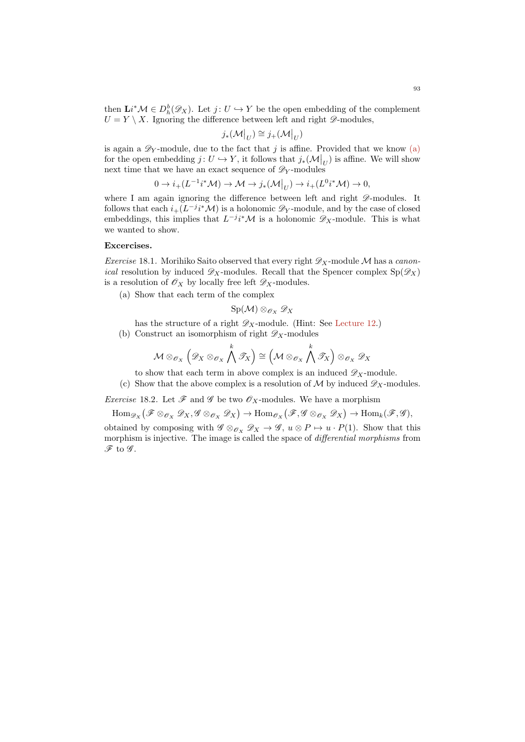then  $\mathbf{L} i^* \mathcal{M} \in D_h^b(\mathscr{D}_X)$ . Let  $j: U \hookrightarrow Y$  be the open embedding of the complement  $U = Y \setminus X$ . Ignoring the difference between left and right  $\mathscr{D}$ -modules,

$$
j_*({\mathcal{M}}|_U) \cong j_+({\mathcal{M}}|_U)
$$

is again a  $\mathscr{D}_Y$ -module, due to the fact that j is affine. Provided that we know [\(a\)](#page-90-1) for the open embedding  $j: U \hookrightarrow Y$ , it follows that  $j_*(\mathcal{M}|_U)$  is affine. We will show next time that we have an exact sequence of  $\mathscr{D}_Y$ -modules

$$
0 \to i_+(L^{-1}i^*\mathcal{M}) \to \mathcal{M} \to j_*(\mathcal{M}|_U) \to i_+(L^0i^*\mathcal{M}) \to 0,
$$

where I am again ignoring the difference between left and right  $\mathscr{D}\text{-modules.}$  It follows that each  $i_{+}(L^{-j}i^{\ast}M)$  is a holonomic  $\mathscr{D}_{Y}$ -module, and by the case of closed embeddings, this implies that  $L^{-j}i^{\ast}\mathcal{M}$  is a holonomic  $\mathscr{D}_X$ -module. This is what we wanted to show.

# Excercises.

*Exercise* 18.1. Morihiko Saito observed that every right  $\mathscr{D}_X$ -module M has a canon*ical* resolution by induced  $\mathscr{D}_X$ -modules. Recall that the Spencer complex  $Sp(\mathscr{D}_X)$ is a resolution of  $\mathscr{O}_X$  by locally free left  $\mathscr{D}_X$ -modules.

(a) Show that each term of the complex

$$
\mathrm{Sp}(\mathcal{M})\otimes_{\mathscr{O}_X}\mathscr{D}_X
$$

- has the structure of a right  $\mathscr{D}_X$ -module. (Hint: See [Lecture 12.](#page-56-0))
- (b) Construct an isomorphism of right  $\mathscr{D}_X$ -modules

$$
\mathcal{M} \otimes_{\mathscr{O}_X} \left( \mathscr{D}_X \otimes_{\mathscr{O}_X} \bigwedge^k \mathscr{T}_X \right) \cong \left( \mathcal{M} \otimes_{\mathscr{O}_X} \bigwedge^k \mathscr{T}_X \right) \otimes_{\mathscr{O}_X} \mathscr{D}_X
$$

to show that each term in above complex is an induced  $\mathscr{D}_X$ -module.

(c) Show that the above complex is a resolution of M by induced  $\mathscr{D}_X$ -modules.

*Exercise* 18.2. Let  $\mathscr F$  and  $\mathscr G$  be two  $\mathscr O_X$ -modules. We have a morphism

 $\text{Hom}_{\mathscr{D}_X}\big(\mathscr{F}\otimes_{\mathscr{O}_X}\mathscr{D}_X,\mathscr{G}\otimes_{\mathscr{O}_X}\mathscr{D}_X\big)\to \text{Hom}_{\mathscr{O}_X}\big(\mathscr{F},\mathscr{G}\otimes_{\mathscr{O}_X}\mathscr{D}_X\big)\to \text{Hom}_k(\mathscr{F},\mathscr{G}),$ 

obtained by composing with  $\mathscr{G} \otimes_{\mathscr{O}_X} \mathscr{D}_X \to \mathscr{G}$ ,  $u \otimes P \mapsto u \cdot P(1)$ . Show that this morphism is injective. The image is called the space of differential morphisms from  $\mathscr{F}$  to  $\mathscr{G}$ .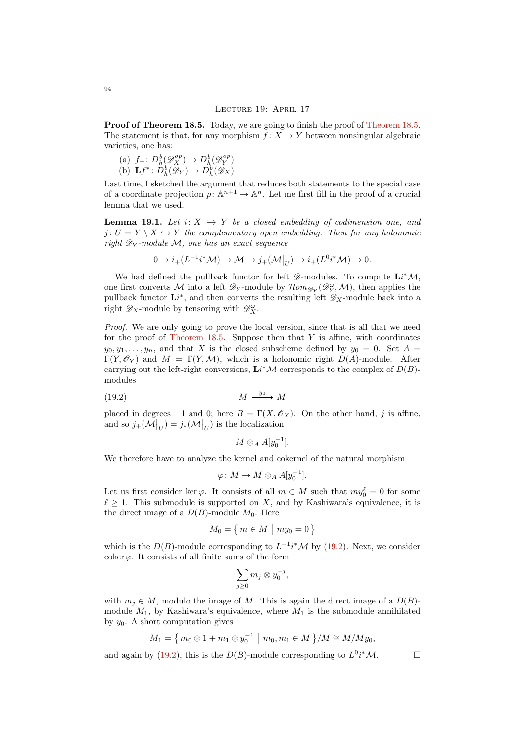#### LECTURE 19: APRIL 17

Proof of [Theorem 18.5.](#page-90-0) Today, we are going to finish the proof of Theorem 18.5. The statement is that, for any morphism  $f: X \to Y$  between nonsingular algebraic varieties, one has:

(a)  $f_+ : D_h^b(\mathscr{D}_{X}^{op}) \to D_h^b(\mathscr{D}_{Y}^{op})$ (b)  $\mathbf{L}f^*\colon D_h^b(\mathscr{D}_Y)\to D_h^b(\mathscr{D}_X)$ 

Last time, I sketched the argument that reduces both statements to the special case of a coordinate projection  $p: \mathbb{A}^{n+1} \to \mathbb{A}^n$ . Let me first fill in the proof of a crucial lemma that we used.

<span id="page-93-1"></span>**Lemma 19.1.** Let  $i: X \hookrightarrow Y$  be a closed embedding of codimension one, and  $j: U = Y \setminus X \hookrightarrow Y$  the complementary open embedding. Then for any holonomic right  $\mathscr{D}_Y$ -module M, one has an exact sequence

$$
0 \to i_{+}(L^{-1}i^{*}\mathcal{M}) \to \mathcal{M} \to j_{+}(\mathcal{M}|_{U}) \to i_{+}(L^{0}i^{*}\mathcal{M}) \to 0.
$$

We had defined the pullback functor for left  $\mathscr{D}\text{-modules.}$  To compute  $\mathbf{L}i^*\mathcal{M}$ , one first converts M into a left  $\mathscr{D}_Y$ -module by  $\mathcal{H}om_{\mathscr{D}_Y}(\mathscr{D}_Y^{\omega},\mathcal{M})$ , then applies the pullback functor  $\mathbf{L}i^*$ , and then converts the resulting left  $\mathscr{D}_X$ -module back into a right  $\mathscr{D}_X$ -module by tensoring with  $\mathscr{D}_X^{\omega}$ .

Proof. We are only going to prove the local version, since that is all that we need for the proof of [Theorem 18.5.](#page-90-0) Suppose then that  $Y$  is affine, with coordinates  $y_0, y_1, \ldots, y_n$ , and that X is the closed subscheme defined by  $y_0 = 0$ . Set  $A =$  $\Gamma(Y, \mathscr{O}_Y)$  and  $M = \Gamma(Y, \mathcal{M})$ , which is a holonomic right  $D(A)$ -module. After carrying out the left-right conversions,  $\mathbf{L} i^* \mathcal{M}$  corresponds to the complex of  $D(B)$ modules

(19.2) M M y0

placed in degrees −1 and 0; here  $B = \Gamma(X, \mathcal{O}_X)$ . On the other hand, j is affine, and so  $j_+(\mathcal{M}|_U) = j_*(\mathcal{M}|_U)$  is the localization

<span id="page-93-0"></span>
$$
M\otimes_A A[y_0^{-1}].
$$

We therefore have to analyze the kernel and cokernel of the natural morphism

$$
\varphi\colon M\to M\otimes_A A[y_0^{-1}].
$$

Let us first consider ker  $\varphi$ . It consists of all  $m \in M$  such that  $my_0^{\ell} = 0$  for some  $\ell \geq 1$ . This submodule is supported on X, and by Kashiwara's equivalence, it is the direct image of a  $D(B)$ -module  $M_0$ . Here

$$
M_0 = \left\{ m \in M \mid my_0 = 0 \right\}
$$

which is the  $D(B)$ -module corresponding to  $L^{-1}i^*\mathcal{M}$  by [\(19.2\)](#page-93-0). Next, we consider coker  $\varphi$ . It consists of all finite sums of the form

$$
\sum_{j\geq 0} m_j\otimes y_0^{-j},
$$

with  $m_i \in M$ , modulo the image of M. This is again the direct image of a  $D(B)$ module  $M_1$ , by Kashiwara's equivalence, where  $M_1$  is the submodule annihilated by  $y_0$ . A short computation gives

$$
M_1 = \left\{ m_0 \otimes 1 + m_1 \otimes y_0^{-1} \mid m_0, m_1 \in M \right\} / M \cong M / M y_0,
$$

and again by [\(19.2\)](#page-93-0), this is the  $D(B)$ -module corresponding to  $L^0i^*\mathcal{M}$ .

94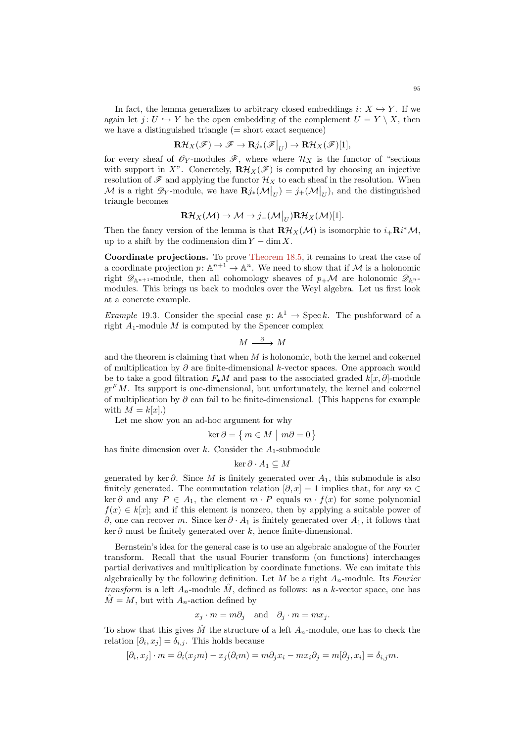In fact, the lemma generalizes to arbitrary closed embeddings  $i: X \hookrightarrow Y$ . If we again let  $j: U \hookrightarrow Y$  be the open embedding of the complement  $U = Y \setminus X$ , then we have a distinguished triangle  $(=$  short exact sequence)

$$
\mathbf{R}\mathcal{H}_X(\mathscr{F}) \to \mathscr{F} \to \mathbf{R}j_* (\mathscr{F}\big|_U) \to \mathbf{R}\mathcal{H}_X(\mathscr{F})[1],
$$

for every sheaf of  $\mathscr{O}_Y$ -modules  $\mathscr{F}$ , where where  $\mathcal{H}_X$  is the functor of "sections" with support in X". Concretely,  $\mathbf{R}\mathcal{H}_X(\mathscr{F})$  is computed by choosing an injective resolution of  $\mathscr F$  and applying the functor  $\mathcal H_X$  to each sheaf in the resolution. When M is a right  $\mathscr{D}_Y$ -module, we have  $\mathbf{R}j_*(\mathcal{M}|_U) = j_+(\mathcal{M}|_U)$ , and the distinguished triangle becomes

$$
\mathbf{R}\mathcal{H}_X(\mathcal{M}) \to \mathcal{M} \to j_+(\mathcal{M}|_U)\mathbf{R}\mathcal{H}_X(\mathcal{M})[1].
$$

Then the fancy version of the lemma is that  $\mathbf{R}\mathcal{H}_X(\mathcal{M})$  is isomorphic to  $i_+\mathbf{R}i^*\mathcal{M}$ , up to a shift by the codimension dim  $Y - \dim X$ .

Coordinate projections. To prove [Theorem 18.5,](#page-90-0) it remains to treat the case of a coordinate projection  $p: \mathbb{A}^{n+1} \to \mathbb{A}^n$ . We need to show that if M is a holonomic right  $\mathscr{D}_{\mathbb{A}^{n+1}}$ -module, then all cohomology sheaves of  $p_+\mathcal{M}$  are holonomic  $\mathscr{D}_{\mathbb{A}^{n}}$ modules. This brings us back to modules over the Weyl algebra. Let us first look at a concrete example.

Example 19.3. Consider the special case  $p: \mathbb{A}^1 \to \text{Spec } k$ . The pushforward of a right  $A_1$ -module  $M$  is computed by the Spencer complex

 $M \stackrel{\partial}{\longrightarrow} M$ 

and the theorem is claiming that when  $M$  is holonomic, both the kernel and cokernel of multiplication by  $\partial$  are finite-dimensional k-vector spaces. One approach would be to take a good filtration  $F_{\bullet}M$  and pass to the associated graded  $k[x, \partial]$ -module  $gr<sup>F</sup>M$ . Its support is one-dimensional, but unfortunately, the kernel and cokernel of multiplication by  $\partial$  can fail to be finite-dimensional. (This happens for example with  $M = k[x]$ .)

Let me show you an ad-hoc argument for why

$$
\ker \partial = \{ m \in M \mid m\partial = 0 \}
$$

has finite dimension over  $k$ . Consider the  $A_1$ -submodule

$$
\ker \partial \cdot A_1 \subseteq M
$$

generated by ker  $\partial$ . Since M is finitely generated over  $A_1$ , this submodule is also finitely generated. The commutation relation  $[\partial, x] = 1$  implies that, for any  $m \in$ ker ∂ and any  $P \in A_1$ , the element  $m \cdot P$  equals  $m \cdot f(x)$  for some polynomial  $f(x) \in k[x]$ ; and if this element is nonzero, then by applying a suitable power of ∂, one can recover m. Since ker  $\partial \cdot A_1$  is finitely generated over  $A_1$ , it follows that  $\ker \partial$  must be finitely generated over k, hence finite-dimensional.

Bernstein's idea for the general case is to use an algebraic analogue of the Fourier transform. Recall that the usual Fourier transform (on functions) interchanges partial derivatives and multiplication by coordinate functions. We can imitate this algebraically by the following definition. Let M be a right  $A_n$ -module. Its Fourier transform is a left  $A_n$ -module  $\hat{M}$ , defined as follows: as a k-vector space, one has  $M = M$ , but with  $A_n$ -action defined by

$$
x_j \cdot m = m\partial_j
$$
 and  $\partial_j \cdot m = mx_j$ .

To show that this gives  $\hat{M}$  the structure of a left  $A_n$ -module, one has to check the relation  $[\partial_i, x_j] = \delta_{i,j}$ . This holds because

$$
[\partial_i, x_j] \cdot m = \partial_i (x_j m) - x_j (\partial_i m) = m \partial_j x_i - m x_i \partial_j = m [\partial_j, x_i] = \delta_{i,j} m.
$$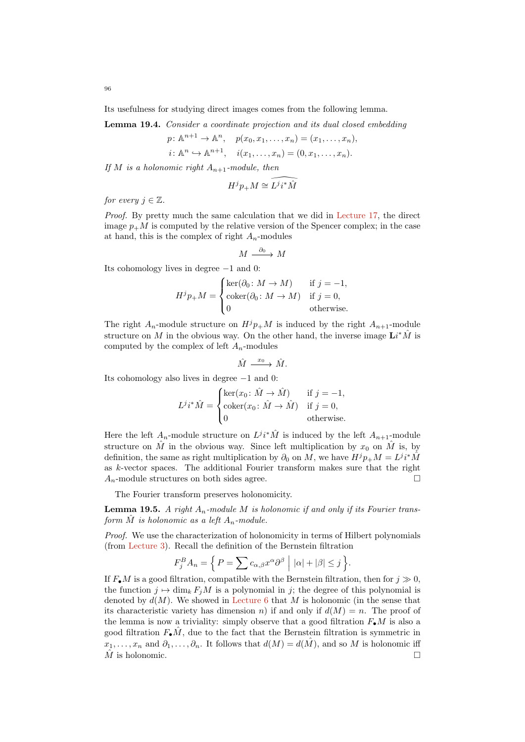Its usefulness for studying direct images comes from the following lemma.

<span id="page-95-1"></span>Lemma 19.4. Consider a coordinate projection and its dual closed embedding

$$
p: \mathbb{A}^{n+1} \to \mathbb{A}^n
$$
,  $p(x_0, x_1, ..., x_n) = (x_1, ..., x_n)$ ,  
 $i: \mathbb{A}^n \to \mathbb{A}^{n+1}$ ,  $i(x_1, ..., x_n) = (0, x_1, ..., x_n)$ .

If M is a holonomic right  $A_{n+1}$ -module, then

$$
H^j p_+ M \cong \widehat{L^j i^* \hat{M}}
$$

for every  $i \in \mathbb{Z}$ .

Proof. By pretty much the same calculation that we did in [Lecture 17,](#page-83-0) the direct image  $p_{+}M$  is computed by the relative version of the Spencer complex; in the case at hand, this is the complex of right  $A_n$ -modules

$$
M \stackrel{\partial_0}{\longrightarrow} M
$$

Its cohomology lives in degree −1 and 0:

$$
H^{j}p_{+}M = \begin{cases} \ker(\partial_{0} : M \to M) & \text{if } j = -1, \\ \operatorname{coker}(\partial_{0} : M \to M) & \text{if } j = 0, \\ 0 & \text{otherwise.} \end{cases}
$$

The right  $A_n$ -module structure on  $H^j p_+ M$  is induced by the right  $A_{n+1}$ -module structure on M in the obvious way. On the other hand, the inverse image  $\mathbf{L}i^*\hat{M}$  is computed by the complex of left  $A_n$ -modules

$$
\hat{M} \xrightarrow{x_0} \hat{M}.
$$

Its cohomology also lives in degree −1 and 0:

$$
L^{j}i^{*}\hat{M} = \begin{cases} \ker(x_{0} : \hat{M} \to \hat{M}) & \text{if } j = -1, \\ \operatorname{coker}(x_{0} : \hat{M} \to \hat{M}) & \text{if } j = 0, \\ 0 & \text{otherwise.} \end{cases}
$$

Here the left  $A_n$ -module structure on  $L^j i^* \hat{M}$  is induced by the left  $A_{n+1}$ -module structure on  $\hat{M}$  in the obvious way. Since left multiplication by  $x_0$  on  $\hat{M}$  is, by definition, the same as right multiplication by  $\partial_0$  on M, we have  $H^j p_+ M = L^j i^* \hat{M}$ as k-vector spaces. The additional Fourier transform makes sure that the right  $A_n$ -module structures on both sides agree.

The Fourier transform preserves holonomicity.

<span id="page-95-0"></span>**Lemma 19.5.** A right  $A_n$ -module M is holonomic if and only if its Fourier transform  $\hat{M}$  is holonomic as a left  $A_n$ -module.

Proof. We use the characterization of holonomicity in terms of Hilbert polynomials (from [Lecture 3\)](#page-10-0). Recall the definition of the Bernstein filtration

$$
F_j^B A_n = \left\{ P = \sum c_{\alpha,\beta} x^{\alpha} \partial^{\beta} \mid |\alpha| + |\beta| \le j \right\}.
$$

If  $F_{\bullet}M$  is a good filtration, compatible with the Bernstein filtration, then for  $j \gg 0$ , the function  $j \mapsto \dim_k F_jM$  is a polynomial in j; the degree of this polynomial is denoted by  $d(M)$ . We showed in [Lecture 6](#page-25-0) that M is holonomic (in the sense that its characteristic variety has dimension n) if and only if  $d(M) = n$ . The proof of the lemma is now a triviality: simply observe that a good filtration  $F_{\bullet}M$  is also a good filtration  $F_{\bullet} \hat{M}$ , due to the fact that the Bernstein filtration is symmetric in  $x_1, \ldots, x_n$  and  $\partial_1, \ldots, \partial_n$ . It follows that  $d(M) = d(M)$ , and so M is holonomic iff  $\hat{M}$  is holonomic.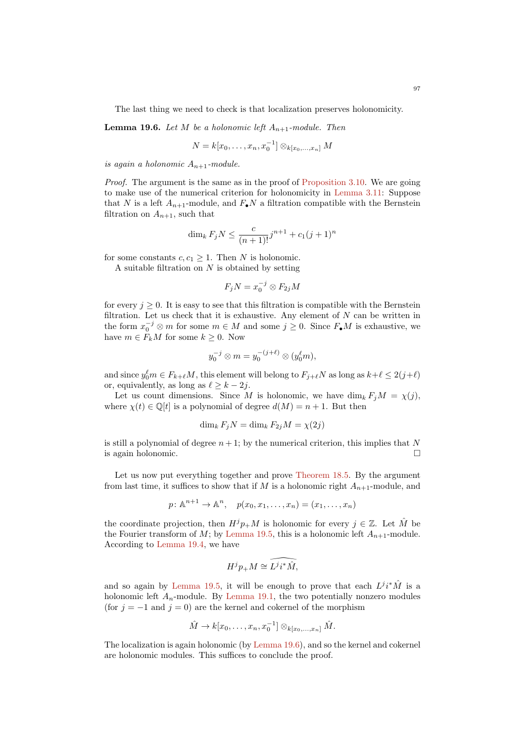The last thing we need to check is that localization preserves holonomicity.

<span id="page-96-0"></span>**Lemma 19.6.** Let M be a holonomic left  $A_{n+1}$ -module. Then

$$
N = k[x_0, \ldots, x_n, x_0^{-1}] \otimes_{k[x_0, \ldots, x_n]} M
$$

is again a holonomic  $A_{n+1}$ -module.

Proof. The argument is the same as in the proof of [Proposition 3.10.](#page-14-0) We are going to make use of the numerical criterion for holonomicity in [Lemma 3.11:](#page-14-1) Suppose that N is a left  $A_{n+1}$ -module, and  $F_{\bullet}N$  a filtration compatible with the Bernstein filtration on  $A_{n+1}$ , such that

$$
\dim_k F_j N \le \frac{c}{(n+1)!} j^{n+1} + c_1 (j+1)^n
$$

for some constants  $c, c_1 \geq 1$ . Then N is holonomic.

A suitable filtration on  $N$  is obtained by setting

 $F_j N = x_0^{-j} \otimes F_{2j} M$ 

for every  $j \geq 0$ . It is easy to see that this filtration is compatible with the Bernstein filtration. Let us check that it is exhaustive. Any element of  $N$  can be written in the form  $x_0^{-j} \otimes m$  for some  $m \in M$  and some  $j \geq 0$ . Since  $F_{\bullet}M$  is exhaustive, we have  $m \in F_k M$  for some  $k \geq 0$ . Now

$$
y_0^{-j} \otimes m = y_0^{-(j+\ell)} \otimes (y_0^{\ell} m),
$$

and since  $y_0^{\ell}m \in F_{k+\ell}M$ , this element will belong to  $F_{j+\ell}N$  as long as  $k+\ell \leq 2(j+\ell)$ or, equivalently, as long as  $\ell \geq k - 2j$ .

Let us count dimensions. Since M is holonomic, we have  $\dim_k F_iM = \chi(j)$ , where  $\chi(t) \in \mathbb{Q}[t]$  is a polynomial of degree  $d(M) = n + 1$ . But then

$$
\dim_k F_j N = \dim_k F_{2j} M = \chi(2j)
$$

is still a polynomial of degree  $n + 1$ ; by the numerical criterion, this implies that N is again holonomic.

Let us now put everything together and prove [Theorem 18.5.](#page-90-0) By the argument from last time, it suffices to show that if M is a holonomic right  $A_{n+1}$ -module, and

$$
p \colon \mathbb{A}^{n+1} \to \mathbb{A}^n, \quad p(x_0, x_1, \dots, x_n) = (x_1, \dots, x_n)
$$

the coordinate projection, then  $H^j p_+ M$  is holonomic for every  $j \in \mathbb{Z}$ . Let  $\hat{M}$  be the Fourier transform of M; by [Lemma 19.5,](#page-95-0) this is a holonomic left  $A_{n+1}$ -module. According to [Lemma 19.4,](#page-95-1) we have

$$
H^j p_+ M \cong L^j i^* \hat M,
$$

and so again by [Lemma 19.5,](#page-95-0) it will be enough to prove that each  $L^{j}i^{*}\hat{M}$  is a holonomic left  $A_n$ -module. By [Lemma 19.1,](#page-93-1) the two potentially nonzero modules (for  $j = -1$  and  $j = 0$ ) are the kernel and cokernel of the morphism

$$
\hat{M} \to k[x_0,\ldots,x_n,x_0^{-1}] \otimes_{k[x_0,\ldots,x_n]} \hat{M}.
$$

The localization is again holonomic (by [Lemma 19.6\)](#page-96-0), and so the kernel and cokernel are holonomic modules. This suffices to conclude the proof.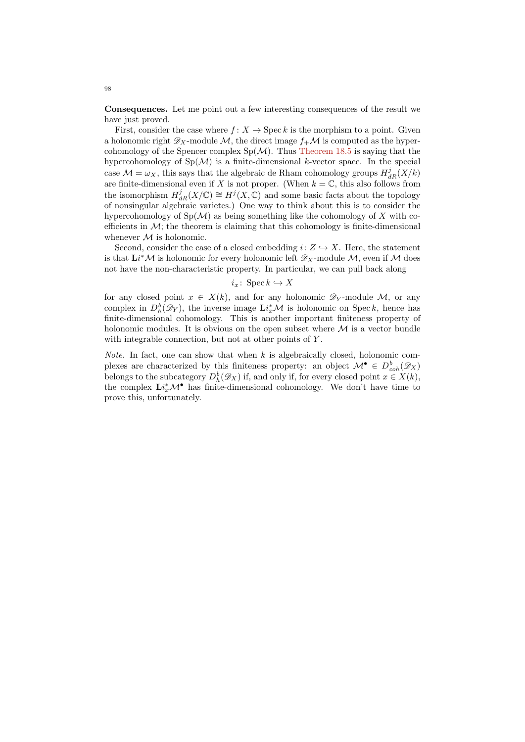Consequences. Let me point out a few interesting consequences of the result we have just proved.

First, consider the case where  $f: X \to \mathrm{Spec} k$  is the morphism to a point. Given a holonomic right  $\mathscr{D}_X$ -module M, the direct image  $f_{+}\mathcal{M}$  is computed as the hypercohomology of the Spencer complex  $Sp(\mathcal{M})$ . Thus [Theorem 18.5](#page-90-0) is saying that the hypercohomology of  $Sp(\mathcal{M})$  is a finite-dimensional k-vector space. In the special case  $\mathcal{M} = \omega_X$ , this says that the algebraic de Rham cohomology groups  $H_{dR}^j(X/k)$ are finite-dimensional even if X is not proper. (When  $k = \mathbb{C}$ , this also follows from the isomorphism  $H_{dR}^j(X/\mathbb{C}) \cong H^j(X,\mathbb{C})$  and some basic facts about the topology of nonsingular algebraic varietes.) One way to think about this is to consider the hypercohomology of  $Sp(\mathcal{M})$  as being something like the cohomology of X with coefficients in  $\mathcal{M}$ ; the theorem is claiming that this cohomology is finite-dimensional whenever  $M$  is holonomic.

Second, consider the case of a closed embedding  $i: Z \hookrightarrow X$ . Here, the statement is that  $\mathbf{L}i^*\mathcal{M}$  is holonomic for every holonomic left  $\mathscr{D}_X$ -module  $\mathcal{M}$ , even if  $\mathcal M$  does not have the non-characteristic property. In particular, we can pull back along

# $i_x$ : Spec  $k \hookrightarrow X$

for any closed point  $x \in X(k)$ , and for any holonomic  $\mathscr{D}_Y$ -module M, or any complex in  $D_h^b(\mathscr{D}_Y)$ , the inverse image  $\mathbf{L} i_x^*\mathcal{M}$  is holonomic on Speck, hence has finite-dimensional cohomology. This is another important finiteness property of holonomic modules. It is obvious on the open subset where  $\mathcal M$  is a vector bundle with integrable connection, but not at other points of Y.

*Note.* In fact, one can show that when  $k$  is algebraically closed, holonomic complexes are characterized by this finiteness property: an object  $M^{\bullet} \in D^b_{coh}(\mathscr{D}_X)$ belongs to the subcategory  $D_h^b(\mathscr{D}_X)$  if, and only if, for every closed point  $x \in X(k)$ , the complex  $\mathbf{L} i_x^* \mathcal{M}^{\bullet}$  has finite-dimensional cohomology. We don't have time to prove this, unfortunately.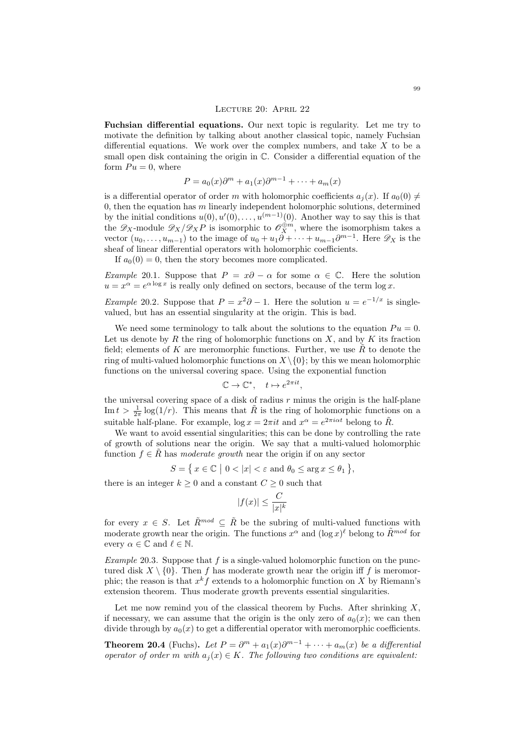#### Lecture 20: April 22

Fuchsian differential equations. Our next topic is regularity. Let me try to motivate the definition by talking about another classical topic, namely Fuchsian differential equations. We work over the complex numbers, and take  $X$  to be a small open disk containing the origin in C. Consider a differential equation of the form  $Pu = 0$ , where

$$
P = a_0(x)\partial^m + a_1(x)\partial^{m-1} + \dots + a_m(x)
$$

is a differential operator of order m with holomorphic coefficients  $a_i(x)$ . If  $a_0(0) \neq$ 0, then the equation has  $m$  linearly independent holomorphic solutions, determined by the initial conditions  $u(0), u'(0), \ldots, u^{(m-1)}(0)$ . Another way to say this is that the  $\mathscr{D}_X$ -module  $\mathscr{D}_X/\mathscr{D}_X P$  is isomorphic to  $\mathscr{O}_X^{\oplus m}$ , where the isomorphism takes a vector  $(u_0, \ldots, u_{m-1})$  to the image of  $u_0 + u_1 \partial + \cdots + u_{m-1} \partial^{m-1}$ . Here  $\mathscr{D}_X$  is the sheaf of linear differential operators with holomorphic coefficients.

If  $a_0(0) = 0$ , then the story becomes more complicated.

Example 20.1. Suppose that  $P = x\partial - \alpha$  for some  $\alpha \in \mathbb{C}$ . Here the solution  $u = x^{\alpha} = e^{\alpha \log x}$  is really only defined on sectors, because of the term  $\log x$ .

*Example* 20.2. Suppose that  $P = x^2\partial - 1$ . Here the solution  $u = e^{-1/x}$  is singlevalued, but has an essential singularity at the origin. This is bad.

We need some terminology to talk about the solutions to the equation  $Pu = 0$ . Let us denote by R the ring of holomorphic functions on X, and by K its fraction field; elements of  $K$  are meromorphic functions. Further, we use  $R$  to denote the ring of multi-valued holomorphic functions on  $X\setminus\{0\}$ ; by this we mean holomorphic functions on the universal covering space. Using the exponential function

$$
\mathbb{C} \to \mathbb{C}^*, \quad t \mapsto e^{2\pi i t},
$$

the universal covering space of a disk of radius  $r$  minus the origin is the half-plane Im  $t > \frac{1}{2\pi} \log(1/r)$ . This means that  $\tilde{R}$  is the ring of holomorphic functions on a suitable half-plane. For example,  $\log x = 2\pi i t$  and  $x^{\alpha} = e^{2\pi i \alpha t}$  belong to  $\tilde{R}$ .

We want to avoid essential singularities; this can be done by controlling the rate of growth of solutions near the origin. We say that a multi-valued holomorphic function  $f \in R$  has moderate growth near the origin if on any sector

$$
S = \{ x \in \mathbb{C} \mid 0 < |x| < \varepsilon \text{ and } \theta_0 \le \arg x \le \theta_1 \},
$$

there is an integer  $k\geq 0$  and a constant  $C\geq 0$  such that

$$
|f(x)| \le \frac{C}{|x|^k}
$$

for every  $x \in S$ . Let  $\tilde{R}^{mod} \subseteq \tilde{R}$  be the subring of multi-valued functions with moderate growth near the origin. The functions  $x^{\alpha}$  and  $(\log x)^{\ell}$  belong to  $\tilde{R}^{mod}$  for every  $\alpha \in \mathbb{C}$  and  $\ell \in \mathbb{N}$ .

Example 20.3. Suppose that f is a single-valued holomorphic function on the punctured disk  $X \setminus \{0\}$ . Then f has moderate growth near the origin iff f is meromorphic; the reason is that  $x^k f$  extends to a holomorphic function on X by Riemann's extension theorem. Thus moderate growth prevents essential singularities.

Let me now remind you of the classical theorem by Fuchs. After shrinking  $X$ , if necessary, we can assume that the origin is the only zero of  $a_0(x)$ ; we can then divide through by  $a_0(x)$  to get a differential operator with meromorphic coefficients.

<span id="page-98-0"></span>**Theorem 20.4** (Fuchs). Let  $P = \partial^m + a_1(x)\partial^{m-1} + \cdots + a_m(x)$  be a differential operator of order m with  $a_i(x) \in K$ . The following two conditions are equivalent: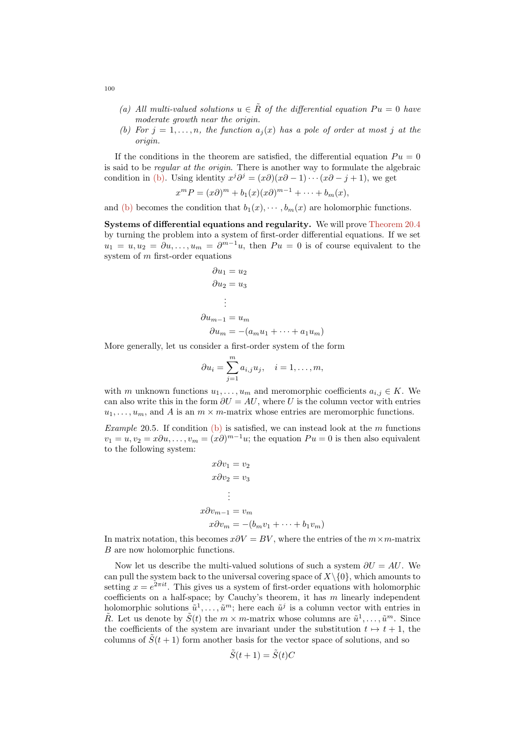- (a) All multi-valued solutions  $u \in \tilde{R}$  of the differential equation  $Pu = 0$  have moderate growth near the origin.
- <span id="page-99-0"></span>(b) For  $j = 1, \ldots, n$ , the function  $a_j(x)$  has a pole of order at most j at the origin.

If the conditions in the theorem are satisfied, the differential equation  $Pu = 0$ is said to be regular at the origin. There is another way to formulate the algebraic condition in [\(b\).](#page-99-0) Using identity  $x^j \partial^j = (x \partial)(x \partial - 1) \cdots (x \partial - j + 1)$ , we get

$$
x^m P = (x\partial)^m + b_1(x)(x\partial)^{m-1} + \cdots + b_m(x),
$$

and [\(b\)](#page-99-0) becomes the condition that  $b_1(x), \cdots, b_m(x)$  are holomorphic functions.

Systems of differential equations and regularity. We will prove [Theorem 20.4](#page-98-0) by turning the problem into a system of first-order differential equations. If we set  $u_1 = u, u_2 = \partial u, \dots, u_m = \partial^{m-1}u$ , then  $Pu = 0$  is of course equivalent to the system of m first-order equations

$$
\partial u_1 = u_2
$$
  
\n
$$
\partial u_2 = u_3
$$
  
\n
$$
\vdots
$$
  
\n
$$
\partial u_{m-1} = u_m
$$
  
\n
$$
\partial u_m = -(a_m u_1 + \dots + a_1 u_m)
$$

More generally, let us consider a first-order system of the form

$$
\partial u_i = \sum_{j=1}^m a_{i,j} u_j, \quad i = 1, \dots, m,
$$

with m unknown functions  $u_1, \ldots, u_m$  and meromorphic coefficients  $a_{i,j} \in K$ . We can also write this in the form  $\partial U = AU$ , where U is the column vector with entries  $u_1, \ldots, u_m$ , and A is an  $m \times m$ -matrix whose entries are meromorphic functions.

Example 20.5. If condition  $(b)$  is satisfied, we can instead look at the m functions  $v_1 = u, v_2 = x\partial u, \dots, v_m = (x\partial)^{m-1}u$ ; the equation  $Pu = 0$  is then also equivalent to the following system:

$$
x\partial v_1 = v_2
$$
  
\n
$$
x\partial v_2 = v_3
$$
  
\n
$$
\vdots
$$
  
\n
$$
x\partial v_{m-1} = v_m
$$
  
\n
$$
x\partial v_m = -(b_m v_1 + \dots + b_1 v_m)
$$

In matrix notation, this becomes  $x\partial V = BV$ , where the entries of the  $m \times m$ -matrix B are now holomorphic functions.

Now let us describe the multi-valued solutions of such a system  $\partial U = AU$ . We can pull the system back to the universal covering space of  $X\setminus\{0\}$ , which amounts to setting  $x = e^{2\pi i t}$ . This gives us a system of first-order equations with holomorphic coefficients on a half-space; by Cauchy's theorem, it has m linearly independent holomorphic solutions  $\tilde{u}^1, \ldots, \tilde{u}^m$ ; here each  $\tilde{u}^j$  is a column vector with entries in  $\tilde{R}$ . Let us denote by  $\tilde{S}(t)$  the  $m \times m$ -matrix whose columns are  $\tilde{u}^1, \ldots, \tilde{u}^m$ . Since the coefficients of the system are invariant under the substitution  $t \mapsto t + 1$ , the columns of  $S(t + 1)$  form another basis for the vector space of solutions, and so

$$
\tilde{S}(t+1) = \tilde{S}(t)C
$$

100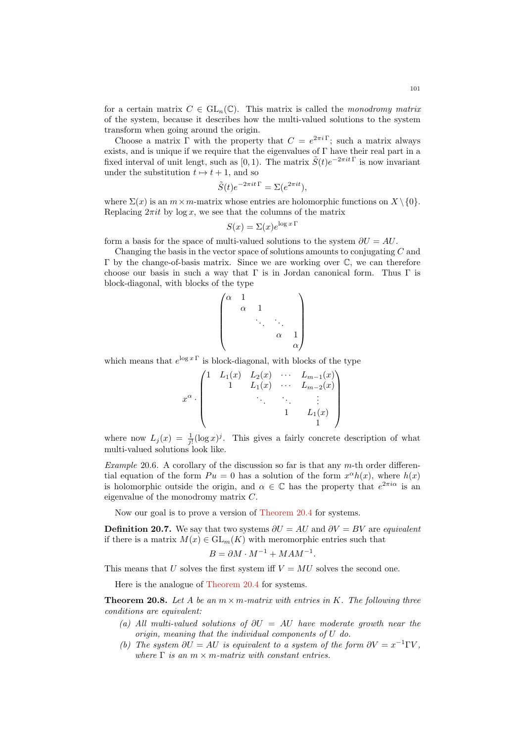Choose a matrix  $\Gamma$  with the property that  $C = e^{2\pi i \Gamma}$ ; such a matrix always exists, and is unique if we require that the eigenvalues of  $\Gamma$  have their real part in a fixed interval of unit lengt, such as [0, 1). The matrix  $\tilde{S}(t)e^{-2\pi i t\Gamma}$  is now invariant under the substitution  $t \mapsto t + 1$ , and so

$$
\tilde{S}(t)e^{-2\pi it\,\Gamma} = \Sigma(e^{2\pi it}),
$$

where  $\Sigma(x)$  is an  $m \times m$ -matrix whose entries are holomorphic functions on  $X \setminus \{0\}$ . Replacing  $2\pi i t$  by  $\log x$ , we see that the columns of the matrix

$$
S(x) = \Sigma(x)e^{\log x \Gamma}
$$

form a basis for the space of multi-valued solutions to the system  $\partial U = AU$ .

Changing the basis in the vector space of solutions amounts to conjugating C and Γ by the change-of-basis matrix. Since we are working over C, we can therefore choose our basis in such a way that  $\Gamma$  is in Jordan canonical form. Thus  $\Gamma$  is block-diagonal, with blocks of the type

$$
\begin{pmatrix}\n\alpha & 1 & & & \\
& \alpha & 1 & & \\
& & \ddots & \ddots & \\
& & & \alpha & 1 \\
& & & & \alpha\n\end{pmatrix}
$$

which means that  $e^{\log x}$  is block-diagonal, with blocks of the type

$$
x^{\alpha} \cdot \begin{pmatrix} 1 & L_1(x) & L_2(x) & \cdots & L_{m-1}(x) \\ & 1 & L_1(x) & \cdots & L_{m-2}(x) \\ & & \ddots & \ddots & \vdots \\ & & & 1 & L_1(x) \\ & & & & 1 \end{pmatrix}
$$

where now  $L_j(x) = \frac{1}{j!} (\log x)^j$ . This gives a fairly concrete description of what multi-valued solutions look like.

Example 20.6. A corollary of the discussion so far is that any  $m$ -th order differential equation of the form  $Pu = 0$  has a solution of the form  $x^{\alpha}h(x)$ , where  $h(x)$ is holomorphic outside the origin, and  $\alpha \in \mathbb{C}$  has the property that  $e^{2\pi i \alpha}$  is an eigenvalue of the monodromy matrix C.

Now our goal is to prove a version of [Theorem 20.4](#page-98-0) for systems.

**Definition 20.7.** We say that two systems  $\partial U = AU$  and  $\partial V = BV$  are *equivalent* if there is a matrix  $M(x) \in GL_m(K)$  with meromorphic entries such that

.

$$
B = \partial M \cdot M^{-1} + M A M^{-1}
$$

This means that U solves the first system iff  $V = MU$  solves the second one.

Here is the analogue of [Theorem 20.4](#page-98-0) for systems.

<span id="page-100-2"></span>**Theorem 20.8.** Let A be an  $m \times m$ -matrix with entries in K. The following three conditions are equivalent:

- <span id="page-100-0"></span>(a) All multi-valued solutions of  $\partial U = AU$  have moderate growth near the origin, meaning that the individual components of U do.
- <span id="page-100-1"></span>(b) The system  $\partial U = AU$  is equivalent to a system of the form  $\partial V = x^{-1} \Gamma V$ , where  $\Gamma$  is an  $m \times m$ -matrix with constant entries.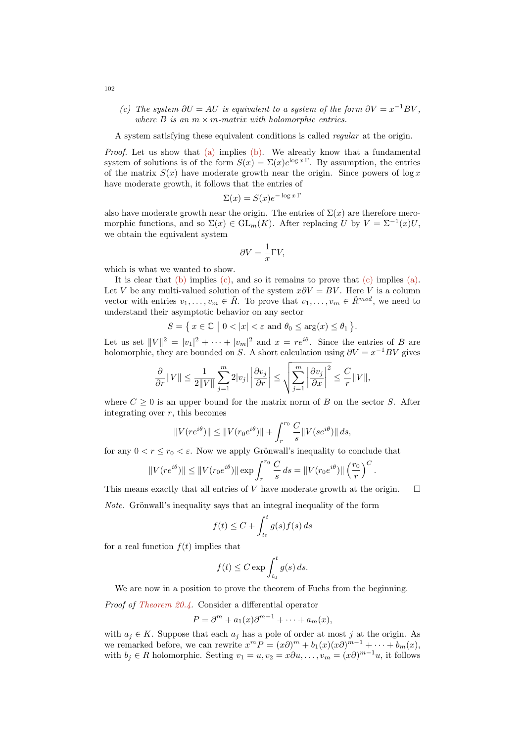<span id="page-101-0"></span>(c) The system  $\partial U = AU$  is equivalent to a system of the form  $\partial V = x^{-1}BV$ , where  $B$  is an  $m \times m$ -matrix with holomorphic entries.

A system satisfying these equivalent conditions is called regular at the origin.

Proof. Let us show that [\(a\)](#page-100-0) implies [\(b\).](#page-100-1) We already know that a fundamental system of solutions is of the form  $S(x) = \Sigma(x)e^{\log x}$ . By assumption, the entries of the matrix  $S(x)$  have moderate growth near the origin. Since powers of log x have moderate growth, it follows that the entries of

$$
\Sigma(x) = S(x)e^{-\log x \Gamma}
$$

also have moderate growth near the origin. The entries of  $\Sigma(x)$  are therefore meromorphic functions, and so  $\Sigma(x) \in GL_m(K)$ . After replacing U by  $V = \Sigma^{-1}(x)U$ , we obtain the equivalent system

$$
\partial V = \frac{1}{x}\Gamma V,
$$

which is what we wanted to show.

It is clear that  $(b)$  implies  $(c)$ , and so it remains to prove that  $(c)$  implies  $(a)$ . Let V be any multi-valued solution of the system  $x\partial V = BV$ . Here V is a column vector with entries  $v_1, \ldots, v_m \in \tilde{R}$ . To prove that  $v_1, \ldots, v_m \in \tilde{R}^{mod}$ , we need to understand their asymptotic behavior on any sector

$$
S = \{ x \in \mathbb{C} \mid 0 < |x| < \varepsilon \text{ and } \theta_0 \le \arg(x) \le \theta_1 \}.
$$

Let us set  $||V||^2 = |v_1|^2 + \cdots + |v_m|^2$  and  $x = re^{i\theta}$ . Since the entries of B are holomorphic, they are bounded on S. A short calculation using  $\partial V = x^{-1}BV$  gives

$$
\frac{\partial}{\partial r} \|V\| \leq \frac{1}{2\|V\|} \sum_{j=1}^m 2|v_j|\left|\frac{\partial v_j}{\partial r}\right| \leq \sqrt{\sum_{j=1}^m \left|\frac{\partial v_j}{\partial x}\right|^2} \leq \frac{C}{r} \|V\|,
$$

where  $C \geq 0$  is an upper bound for the matrix norm of B on the sector S. After integrating over  $r$ , this becomes

$$
||V(re^{i\theta})|| \le ||V(r_0 e^{i\theta})|| + \int_r^{r_0} \frac{C}{s} ||V(se^{i\theta})|| ds,
$$

for any  $0 < r \le r_0 < \varepsilon$ . Now we apply Grönwall's inequality to conclude that

$$
||V(re^{i\theta})|| \le ||V(r_0e^{i\theta})|| \exp \int_r^{r_0} \frac{C}{s} ds = ||V(r_0e^{i\theta})|| \left(\frac{r_0}{r}\right)^C
$$

.

This means exactly that all entries of V have moderate growth at the origin.  $\square$ 

*Note.* Grönwall's inequality says that an integral inequality of the form

$$
f(t) \le C + \int_{t_0}^t g(s) f(s) \, ds
$$

for a real function  $f(t)$  implies that

$$
f(t) \le C \exp \int_{t_0}^t g(s) \, ds.
$$

We are now in a position to prove the theorem of Fuchs from the beginning.

Proof of [Theorem 20.4.](#page-98-0) Consider a differential operator

$$
P = \partial^m + a_1(x)\partial^{m-1} + \cdots + a_m(x),
$$

with  $a_i \in K$ . Suppose that each  $a_j$  has a pole of order at most j at the origin. As we remarked before, we can rewrite  $x^m P = (x\partial)^m + b_1(x)(x\partial)^{m-1} + \cdots + b_m(x)$ , with  $b_j \in R$  holomorphic. Setting  $v_1 = u, v_2 = x\partial u, \dots, v_m = (x\partial)^{m-1}u$ , it follows

102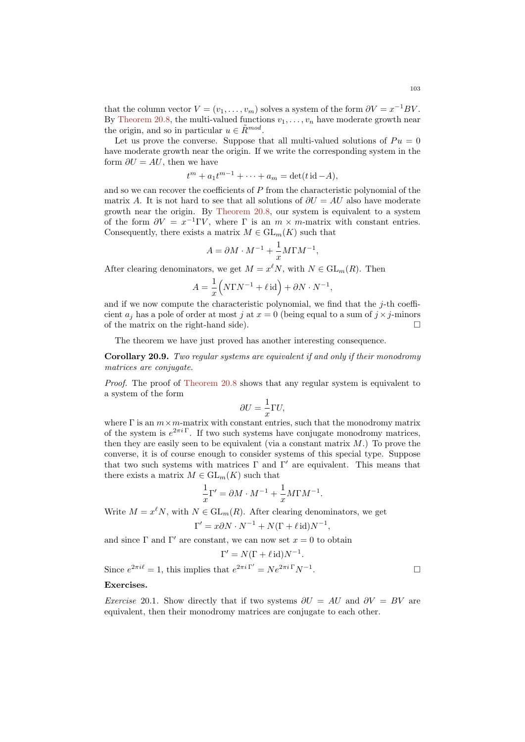that the column vector  $V = (v_1, \ldots, v_m)$  solves a system of the form  $\partial V = x^{-1}BV$ . By [Theorem 20.8,](#page-100-2) the multi-valued functions  $v_1, \ldots, v_n$  have moderate growth near the origin, and so in particular  $u \in \tilde{R}^{mod}$ .

Let us prove the converse. Suppose that all multi-valued solutions of  $Pu = 0$ have moderate growth near the origin. If we write the corresponding system in the form  $\partial U = AU$ , then we have

$$
t^m + a_1 t^{m-1} + \dots + a_m = \det(t \operatorname{id} - A),
$$

and so we can recover the coefficients of  $P$  from the characteristic polynomial of the matrix A. It is not hard to see that all solutions of  $\partial U = AU$  also have moderate growth near the origin. By [Theorem 20.8,](#page-100-2) our system is equivalent to a system of the form  $\partial V = x^{-1} \Gamma V$ , where  $\Gamma$  is an  $m \times m$ -matrix with constant entries. Consequently, there exists a matrix  $M \in GL_m(K)$  such that

$$
A = \partial M \cdot M^{-1} + \frac{1}{x} M \Gamma M^{-1},
$$

After clearing denominators, we get  $M = x^{\ell} N$ , with  $N \in GL_m(R)$ . Then

$$
A = \frac{1}{x} \left( N \Gamma N^{-1} + \ell \operatorname{id} \right) + \partial N \cdot N^{-1},
$$

and if we now compute the characteristic polynomial, we find that the  $j$ -th coefficient  $a_i$  has a pole of order at most j at  $x = 0$  (being equal to a sum of  $j \times j$ -minors of the matrix on the right-hand side).  $\Box$ 

The theorem we have just proved has another interesting consequence.

Corollary 20.9. Two regular systems are equivalent if and only if their monodromy matrices are conjugate.

Proof. The proof of [Theorem 20.8](#page-100-2) shows that any regular system is equivalent to a system of the form

$$
\partial U = -\frac{1}{x}\Gamma U,
$$

where  $\Gamma$  is an  $m \times m$ -matrix with constant entries, such that the monodromy matrix of the system is  $e^{2\pi i \Gamma}$ . If two such systems have conjugate monodromy matrices, then they are easily seen to be equivalent (via a constant matrix  $M$ .) To prove the converse, it is of course enough to consider systems of this special type. Suppose that two such systems with matrices  $\Gamma$  and  $\Gamma'$  are equivalent. This means that there exists a matrix  $M \in GL_m(K)$  such that

$$
\frac{1}{x}\Gamma' = \partial M \cdot M^{-1} + \frac{1}{x} M \Gamma M^{-1}.
$$

Write  $M = x^{\ell} N$ , with  $N \in GL_m(R)$ . After clearing denominators, we get  $\Gamma' = x \partial N \cdot N^{-1} + N(\Gamma + \ell \operatorname{id})N^{-1},$ 

and since  $\Gamma$  and  $\Gamma'$  are constant, we can now set  $x = 0$  to obtain

$$
\Gamma' = N(\Gamma + \ell \operatorname{id})N^{-1}.
$$

Since  $e^{2\pi i \ell} = 1$ , this implies that  $e^{2\pi i \Gamma'} = N e^{2\pi i \Gamma} N^{-1}$ .

# Exercises.

Exercise 20.1. Show directly that if two systems  $\partial U = AU$  and  $\partial V = BV$  are equivalent, then their monodromy matrices are conjugate to each other.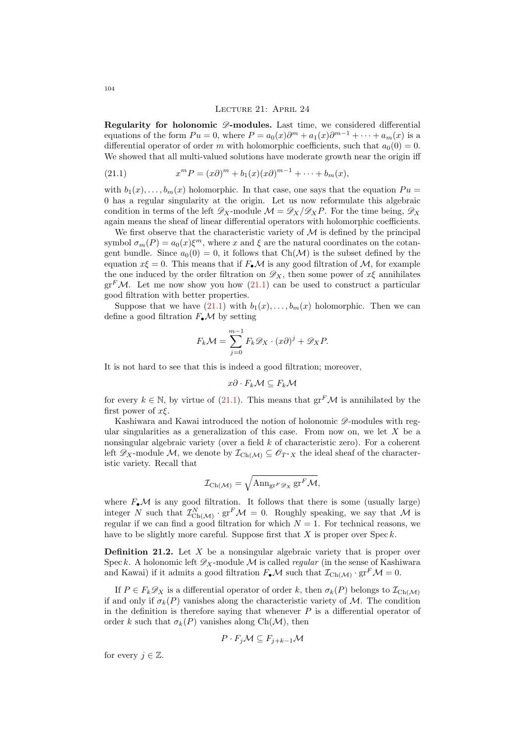### Lecture 21: April 24

Regularity for holonomic  $\mathscr{D}$ -modules. Last time, we considered differential equations of the form  $Pu = 0$ , where  $P = a_0(x)\partial^m + a_1(x)\partial^{m-1} + \cdots + a_m(x)$  is a differential operator of order m with holomorphic coefficients, such that  $a_0(0) = 0$ . We showed that all multi-valued solutions have moderate growth near the origin iff

<span id="page-103-0"></span>(21.1) 
$$
x^m P = (x\partial)^m + b_1(x)(x\partial)^{m-1} + \cdots + b_m(x),
$$

with  $b_1(x), \ldots, b_m(x)$  holomorphic. In that case, one says that the equation  $Pu =$ 0 has a regular singularity at the origin. Let us now reformulate this algebraic condition in terms of the left  $\mathscr{D}_X$ -module  $\mathcal{M} = \mathscr{D}_X/\mathscr{D}_X P$ . For the time being,  $\mathscr{D}_X$ again means the sheaf of linear differential operators with holomorphic coefficients.

We first observe that the characteristic variety of  $M$  is defined by the principal symbol  $\sigma_m(P) = a_0(x)\xi^m$ , where x and  $\xi$  are the natural coordinates on the cotangent bundle. Since  $a_0(0) = 0$ , it follows that Ch( $\mathcal{M}$ ) is the subset defined by the equation  $x\xi = 0$ . This means that if  $F_{\bullet} \mathcal{M}$  is any good filtration of  $\mathcal{M}$ , for example the one induced by the order filtration on  $\mathscr{D}_X$ , then some power of  $x\xi$  annihilates  $gr<sup>F</sup>M$ . Let me now show you how [\(21.1\)](#page-103-0) can be used to construct a particular good filtration with better properties.

Suppose that we have  $(21.1)$  with  $b_1(x), \ldots, b_m(x)$  holomorphic. Then we can define a good filtration  $F_{\bullet} \mathcal{M}$  by setting

$$
F_k \mathcal{M} = \sum_{j=0}^{m-1} F_k \mathcal{D}_X \cdot (x \partial)^j + \mathcal{D}_X P.
$$

It is not hard to see that this is indeed a good filtration; moreover,

$$
x\partial\cdot F_k\mathcal{M}\subseteq F_k\mathcal{M}
$$

for every  $k \in \mathbb{N}$ , by virtue of [\(21.1\)](#page-103-0). This means that  $gr<sup>F</sup>M$  is annihilated by the first power of  $x\xi$ .

Kashiwara and Kawai introduced the notion of holonomic  $\mathscr{D}$ -modules with regular singularities as a generalization of this case. From now on, we let  $X$  be a nonsingular algebraic variety (over a field k of characteristic zero). For a coherent left  $\mathscr{D}_X$ -module M, we denote by  $\mathcal{I}_{\text{Ch}(\mathcal{M})} \subseteq \mathscr{O}_{T^*X}$  the ideal sheaf of the characteristic variety. Recall that

$$
\mathcal{I}_{\text{Ch}(\mathcal{M})} = \sqrt{\text{Ann}_{\text{gr}^F \mathscr{D}_X} \text{gr}^F \mathcal{M}},
$$

where  $F_{\bullet}$  M is any good filtration. It follows that there is some (usually large) integer N such that  $\mathcal{I}^N_{\text{Ch}(\mathcal{M})} \cdot \text{gr}^F \mathcal{M} = 0$ . Roughly speaking, we say that M is regular if we can find a good filtration for which  $N = 1$ . For technical reasons, we have to be slightly more careful. Suppose first that  $X$  is proper over Spec  $k$ .

**Definition 21.2.** Let  $X$  be a nonsingular algebraic variety that is proper over Spec k. A holonomic left  $\mathscr{D}_X$ -module M is called *regular* (in the sense of Kashiwara and Kawai) if it admits a good filtration  $F_{\bullet} \mathcal{M}$  such that  $\mathcal{I}_{\text{Ch}(\mathcal{M})} \cdot \text{gr}^F \mathcal{M} = 0$ .

If  $P \in F_k \mathscr{D}_X$  is a differential operator of order k, then  $\sigma_k(P)$  belongs to  $\mathcal{I}_{Ch(\mathcal{M})}$ if and only if  $\sigma_k(P)$  vanishes along the characteristic variety of M. The condition in the definition is therefore saying that whenever  $P$  is a differential operator of order k such that  $\sigma_k(P)$  vanishes along Ch(M), then

$$
P \cdot F_j \mathcal{M} \subseteq F_{j+k-1} \mathcal{M}
$$

for every  $j \in \mathbb{Z}$ .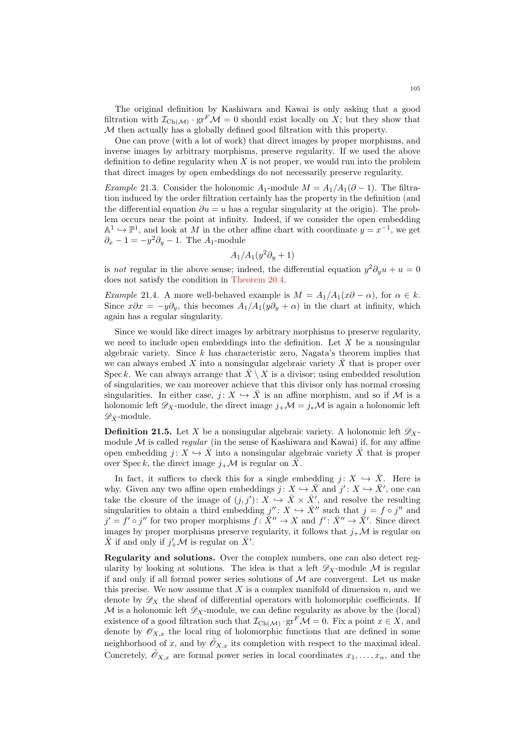The original definition by Kashiwara and Kawai is only asking that a good filtration with  $\mathcal{I}_{\text{Ch}(\mathcal{M})} \cdot \text{gr}^F \mathcal{M} = 0$  should exist locally on X; but they show that  $M$  then actually has a globally defined good filtration with this property.

One can prove (with a lot of work) that direct images by proper morphisms, and inverse images by arbitrary morphisms, preserve regularity. If we used the above definition to define regularity when  $X$  is not proper, we would run into the problem that direct images by open embeddings do not necessarily preserve regularity.

Example 21.3. Consider the holonomic  $A_1$ -module  $M = A_1/A_1(\partial - 1)$ . The filtration induced by the order filtration certainly has the property in the definition (and the differential equation  $\partial u = u$  has a regular singularity at the origin). The problem occurs near the point at infinity. Indeed, if we consider the open embedding  $\mathbb{A}^1 \hookrightarrow \mathbb{P}^1$ , and look at M in the other affine chart with coordinate  $y = x^{-1}$ , we get  $\partial_x - 1 = -y^2 \partial_y - 1$ . The A<sub>1</sub>-module

$$
A_1/A_1(y^2\partial_y+1)
$$

is not regular in the above sense; indeed, the differential equation  $y^2 \partial_y u + u = 0$ does not satisfy the condition in [Theorem 20.4.](#page-98-0)

Example 21.4. A more well-behaved example is  $M = A_1/A_1(x\partial - \alpha)$ , for  $\alpha \in k$ . Since  $x\partial x = -y\partial_y$ , this becomes  $A_1/A_1(y\partial_y + \alpha)$  in the chart at infinity, which again has a regular singularity.

Since we would like direct images by arbitrary morphisms to preserve regularity, we need to include open embeddings into the definition. Let  $X$  be a nonsingular algebraic variety. Since  $k$  has characteristic zero, Nagata's theorem implies that we can always embed X into a nonsingular algebraic variety  $\bar{X}$  that is proper over Spec k. We can always arrange that  $\bar{X} \setminus X$  is a divisor; using embedded resolution of singularities, we can moreover achieve that this divisor only has normal crossing singularities. In either case,  $j: X \hookrightarrow \overline{X}$  is an affine morphism, and so if M is a holonomic left  $\mathscr{D}_X$ -module, the direct image  $j_+\mathcal{M} = j_*\mathcal{M}$  is again a holonomic left  $\mathscr{D}_{\bar{X}}$ -module.

**Definition 21.5.** Let X be a nonsingular algebraic variety. A holonomic left  $\mathscr{D}_X$ module  $\mathcal M$  is called *regular* (in the sense of Kashiwara and Kawai) if, for any affine open embedding  $j: X \hookrightarrow \overline{X}$  into a nonsingular algebraic variety  $\overline{X}$  that is proper over Spec k, the direct image  $j_{+}$  M is regular on X.

In fact, it suffices to check this for a single embedding  $j: X \hookrightarrow \overline{X}$ . Here is why. Given any two affine open embeddings  $j: X \hookrightarrow \overline{X}$  and  $j': X \hookrightarrow \overline{X}'$ , one can take the closure of the image of  $(j, j') : X \hookrightarrow \overline{X} \times \overline{X}'$ , and resolve the resulting singularities to obtain a third embedding  $j'' : X \hookrightarrow \overline{X}''$  such that  $j = f \circ j''$  and  $j' = f' \circ j''$  for two proper morphisms  $f: \overline{X}'' \to X$  and  $f' : \overline{X}'' \to \overline{X}'$ . Since direct images by proper morphisms preserve regularity, it follows that  $j_{+}M$  is regular on  $\bar{X}$  if and only if  $j'_{+} \mathcal{M}$  is regular on  $\bar{X}'$ .

Regularity and solutions. Over the complex numbers, one can also detect regularity by looking at solutions. The idea is that a left  $\mathscr{D}_X$ -module M is regular if and only if all formal power series solutions of  $\mathcal M$  are convergent. Let us make this precise. We now assume that  $X$  is a complex manifold of dimension  $n$ , and we denote by  $\mathscr{D}_X$  the sheaf of differential operators with holomorphic coefficients. If  $M$  is a holonomic left  $\mathscr{D}_X$ -module, we can define regularity as above by the (local) existence of a good filtration such that  $\mathcal{I}_{\text{Ch}(\mathcal{M})} \cdot \text{gr}^F \mathcal{M} = 0$ . Fix a point  $x \in X$ , and denote by  $\mathscr{O}_{X,x}$  the local ring of holomorphic functions that are defined in some neighborhood of x, and by  $\hat{\mathscr{O}}_{X,x}$  its completion with respect to the maximal ideal. Concretely,  $\hat{\mathcal{O}}_{X,x}$  are formal power series in local coordinates  $x_1, \ldots, x_n$ , and the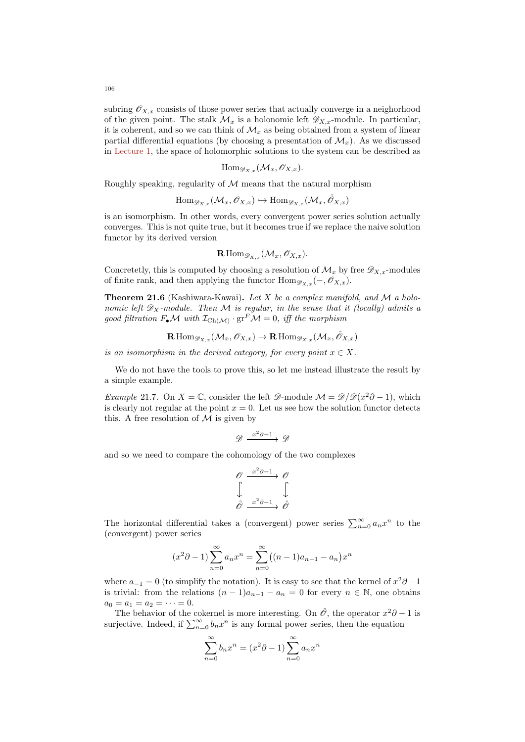subring  $\mathscr{O}_{X,x}$  consists of those power series that actually converge in a neighorhood of the given point. The stalk  $\mathcal{M}_x$  is a holonomic left  $\mathscr{D}_{X,x}$ -module. In particular, it is coherent, and so we can think of  $\mathcal{M}_x$  as being obtained from a system of linear partial differential equations (by choosing a presentation of  $\mathcal{M}_r$ ). As we discussed in [Lecture 1,](#page-0-0) the space of holomorphic solutions to the system can be described as

$$
\mathrm{Hom}_{\mathscr{D}_{X,x}}(\mathcal{M}_x,\mathscr{O}_{X,x}).
$$

Roughly speaking, regularity of  $M$  means that the natural morphism

$$
\operatorname{Hom}_{\mathscr{D}_{X,x}}(\mathcal{M}_x, \mathscr{O}_{X,x}) \hookrightarrow \operatorname{Hom}_{\mathscr{D}_{X,x}}(\mathcal{M}_x, \hat{\mathscr{O}}_{X,x})
$$

is an isomorphism. In other words, every convergent power series solution actually converges. This is not quite true, but it becomes true if we replace the naive solution functor by its derived version

$$
\mathbf{R}\operatorname{Hom}_{\mathscr{D}_{X,x}}(\mathcal{M}_x,\mathscr{O}_{X,x}).
$$

Concretetly, this is computed by choosing a resolution of  $\mathcal{M}_x$  by free  $\mathscr{D}_{X,x}$ -modules of finite rank, and then applying the functor  $\text{Hom}_{\mathscr{D}_{X,x}}(-,\mathscr{O}_{X,x}).$ 

Theorem 21.6 (Kashiwara-Kawai). Let X be a complex manifold, and M a holonomic left  $\mathscr{D}_X$ -module. Then M is regular, in the sense that it (locally) admits a good filtration  $F_{\bullet} \mathcal{M}$  with  $\mathcal{I}_{\text{Ch}(\mathcal{M})} \cdot \text{gr}^F \mathcal{M} = 0$ , iff the morphism

$$
\mathbf{R}\operatorname{Hom}_{\mathscr{D}_{X,x}}(\mathcal{M}_x, \mathscr{O}_{X,x}) \to \mathbf{R}\operatorname{Hom}_{\mathscr{D}_{X,x}}(\mathcal{M}_x, \hat{\mathscr{O}}_{X,x})
$$

is an isomorphism in the derived category, for every point  $x \in X$ .

We do not have the tools to prove this, so let me instead illustrate the result by a simple example.

Example 21.7. On  $X = \mathbb{C}$ , consider the left  $\mathscr{D}$ -module  $\mathcal{M} = \mathscr{D}/\mathscr{D}(x^2\partial - 1)$ , which is clearly not regular at the point  $x = 0$ . Let us see how the solution functor detects this. A free resolution of  $\mathcal M$  is given by

$$
\mathscr{D} \xrightarrow{x^2 \partial -1} \mathscr{D}
$$

and so we need to compare the cohomology of the two complexes

$$
\begin{array}{ccc}\n\mathcal{O} & \xrightarrow{x^2 \partial -1} & \mathcal{O} \\
\downarrow & & \downarrow \\
\hat{\mathcal{O}} & \xrightarrow{x^2 \partial -1} & \hat{\mathcal{O}}\n\end{array}
$$

The horizontal differential takes a (convergent) power series  $\sum_{n=0}^{\infty} a_n x^n$  to the (convergent) power series

$$
(x^{2}\partial - 1)\sum_{n=0}^{\infty} a_{n}x^{n} = \sum_{n=0}^{\infty} ((n-1)a_{n-1} - a_{n})x^{n}
$$

where  $a_{-1} = 0$  (to simplify the notation). It is easy to see that the kernel of  $x^2\partial - 1$ is trivial: from the relations  $(n-1)a_{n-1} - a_n = 0$  for every  $n \in \mathbb{N}$ , one obtains  $a_0 = a_1 = a_2 = \cdots = 0.$ 

The behavior of the cokernel is more interesting. On  $\hat{\mathscr{O}}$ , the operator  $x^2\partial - 1$  is surjective. Indeed, if  $\sum_{n=0}^{\infty} b_n x^n$  is any formal power series, then the equation

$$
\sum_{n=0}^{\infty} b_n x^n = (x^2 \partial - 1) \sum_{n=0}^{\infty} a_n x^n
$$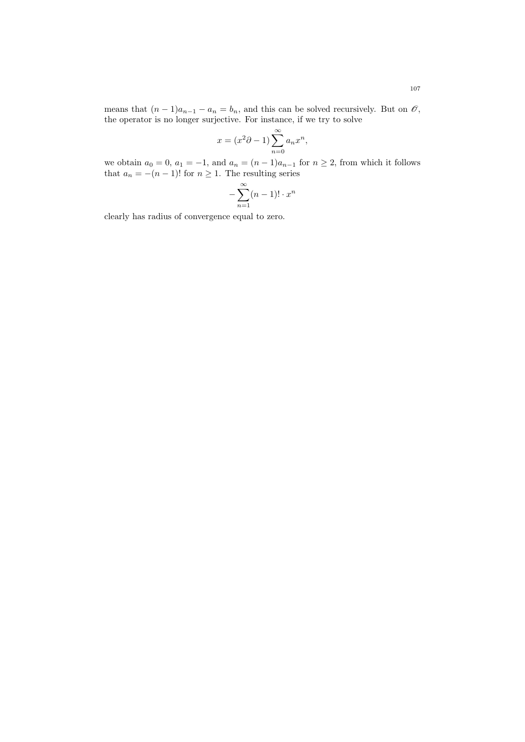means that  $(n-1)a_{n-1} - a_n = b_n$ , and this can be solved recursively. But on  $\mathcal{O}$ , the operator is no longer surjective. For instance, if we try to solve

$$
x = (x^2\partial - 1) \sum_{n=0}^{\infty} a_n x^n,
$$

we obtain  $a_0 = 0$ ,  $a_1 = -1$ , and  $a_n = (n-1)a_{n-1}$  for  $n \ge 2$ , from which it follows that  $a_n = -(n-1)!$  for  $n \geq 1$ . The resulting series

$$
-\sum_{n=1}^{\infty} (n-1)! \cdot x^n
$$

clearly has radius of convergence equal to zero.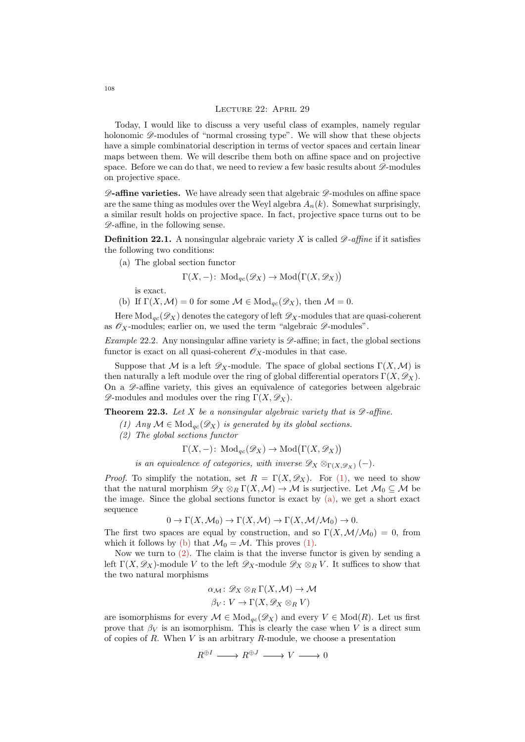#### Lecture 22: April 29

Today, I would like to discuss a very useful class of examples, namely regular holonomic  $\mathscr{D}$ -modules of "normal crossing type". We will show that these objects have a simple combinatorial description in terms of vector spaces and certain linear maps between them. We will describe them both on affine space and on projective space. Before we can do that, we need to review a few basic results about  $\mathscr{D}\text{-modules}$ on projective space.

 $\mathscr{D}$ -affine varieties. We have already seen that algebraic  $\mathscr{D}$ -modules on affine space are the same thing as modules over the Weyl algebra  $A_n(k)$ . Somewhat surprisingly, a similar result holds on projective space. In fact, projective space turns out to be  $\mathscr{D}$ -affine, in the following sense.

**Definition 22.1.** A nonsingular algebraic variety X is called  $\mathscr{D}$ -affine if it satisfies the following two conditions:

<span id="page-107-1"></span>(a) The global section functor

 $\Gamma(X, -)$ : Mod<sub>qc</sub>( $\mathscr{D}_X$ ) → Mod( $\Gamma(X, \mathscr{D}_X)$ )

is exact.

<span id="page-107-2"></span>(b) If  $\Gamma(X, \mathcal{M}) = 0$  for some  $\mathcal{M} \in Mod_{qc}(\mathscr{D}_X)$ , then  $\mathcal{M} = 0$ .

Here  $Mod_{ac}(\mathscr{D}_X)$  denotes the category of left  $\mathscr{D}_X$ -modules that are quasi-coherent as  $\mathscr{O}_X$ -modules; earlier on, we used the term "algebraic  $\mathscr{D}$ -modules".

Example 22.2. Any nonsingular affine variety is  $\mathscr{D}$ -affine; in fact, the global sections functor is exact on all quasi-coherent  $\mathscr{O}_X$ -modules in that case.

Suppose that M is a left  $\mathscr{D}_X$ -module. The space of global sections  $\Gamma(X,\mathcal{M})$  is then naturally a left module over the ring of global differential operators  $\Gamma(X, \mathscr{D}_X)$ . On a  $\mathscr{D}$ -affine variety, this gives an equivalence of categories between algebraic  $\mathscr{D}$ -modules and modules over the ring  $\Gamma(X, \mathscr{D}_X)$ .

<span id="page-107-0"></span>**Theorem 22.3.** Let X be a nonsingular algebraic variety that is  $\mathscr{D}$ -affine.

- (1) Any  $\mathcal{M} \in \text{Mod}_{qc}(\mathscr{D}_X)$  is generated by its global sections.
- <span id="page-107-3"></span>(2) The global sections functor

$$
\Gamma(X, -)
$$
: Mod<sub>qc</sub> $(\mathscr{D}_X) \to \text{Mod}(\Gamma(X, \mathscr{D}_X))$ 

is an equivalence of categories, with inverse  $\mathscr{D}_X \otimes_{\Gamma(X, \mathscr{D}_X)} (-)$ .

*Proof.* To simplify the notation, set  $R = \Gamma(X, \mathscr{D}_X)$ . For [\(1\),](#page-107-0) we need to show that the natural morphism  $\mathscr{D}_X \otimes_R \Gamma(X,\mathcal{M}) \to \mathcal{M}$  is surjective. Let  $\mathcal{M}_0 \subseteq \mathcal{M}$  be the image. Since the global sections functor is exact by  $(a)$ , we get a short exact sequence

$$
0 \to \Gamma(X, \mathcal{M}_0) \to \Gamma(X, \mathcal{M}) \to \Gamma(X, \mathcal{M}/\mathcal{M}_0) \to 0.
$$

The first two spaces are equal by construction, and so  $\Gamma(X, \mathcal{M}/\mathcal{M}_0) = 0$ , from which it follows by [\(b\)](#page-107-2) that  $\mathcal{M}_0 = \mathcal{M}$ . This proves [\(1\).](#page-107-0)

Now we turn to  $(2)$ . The claim is that the inverse functor is given by sending a left  $\Gamma(X, \mathscr{D}_X)$ -module V to the left  $\mathscr{D}_X$ -module  $\mathscr{D}_X \otimes_R V$ . It suffices to show that the two natural morphisms

$$
\alpha_{\mathcal{M}} \colon \mathscr{D}_X \otimes_R \Gamma(X, \mathcal{M}) \to \mathcal{M}
$$

$$
\beta_V \colon V \to \Gamma(X, \mathscr{D}_X \otimes_R V)
$$

are isomorphisms for every  $\mathcal{M} \in Mod_{qc}(\mathscr{D}_X)$  and every  $V \in Mod(R)$ . Let us first prove that  $\beta_V$  is an isomorphism. This is clearly the case when V is a direct sum of copies of  $R$ . When  $V$  is an arbitrary  $R$ -module, we choose a presentation

$$
R^{\oplus I} \longrightarrow R^{\oplus J} \longrightarrow V \longrightarrow 0
$$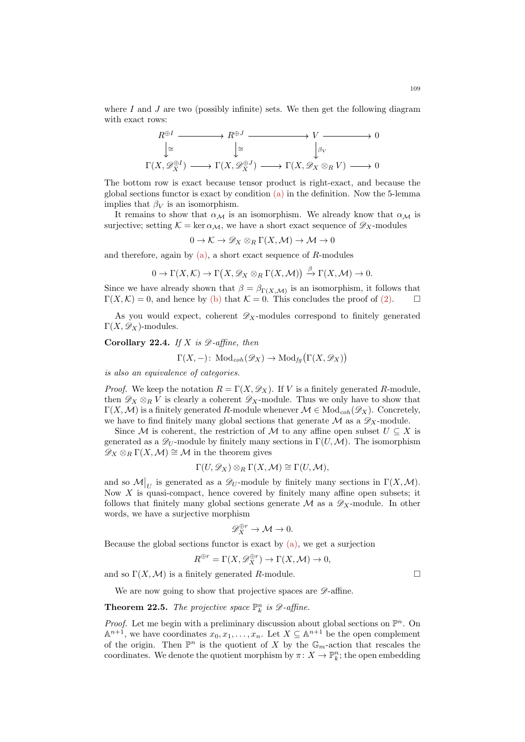where  $I$  and  $J$  are two (possibly infinite) sets. We then get the following diagram with exact rows:

$$
R^{\oplus I} \longrightarrow R^{\oplus J} \longrightarrow V \longrightarrow 0
$$
  
\n
$$
\downarrow \cong \qquad \qquad \downarrow \cong \qquad \qquad \downarrow \rho_V
$$
  
\n
$$
\Gamma(X, \mathscr{D}_X^{\oplus I}) \longrightarrow \Gamma(X, \mathscr{D}_X^{\oplus J}) \longrightarrow \Gamma(X, \mathscr{D}_X \otimes_R V) \longrightarrow 0
$$

The bottom row is exact because tensor product is right-exact, and because the global sections functor is exact by condition [\(a\)](#page-107-0) in the definition. Now the 5-lemma implies that  $\beta_V$  is an isomorphism.

It remains to show that  $\alpha_{\mathcal{M}}$  is an isomorphism. We already know that  $\alpha_{\mathcal{M}}$  is surjective; setting  $\mathcal{K} = \ker \alpha_{\mathcal{M}}$ , we have a short exact sequence of  $\mathscr{D}_X$ -modules

 $0 \to \mathcal{K} \to \mathscr{D}_X \otimes_R \Gamma(X, \mathcal{M}) \to \mathcal{M} \to 0$ 

and therefore, again by  $(a)$ , a short exact sequence of R-modules

$$
0 \to \Gamma(X, \mathcal{K}) \to \Gamma(X, \mathscr{D}_X \otimes_R \Gamma(X, \mathcal{M})) \xrightarrow{\beta} \Gamma(X, \mathcal{M}) \to 0.
$$

Since we have already shown that  $\beta = \beta_{\Gamma}(X,\mathcal{M})$  is an isomorphism, it follows that  $\Gamma(X,\mathcal{K})=0$ , and hence by [\(b\)](#page-107-1) that  $\mathcal{K}=0$ . This concludes the proof of [\(2\).](#page-107-2)

As you would expect, coherent  $\mathscr{D}_X$ -modules correspond to finitely generated  $\Gamma(X,\mathscr{D}_X)$ -modules.

<span id="page-108-0"></span>Corollary 22.4. If X is  $\mathscr{D}\text{-affine}$ , then

$$
\Gamma(X, -)
$$
: Mod<sub>coh</sub> $(\mathscr{D}_X) \to \text{Mod}_{fg}(\Gamma(X, \mathscr{D}_X))$ 

is also an equivalence of categories.

*Proof.* We keep the notation  $R = \Gamma(X, \mathscr{D}_X)$ . If V is a finitely generated R-module, then  $\mathscr{D}_X \otimes_R V$  is clearly a coherent  $\mathscr{D}_X$ -module. Thus we only have to show that  $\Gamma(X, \mathcal{M})$  is a finitely generated R-module whenever  $\mathcal{M} \in \text{Mod}_{coh}(\mathscr{D}_X)$ . Concretely, we have to find finitely many global sections that generate  $\mathcal M$  as a  $\mathscr D_X$ -module.

Since M is coherent, the restriction of M to any affine open subset  $U \subseteq X$  is generated as a  $\mathscr{D}_U$ -module by finitely many sections in  $\Gamma(U,\mathcal{M})$ . The isomorphism  $\mathscr{D}_X \otimes_R \Gamma(X, \mathcal{M}) \cong \mathcal{M}$  in the theorem gives

$$
\Gamma(U, \mathscr{D}_X) \otimes_R \Gamma(X, \mathcal{M}) \cong \Gamma(U, \mathcal{M}),
$$

and so  $\mathcal{M}|_U$  is generated as a  $\mathscr{D}_U$ -module by finitely many sections in  $\Gamma(X, \mathcal{M})$ . Now  $X$  is quasi-compact, hence covered by finitely many affine open subsets; it follows that finitely many global sections generate  $\mathcal M$  as a  $\mathscr D_X$ -module. In other words, we have a surjective morphism

$$
\mathscr{D}_X^{\oplus r} \to \mathcal{M} \to 0.
$$

Because the global sections functor is exact by  $(a)$ , we get a surjection

$$
R^{\oplus r} = \Gamma(X, \mathscr{D}_X^{\oplus r}) \to \Gamma(X, \mathcal{M}) \to 0,
$$

and so  $\Gamma(X, \mathcal{M})$  is a finitely generated R-module.

We are now going to show that projective spaces are  $\mathscr{D}$ -affine.

**Theorem 22.5.** The projective space  $\mathbb{P}_k^n$  is  $\mathscr{D}$ -affine.

*Proof.* Let me begin with a preliminary discussion about global sections on  $\mathbb{P}^n$ . On  $\mathbb{A}^{n+1}$ , we have coordinates  $x_0, x_1, \ldots, x_n$ . Let  $X \subseteq \mathbb{A}^{n+1}$  be the open complement of the origin. Then  $\mathbb{P}^n$  is the quotient of X by the  $\mathbb{G}_m$ -action that rescales the coordinates. We denote the quotient morphism by  $\pi: X \to \mathbb{P}_k^n$ ; the open embedding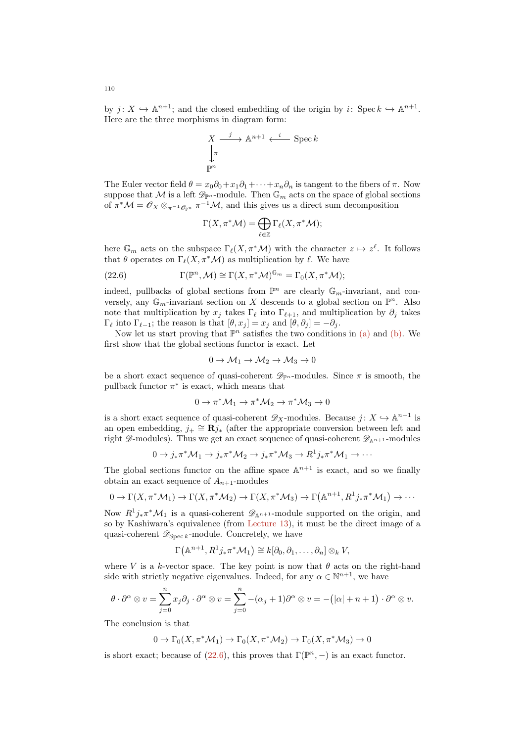by  $j: X \hookrightarrow \mathbb{A}^{n+1}$ ; and the closed embedding of the origin by i: Spec  $k \hookrightarrow \mathbb{A}^{n+1}$ . Here are the three morphisms in diagram form:

$$
X \xrightarrow{j} \mathbb{A}^{n+1} \xleftarrow{i} \text{Spec } k
$$

$$
\downarrow^{\pi}
$$

$$
\mathbb{P}^n
$$

The Euler vector field  $\theta = x_0 \partial_0 + x_1 \partial_1 + \cdots + x_n \partial_n$  is tangent to the fibers of  $\pi$ . Now suppose that M is a left  $\mathscr{D}_{\mathbb{P}^n}$ -module. Then  $\mathbb{G}_m$  acts on the space of global sections of  $\pi^* \mathcal{M} = \mathcal{O}_X \otimes_{\pi^{-1} \mathcal{O}_{\mathbb{P}^n}} \pi^{-1} \mathcal{M}$ , and this gives us a direct sum decomposition

<span id="page-109-0"></span>
$$
\Gamma(X, \pi^* \mathcal{M}) = \bigoplus_{\ell \in \mathbb{Z}} \Gamma_{\ell}(X, \pi^* \mathcal{M});
$$

here  $\mathbb{G}_m$  acts on the subspace  $\Gamma_{\ell}(X, \pi^*\mathcal{M})$  with the character  $z \mapsto z^{\ell}$ . It follows that  $\theta$  operates on  $\Gamma_{\ell}(X, \pi^*{\mathcal{M}})$  as multiplication by  $\ell$ . We have

(22.6) 
$$
\Gamma(\mathbb{P}^n, \mathcal{M}) \cong \Gamma(X, \pi^* \mathcal{M})^{\mathbb{G}_m} = \Gamma_0(X, \pi^* \mathcal{M});
$$

indeed, pullbacks of global sections from  $\mathbb{P}^n$  are clearly  $\mathbb{G}_m$ -invariant, and conversely, any  $\mathbb{G}_m$ -invariant section on X descends to a global section on  $\mathbb{P}^n$ . Also note that multiplication by  $x_j$  takes  $\Gamma_\ell$  into  $\Gamma_{\ell+1}$ , and multiplication by  $\partial_j$  takes  $\Gamma_{\ell}$  into  $\Gamma_{\ell-1}$ ; the reason is that  $[\theta, x_j] = x_j$  and  $[\theta, \partial_j] = -\partial_j$ .

Now let us start proving that  $\mathbb{P}^n$  satisfies the two conditions in [\(a\)](#page-107-0) and [\(b\).](#page-107-1) We first show that the global sections functor is exact. Let

$$
0 \to \mathcal{M}_1 \to \mathcal{M}_2 \to \mathcal{M}_3 \to 0
$$

be a short exact sequence of quasi-coherent  $\mathscr{D}_{\mathbb{P}^n}$ -modules. Since  $\pi$  is smooth, the pullback functor  $\pi^*$  is exact, which means that

$$
0\to \pi^*\mathcal{M}_1 \to \pi^*\mathcal{M}_2 \to \pi^*\mathcal{M}_3 \to 0
$$

is a short exact sequence of quasi-coherent  $\mathscr{D}_X$ -modules. Because  $j: X \hookrightarrow \mathbb{A}^{n+1}$  is an open embedding,  $j_+ \cong \mathbb{R}j_*$  (after the appropriate conversion between left and right  $\mathscr{D}$ -modules). Thus we get an exact sequence of quasi-coherent  $\mathscr{D}_{\mathbb{A}^{n+1}}$ -modules

$$
0 \to j_* \pi^* \mathcal{M}_1 \to j_* \pi^* \mathcal{M}_2 \to j_* \pi^* \mathcal{M}_3 \to R^1 j_* \pi^* \mathcal{M}_1 \to \cdots
$$

The global sections functor on the affine space  $\mathbb{A}^{n+1}$  is exact, and so we finally obtain an exact sequence of  $A_{n+1}$ -modules

$$
0 \to \Gamma(X, \pi^* \mathcal{M}_1) \to \Gamma(X, \pi^* \mathcal{M}_2) \to \Gamma(X, \pi^* \mathcal{M}_3) \to \Gamma(\mathbb{A}^{n+1}, R^1 j_* \pi^* \mathcal{M}_1) \to \cdots
$$

Now  $R^1 j_* \pi^* \mathcal{M}_1$  is a quasi-coherent  $\mathscr{D}_{\mathbb{A}^{n+1}}$ -module supported on the origin, and so by Kashiwara's equivalence (from [Lecture 13\)](#page-61-0), it must be the direct image of a quasi-coherent  $\mathscr{D}_{\text{Spec } k}$ -module. Concretely, we have

$$
\Gamma(\mathbb{A}^{n+1}, R^1j_*\pi^*\mathcal{M}_1) \cong k[\partial_0, \partial_1, \ldots, \partial_n] \otimes_k V,
$$

where V is a k-vector space. The key point is now that  $\theta$  acts on the right-hand side with strictly negative eigenvalues. Indeed, for any  $\alpha \in \mathbb{N}^{n+1}$ , we have

$$
\theta \cdot \partial^{\alpha} \otimes v = \sum_{j=0}^{n} x_{j} \partial_{j} \cdot \partial^{\alpha} \otimes v = \sum_{j=0}^{n} -(\alpha_{j} + 1) \partial^{\alpha} \otimes v = -(|\alpha| + n + 1) \cdot \partial^{\alpha} \otimes v.
$$

The conclusion is that

$$
0 \to \Gamma_0(X, \pi^* \mathcal{M}_1) \to \Gamma_0(X, \pi^* \mathcal{M}_2) \to \Gamma_0(X, \pi^* \mathcal{M}_3) \to 0
$$

is short exact; because of  $(22.6)$ , this proves that  $\Gamma(\mathbb{P}^n, -)$  is an exact functor.

110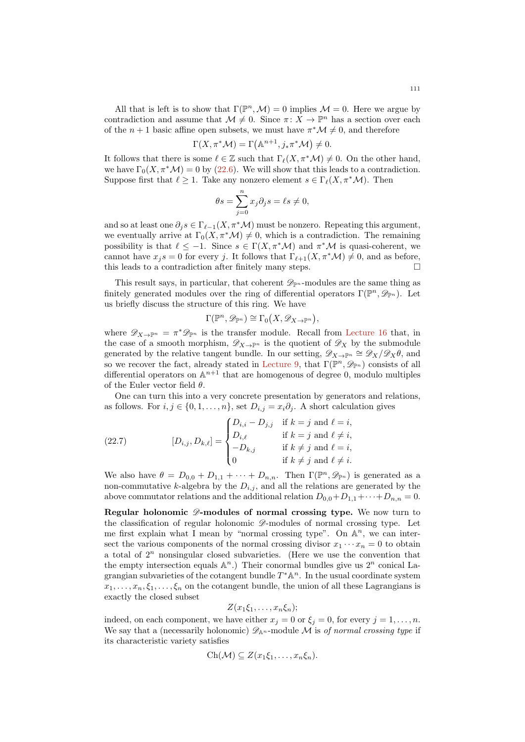All that is left is to show that  $\Gamma(\mathbb{P}^n, \mathcal{M}) = 0$  implies  $\mathcal{M} = 0$ . Here we argue by contradiction and assume that  $\mathcal{M} \neq 0$ . Since  $\pi \colon X \to \mathbb{P}^n$  has a section over each of the  $n + 1$  basic affine open subsets, we must have  $\pi^* \mathcal{M} \neq 0$ , and therefore

$$
\Gamma(X, \pi^* \mathcal{M}) = \Gamma(\mathbb{A}^{n+1}, j_* \pi^* \mathcal{M}) \neq 0.
$$

It follows that there is some  $\ell \in \mathbb{Z}$  such that  $\Gamma_{\ell}(X, \pi^*\mathcal{M}) \neq 0$ . On the other hand, we have  $\Gamma_0(X, \pi^*\mathcal{M}) = 0$  by [\(22.6\)](#page-109-0). We will show that this leads to a contradiction. Suppose first that  $\ell > 1$ . Take any nonzero element  $s \in \Gamma_{\ell}(X, \pi^*\mathcal{M})$ . Then

$$
\theta s = \sum_{j=0}^{n} x_j \partial_j s = \ell s \neq 0,
$$

and so at least one  $\partial_j s \in \Gamma_{\ell-1}(X, \pi^*\mathcal{M})$  must be nonzero. Repeating this argument, we eventually arrive at  $\Gamma_0(X, \pi^*\mathcal{M}) \neq 0$ , which is a contradiction. The remaining possibility is that  $\ell \leq -1$ . Since  $s \in \Gamma(X, \pi^* \mathcal{M})$  and  $\pi^* \mathcal{M}$  is quasi-coherent, we cannot have  $x_j s = 0$  for every j. It follows that  $\Gamma_{\ell+1}(X, \pi^*\mathcal{M}) \neq 0$ , and as before, this leads to a contradiction after finitely many steps.

This result says, in particular, that coherent  $\mathscr{D}_{\mathbb{P}^n}$ -modules are the same thing as finitely generated modules over the ring of differential operators  $\Gamma(\mathbb{P}^n, \mathscr{D}_{\mathbb{P}^n})$ . Let us briefly discuss the structure of this ring. We have

$$
\Gamma(\mathbb{P}^n, \mathscr{D}_{\mathbb{P}^n}) \cong \Gamma_0(X, \mathscr{D}_{X \to \mathbb{P}^n}),
$$

where  $\mathscr{D}_{X\to\mathbb{P}^n} = \pi^*\mathscr{D}_{\mathbb{P}^n}$  is the transfer module. Recall from [Lecture 16](#page-78-0) that, in the case of a smooth morphism,  $\mathscr{D}_{X\to\mathbb{P}^n}$  is the quotient of  $\mathscr{D}_X$  by the submodule generated by the relative tangent bundle. In our setting,  $\mathscr{D}_{X\to\mathbb{P}^n} \cong \mathscr{D}_X/\mathscr{D}_X\theta$ , and so we recover the fact, already stated in [Lecture 9,](#page-41-0) that  $\Gamma(\mathbb{P}^n, \mathscr{D}_{\mathbb{P}^n})$  consists of all differential operators on  $\mathbb{A}^{n+1}$  that are homogenous of degree 0, modulo multiples of the Euler vector field  $\theta$ .

One can turn this into a very concrete presentation by generators and relations, as follows. For  $i, j \in \{0, 1, \ldots, n\}$ , set  $D_{i,j} = x_i \partial_j$ . A short calculation gives

<span id="page-110-0"></span>(22.7) 
$$
[D_{i,j}, D_{k,\ell}] = \begin{cases} D_{i,i} - D_{j,j} & \text{if } k = j \text{ and } \ell = i, \\ D_{i,\ell} & \text{if } k = j \text{ and } \ell \neq i, \\ -D_{k,j} & \text{if } k \neq j \text{ and } \ell = i, \\ 0 & \text{if } k \neq j \text{ and } \ell \neq i. \end{cases}
$$

We also have  $\theta = D_{0,0} + D_{1,1} + \cdots + D_{n,n}$ . Then  $\Gamma(\mathbb{P}^n, \mathscr{D}_{\mathbb{P}^n})$  is generated as a non-commutative k-algebra by the  $D_{i,j}$ , and all the relations are generated by the above commutator relations and the additional relation  $D_{0,0}+D_{1,1}+\cdots+D_{n,n}=0$ .

Regular holonomic  $\mathscr{D}$ -modules of normal crossing type. We now turn to the classification of regular holonomic  $\mathscr{D}$ -modules of normal crossing type. Let me first explain what I mean by "normal crossing type". On  $\mathbb{A}^n$ , we can intersect the various components of the normal crossing divisor  $x_1 \cdots x_n = 0$  to obtain a total of  $2^n$  nonsingular closed subvarieties. (Here we use the convention that the empty intersection equals  $\mathbb{A}^n$ .) Their conormal bundles give us  $2^n$  conical Lagrangian subvarieties of the cotangent bundle  $T^*\mathbb{A}^n$ . In the usual coordinate system  $x_1, \ldots, x_n, \xi_1, \ldots, \xi_n$  on the cotangent bundle, the union of all these Lagrangians is exactly the closed subset

$$
Z(x_1\xi_1,\ldots,x_n\xi_n);
$$

indeed, on each component, we have either  $x_j = 0$  or  $\xi_j = 0$ , for every  $j = 1, \ldots, n$ . We say that a (necessarily holonomic)  $\mathscr{D}_{\mathbb{A}^n}$ -module M is of normal crossing type if its characteristic variety satisfies

$$
Ch(\mathcal{M}) \subseteq Z(x_1\xi_1,\ldots,x_n\xi_n).
$$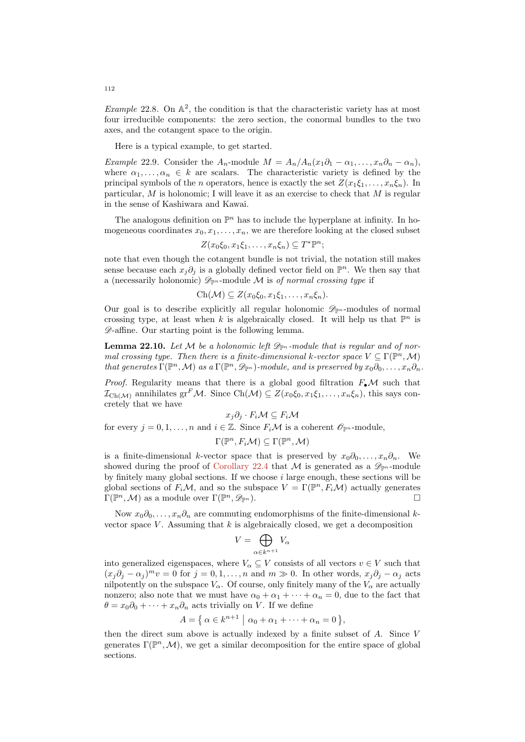Example 22.8. On  $\mathbb{A}^2$ , the condition is that the characteristic variety has at most four irreducible components: the zero section, the conormal bundles to the two axes, and the cotangent space to the origin.

Here is a typical example, to get started.

Example 22.9. Consider the  $A_n$ -module  $M = A_n/A_n(x_1\partial_1 - \alpha_1, \ldots, x_n\partial_n - \alpha_n)$ , where  $\alpha_1, \ldots, \alpha_n \in k$  are scalars. The characteristic variety is defined by the principal symbols of the n operators, hence is exactly the set  $Z(x_1\xi_1,\ldots,x_n\xi_n)$ . In particular, M is holonomic; I will leave it as an exercise to check that M is regular in the sense of Kashiwara and Kawai.

The analogous definition on  $\mathbb{P}^n$  has to include the hyperplane at infinity. In homogeneous coordinates  $x_0, x_1, \ldots, x_n$ , we are therefore looking at the closed subset

$$
Z(x_0\xi_0, x_1\xi_1, \ldots, x_n\xi_n) \subseteq T^* \mathbb{P}^n;
$$

note that even though the cotangent bundle is not trivial, the notation still makes sense because each  $x_j \partial_j$  is a globally defined vector field on  $\mathbb{P}^n$ . We then say that a (necessarily holonomic)  $\mathscr{D}_{\mathbb{P}^n}$ -module M is of normal crossing type if

$$
Ch(\mathcal{M}) \subseteq Z(x_0\xi_0, x_1\xi_1, \ldots, x_n\xi_n).
$$

Our goal is to describe explicitly all regular holonomic  $\mathscr{D}_{\mathbb{P}^n}$ -modules of normal crossing type, at least when k is algebraically closed. It will help us that  $\mathbb{P}^n$  is D-affine. Our starting point is the following lemma.

**Lemma 22.10.** Let M be a holonomic left  $\mathscr{D}_{\mathbb{P}^n}$ -module that is regular and of normal crossing type. Then there is a finite-dimensional k-vector space  $V \subseteq \Gamma(\mathbb{P}^n, \mathcal{M})$ that generates  $\Gamma(\mathbb{P}^n,\mathcal{M})$  as a  $\Gamma(\mathbb{P}^n,\mathscr{D}_{\mathbb{P}^n})$ -module, and is preserved by  $x_0\partial_0,\ldots,x_n\partial_n$ .

*Proof.* Regularity means that there is a global good filtration  $F_{\bullet} \mathcal{M}$  such that  $\mathcal{I}_{\text{Ch}(\mathcal{M})}$  annihilates gr<sup>F</sup>M. Since Ch(M)  $\subseteq Z(x_0\xi_0, x_1\xi_1, \ldots, x_n\xi_n)$ , this says concretely that we have

$$
x_j \partial_j \cdot F_i \mathcal{M} \subseteq F_i \mathcal{M}
$$

for every  $j = 0, 1, \ldots, n$  and  $i \in \mathbb{Z}$ . Since  $F_i \mathcal{M}$  is a coherent  $\mathcal{O}_{\mathbb{P}^n}$ -module,

$$
\Gamma(\mathbb{P}^n, F_i\mathcal{M}) \subseteq \Gamma(\mathbb{P}^n, \mathcal{M})
$$

is a finite-dimensional k-vector space that is preserved by  $x_0\partial_0, \ldots, x_n\partial_n$ . We showed during the proof of [Corollary 22.4](#page-108-0) that M is generated as a  $\mathscr{D}_{\mathbb{P}^n}$ -module by finitely many global sections. If we choose  $i$  large enough, these sections will be global sections of  $F_i\mathcal{M}$ , and so the subspace  $V = \Gamma(\mathbb{P}^n, F_i\mathcal{M})$  actually generates  $\Gamma(\mathbb{P}^n, \mathcal{M})$  as a module over  $\Gamma(\mathbb{P}^n, \mathscr{D}_{\mathbb{P}^n})$ .

Now  $x_0\partial_0, \ldots, x_n\partial_n$  are commuting endomorphisms of the finite-dimensional kvector space  $V$ . Assuming that  $k$  is algebraically closed, we get a decomposition

$$
V = \bigoplus_{\alpha \in k^{n+1}} V_{\alpha}
$$

into generalized eigenspaces, where  $V_{\alpha} \subseteq V$  consists of all vectors  $v \in V$  such that  $(x_j\partial_j - \alpha_j)^m v = 0$  for  $j = 0, 1, ..., n$  and  $m \gg 0$ . In other words,  $x_j\partial_j - \alpha_j$  acts nilpotently on the subspace  $V_{\alpha}$ . Of course, only finitely many of the  $V_{\alpha}$  are actually nonzero; also note that we must have  $\alpha_0 + \alpha_1 + \cdots + \alpha_n = 0$ , due to the fact that  $\theta = x_0 \partial_0 + \cdots + x_n \partial_n$  acts trivially on V. If we define

$$
A = \{ \alpha \in k^{n+1} \mid \alpha_0 + \alpha_1 + \dots + \alpha_n = 0 \},
$$

then the direct sum above is actually indexed by a finite subset of A. Since V generates  $\Gamma(\mathbb{P}^n,\mathcal{M})$ , we get a similar decomposition for the entire space of global sections.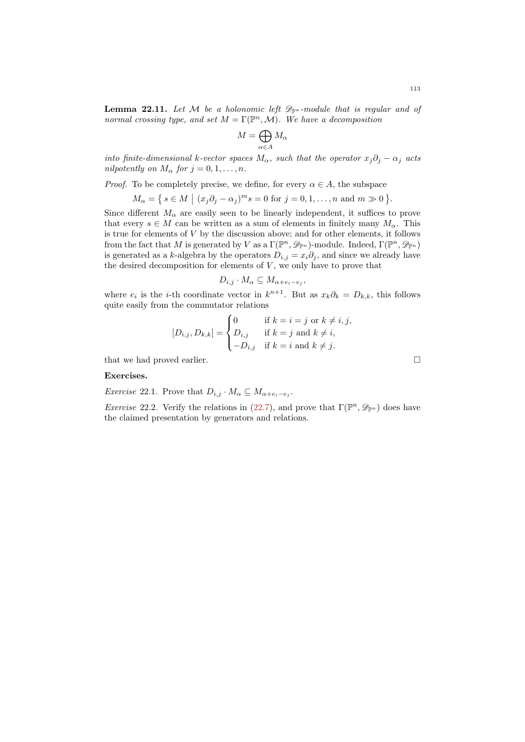**Lemma 22.11.** Let M be a holonomic left  $\mathscr{D}_{\mathbb{P}^n}$ -module that is regular and of normal crossing type, and set  $M = \Gamma(\mathbb{P}^n, \mathcal{M})$ . We have a decomposition

$$
M=\bigoplus_{\alpha\in A}M_\alpha
$$

into finite-dimensional k-vector spaces  $M_{\alpha}$ , such that the operator  $x_j\partial_j - \alpha_j$  acts nilpotently on  $M_{\alpha}$  for  $j = 0, 1, ..., n$ .

*Proof.* To be completely precise, we define, for every  $\alpha \in A$ , the subspace

 $M_{\alpha} = \{ s \in M \mid (x_j \partial_j - \alpha_j)^m s = 0 \text{ for } j = 0, 1, \dots, n \text{ and } m \gg 0 \}.$ 

Since different  $M_{\alpha}$  are easily seen to be linearly independent, it suffices to prove that every  $s \in M$  can be written as a sum of elements in finitely many  $M_{\alpha}$ . This is true for elements of  $V$  by the discussion above; and for other elements, it follows from the fact that M is generated by V as a  $\Gamma(\mathbb{P}^n, \mathscr{D}_{\mathbb{P}^n})$ -module. Indeed,  $\Gamma(\mathbb{P}^n, \mathscr{D}_{\mathbb{P}^n})$ is generated as a k-algebra by the operators  $D_{i,j} = x_i \partial_j$ , and since we already have the desired decomposition for elements of  $V$ , we only have to prove that

$$
D_{i,j} \cdot M_{\alpha} \subseteq M_{\alpha + e_i - e_j},
$$

where  $e_i$  is the *i*-th coordinate vector in  $k^{n+1}$ . But as  $x_k \partial_k = D_{k,k}$ , this follows quite easily from the commutator relations

$$
[D_{i,j}, D_{k,k}] = \begin{cases} 0 & \text{if } k = i = j \text{ or } k \neq i, j, \\ D_{i,j} & \text{if } k = j \text{ and } k \neq i, \\ -D_{i,j} & \text{if } k = i \text{ and } k \neq j. \end{cases}
$$

that we had proved earlier.  $\hfill \square$ 

## Exercises.

*Exercise* 22.1. Prove that  $D_{i,j} \cdot M_{\alpha} \subseteq M_{\alpha+e_i-e_j}$ .

*Exercise* 22.2. Verify the relations in [\(22.7\)](#page-110-0), and prove that  $\Gamma(\mathbb{P}^n, \mathscr{D}_{\mathbb{P}^n})$  does have the claimed presentation by generators and relations.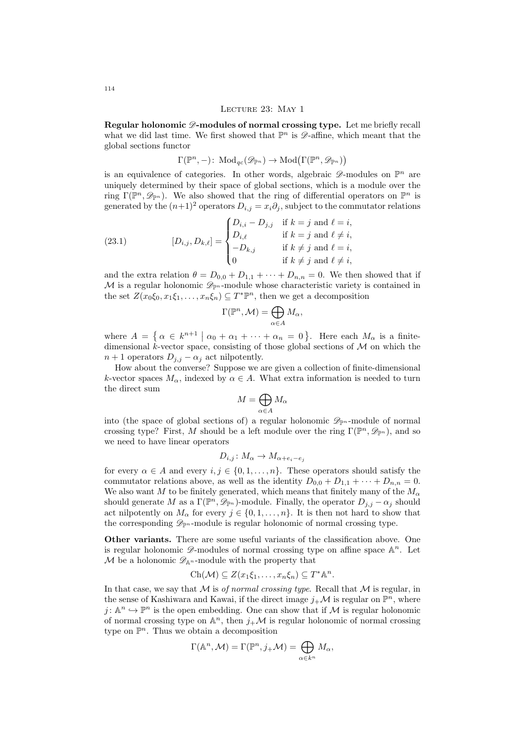#### Lecture 23: May 1

Regular holonomic  $\mathscr{D}$ -modules of normal crossing type. Let me briefly recall what we did last time. We first showed that  $\mathbb{P}^n$  is  $\mathscr{D}$ -affine, which meant that the global sections functor

$$
\Gamma(\mathbb{P}^n, -)
$$
: Mod<sub>qc</sub> $(\mathcal{D}_{\mathbb{P}^n}) \to \text{Mod}(\Gamma(\mathbb{P}^n, \mathcal{D}_{\mathbb{P}^n}))$ 

is an equivalence of categories. In other words, algebraic  $\mathscr{D}$ -modules on  $\mathbb{P}^n$  are uniquely determined by their space of global sections, which is a module over the ring  $\Gamma(\mathbb{P}^n, \mathscr{D}_{\mathbb{P}^n})$ . We also showed that the ring of differential operators on  $\mathbb{P}^n$  is generated by the  $(n+1)^2$  operators  $D_{i,j} = x_i \partial_j$ , subject to the commutator relations

<span id="page-113-0"></span>(23.1) 
$$
[D_{i,j}, D_{k,\ell}] = \begin{cases} D_{i,i} - D_{j,j} & \text{if } k = j \text{ and } \ell = i, \\ D_{i,\ell} & \text{if } k = j \text{ and } \ell \neq i, \\ -D_{k,j} & \text{if } k \neq j \text{ and } \ell = i, \\ 0 & \text{if } k \neq j \text{ and } \ell \neq i, \end{cases}
$$

and the extra relation  $\theta = D_{0,0} + D_{1,1} + \cdots + D_{n,n} = 0$ . We then showed that if M is a regular holonomic  $\mathscr{D}_{\mathbb{P}^n}$ -module whose characteristic variety is contained in the set  $Z(x_0\xi_0, x_1\xi_1, \ldots, x_n\xi_n) \subseteq T^*\mathbb{P}^n$ , then we get a decomposition

$$
\Gamma(\mathbb{P}^n,\mathcal{M})=\bigoplus_{\alpha\in A}M_{\alpha},
$$

where  $A = \{ \alpha \in k^{n+1} \mid \alpha_0 + \alpha_1 + \cdots + \alpha_n = 0 \}$ . Here each  $M_\alpha$  is a finitedimensional k-vector space, consisting of those global sections of  $\mathcal M$  on which the  $n+1$  operators  $D_{i,j} - \alpha_i$  act nilpotently.

How about the converse? Suppose we are given a collection of finite-dimensional k-vector spaces  $M_{\alpha}$ , indexed by  $\alpha \in A$ . What extra information is needed to turn the direct sum

$$
M=\bigoplus_{\alpha\in A}M_\alpha
$$

into (the space of global sections of) a regular holonomic  $\mathscr{D}_{\mathbb{P}^n}$ -module of normal crossing type? First, M should be a left module over the ring  $\Gamma(\mathbb{P}^n, \mathscr{D}_{\mathbb{P}^n})$ , and so we need to have linear operators

$$
D_{i,j} \colon M_{\alpha} \to M_{\alpha + e_i - e_j}
$$

for every  $\alpha \in A$  and every  $i, j \in \{0, 1, ..., n\}$ . These operators should satisfy the commutator relations above, as well as the identity  $D_{0,0} + D_{1,1} + \cdots + D_{n,n} = 0$ . We also want M to be finitely generated, which means that finitely many of the  $M_{\alpha}$ should generate M as a  $\Gamma(\mathbb{P}^n, \mathscr{D}_{\mathbb{P}^n})$ -module. Finally, the operator  $D_{j,j} - \alpha_j$  should act nilpotently on  $M_{\alpha}$  for every  $j \in \{0, 1, \ldots, n\}$ . It is then not hard to show that the corresponding  $\mathscr{D}_{\mathbb{P}^n}$ -module is regular holonomic of normal crossing type.

Other variants. There are some useful variants of the classification above. One is regular holonomic  $\mathscr{D}$ -modules of normal crossing type on affine space  $\mathbb{A}^n$ . Let M be a holonomic  $\mathscr{D}_{\mathbb{A}^n}$ -module with the property that

$$
Ch(\mathcal{M}) \subseteq Z(x_1\xi_1,\ldots,x_n\xi_n) \subseteq T^*\mathbb{A}^n.
$$

In that case, we say that  $M$  is *of normal crossing type*. Recall that  $M$  is regular, in the sense of Kashiwara and Kawai, if the direct image  $j_{+}\mathcal{M}$  is regular on  $\mathbb{P}^{n}$ , where  $j: \mathbb{A}^n \hookrightarrow \mathbb{P}^n$  is the open embedding. One can show that if M is regular holonomic of normal crossing type on  $\mathbb{A}^n$ , then  $j_{+}\mathcal{M}$  is regular holonomic of normal crossing type on  $\mathbb{P}^n$ . Thus we obtain a decomposition

$$
\Gamma(\mathbb{A}^n, \mathcal{M}) = \Gamma(\mathbb{P}^n, j_{+} \mathcal{M}) = \bigoplus_{\alpha \in k^n} M_{\alpha},
$$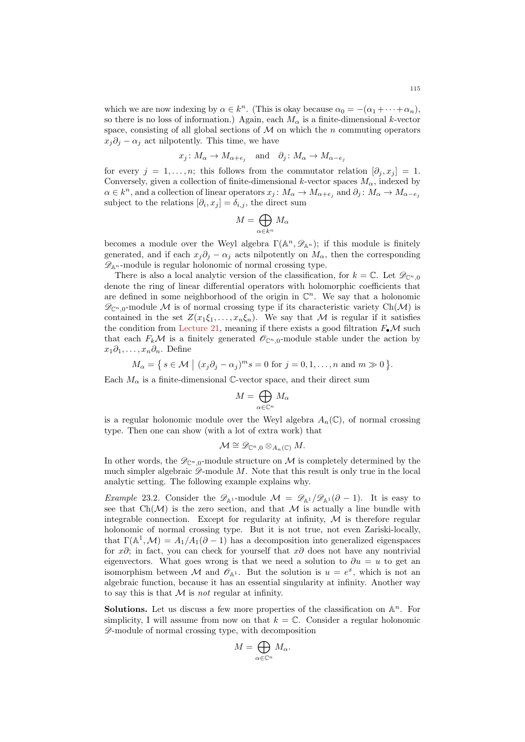which we are now indexing by  $\alpha \in k^n$ . (This is okay because  $\alpha_0 = -(\alpha_1 + \cdots + \alpha_n)$ , so there is no loss of information.) Again, each  $M_{\alpha}$  is a finite-dimensional k-vector space, consisting of all global sections of  $M$  on which the n commuting operators  $x_i\partial_i - \alpha_i$  act nilpotently. This time, we have

$$
x_j \colon M_\alpha \to M_{\alpha+e_j}
$$
 and  $\partial_j \colon M_\alpha \to M_{\alpha-e_j}$ 

for every  $j = 1, \ldots, n$ ; this follows from the commutator relation  $[\partial_j, x_j] = 1$ . Conversely, given a collection of finite-dimensional k-vector spaces  $M_{\alpha}$ , indexed by  $\alpha \in k^n$ , and a collection of linear operators  $x_j: M_\alpha \to M_{\alpha+e_j}$  and  $\partial_j: M_\alpha \to M_{\alpha-e_j}$ subject to the relations  $[\partial_i, x_j] = \delta_{i,j}$ , the direct sum

$$
M=\bigoplus_{\alpha\in k^n}M_\alpha
$$

becomes a module over the Weyl algebra  $\Gamma(\mathbb{A}^n, \mathscr{D}_{\mathbb{A}^n})$ ; if this module is finitely generated, and if each  $x_i\partial_i - \alpha_i$  acts nilpotently on  $M_\alpha$ , then the corresponding  $\mathscr{D}_{\mathbb{A}^n}$ -module is regular holonomic of normal crossing type.

There is also a local analytic version of the classification, for  $k = \mathbb{C}$ . Let  $\mathscr{D}_{\mathbb{C}^n,0}$ denote the ring of linear differential operators with holomorphic coefficients that are defined in some neighborhood of the origin in  $\mathbb{C}^n$ . We say that a holonomic  $\mathscr{D}_{\mathbb{C}^n,0}$ -module M is of normal crossing type if its characteristic variety Ch(M) is contained in the set  $Z(x_1\xi_1,\ldots,x_n\xi_n)$ . We say that M is regular if it satisfies the condition from [Lecture 21,](#page-103-0) meaning if there exists a good filtration  $F_{\bullet}\mathcal{M}$  such that each  $F_k \mathcal{M}$  is a finitely generated  $\mathcal{O}_{\mathbb{C}^n,0}$ -module stable under the action by  $x_1\partial_1,\ldots,x_n\partial_n$ . Define

$$
M_{\alpha} = \{ s \in \mathcal{M} \mid (x_j \partial_j - \alpha_j)^m s = 0 \text{ for } j = 0, 1, \dots, n \text{ and } m \gg 0 \}.
$$

Each  $M_{\alpha}$  is a finite-dimensional C-vector space, and their direct sum

$$
M=\bigoplus_{\alpha\in\mathbb{C}^n}M_\alpha
$$

is a regular holonomic module over the Weyl algebra  $A_n(\mathbb{C})$ , of normal crossing type. Then one can show (with a lot of extra work) that

$$
\mathcal{M} \cong \mathscr{D}_{\mathbb{C}^n,0} \otimes_{A_n(\mathbb{C})} M.
$$

In other words, the  $\mathscr{D}_{\mathbb{C}^n,0}$ -module structure on M is completely determined by the much simpler algebraic  $\mathscr{D}$ -module M. Note that this result is only true in the local analytic setting. The following example explains why.

Example 23.2. Consider the  $\mathscr{D}_{\mathbb{A}^1}$ -module  $\mathcal{M} = \mathscr{D}_{\mathbb{A}^1}/\mathscr{D}_{\mathbb{A}^1}(\partial - 1)$ . It is easy to see that  $Ch(\mathcal{M})$  is the zero section, and that  $\mathcal M$  is actually a line bundle with integrable connection. Except for regularity at infinity,  $M$  is therefore regular holonomic of normal crossing type. But it is not true, not even Zariski-locally, that  $\Gamma(\mathbb{A}^1, \mathcal{M}) = A_1/A_1(\partial - 1)$  has a decomposition into generalized eigenspaces for x∂; in fact, you can check for yourself that  $x\partial$  does not have any nontrivial eigenvectors. What goes wrong is that we need a solution to  $\partial u = u$  to get an isomorphism between M and  $\mathscr{O}_{\mathbb{A}^1}$ . But the solution is  $u = e^x$ , which is not an algebraic function, because it has an essential singularity at infinity. Another way to say this is that  $M$  is not regular at infinity.

**Solutions.** Let us discuss a few more properties of the classification on  $\mathbb{A}^n$ . For simplicity, I will assume from now on that  $k = \mathbb{C}$ . Consider a regular holonomic D-module of normal crossing type, with decomposition

$$
M=\bigoplus_{\alpha\in\mathbb{C}^n}M_\alpha.
$$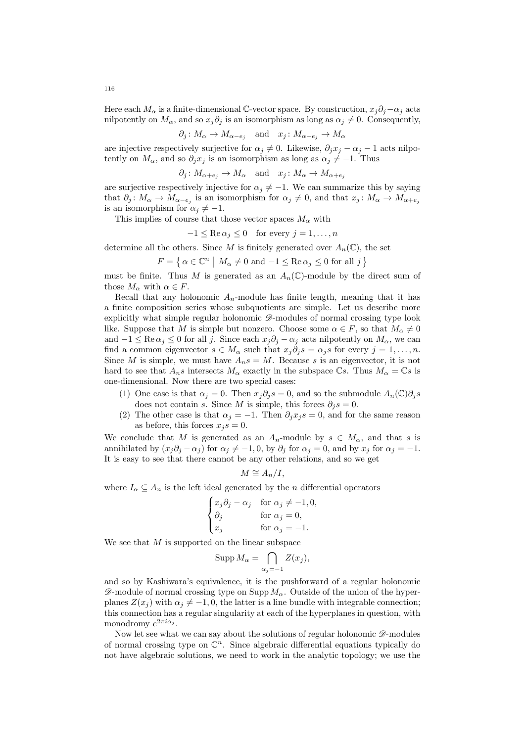Here each  $M_{\alpha}$  is a finite-dimensional C-vector space. By construction,  $x_j\partial_j-\alpha_j$  acts nilpotently on  $M_{\alpha}$ , and so  $x_j \partial_j$  is an isomorphism as long as  $\alpha_j \neq 0$ . Consequently,

$$
\partial_j \colon M_\alpha \to M_{\alpha - e_j}
$$
 and  $x_j \colon M_{\alpha - e_j} \to M_\alpha$ 

are injective respectively surjective for  $\alpha_j \neq 0$ . Likewise,  $\partial_j x_j - \alpha_j - 1$  acts nilpotently on  $M_{\alpha}$ , and so  $\partial_j x_j$  is an isomorphism as long as  $\alpha_j \neq -1$ . Thus

$$
\partial_j \colon M_{\alpha+e_j} \to M_\alpha \text{ and } x_j \colon M_\alpha \to M_{\alpha+e_j}
$$

are surjective respectively injective for  $\alpha_j \neq -1$ . We can summarize this by saying that  $\partial_j: M_\alpha \to M_{\alpha-e_j}$  is an isomorphism for  $\alpha_j \neq 0$ , and that  $x_j: M_\alpha \to M_{\alpha+e_j}$ is an isomorphism for  $\alpha_j \neq -1$ .

This implies of course that those vector spaces  $M_{\alpha}$  with

$$
-1 \leq \text{Re}\,\alpha_j \leq 0 \quad \text{for every } j = 1, \dots, n
$$

determine all the others. Since M is finitely generated over  $A_n(\mathbb{C})$ , the set

$$
F = \left\{ \alpha \in \mathbb{C}^n \mid M_\alpha \neq 0 \text{ and } -1 \le \text{Re}\,\alpha_j \le 0 \text{ for all } j \right\}
$$

must be finite. Thus M is generated as an  $A_n(\mathbb{C})$ -module by the direct sum of those  $M_{\alpha}$  with  $\alpha \in F$ .

Recall that any holonomic  $A_n$ -module has finite length, meaning that it has a finite composition series whose subquotients are simple. Let us describe more explicitly what simple regular holonomic  $\mathscr{D}$ -modules of normal crossing type look like. Suppose that M is simple but nonzero. Choose some  $\alpha \in F$ , so that  $M_{\alpha} \neq 0$ and  $-1 \leq \text{Re}\,\alpha_j \leq 0$  for all j. Since each  $x_j\partial_j - \alpha_j$  acts nilpotently on  $M_\alpha$ , we can find a common eigenvector  $s \in M_\alpha$  such that  $x_j \partial_j s = \alpha_j s$  for every  $j = 1, \ldots, n$ . Since M is simple, we must have  $A_n s = M$ . Because s is an eigenvector, it is not hard to see that  $A_n s$  intersects  $M_\alpha$  exactly in the subspace Cs. Thus  $M_\alpha = \mathbb{C}s$  is one-dimensional. Now there are two special cases:

- (1) One case is that  $\alpha_i = 0$ . Then  $x_i \partial_i s = 0$ , and so the submodule  $A_n(\mathbb{C}) \partial_i s$ does not contain s. Since M is simple, this forces  $\partial_j s = 0$ .
- (2) The other case is that  $\alpha_j = -1$ . Then  $\partial_j x_j s = 0$ , and for the same reason as before, this forces  $x_j s = 0$ .

We conclude that M is generated as an  $A_n$ -module by  $s \in M_\alpha$ , and that s is annihilated by  $(x_i\partial_i - \alpha_i)$  for  $\alpha_i \neq -1, 0$ , by  $\partial_i$  for  $\alpha_i = 0$ , and by  $x_i$  for  $\alpha_i = -1$ . It is easy to see that there cannot be any other relations, and so we get

$$
M \cong A_n/I,
$$

where  $I_{\alpha} \subseteq A_n$  is the left ideal generated by the *n* differential operators

$$
\begin{cases} x_j \partial_j - \alpha_j & \text{for } \alpha_j \neq -1, 0, \\ \partial_j & \text{for } \alpha_j = 0, \\ x_j & \text{for } \alpha_j = -1. \end{cases}
$$

We see that  $M$  is supported on the linear subspace

$$
\operatorname{Supp} M_{\alpha} = \bigcap_{\alpha_j = -1} Z(x_j),
$$

and so by Kashiwara's equivalence, it is the pushforward of a regular holonomic  $\mathscr{D}$ -module of normal crossing type on Supp  $M_{\alpha}$ . Outside of the union of the hyperplanes  $Z(x_i)$  with  $\alpha_i \neq -1, 0$ , the latter is a line bundle with integrable connection; this connection has a regular singularity at each of the hyperplanes in question, with monodromy  $e^{2\pi i \alpha_j}$ .

Now let see what we can say about the solutions of regular holonomic  $\mathscr{D}\text{-modules}$ of normal crossing type on  $\mathbb{C}^n$ . Since algebraic differential equations typically do not have algebraic solutions, we need to work in the analytic topology; we use the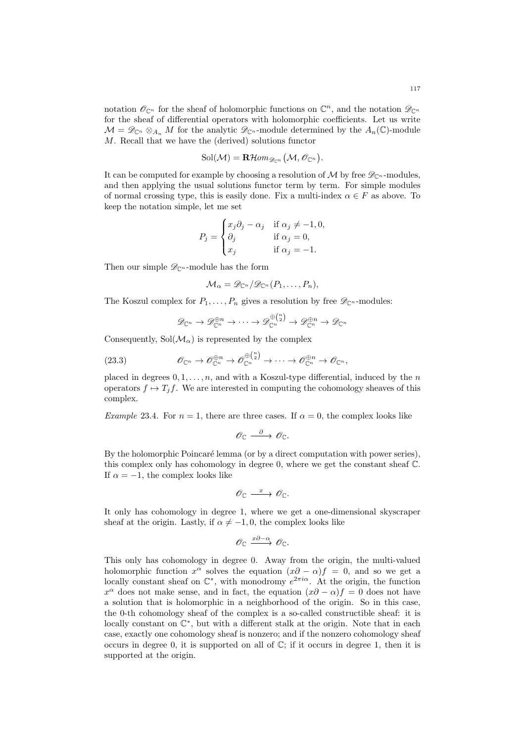notation  $\mathscr{O}_{\mathbb{C}^n}$  for the sheaf of holomorphic functions on  $\mathbb{C}^n$ , and the notation  $\mathscr{D}_{\mathbb{C}^n}$ for the sheaf of differential operators with holomorphic coefficients. Let us write  $\mathcal{M} = \mathscr{D}_{\mathbb{C}^n} \otimes_{A_n} M$  for the analytic  $\mathscr{D}_{\mathbb{C}^n}$ -module determined by the  $A_n(\mathbb{C})$ -module M. Recall that we have the (derived) solutions functor

$$
\mathrm{Sol}(\mathcal{M})=\operatorname{\mathbf{R}\mathcal{H}\mathit{om}}_{\mathscr{D}_{\mathbb{C}^n}}\big(\mathcal{M},\mathscr{O}_{\mathbb{C}^n}\big).
$$

It can be computed for example by choosing a resolution of M by free  $\mathscr{D}_{\mathbb{C}^n}$ -modules. and then applying the usual solutions functor term by term. For simple modules of normal crossing type, this is easily done. Fix a multi-index  $\alpha \in F$  as above. To keep the notation simple, let me set

$$
P_j = \begin{cases} x_j \partial_j - \alpha_j & \text{if } \alpha_j \neq -1, 0, \\ \partial_j & \text{if } \alpha_j = 0, \\ x_j & \text{if } \alpha_j = -1. \end{cases}
$$

Then our simple  $\mathscr{D}_{\mathbb{C}^n}$ -module has the form

$$
\mathcal{M}_{\alpha} = \mathscr{D}_{\mathbb{C}^n}/\mathscr{D}_{\mathbb{C}^n}(P_1,\ldots,P_n),
$$

The Koszul complex for  $P_1, \ldots, P_n$  gives a resolution by free  $\mathscr{D}_{\mathbb{C}^n}$ -modules:

<span id="page-116-0"></span>
$$
\mathscr{D}_{\mathbb{C}^n} \to \mathscr{D}_{\mathbb{C}^n}^{\oplus n} \to \cdots \to \mathscr{D}_{\mathbb{C}^n}^{\oplus {\mathbb{C}\choose 2}} \to \mathscr{D}_{\mathbb{C}^n}^{\oplus n} \to \mathscr{D}_{\mathbb{C}^n}
$$

Consequently,  $Sol(M_\alpha)$  is represented by the complex

(23.3) 
$$
\mathscr{O}_{\mathbb{C}^n} \to \mathscr{O}_{\mathbb{C}^n}^{\oplus n} \to \mathscr{O}_{\mathbb{C}^n}^{\oplus {n \choose 2}} \to \cdots \to \mathscr{O}_{\mathbb{C}^n}^{\oplus n} \to \mathscr{O}_{\mathbb{C}^n},
$$

placed in degrees  $0, 1, \ldots, n$ , and with a Koszul-type differential, induced by the n operators  $f \mapsto T_j f$ . We are interested in computing the cohomology sheaves of this complex.

Example 23.4. For  $n = 1$ , there are three cases. If  $\alpha = 0$ , the complex looks like

$$
\mathscr{O}_{\mathbb{C}} \xrightarrow{\partial} \mathscr{O}_{\mathbb{C}}.
$$

By the holomorphic Poincaré lemma (or by a direct computation with power series), this complex only has cohomology in degree 0, where we get the constant sheaf C. If  $\alpha = -1$ , the complex looks like

$$
\mathscr{O}_{\mathbb{C}} \xrightarrow{\ x \ } \mathscr{O}_{\mathbb{C}}.
$$

It only has cohomology in degree 1, where we get a one-dimensional skyscraper sheaf at the origin. Lastly, if  $\alpha \neq -1, 0$ , the complex looks like

$$
\mathscr{O}_{\mathbb{C}} \xrightarrow{x\partial-\alpha} \mathscr{O}_{\mathbb{C}}.
$$

This only has cohomology in degree 0. Away from the origin, the multi-valued holomorphic function  $x^{\alpha}$  solves the equation  $(x\partial - \alpha)f = 0$ , and so we get a locally constant sheaf on  $\mathbb{C}^*$ , with monodromy  $e^{2\pi i\alpha}$ . At the origin, the function  $x^{\alpha}$  does not make sense, and in fact, the equation  $(x\partial - \alpha)f = 0$  does not have a solution that is holomorphic in a neighborhood of the origin. So in this case, the 0-th cohomology sheaf of the complex is a so-called constructible sheaf: it is locally constant on  $\mathbb{C}^*$ , but with a different stalk at the origin. Note that in each case, exactly one cohomology sheaf is nonzero; and if the nonzero cohomology sheaf occurs in degree 0, it is supported on all of  $\mathbb{C}$ ; if it occurs in degree 1, then it is supported at the origin.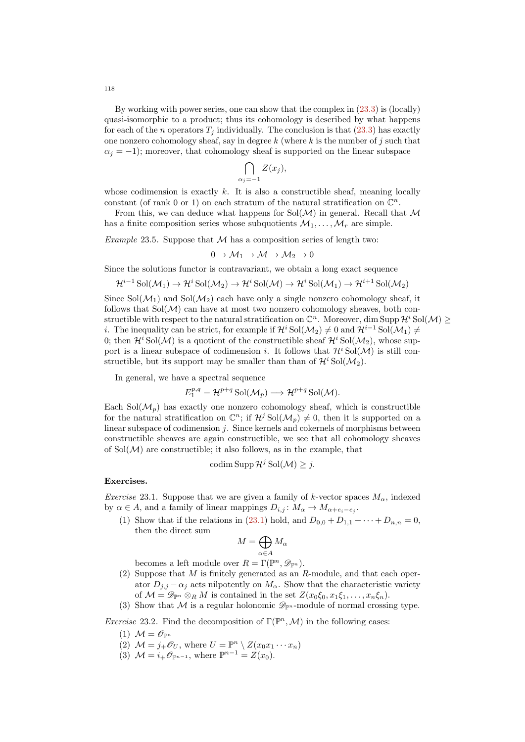By working with power series, one can show that the complex in [\(23.3\)](#page-116-0) is (locally) quasi-isomorphic to a product; thus its cohomology is described by what happens for each of the n operators  $T_i$  individually. The conclusion is that  $(23.3)$  has exactly one nonzero cohomology sheaf, say in degree  $k$  (where  $k$  is the number of j such that  $\alpha_i = -1$ ); moreover, that cohomology sheaf is supported on the linear subspace

$$
\bigcap_{\alpha_j=-1} Z(x_j),
$$

whose codimension is exactly  $k$ . It is also a constructible sheaf, meaning locally constant (of rank 0 or 1) on each stratum of the natural stratification on  $\mathbb{C}^n$ .

From this, we can deduce what happens for  $Sol(M)$  in general. Recall that M has a finite composition series whose subquotients  $\mathcal{M}_1, \ldots, \mathcal{M}_r$  are simple.

Example 23.5. Suppose that  $M$  has a composition series of length two:

$$
0 \to \mathcal{M}_1 \to \mathcal{M} \to \mathcal{M}_2 \to 0
$$

Since the solutions functor is contravariant, we obtain a long exact sequence

$$
\mathcal{H}^{i-1}\operatorname{Sol}(\mathcal{M}_1)\to\mathcal{H}^i\operatorname{Sol}(\mathcal{M}_2)\to\mathcal{H}^i\operatorname{Sol}(\mathcal{M})\to\mathcal{H}^i\operatorname{Sol}(\mathcal{M}_1)\to\mathcal{H}^{i+1}\operatorname{Sol}(\mathcal{M}_2)
$$

Since  $Sol(\mathcal{M}_1)$  and  $Sol(\mathcal{M}_2)$  each have only a single nonzero cohomology sheaf, it follows that  $Sol(\mathcal{M})$  can have at most two nonzero cohomology sheaves, both constructible with respect to the natural stratification on  $\mathbb{C}^n$ . Moreover, dim Supp  $\mathcal{H}^i$  Sol $(\mathcal{M}) \geq$ i. The inequality can be strict, for example if  $\mathcal{H}^i$  Sol $(\mathcal{M}_2) \neq 0$  and  $\mathcal{H}^{i-1}$  Sol $(\mathcal{M}_1) \neq$ 0; then  $\mathcal{H}^i$  Sol $(\mathcal{M})$  is a quotient of the constructible sheaf  $\mathcal{H}^i$  Sol $(\mathcal{M}_2)$ , whose support is a linear subspace of codimension i. It follows that  $\mathcal{H}^i$  Sol $(\mathcal{M})$  is still constructible, but its support may be smaller than than of  $\mathcal{H}^i$  Sol $(\mathcal{M}_2)$ .

In general, we have a spectral sequence

$$
E_1^{p,q} = \mathcal{H}^{p+q} \operatorname{Sol}(\mathcal{M}_p) \Longrightarrow \mathcal{H}^{p+q} \operatorname{Sol}(\mathcal{M}).
$$

Each  $Sol(\mathcal{M}_n)$  has exactly one nonzero cohomology sheaf, which is constructible for the natural stratification on  $\mathbb{C}^n$ ; if  $\mathcal{H}^j$  Sol $(\mathcal{M}_p) \neq 0$ , then it is supported on a linear subspace of codimension  $j$ . Since kernels and cokernels of morphisms between constructible sheaves are again constructible, we see that all cohomology sheaves of  $Sol(\mathcal{M})$  are constructible; it also follows, as in the example, that

$$
\mathrm{codim} \operatorname{Supp} \mathcal{H}^j \operatorname{Sol}(\mathcal{M}) \geq j.
$$

### Exercises.

Exercise 23.1. Suppose that we are given a family of k-vector spaces  $M_{\alpha}$ , indexed by  $\alpha \in A$ , and a family of linear mappings  $D_{i,j}: M_{\alpha} \to M_{\alpha + e_i - e_j}$ .

(1) Show that if the relations in [\(23.1\)](#page-113-0) hold, and  $D_{0,0} + D_{1,1} + \cdots + D_{n,n} = 0$ , then the direct sum

$$
M=\bigoplus_{\alpha\in A}M_\alpha
$$

becomes a left module over  $R = \Gamma(\mathbb{P}^n, \mathscr{D}_{\mathbb{P}^n})$ .

- (2) Suppose that M is finitely generated as an R-module, and that each operator  $D_{i,j} - \alpha_i$  acts nilpotently on  $M_\alpha$ . Show that the characteristic variety of  $\mathcal{M} = \mathscr{D}_{\mathbb{P}^n} \otimes_R M$  is contained in the set  $Z(x_0\xi_0, x_1\xi_1, \ldots, x_n\xi_n)$ .
- (3) Show that M is a regular holonomic  $\mathscr{D}_{\mathbb{P}^n}$ -module of normal crossing type.

*Exercise* 23.2. Find the decomposition of  $\Gamma(\mathbb{P}^n, \mathcal{M})$  in the following cases:

- (1)  $\mathcal{M} = \mathscr{O}_{\mathbb{P}^n}$
- (2)  $\mathcal{M} = j_+ \mathcal{O}_U$ , where  $U = \mathbb{P}^n \setminus Z(x_0 x_1 \cdots x_n)$
- (3)  $\mathcal{M} = i_{+} \mathscr{O}_{\mathbb{P}^{n-1}}$ , where  $\mathbb{P}^{n-1} = Z(x_0)$ .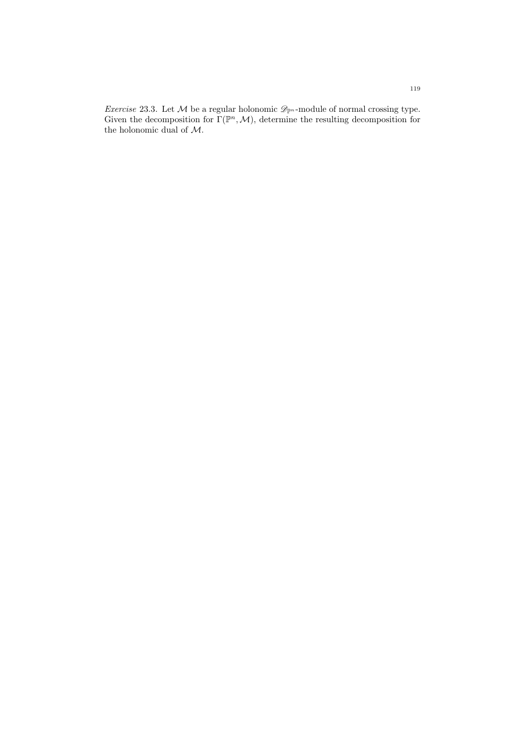*Exercise* 23.3. Let  $M$  be a regular holonomic  $\mathscr{D}_{\mathbb{P}^n}$ -module of normal crossing type. Given the decomposition for  $\Gamma(\mathbb{P}^n,\mathcal{M})$ , determine the resulting decomposition for the holonomic dual of M.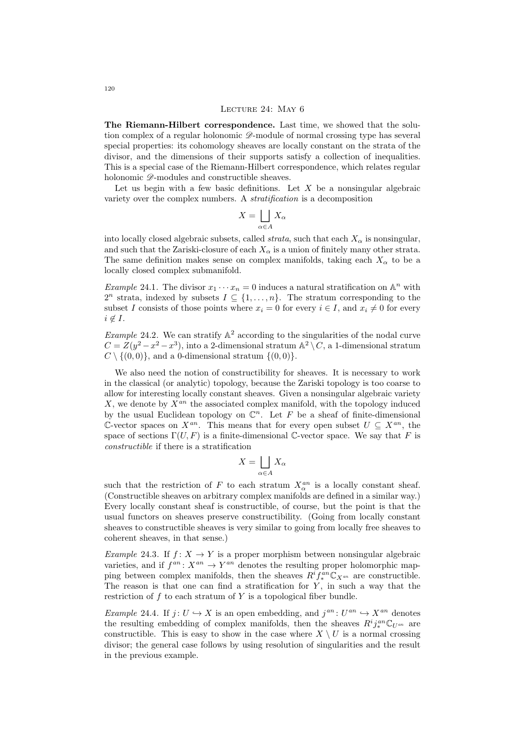#### LECTURE 24: MAY 6

The Riemann-Hilbert correspondence. Last time, we showed that the solution complex of a regular holonomic  $\mathscr{D}$ -module of normal crossing type has several special properties: its cohomology sheaves are locally constant on the strata of the divisor, and the dimensions of their supports satisfy a collection of inequalities. This is a special case of the Riemann-Hilbert correspondence, which relates regular holonomic  $\mathscr{D}$ -modules and constructible sheaves.

Let us begin with a few basic definitions. Let  $X$  be a nonsingular algebraic variety over the complex numbers. A stratification is a decomposition

$$
X = \bigsqcup_{\alpha \in A} X_{\alpha}
$$

into locally closed algebraic subsets, called *strata*, such that each  $X_{\alpha}$  is nonsingular. and such that the Zariski-closure of each  $X_{\alpha}$  is a union of finitely many other strata. The same definition makes sense on complex manifolds, taking each  $X_{\alpha}$  to be a locally closed complex submanifold.

*Example* 24.1. The divisor  $x_1 \cdots x_n = 0$  induces a natural stratification on  $\mathbb{A}^n$  with  $2^n$  strata, indexed by subsets  $I \subseteq \{1, \ldots, n\}$ . The stratum corresponding to the subset I consists of those points where  $x_i = 0$  for every  $i \in I$ , and  $x_i \neq 0$  for every  $i \notin I$ .

*Example* 24.2. We can stratify  $\mathbb{A}^2$  according to the singularities of the nodal curve  $C = Z(y^2 - x^2 - x^3)$ , into a 2-dimensional stratum  $\mathbb{A}^2 \setminus C$ , a 1-dimensional stratum  $C \setminus \{(0,0)\}\$ , and a 0-dimensional stratum  $\{(0,0)\}\$ .

We also need the notion of constructibility for sheaves. It is necessary to work in the classical (or analytic) topology, because the Zariski topology is too coarse to allow for interesting locally constant sheaves. Given a nonsingular algebraic variety  $X$ , we denote by  $X^{an}$  the associated complex manifold, with the topology induced by the usual Euclidean topology on  $\mathbb{C}^n$ . Let F be a sheaf of finite-dimensional C-vector spaces on  $X^{an}$ . This means that for every open subset  $U \subseteq X^{an}$ , the space of sections  $\Gamma(U, F)$  is a finite-dimensional C-vector space. We say that F is constructible if there is a stratification

$$
X = \bigsqcup_{\alpha \in A} X_{\alpha}
$$

such that the restriction of F to each stratum  $X_{\alpha}^{an}$  is a locally constant sheaf. (Constructible sheaves on arbitrary complex manifolds are defined in a similar way.) Every locally constant sheaf is constructible, of course, but the point is that the usual functors on sheaves preserve constructibility. (Going from locally constant sheaves to constructible sheaves is very similar to going from locally free sheaves to coherent sheaves, in that sense.)

Example 24.3. If  $f: X \to Y$  is a proper morphism between nonsingular algebraic varieties, and if  $f^{an}: X^{an} \to Y^{an}$  denotes the resulting proper holomorphic mapping between complex manifolds, then the sheaves  $R^i f_*^{an} \mathbb{C}_{X^{an}}$  are constructible. The reason is that one can find a stratification for  $Y$ , in such a way that the restriction of  $f$  to each stratum of  $Y$  is a topological fiber bundle.

*Example* 24.4. If  $j: U \hookrightarrow X$  is an open embedding, and  $j^{an}: U^{an} \hookrightarrow X^{an}$  denotes the resulting embedding of complex manifolds, then the sheaves  $R^i j_{*}^{an} \mathbb{C}_{U^{an}}$  are constructible. This is easy to show in the case where  $X \setminus U$  is a normal crossing divisor; the general case follows by using resolution of singularities and the result in the previous example.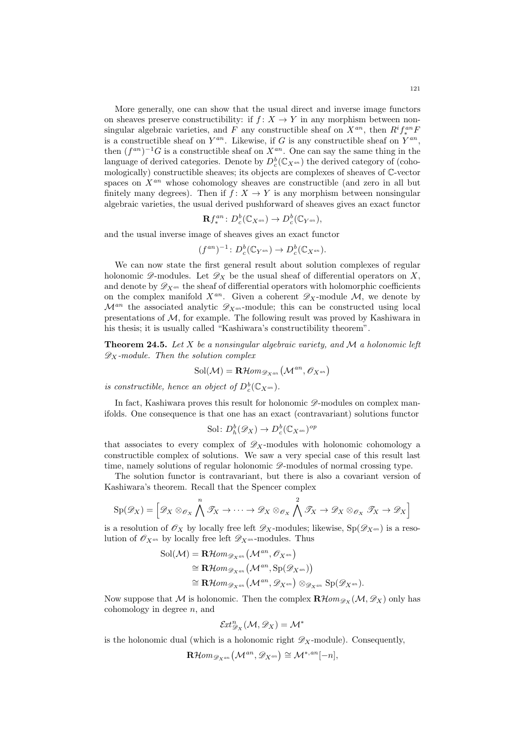More generally, one can show that the usual direct and inverse image functors on sheaves preserve constructibility: if  $f: X \to Y$  in any morphism between nonsingular algebraic varieties, and F any constructible sheaf on  $X^{an}$ , then  $R^if_{*}^{an}F$ is a constructible sheaf on  $Y^{an}$ . Likewise, if G is any constructible sheaf on  $Y^{an}$ , then  $(f^{an})^{-1}G$  is a constructible sheaf on  $X^{an}$ . One can say the same thing in the language of derived categories. Denote by  $D_c^b(\mathbb{C}_{X^{an}})$  the derived category of (cohomologically) constructible sheaves; its objects are complexes of sheaves of C-vector spaces on  $X^{an}$  whose cohomology sheaves are constructible (and zero in all but finitely many degrees). Then if  $f: X \to Y$  is any morphism between nonsingular algebraic varieties, the usual derived pushforward of sheaves gives an exact functor

$$
\mathbf{R} f_*^{an} \colon D_c^b(\mathbb{C}_{X^{an}}) \to D_c^b(\mathbb{C}_{Y^{an}}),
$$

and the usual inverse image of sheaves gives an exact functor

$$
(f^{an})^{-1}: D_c^b(\mathbb{C}_{Y^{an}}) \to D_c^b(\mathbb{C}_{X^{an}}).
$$

We can now state the first general result about solution complexes of regular holonomic  $\mathscr{D}$ -modules. Let  $\mathscr{D}_X$  be the usual sheaf of differential operators on X, and denote by  $\mathscr{D}_{X^{an}}$  the sheaf of differential operators with holomorphic coefficients on the complex manifold  $X^{an}$ . Given a coherent  $\mathscr{D}_X$ -module M, we denote by  $\mathcal{M}^{an}$  the associated analytic  $\mathscr{D}_{X^{an}}$ -module; this can be constructed using local presentations of M, for example. The following result was proved by Kashiwara in his thesis; it is usually called "Kashiwara's constructibility theorem".

**Theorem 24.5.** Let X be a nonsingular algebraic variety, and M a holonomic left  $\mathscr{D}_X$ -module. Then the solution complex

$$
\mathrm{Sol}(\mathcal{M}) = \mathbf{R}\mathcal{H}\text{om}_{\mathscr{D}_{X}^{an}}\left(\mathcal{M}^{an}, \mathscr{O}_{X^{an}}\right)
$$

is constructible, hence an object of  $D_c^b(\mathbb{C}_{X^{an}})$ .

In fact, Kashiwara proves this result for holonomic  $\mathscr{D}$ -modules on complex manifolds. One consequence is that one has an exact (contravariant) solutions functor

$$
\mathrm{Sol} \colon D^b_h(\mathscr{D}_X) \to D^b_c(\mathbb{C}_{X^{an}})^{op}
$$

that associates to every complex of  $\mathscr{D}_X$ -modules with holonomic cohomology a constructible complex of solutions. We saw a very special case of this result last time, namely solutions of regular holonomic  $\mathscr{D}$ -modules of normal crossing type.

The solution functor is contravariant, but there is also a covariant version of Kashiwara's theorem. Recall that the Spencer complex

$$
\mathrm{Sp}(\mathscr{D}_X) = \left[ \mathscr{D}_X \otimes_{\mathscr{O}_X} \bigwedge^n \mathscr{T}_X \to \cdots \to \mathscr{D}_X \otimes_{\mathscr{O}_X} \bigwedge^n \mathscr{T}_X \to \mathscr{D}_X \otimes_{\mathscr{O}_X} \mathscr{T}_X \to \mathscr{D}_X \right]
$$

is a resolution of  $\mathscr{O}_X$  by locally free left  $\mathscr{D}_X$ -modules; likewise,  $Sp(\mathscr{D}_{X^{an}})$  is a resolution of  $\mathscr{O}_{X^{an}}$  by locally free left  $\mathscr{D}_{X^{an}}$ -modules. Thus

$$
\begin{aligned} \mathrm{Sol}(\mathcal{M}) = \mathbf{R}\mathcal{H}om_{\mathscr{D}_{X^{an}}}(\mathcal{M}^{an}, \mathscr{O}_{X^{an}}) \\ &\cong \mathbf{R}\mathcal{H}om_{\mathscr{D}_{X^{an}}}(\mathcal{M}^{an}, \mathrm{Sp}(\mathscr{D}_{X^{an}})) \\ &\cong \mathbf{R}\mathcal{H}om_{\mathscr{D}_{X^{an}}}(\mathcal{M}^{an}, \mathscr{D}_{X^{an}}) \otimes_{\mathscr{D}_{X^{an}}} \mathrm{Sp}(\mathscr{D}_{X^{an}}). \end{aligned}
$$

Now suppose that M is holonomic. Then the complex  $\mathbf{R}\mathcal{H}\text{om}_{\mathscr{D}_X}(\mathcal{M}, \mathscr{D}_X)$  only has cohomology in degree  $n$ , and

$$
{\mathcal{E}} \! {\it{xt}}^n_{{\mathscr{D}}_X}({\mathcal{M}},{\mathscr{D}}_X) = {\mathcal{M}}^*
$$

is the holonomic dual (which is a holonomic right  $\mathscr{D}_X$ -module). Consequently,

 $\mathbf{R}\mathcal{H}om_{\mathscr{D}_{X^{an}}}\big(\mathcal{M}^{an},\mathscr{D}_{X^{an}}\big)\cong \mathcal{M}^{*,an}[-n],$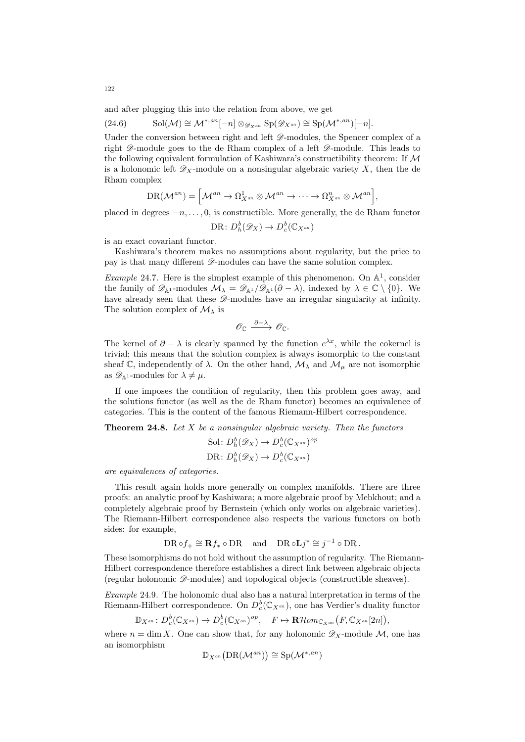and after plugging this into the relation from above, we get

<span id="page-121-0"></span>(24.6) 
$$
\text{Sol}(\mathcal{M}) \cong \mathcal{M}^{*,an}[-n] \otimes_{\mathscr{D}_{X^{an}}} \text{Sp}(\mathscr{D}_{X^{an}}) \cong \text{Sp}(\mathcal{M}^{*,an})[-n].
$$

Under the conversion between right and left  $\mathscr{D}$ -modules, the Spencer complex of a right  $\mathscr{D}$ -module goes to the de Rham complex of a left  $\mathscr{D}$ -module. This leads to the following equivalent formulation of Kashiwara's constructibility theorem: If M is a holonomic left  $\mathscr{D}_X$ -module on a nonsingular algebraic variety X, then the de Rham complex

$$
\mathrm{DR}(\mathcal{M}^{an})=\Big[\mathcal{M}^{an}\rightarrow \Omega^{1}_{X^{an}}\otimes \mathcal{M}^{an}\rightarrow \cdots \rightarrow \Omega^{n}_{X^{an}}\otimes \mathcal{M}^{an}\Big],
$$

placed in degrees  $-n, \ldots, 0$ , is constructible. More generally, the de Rham functor

$$
\mathrm{DR} \colon D^b_h(\mathscr{D}_X) \to D^b_c(\mathbb{C}_{X^{an}})
$$

is an exact covariant functor.

Kashiwara's theorem makes no assumptions about regularity, but the price to pay is that many different  $\mathcal{D}$ -modules can have the same solution complex.

*Example* 24.7. Here is the simplest example of this phenomenon. On  $\mathbb{A}^1$ , consider the family of  $\mathscr{D}_{\mathbb{A}^1}$ -modules  $\mathcal{M}_{\lambda} = \mathscr{D}_{\mathbb{A}^1}/\mathscr{D}_{\mathbb{A}^1}(\partial - \lambda)$ , indexed by  $\lambda \in \mathbb{C} \setminus \{0\}$ . We have already seen that these  $\mathscr{D}$ -modules have an irregular singularity at infinity. The solution complex of  $\mathcal{M}_{\lambda}$  is

$$
\mathscr{O}_{\mathbb{C}} \xrightarrow{\partial -\lambda} \mathscr{O}_{\mathbb{C}}.
$$

The kernel of  $\partial - \lambda$  is clearly spanned by the function  $e^{\lambda x}$ , while the cokernel is trivial; this means that the solution complex is always isomorphic to the constant sheaf C, independently of  $\lambda$ . On the other hand,  $\mathcal{M}_{\lambda}$  and  $\mathcal{M}_{\mu}$  are not isomorphic as  $\mathscr{D}_{\mathbb{A}^1}$ -modules for  $\lambda \neq \mu$ .

If one imposes the condition of regularity, then this problem goes away, and the solutions functor (as well as the de Rham functor) becomes an equivalence of categories. This is the content of the famous Riemann-Hilbert correspondence.

<span id="page-121-2"></span>**Theorem 24.8.** Let  $X$  be a nonsingular algebraic variety. Then the functors

$$
\text{Sol} \colon D_h^b(\mathscr{D}_X) \to D_c^b(\mathbb{C}_{X^{an}})^{op}
$$
  

$$
\text{DR} \colon D_h^b(\mathscr{D}_X) \to D_c^b(\mathbb{C}_{X^{an}})
$$

are equivalences of categories.

This result again holds more generally on complex manifolds. There are three proofs: an analytic proof by Kashiwara; a more algebraic proof by Mebkhout; and a completely algebraic proof by Bernstein (which only works on algebraic varieties). The Riemann-Hilbert correspondence also respects the various functors on both sides: for example,

$$
\mathrm{DR} \circ f_+ \cong \mathbf{R} f_* \circ \mathrm{DR} \quad \text{and} \quad \mathrm{DR} \circ \mathbf{L} j^* \cong j^{-1} \circ \mathrm{DR} \, .
$$

These isomorphisms do not hold without the assumption of regularity. The Riemann-Hilbert correspondence therefore establishes a direct link between algebraic objects (regular holonomic  $\mathscr{D}$ -modules) and topological objects (constructible sheaves).

<span id="page-121-1"></span>Example 24.9. The holonomic dual also has a natural interpretation in terms of the Riemann-Hilbert correspondence. On  $D_c^b(\mathbb{C}_{X^{an}})$ , one has Verdier's duality functor

$$
\mathbb{D}_{X^{an}}\colon D^b_c(\mathbb{C}_{X^{an}})\to D^b_c(\mathbb{C}_{X^{an}})^{op},\quad F\mapsto\mathbf{R}\mathcal{H}\hspace{-0.5ex}\mathit{om}_{\mathbb{C}_{X^{an}}}\big(F,\mathbb{C}_{X^{an}}[2n]\big),
$$

where  $n = \dim X$ . One can show that, for any holonomic  $\mathscr{D}_X$ -module M, one has an isomorphism

$$
\mathbb{D}_{X^{an}}\big(\mathrm{DR}(\mathcal{M}^{an})\big) \cong \mathrm{Sp}(\mathcal{M}^{*,an})
$$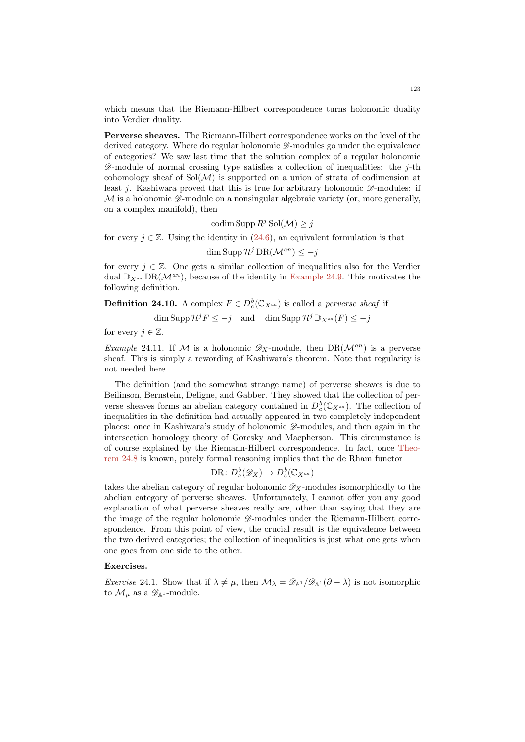which means that the Riemann-Hilbert correspondence turns holonomic duality into Verdier duality.

Perverse sheaves. The Riemann-Hilbert correspondence works on the level of the derived category. Where do regular holonomic  $\mathscr{D}$ -modules go under the equivalence of categories? We saw last time that the solution complex of a regular holonomic  $\mathscr{D}$ -module of normal crossing type satisfies a collection of inequalities: the j-th cohomology sheaf of  $Sol(\mathcal{M})$  is supported on a union of strata of codimension at least j. Kashiwara proved that this is true for arbitrary holonomic  $\mathscr{D}$ -modules: if  $M$  is a holonomic  $\mathscr{D}$ -module on a nonsingular algebraic variety (or, more generally, on a complex manifold), then

codim Supp  $R^j$  Sol $(\mathcal{M}) \geq j$ 

for every  $j \in \mathbb{Z}$ . Using the identity in [\(24.6\)](#page-121-0), an equivalent formulation is that

dim Supp  $\mathcal{H}^j$  DR( $\mathcal{M}^{an}$ )  $\leq -j$ 

for every  $j \in \mathbb{Z}$ . One gets a similar collection of inequalities also for the Verdier dual  $\mathbb{D}_{X}$ <sub>an</sub> DR( $\mathcal{M}^{an}$ ), because of the identity in [Example 24.9.](#page-121-1) This motivates the following definition.

**Definition 24.10.** A complex  $F \in D_c^b(\mathbb{C}_{X^{an}})$  is called a *perverse sheaf* if

 $\dim \operatorname{Supp} \mathcal{H}^j F \leq -j \quad \text{and} \quad \dim \operatorname{Supp} \mathcal{H}^j {\mathbb{D}}_{X^{an}}(F) \leq -j$ 

for every  $j \in \mathbb{Z}$ .

*Example 24.11.* If M is a holonomic  $\mathscr{D}_X$ -module, then DR( $\mathcal{M}^{an}$ ) is a perverse sheaf. This is simply a rewording of Kashiwara's theorem. Note that regularity is not needed here.

The definition (and the somewhat strange name) of perverse sheaves is due to Beilinson, Bernstein, Deligne, and Gabber. They showed that the collection of perverse sheaves forms an abelian category contained in  $D_c^b(\mathbb{C}_{X^{an}})$ . The collection of inequalities in the definition had actually appeared in two completely independent places: once in Kashiwara's study of holonomic D-modules, and then again in the intersection homology theory of Goresky and Macpherson. This circumstance is of course explained by the Riemann-Hilbert correspondence. In fact, once [Theo](#page-121-2)[rem 24.8](#page-121-2) is known, purely formal reasoning implies that the de Rham functor

$$
\mathrm{DR} \colon D^b_h(\mathscr{D}_X) \to D^b_c(\mathbb{C}_{X^{an}})
$$

takes the abelian category of regular holonomic  $\mathscr{D}_X$ -modules isomorphically to the abelian category of perverse sheaves. Unfortunately, I cannot offer you any good explanation of what perverse sheaves really are, other than saying that they are the image of the regular holonomic  $\mathscr{D}$ -modules under the Riemann-Hilbert correspondence. From this point of view, the crucial result is the equivalence between the two derived categories; the collection of inequalities is just what one gets when one goes from one side to the other.

## Exercises.

Exercise 24.1. Show that if  $\lambda \neq \mu$ , then  $\mathcal{M}_{\lambda} = \mathscr{D}_{\mathbb{A}^1}/\mathscr{D}_{\mathbb{A}^1}(\partial - \lambda)$  is not isomorphic to  $\mathcal{M}_{\mu}$  as a  $\mathscr{D}_{\mathbb{A}^1}$ -module.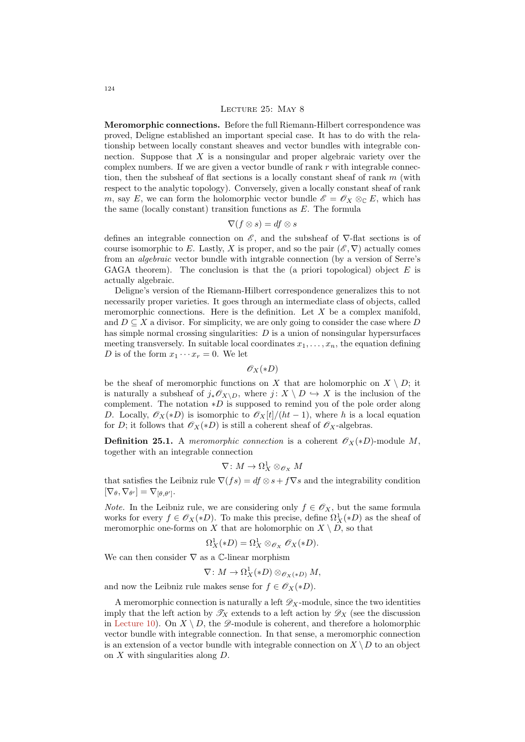#### LECTURE 25: MAY 8

Meromorphic connections. Before the full Riemann-Hilbert correspondence was proved, Deligne established an important special case. It has to do with the relationship between locally constant sheaves and vector bundles with integrable connection. Suppose that  $X$  is a nonsingular and proper algebraic variety over the complex numbers. If we are given a vector bundle of rank  $r$  with integrable connection, then the subsheaf of flat sections is a locally constant sheaf of rank  $m$  (with respect to the analytic topology). Conversely, given a locally constant sheaf of rank m, say E, we can form the holomorphic vector bundle  $\mathscr{E} = \mathscr{O}_X \otimes_{\mathbb{C}} E$ , which has the same (locally constant) transition functions as  $E$ . The formula

$$
\nabla(f \otimes s) = df \otimes s
$$

defines an integrable connection on  $\mathscr E$ , and the subsheaf of  $\nabla$ -flat sections is of course isomorphic to E. Lastly, X is proper, and so the pair  $(\mathscr{E}, \nabla)$  actually comes from an algebraic vector bundle with intgrable connection (by a version of Serre's GAGA theorem). The conclusion is that the (a priori topological) object  $E$  is actually algebraic.

Deligne's version of the Riemann-Hilbert correspondence generalizes this to not necessarily proper varieties. It goes through an intermediate class of objects, called meromorphic connections. Here is the definition. Let  $X$  be a complex manifold, and  $D \subseteq X$  a divisor. For simplicity, we are only going to consider the case where D has simple normal crossing singularities: D is a union of nonsingular hypersurfaces meeting transversely. In suitable local coordinates  $x_1, \ldots, x_n$ , the equation defining D is of the form  $x_1 \cdots x_r = 0$ . We let

 $\mathscr{O}_X(*D)$ 

be the sheaf of meromorphic functions on X that are holomorphic on  $X \setminus D$ ; it is naturally a subsheaf of  $j_*\mathscr{O}_{X\setminus D}$ , where  $j: X \setminus D \hookrightarrow X$  is the inclusion of the complement. The notation  $*D$  is supposed to remind you of the pole order along D. Locally,  $\mathscr{O}_X(*)D$  is isomorphic to  $\mathscr{O}_X[t]/(ht-1)$ , where h is a local equation for D; it follows that  $\mathscr{O}_X(*D)$  is still a coherent sheaf of  $\mathscr{O}_X$ -algebras.

**Definition 25.1.** A meromorphic connection is a coherent  $\mathscr{O}_X(*D)$ -module M, together with an integrable connection

$$
\nabla\colon M\to \Omega^1_X\otimes_{\mathscr{O}_X}M
$$

that satisfies the Leibniz rule  $\nabla (fs) = df \otimes s + f \nabla s$  and the integrability condition  $[\nabla_{\theta}, \nabla_{\theta'}] = \nabla_{[\theta, \theta']}$ .

*Note.* In the Leibniz rule, we are considering only  $f \in \mathcal{O}_X$ , but the same formula works for every  $f \in \mathscr{O}_X(*D)$ . To make this precise, define  $\Omega^1_X(*D)$  as the sheaf of meromorphic one-forms on X that are holomorphic on  $X \setminus D$ , so that

$$
\Omega^1_X(*D) = \Omega^1_X \otimes_{\mathscr{O}_X} \mathscr{O}_X(*D).
$$

We can then consider  $\nabla$  as a  $\mathbb{C}\text{-linear morphism}$ 

$$
\nabla\colon M\to \Omega^1_X(*D)\otimes_{\mathscr{O}_X(*D)} M,
$$

and now the Leibniz rule makes sense for  $f \in \mathscr{O}_X(*D)$ .

A meromorphic connection is naturally a left  $\mathscr{D}_X$ -module, since the two identities imply that the left action by  $\mathscr{T}_X$  extends to a left action by  $\mathscr{D}_X$  (see the discussion in [Lecture 10\)](#page-46-0). On  $X \setminus D$ , the  $\mathscr{D}$ -module is coherent, and therefore a holomorphic vector bundle with integrable connection. In that sense, a meromorphic connection is an extension of a vector bundle with integrable connection on  $X \setminus D$  to an object on X with singularities along D.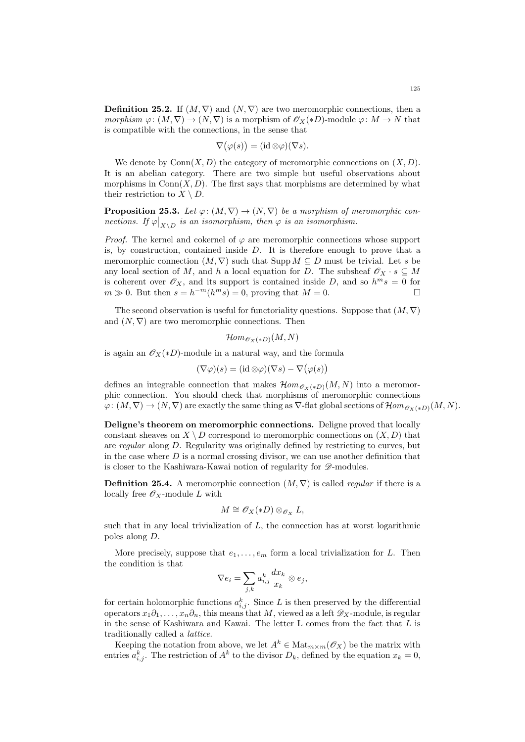**Definition 25.2.** If  $(M, \nabla)$  and  $(N, \nabla)$  are two meromorphic connections, then a morphism  $\varphi: (M, \nabla) \to (N, \nabla)$  is a morphism of  $\mathscr{O}_X(*D)$ -module  $\varphi: M \to N$  that is compatible with the connections, in the sense that

$$
\nabla(\varphi(s)) = (\mathrm{id} \otimes \varphi)(\nabla s).
$$

We denote by  $Conn(X, D)$  the category of meromorphic connections on  $(X, D)$ . It is an abelian category. There are two simple but useful observations about morphisms in  $Conn(X, D)$ . The first says that morphisms are determined by what their restriction to  $X \setminus D$ .

**Proposition 25.3.** Let  $\varphi: (M, \nabla) \to (N, \nabla)$  be a morphism of meromorphic connections. If  $\varphi|_{X \setminus D}$  is an isomorphism, then  $\varphi$  is an isomorphism.

*Proof.* The kernel and cokernel of  $\varphi$  are meromorphic connections whose support is, by construction, contained inside  $D$ . It is therefore enough to prove that a meromorphic connection  $(M, \nabla)$  such that Supp  $M \subseteq D$  must be trivial. Let s be any local section of M, and h a local equation for D. The subsheaf  $\mathscr{O}_X \cdot s \subseteq M$ is coherent over  $\mathscr{O}_X$ , and its support is contained inside D, and so  $h^m s = 0$  for  $m \gg 0$ . But then  $s = h^{-m}(h^m s) = 0$ , proving that  $M = 0$ .

The second observation is useful for functoriality questions. Suppose that  $(M, \nabla)$ and  $(N, \nabla)$  are two meromorphic connections. Then

$$
\mathcal{H}om_{\mathscr{O}_X(*D)}(M,N)
$$

is again an  $\mathscr{O}_X(*D)$ -module in a natural way, and the formula

$$
(\nabla \varphi)(s) = (\mathrm{id} \otimes \varphi)(\nabla s) - \nabla(\varphi(s))
$$

defines an integrable connection that makes  $\mathcal{H}om_{\mathscr{O}_{X}(*D)}(M, N)$  into a meromorphic connection. You should check that morphisms of meromorphic connections  $\varphi: (M, \nabla) \to (N, \nabla)$  are exactly the same thing as  $\nabla$ -flat global sections of  $\mathcal{H}om_{\mathscr{O}_X(\ast D)}(M, N)$ .

Deligne's theorem on meromorphic connections. Deligne proved that locally constant sheaves on  $X \setminus D$  correspond to meromorphic connections on  $(X, D)$  that are regular along D. Regularity was originally defined by restricting to curves, but in the case where  $D$  is a normal crossing divisor, we can use another definition that is closer to the Kashiwara-Kawai notion of regularity for  $\mathscr{D}\text{-modules.}$ 

**Definition 25.4.** A meromorphic connection  $(M, \nabla)$  is called *regular* if there is a locally free  $\mathscr{O}_X$ -module L with

$$
M \cong \mathscr{O}_X(*D) \otimes_{\mathscr{O}_X} L,
$$

such that in any local trivialization of  $L$ , the connection has at worst logarithmic poles along D.

More precisely, suppose that  $e_1, \ldots, e_m$  form a local trivialization for L. Then the condition is that

$$
\nabla e_i = \sum_{j,k} a_{i,j}^k \frac{dx_k}{x_k} \otimes e_j,
$$

for certain holomorphic functions  $a_{i,j}^k$ . Since L is then preserved by the differential operators  $x_1\partial_1,\ldots,x_n\partial_n$ , this means that M, viewed as a left  $\mathscr{D}_X$ -module, is regular in the sense of Kashiwara and Kawai. The letter  $L$  comes from the fact that  $L$  is traditionally called a lattice.

Keeping the notation from above, we let  $A^k \in \text{Mat}_{m \times m}(\mathscr{O}_X)$  be the matrix with entries  $a_{i,j}^k$ . The restriction of  $A^k$  to the divisor  $D_k$ , defined by the equation  $x_k = 0$ ,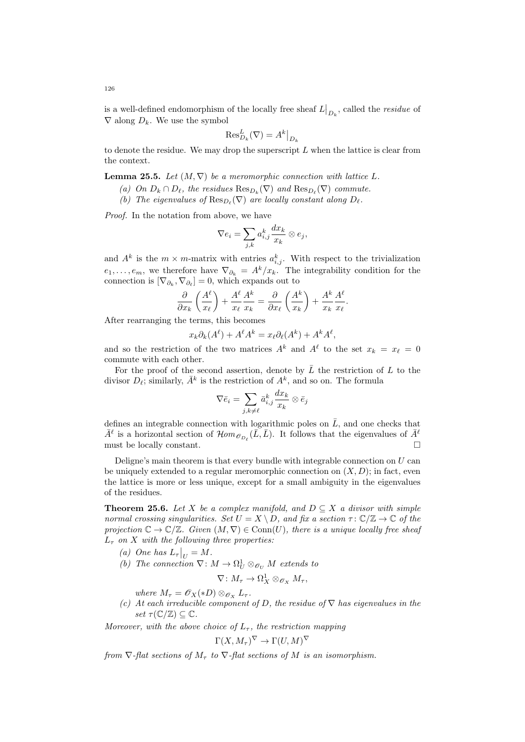is a well-defined endomorphism of the locally free sheaf  $L\big|_{D_k}$ , called the *residue* of  $\nabla$  along  $D_k$ . We use the symbol

$$
\operatorname{Res}_{D_k}^L(\nabla) = A^k\big|_{D_k}
$$

to denote the residue. We may drop the superscript  $L$  when the lattice is clear from the context.

**Lemma 25.5.** Let  $(M, \nabla)$  be a meromorphic connection with lattice L.

- (a) On  $D_k \cap D_\ell$ , the residues  $\text{Res}_{D_k}(\nabla)$  and  $\text{Res}_{D_\ell}(\nabla)$  commute.
- (b) The eigenvalues of  $\text{Res}_{D_{\ell}}(\nabla)$  are locally constant along  $D_{\ell}$ .

Proof. In the notation from above, we have

$$
\nabla e_i = \sum_{j,k} a_{i,j}^k \frac{dx_k}{x_k} \otimes e_j,
$$

and  $A^k$  is the  $m \times m$ -matrix with entries  $a_{i,j}^k$ . With respect to the trivialization  $e_1, \ldots, e_m$ , we therefore have  $\nabla_{\partial_k} = A^k / x_k$ . The integrability condition for the connection is  $[\nabla_{\partial_k}, \nabla_{\partial_\ell}] = 0$ , which expands out to

$$
\frac{\partial}{\partial x_k} \left( \frac{A^{\ell}}{x_{\ell}} \right) + \frac{A^{\ell}}{x_{\ell}} \frac{A^k}{x_k} = \frac{\partial}{\partial x_{\ell}} \left( \frac{A^k}{x_k} \right) + \frac{A^k}{x_k} \frac{A^{\ell}}{x_{\ell}}.
$$

After rearranging the terms, this becomes

$$
x_k \partial_k(A^{\ell}) + A^{\ell} A^k = x_{\ell} \partial_{\ell} (A^k) + A^k A^{\ell},
$$

and so the restriction of the two matrices  $A^k$  and  $A^\ell$  to the set  $x_k = x_\ell = 0$ commute with each other.

For the proof of the second assertion, denote by  $\overline{L}$  the restriction of  $L$  to the divisor  $D_{\ell}$ ; similarly,  $\bar{A}^k$  is the restriction of  $A^k$ , and so on. The formula

$$
\nabla \bar{e}_i = \sum_{j,k\neq \ell} \bar{a}^k_{i,j} \frac{dx_k}{x_k} \otimes \bar{e}_j
$$

defines an integrable connection with logarithmic poles on  $\overline{L}$ , and one checks that  $\bar{A}^{\ell}$  is a horizontal section of  $\mathcal{H}om_{\mathcal{O}_{D_{\ell}}}(\bar{L}, \bar{L})$ . It follows that the eigenvalues of  $\bar{A}^{\ell}$ must be locally constant.

Deligne's main theorem is that every bundle with integrable connection on  $U$  can be uniquely extended to a regular meromorphic connection on  $(X, D)$ ; in fact, even the lattice is more or less unique, except for a small ambiguity in the eigenvalues of the residues.

<span id="page-125-0"></span>**Theorem 25.6.** Let X be a complex manifold, and  $D \subseteq X$  a divisor with simple normal crossing singularities. Set  $U = X \setminus D$ , and fix a section  $\tau : \mathbb{C}/\mathbb{Z} \to \mathbb{C}$  of the projection  $\mathbb{C} \to \mathbb{C}/\mathbb{Z}$ . Given  $(M, \nabla) \in \text{Conn}(U)$ , there is a unique locally free sheaf  $L_{\tau}$  on X with the following three properties:

- (a) One has  $L_{\tau}|_{U} = M$ .
- (b) The connection  $\nabla: M \to \Omega_U^1 \otimes_{\mathcal{O}_U} M$  extends to

$$
\nabla\colon M_\tau\to \Omega^1_X\otimes_{\mathscr{O}_X}M_\tau,
$$

where  $M_{\tau} = \mathscr{O}_X(*D) \otimes_{\mathscr{O}_X} L_{\tau}$ .

(c) At each irreducible component of D, the residue of  $\nabla$  has eigenvalues in the set  $\tau(\mathbb{C}/\mathbb{Z}) \subseteq \mathbb{C}$ .

Moreover, with the above choice of  $L_{\tau}$ , the restriction mapping

$$
\Gamma(X, M_{\tau})^{\nabla} \to \Gamma(U, M)^{\nabla}
$$

from  $\nabla$ -flat sections of  $M_{\tau}$  to  $\nabla$ -flat sections of M is an isomorphism.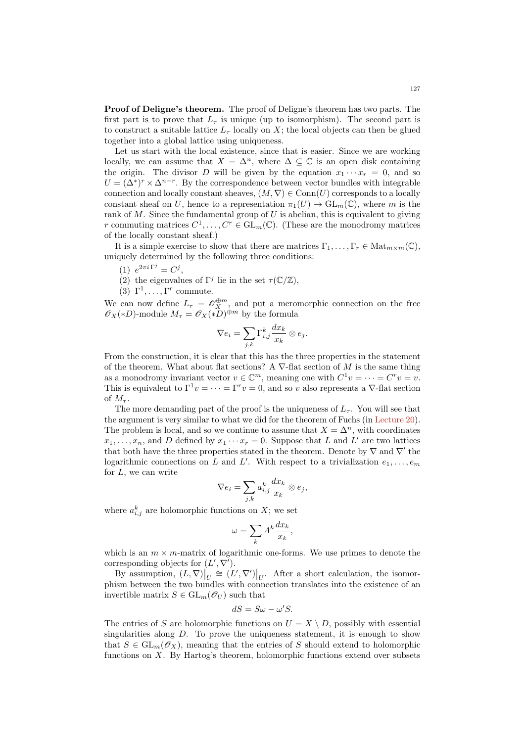Proof of Deligne's theorem. The proof of Deligne's theorem has two parts. The first part is to prove that  $L_{\tau}$  is unique (up to isomorphism). The second part is to construct a suitable lattice  $L_{\tau}$  locally on X; the local objects can then be glued together into a global lattice using uniqueness.

Let us start with the local existence, since that is easier. Since we are working locally, we can assume that  $X = \Delta^n$ , where  $\Delta \subseteq \mathbb{C}$  is an open disk containing the origin. The divisor D will be given by the equation  $x_1 \cdots x_r = 0$ , and so  $U = (\Delta^*)^r \times \Delta^{n-r}$ . By the correspondence between vector bundles with integrable connection and locally constant sheaves,  $(M, \nabla) \in \text{Conn}(U)$  corresponds to a locally constant sheaf on U, hence to a representation  $\pi_1(U) \to \text{GL}_m(\mathbb{C})$ , where m is the rank of  $M$ . Since the fundamental group of  $U$  is abelian, this is equivalent to giving r commuting matrices  $C^1, \ldots, C^r \in GL_m(\mathbb{C})$ . (These are the monodromy matrices of the locally constant sheaf.)

It is a simple exercise to show that there are matrices  $\Gamma_1, \ldots, \Gamma_r \in \text{Mat}_{m \times m}(\mathbb{C}),$ uniquely determined by the following three conditions:

- (1)  $e^{2\pi i \Gamma^j} = C^j$ ,
- (2) the eigenvalues of  $\Gamma^j$  lie in the set  $\tau(\mathbb{C}/\mathbb{Z})$ ,
- (3)  $\Gamma^1, \ldots, \Gamma^r$  commute.

We can now define  $L_{\tau} = \mathscr{O}_{X}^{\oplus m}$ , and put a meromorphic connection on the free  $\mathscr{O}_X(*D)$ -module  $M_\tau = \mathscr{O}_X(*D)^{\oplus m}$  by the formula

$$
\nabla e_i = \sum_{j,k} \Gamma_{i,j}^k \frac{dx_k}{x_k} \otimes e_j.
$$

From the construction, it is clear that this has the three properties in the statement of the theorem. What about flat sections? A  $\nabla$ -flat section of M is the same thing as a monodromy invariant vector  $v \in \mathbb{C}^m$ , meaning one with  $C^1 v = \cdots = C^r v = v$ . This is equivalent to  $\Gamma^1 v = \cdots = \Gamma^r v = 0$ , and so v also represents a  $\nabla$ -flat section of  $M_{\tau}$ .

The more demanding part of the proof is the uniqueness of  $L_{\tau}$ . You will see that the argument is very similar to what we did for the theorem of Fuchs (in [Lecture 20\)](#page-98-0). The problem is local, and so we continue to assume that  $X = \Delta^n$ , with coordinates  $x_1, \ldots, x_n$ , and D defined by  $x_1 \cdots x_r = 0$ . Suppose that L and L' are two lattices that both have the three properties stated in the theorem. Denote by  $\nabla$  and  $\nabla'$  the logarithmic connections on L and L'. With respect to a trivialization  $e_1, \ldots, e_m$ for  $L$ , we can write

$$
\nabla e_i = \sum_{j,k} a_{i,j}^k \frac{dx_k}{x_k} \otimes e_j,
$$

where  $a_{i,j}^k$  are holomorphic functions on X; we set

$$
\omega = \sum_{k} A^{k} \frac{dx_{k}}{x_{k}},
$$

which is an  $m \times m$ -matrix of logarithmic one-forms. We use primes to denote the corresponding objects for  $(L', \nabla')$ .

By assumption,  $(L, \nabla)|_U \cong (L', \nabla')|_U$ . After a short calculation, the isomorphism between the two bundles with connection translates into the existence of an invertible matrix  $S \in GL_m(\mathcal{O}_U)$  such that

$$
dS = S\omega - \omega'S.
$$

The entries of S are holomorphic functions on  $U = X \setminus D$ , possibly with essential singularities along  $D$ . To prove the uniqueness statement, it is enough to show that  $S \in GL_m(\mathscr{O}_X)$ , meaning that the entries of S should extend to holomorphic functions on  $X$ . By Hartog's theorem, holomorphic functions extend over subsets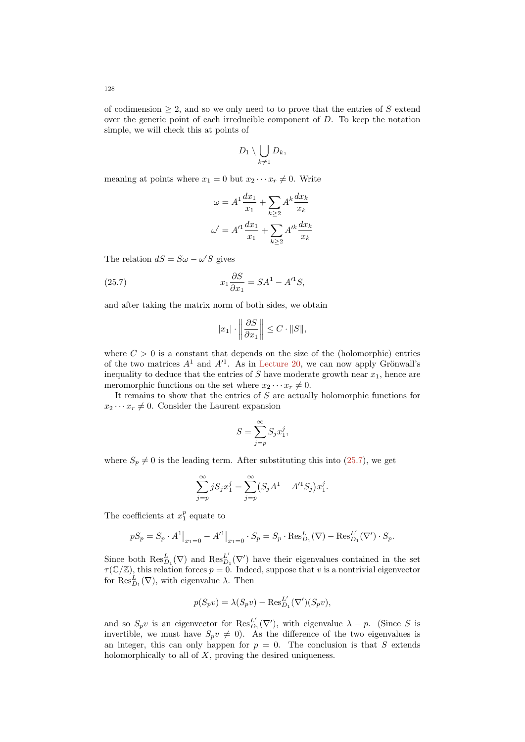$$
D_1\setminus \bigcup_{k\neq 1} D_k,
$$

meaning at points where  $x_1 = 0$  but  $x_2 \cdots x_r \neq 0$ . Write

$$
\omega = A^1 \frac{dx_1}{x_1} + \sum_{k \ge 2} A^k \frac{dx_k}{x_k}
$$

$$
\omega' = A'^1 \frac{dx_1}{x_1} + \sum_{k \ge 2} A'^k \frac{dx_k}{x_k}
$$

The relation  $dS = S\omega - \omega'S$  gives

(25.7) 
$$
x_1 \frac{\partial S}{\partial x_1} = SA^1 - A'^1 S,
$$

and after taking the matrix norm of both sides, we obtain

<span id="page-127-0"></span>
$$
|x_1| \cdot \left\| \frac{\partial S}{\partial x_1} \right\| \le C \cdot ||S||,
$$

where  $C > 0$  is a constant that depends on the size of the (holomorphic) entries of the two matrices  $A^1$  and  $A'^1$ . As in [Lecture 20,](#page-98-0) we can now apply Grönwall's inequality to deduce that the entries of S have moderate growth near  $x_1$ , hence are meromorphic functions on the set where  $x_2 \cdots x_r \neq 0$ .

It remains to show that the entries of S are actually holomorphic functions for  $x_2 \cdots x_r \neq 0$ . Consider the Laurent expansion

$$
S = \sum_{j=p}^{\infty} S_j x_1^j,
$$

where  $S_p \neq 0$  is the leading term. After substituting this into [\(25.7\)](#page-127-0), we get

$$
\sum_{j=p}^{\infty} j S_j x_1^j = \sum_{j=p}^{\infty} (S_j A^1 - A'^1 S_j) x_1^j.
$$

The coefficients at  $x_1^p$  equate to

$$
pS_p = S_p \cdot A^1|_{x_1=0} - A'^1|_{x_1=0} \cdot S_p = S_p \cdot \text{Res}_{D_1}^L(\nabla) - \text{Res}_{D_1}^L(\nabla') \cdot S_p.
$$

Since both  $\operatorname{Res}_{D_1}^L(\nabla)$  and  $\operatorname{Res}_{D}^{L'}$  $_{D_1}^{L'}(\nabla')$  have their eigenvalues contained in the set  $\tau(\mathbb{C}/\mathbb{Z})$ , this relation forces  $p=0$ . Indeed, suppose that v is a nontrivial eigenvector for  $\operatorname{Res}_{D_1}^L(\nabla)$ , with eigenvalue  $\lambda$ . Then

$$
p(S_pv) = \lambda(S_pv) - \text{Res}_{D_1}^{L'}(\nabla')(S_pv),
$$

and so  $S_p v$  is an eigenvector for  $\text{Res}_D^{L'}$  $_{D_1}^{L'}(\nabla')$ , with eigenvalue  $\lambda - p$ . (Since S is invertible, we must have  $S_p v \neq 0$ . As the difference of the two eigenvalues is an integer, this can only happen for  $p = 0$ . The conclusion is that S extends holomorphically to all of  $X$ , proving the desired uniqueness.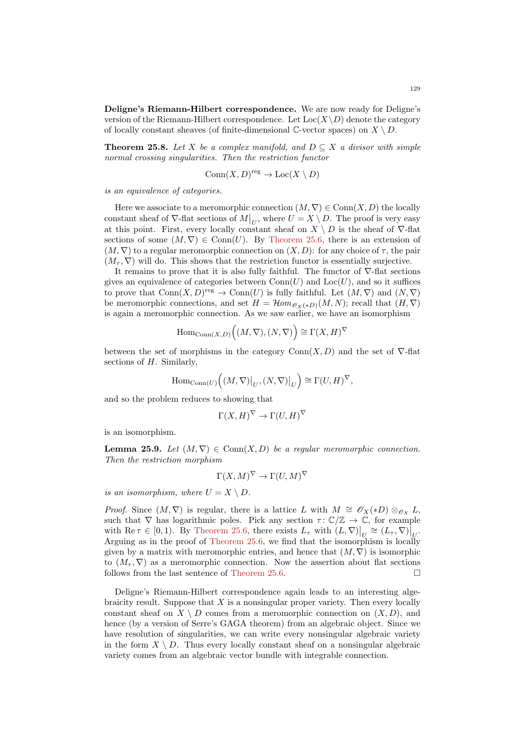Deligne's Riemann-Hilbert correspondence. We are now ready for Deligne's version of the Riemann-Hilbert correspondence. Let  $Loc(X\backslash D)$  denote the category of locally constant sheaves (of finite-dimensional C-vector spaces) on  $X \setminus D$ .

**Theorem 25.8.** Let X be a complex manifold, and  $D \subseteq X$  a divisor with simple normal crossing singularities. Then the restriction functor

$$
Conn(X,D)^{reg}\to Loc(X\setminus D)
$$

is an equivalence of categories.

Here we associate to a meromorphic connection  $(M, \nabla) \in \text{Conn}(X, D)$  the locally constant sheaf of  $\nabla$ -flat sections of  $M|_U$ , where  $U = X \setminus D$ . The proof is very easy at this point. First, every locally constant sheaf on  $X \setminus D$  is the sheaf of  $\nabla$ -flat sections of some  $(M, \nabla) \in \text{Conn}(U)$ . By [Theorem 25.6,](#page-125-0) there is an extension of  $(M, \nabla)$  to a regular meromorphic connection on  $(X, D)$ : for any choice of  $\tau$ , the pair  $(M_\tau, \nabla)$  will do. This shows that the restriction functor is essentially surjective.

It remains to prove that it is also fully faithful. The functor of  $\nabla$ -flat sections gives an equivalence of categories between  $Conn(U)$  and  $Loc(U)$ , and so it suffices to prove that  $Conn(X,D)^{reg}\to Conn(U)$  is fully faithful. Let  $(M,\nabla)$  and  $(N,\nabla)$ be meromorphic connections, and set  $H = \mathcal{H}om_{\mathscr{O}_{X}(*D)}(M, N)$ ; recall that  $(H, \nabla)$ is again a meromorphic connection. As we saw earlier, we have an isomorphism

$$
\mathrm{Hom}_{\mathrm{Conn}(X,D)}\Big((M,\nabla),(N,\nabla)\Big)\cong\Gamma(X,H)^{\nabla}
$$

between the set of morphisms in the category  $Conn(X, D)$  and the set of  $\nabla$ -flat sections of  $H$ . Similarly,

$$
\mathrm{Hom}_{\mathrm{Conn}(U)}\left((M,\nabla)\big|_U,(N,\nabla)\big|_U\right)\cong\Gamma(U,H)^{\nabla},
$$

and so the problem reduces to showing that

$$
\Gamma(X, H)^\nabla \to \Gamma(U, H)^\nabla
$$

is an isomorphism.

**Lemma 25.9.** Let  $(M, \nabla) \in \text{Conn}(X, D)$  be a regular meromorphic connection. Then the restriction morphism

$$
\Gamma(X, M)^\nabla \to \Gamma(U, M)^\nabla
$$

is an isomorphism, where  $U = X \setminus D$ .

*Proof.* Since  $(M, \nabla)$  is regular, there is a lattice L with  $M \cong \mathscr{O}_X(*D) \otimes_{\mathscr{O}_X} L$ , such that  $\nabla$  has logarithmic poles. Pick any section  $\tau: \mathbb{C}/\mathbb{Z} \to \mathbb{C}$ , for example with Re  $\tau \in [0,1)$ . By [Theorem 25.6,](#page-125-0) there exists  $L_{\tau}$  with  $(L, \nabla)|_{U} \cong (L_{\tau}, \nabla)|_{U}$ . Arguing as in the proof of [Theorem 25.6,](#page-125-0) we find that the isomorphism is locally given by a matrix with meromorphic entries, and hence that  $(M, \nabla)$  is isomorphic to  $(M_\tau, \nabla)$  as a meromorphic connection. Now the assertion about flat sections follows from the last sentence of [Theorem 25.6.](#page-125-0)

Deligne's Riemann-Hilbert correspondence again leads to an interesting algebraicity result. Suppose that  $X$  is a nonsingular proper variety. Then every locally constant sheaf on  $X \setminus D$  comes from a meromorphic connection on  $(X, D)$ , and hence (by a version of Serre's GAGA theorem) from an algebraic object. Since we have resolution of singularities, we can write every nonsingular algebraic variety in the form  $X \setminus D$ . Thus every locally constant sheaf on a nonsingular algebraic variety comes from an algebraic vector bundle with integrable connection.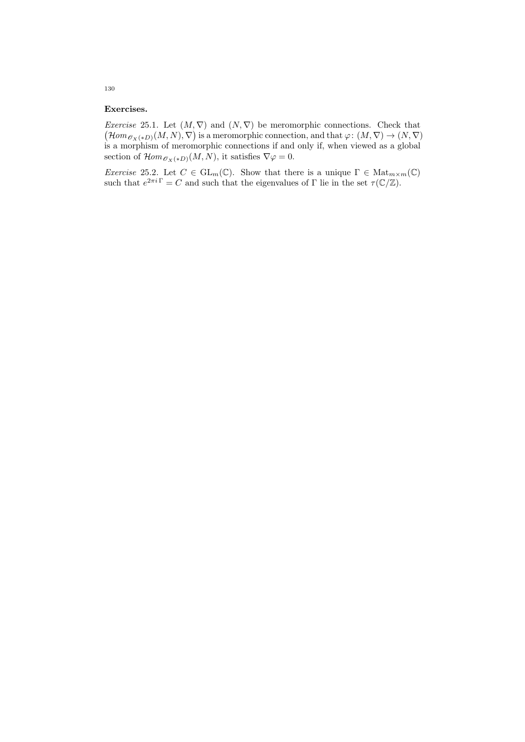### Exercises.

*Exercise* 25.1. Let  $(M, \nabla)$  and  $(N, \nabla)$  be meromorphic connections. Check that  $(\mathcal{H}om_{\mathscr{O}_X(*D)}(M,N), \nabla)$  is a meromorphic connection, and that  $\varphi \colon (M, \nabla) \to (N, \nabla)$ is a morphism of meromorphic connections if and only if, when viewed as a global section of  $\mathcal{H}om_{\mathscr{O}_X(*D)}(M,N)$ , it satisfies  $\nabla\varphi=0$ .

Exercise 25.2. Let  $C \in GL_m(\mathbb{C})$ . Show that there is a unique  $\Gamma \in Mat_{m \times m}(\mathbb{C})$ such that  $e^{2\pi i \Gamma} = C$  and such that the eigenvalues of  $\Gamma$  lie in the set  $\tau(\mathbb{C}/\mathbb{Z})$ .

130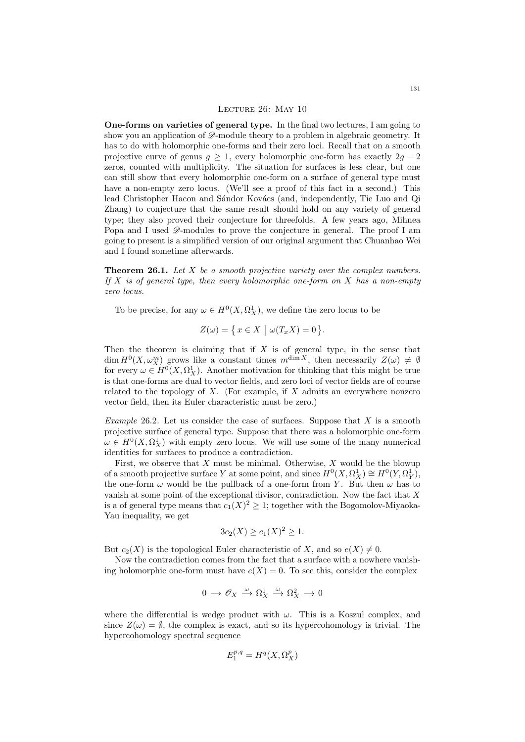#### LECTURE 26: MAY 10

One-forms on varieties of general type. In the final two lectures, I am going to show you an application of  $\mathscr{D}$ -module theory to a problem in algebraic geometry. It has to do with holomorphic one-forms and their zero loci. Recall that on a smooth projective curve of genus  $g \geq 1$ , every holomorphic one-form has exactly  $2g - 2$ zeros, counted with multiplicity. The situation for surfaces is less clear, but one can still show that every holomorphic one-form on a surface of general type must have a non-empty zero locus. (We'll see a proof of this fact in a second.) This lead Christopher Hacon and Sándor Kovács (and, independently, Tie Luo and Qi Zhang) to conjecture that the same result should hold on any variety of general type; they also proved their conjecture for threefolds. A few years ago, Mihnea Popa and I used  $\mathscr{D}$ -modules to prove the conjecture in general. The proof I am going to present is a simplified version of our original argument that Chuanhao Wei and I found sometime afterwards.

<span id="page-130-0"></span>**Theorem 26.1.** Let  $X$  be a smooth projective variety over the complex numbers. If  $X$  is of general type, then every holomorphic one-form on  $X$  has a non-empty zero locus.

To be precise, for any  $\omega \in H^0(X, \Omega_X^1)$ , we define the zero locus to be

$$
Z(\omega) = \{ x \in X \mid \omega(T_x X) = 0 \}.
$$

Then the theorem is claiming that if  $X$  is of general type, in the sense that  $\dim H^0(X, \omega_X^m)$  grows like a constant times  $m^{\dim X}$ , then necessarily  $Z(\omega) \neq \emptyset$ for every  $\omega \in H^0(X, \Omega_X^1)$ . Another motivation for thinking that this might be true is that one-forms are dual to vector fields, and zero loci of vector fields are of course related to the topology of  $X$ . (For example, if  $X$  admits an everywhere nonzero vector field, then its Euler characteristic must be zero.)

*Example* 26.2. Let us consider the case of surfaces. Suppose that  $X$  is a smooth projective surface of general type. Suppose that there was a holomorphic one-form  $\omega \in H^0(X, \Omega_X^1)$  with empty zero locus. We will use some of the many numerical identities for surfaces to produce a contradiction.

First, we observe that  $X$  must be minimal. Otherwise,  $X$  would be the blowup of a smooth projective surface Y at some point, and since  $H^0(X, \Omega_X^1) \cong H^0(Y, \Omega_Y^1)$ , the one-form  $\omega$  would be the pullback of a one-form from Y. But then  $\omega$  has to vanish at some point of the exceptional divisor, contradiction. Now the fact that X is a of general type means that  $c_1(X)^2 \geq 1$ ; together with the Bogomolov-Miyaoka-Yau inequality, we get

$$
3c_2(X) \ge c_1(X)^2 \ge 1.
$$

But  $c_2(X)$  is the topological Euler characteristic of X, and so  $e(X) \neq 0$ .

Now the contradiction comes from the fact that a surface with a nowhere vanishing holomorphic one-form must have  $e(X) = 0$ . To see this, consider the complex

$$
0\,\longrightarrow\,{\mathscr O}_X\,\stackrel{\omega}{\longrightarrow}\,\Omega^1_X\,\stackrel{\omega}{\longrightarrow}\,\Omega^2_X\,\longrightarrow\,0
$$

where the differential is wedge product with  $\omega$ . This is a Koszul complex, and since  $Z(\omega) = \emptyset$ , the complex is exact, and so its hypercohomology is trivial. The hypercohomology spectral sequence

$$
E_1^{p,q}=H^q(X,\Omega^p_X)
$$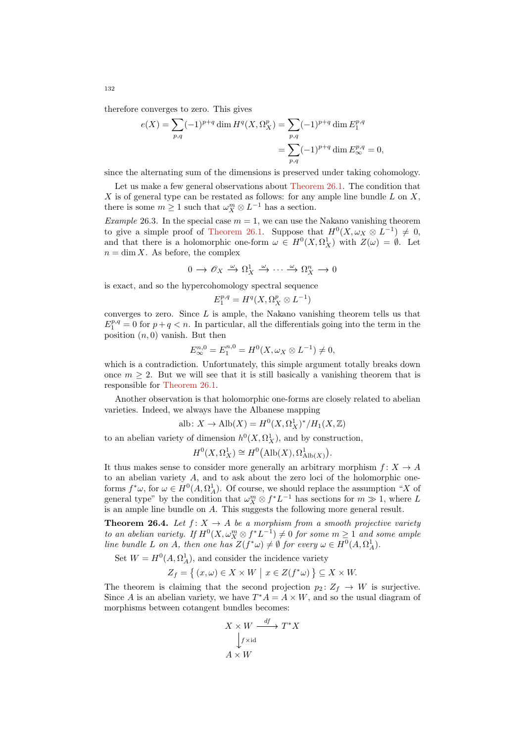therefore converges to zero. This gives

$$
e(X) = \sum_{p,q} (-1)^{p+q} \dim H^q(X, \Omega_X^p) = \sum_{p,q} (-1)^{p+q} \dim E_1^{p,q}
$$
  
= 
$$
\sum_{p,q} (-1)^{p+q} \dim E_\infty^{p,q} = 0,
$$

since the alternating sum of the dimensions is preserved under taking cohomology.

Let us make a few general observations about [Theorem 26.1.](#page-130-0) The condition that X is of general type can be restated as follows: for any ample line bundle  $L$  on  $X$ , there is some  $m \geq 1$  such that  $\omega_X^m \otimes L^{-1}$  has a section.

Example 26.3. In the special case  $m = 1$ , we can use the Nakano vanishing theorem to give a simple proof of [Theorem 26.1.](#page-130-0) Suppose that  $H^0(X, \omega_X \otimes L^{-1}) \neq 0$ , and that there is a holomorphic one-form  $\omega \in H^0(X, \Omega_X^1)$  with  $Z(\omega) = \emptyset$ . Let  $n = \dim X$ . As before, the complex

$$
0 \to \mathscr{O}_X \xrightarrow{\omega} \Omega^1_X \xrightarrow{\omega} \cdots \xrightarrow{\omega} \Omega^n_X \to 0
$$

is exact, and so the hypercohomology spectral sequence

$$
E_1^{p,q}=H^q(X,\Omega^p_X\otimes L^{-1})
$$

converges to zero. Since  $L$  is ample, the Nakano vanishing theorem tells us that  $E_1^{p,q} = 0$  for  $p+q < n$ . In particular, all the differentials going into the term in the position  $(n, 0)$  vanish. But then

$$
E_{\infty}^{n,0} = E_1^{n,0} = H^0(X, \omega_X \otimes L^{-1}) \neq 0,
$$

which is a contradiction. Unfortunately, this simple argument totally breaks down once  $m \geq 2$ . But we will see that it is still basically a vanishing theorem that is responsible for [Theorem 26.1.](#page-130-0)

Another observation is that holomorphic one-forms are closely related to abelian varieties. Indeed, we always have the Albanese mapping

alb:  $X \to \text{Alb}(X) = H^0(X, \Omega_X^1)^*/H_1(X, \mathbb{Z})$ 

to an abelian variety of dimension  $h^0(X, \Omega_X^1)$ , and by construction,

$$
H^0(X, \Omega_X^1) \cong H^0(\text{Alb}(X), \Omega^1_{\text{Alb}(X)}).
$$

It thus makes sense to consider more generally an arbitrary morphism  $f: X \to A$ to an abelian variety A, and to ask about the zero loci of the holomorphic oneforms  $f^*\omega$ , for  $\omega \in H^0(A, \Omega_A^1)$ . Of course, we should replace the assumption "X of general type" by the condition that  $\omega_X^m \otimes f^* L^{-1}$  has sections for  $m \gg 1$ , where L is an ample line bundle on A. This suggests the following more general result.

<span id="page-131-0"></span>**Theorem 26.4.** Let  $f: X \to A$  be a morphism from a smooth projective variety to an abelian variety. If  $H^0(X, \omega_X^m \otimes f^*L^{-1}) \neq 0$  for some  $m \geq 1$  and some ample line bundle L on A, then one has  $Z(f^*\omega) \neq \emptyset$  for every  $\omega \in H^0(A, \Omega_A^1)$ .

Set  $W = H^0(A, \Omega_A^1)$ , and consider the incidence variety

$$
Z_f = \left\{ (x, \omega) \in X \times W \mid x \in Z(f^*\omega) \right\} \subseteq X \times W.
$$

The theorem is claiming that the second projection  $p_2: Z_f \to W$  is surjective. Since A is an abelian variety, we have  $T^*A = A \times W$ , and so the usual diagram of morphisms between cotangent bundles becomes:

$$
X \times W \xrightarrow{df} T^*X
$$
  
\n
$$
\downarrow f \times id
$$
  
\n
$$
A \times W
$$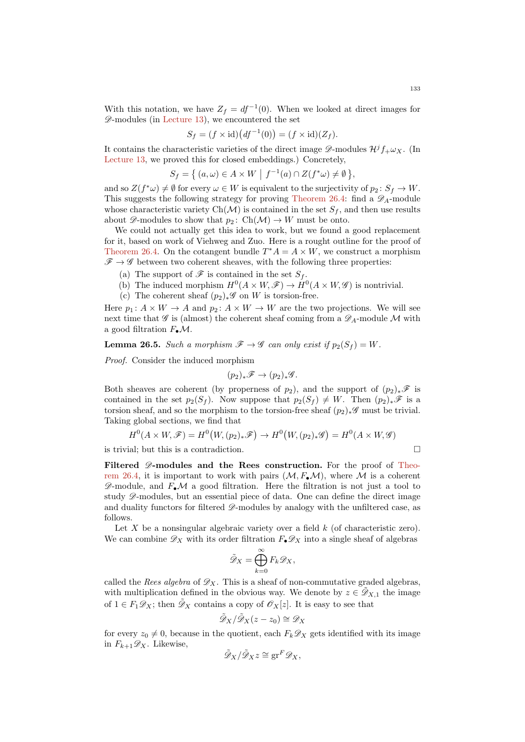With this notation, we have  $Z_f = df^{-1}(0)$ . When we looked at direct images for  $\mathscr{D}$ -modules (in [Lecture 13\)](#page-61-0), we encountered the set

$$
S_f = (f \times \mathrm{id})(df^{-1}(0)) = (f \times \mathrm{id})(Z_f).
$$

It contains the characteristic varieties of the direct image  $\mathscr{D}\text{-modules } H^j f_+\omega_X$ . (In [Lecture 13,](#page-61-0) we proved this for closed embeddings.) Concretely,

$$
S_f = \left\{ (a, \omega) \in A \times W \mid f^{-1}(a) \cap Z(f^*\omega) \neq \emptyset \right\},\
$$

and so  $Z(f^*\omega) \neq \emptyset$  for every  $\omega \in W$  is equivalent to the surjectivity of  $p_2 \colon S_f \to W$ . This suggests the following strategy for proving [Theorem 26.4:](#page-131-0) find a  $\mathscr{D}_A$ -module whose characteristic variety  $Ch(\mathcal{M})$  is contained in the set  $S_f$ , and then use results about  $\mathscr{D}$ -modules to show that  $p_2$ : Ch( $\mathcal{M}$ )  $\rightarrow$  W must be onto.

We could not actually get this idea to work, but we found a good replacement for it, based on work of Viehweg and Zuo. Here is a rought outline for the proof of [Theorem 26.4.](#page-131-0) On the cotangent bundle  $T^*A = A \times W$ , we construct a morphism  $\mathscr{F} \to \mathscr{G}$  between two coherent sheaves, with the following three properties:

- (a) The support of  $\mathscr F$  is contained in the set  $S_f$ .
- (b) The induced morphism  $H^0(A \times W, \mathscr{F}) \to H^0(A \times W, \mathscr{G})$  is nontrivial.
- (c) The coherent sheaf  $(p_2)_*\mathscr{G}$  on W is torsion-free.

Here  $p_1: A \times W \to A$  and  $p_2: A \times W \to W$  are the two projections. We will see next time that  $\mathscr G$  is (almost) the coherent sheaf coming from a  $\mathscr D_A$ -module M with a good filtration  $F_{\bullet}\mathcal{M}$ .

**Lemma 26.5.** Such a morphism  $\mathscr{F} \to \mathscr{G}$  can only exist if  $p_2(S_f) = W$ .

Proof. Consider the induced morphism

$$
(p_2)_*\mathscr{F} \to (p_2)_*\mathscr{G}.
$$

Both sheaves are coherent (by properness of  $p_2$ ), and the support of  $(p_2)_*\mathscr{F}$  is contained in the set  $p_2(S_f)$ . Now suppose that  $p_2(S_f) \neq W$ . Then  $(p_2)_*\mathscr{F}$  is a torsion sheaf, and so the morphism to the torsion-free sheaf  $(p_2)_* \mathscr{G}$  must be trivial. Taking global sections, we find that

$$
H^{0}(A \times W, \mathscr{F}) = H^{0}(W, (p_{2})_{*}\mathscr{F}) \to H^{0}(W, (p_{2})_{*}\mathscr{G}) = H^{0}(A \times W, \mathscr{G})
$$

is trivial; but this is a contradiction.

Filtered  $\mathscr{D}$ -modules and the Rees construction. For the proof of [Theo](#page-131-0)[rem 26.4,](#page-131-0) it is important to work with pairs  $(M, F_{\bullet} \mathcal{M})$ , where M is a coherent  $\mathscr{D}$ -module, and  $F_{\bullet}\mathcal{M}$  a good filtration. Here the filtration is not just a tool to study  $\mathscr{D}$ -modules, but an essential piece of data. One can define the direct image and duality functors for filtered  $\mathscr{D}$ -modules by analogy with the unfiltered case, as follows.

Let X be a nonsingular algebraic variety over a field  $k$  (of characteristic zero). We can combine  $\mathscr{D}_X$  with its order filtration  $F_{\bullet}\mathscr{D}_X$  into a single sheaf of algebras

$$
\tilde{\mathscr{D}}_X = \bigoplus_{k=0}^{\infty} F_k \mathscr{D}_X,
$$

called the Rees algebra of  $\mathscr{D}_X$ . This is a sheaf of non-commutative graded algebras, with multiplication defined in the obvious way. We denote by  $z \in \mathcal{D}_{X,1}$  the image of  $1 \in F_1 \mathscr{D}_X$ ; then  $\mathscr{D}_X$  contains a copy of  $\mathscr{O}_X[z]$ . It is easy to see that

$$
\tilde{\mathscr{D}}_X/\tilde{\mathscr{D}}_X(z-z_0)\cong \mathscr{D}_X
$$

for every  $z_0 \neq 0$ , because in the quotient, each  $F_k \mathscr{D}_X$  gets identified with its image in  $F_{k+1}\mathscr{D}_X$ . Likewise,

$$
\tilde{\mathscr{D}}_X/\tilde{\mathscr{D}}_X z \cong \operatorname{gr}^F \mathscr{D}_X,
$$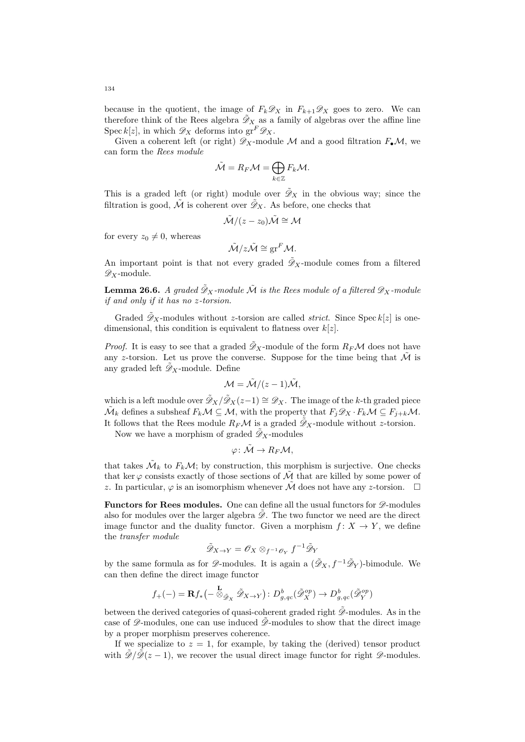because in the quotient, the image of  $F_k \mathscr{D}_X$  in  $F_{k+1} \mathscr{D}_X$  goes to zero. We can therefore think of the Rees algebra  $\tilde{\mathcal{D}}_X$  as a family of algebras over the affine line Spec k[z], in which  $\mathscr{D}_X$  deforms into  $gr^F \mathscr{D}_X$ .

Given a coherent left (or right)  $\mathscr{D}_X$ -module M and a good filtration  $F_{\bullet}\mathcal{M}$ , we can form the Rees module

$$
\tilde{\mathcal{M}} = R_F \mathcal{M} = \bigoplus_{k \in \mathbb{Z}} F_k \mathcal{M}.
$$

This is a graded left (or right) module over  $\tilde{\mathcal{D}}_X$  in the obvious way; since the filtration is good,  $\tilde{\mathcal{M}}$  is coherent over  $\tilde{\mathscr{D}}_X$ . As before, one checks that

$$
\tilde{\mathcal{M}}/(z-z_0)\tilde{\mathcal{M}} \cong \mathcal{M}
$$

for every  $z_0 \neq 0$ , whereas

$$
\tilde{\mathcal{M}}/z\tilde{\mathcal{M}} \cong \text{gr}^F \mathcal{M}.
$$

An important point is that not every graded  $\tilde{\mathcal{D}}_X$ -module comes from a filtered  $\mathscr{D}_X$ -module.

**Lemma 26.6.** A graded  $\tilde{\mathcal{D}}_X$ -module  $\tilde{\mathcal{M}}$  is the Rees module of a filtered  $\mathcal{D}_X$ -module if and only if it has no z-torsion.

Graded  $\mathcal{D}_X$ -modules without z-torsion are called *strict*. Since Spec  $k[z]$  is onedimensional, this condition is equivalent to flatness over  $k[z]$ .

*Proof.* It is easy to see that a graded  $\tilde{\mathscr{D}}_X$ -module of the form  $R_F\mathcal{M}$  does not have any z-torsion. Let us prove the converse. Suppose for the time being that  $\tilde{\mathcal{M}}$  is any graded left  $\mathscr{D}_X$ -module. Define

$$
\mathcal{M} = \tilde{\mathcal{M}}/(z-1)\tilde{\mathcal{M}},
$$

which is a left module over  $\tilde{\mathcal{D}}_X/\tilde{\mathcal{D}}_X(z-1) \cong \mathcal{D}_X$ . The image of the k-th graded piece  $\tilde{\mathcal{M}}_k$  defines a subsheaf  $F_k \mathcal{M} \subseteq \mathcal{M}$ , with the property that  $F_j \mathscr{D}_X \cdot F_k \mathcal{M} \subseteq F_{j+k} \mathcal{M}$ . It follows that the Rees module  $R_F\mathcal{M}$  is a graded  $\mathcal{D}_X$ -module without z-torsion.

Now we have a morphism of graded  $\tilde{\mathcal{D}}_X$ -modules

$$
\varphi\colon \tilde{\mathcal{M}}\to R_F\mathcal{M},
$$

that takes  $\tilde{\mathcal{M}}_k$  to  $F_k\mathcal{M}$ ; by construction, this morphism is surjective. One checks that ker  $\varphi$  consists exactly of those sections of  $\tilde{\mathcal{M}}$  that are killed by some power of z. In particular,  $\varphi$  is an isomorphism whenever  $\mathcal M$  does not have any z-torsion.  $\Box$ 

**Functors for Rees modules.** One can define all the usual functors for  $\mathscr{D}$ -modules also for modules over the larger algebra  $\tilde{\mathscr{D}}$ . The two functor we need are the direct image functor and the duality functor. Given a morphism  $f: X \to Y$ , we define the transfer module

$$
\tilde{\mathscr{D}}_{X \to Y} = \mathscr{O}_X \otimes_{f^{-1}\mathscr{O}_Y} f^{-1}\tilde{\mathscr{D}}_Y
$$

by the same formula as for  $\mathscr{D}$ -modules. It is again a  $(\tilde{\mathscr{D}}_X, f^{-1}\tilde{\mathscr{D}}_Y)$ -bimodule. We can then define the direct image functor

$$
f_{+}(-) = \mathbf{R} f_{*}(- \overset{\mathbf{L}}{\otimes}_{\tilde{\mathscr{D}}_{X}} \tilde{\mathscr{D}}_{X \to Y}) : D^{b}_{g,qc}(\tilde{\mathscr{D}}_{X}^{op}) \to D^{b}_{g,qc}(\tilde{\mathscr{D}}_{Y}^{op})
$$

between the derived categories of quasi-coherent graded right  $\mathcal{D}$ -modules. As in the case of  $\mathscr{D}$ -modules, one can use induced  $\mathscr{D}$ -modules to show that the direct image by a proper morphism preserves coherence.

If we specialize to  $z = 1$ , for example, by taking the (derived) tensor product with  $\mathscr{D}/\mathscr{D}(z-1)$ , we recover the usual direct image functor for right  $\mathscr{D}$ -modules.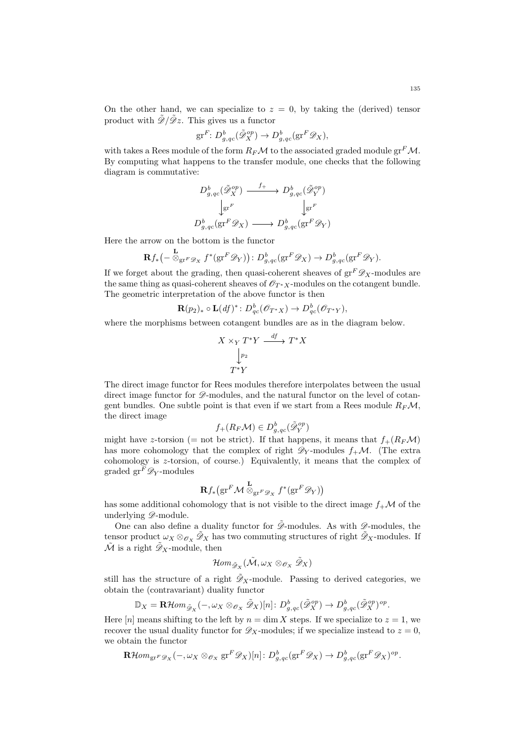On the other hand, we can specialize to  $z = 0$ , by taking the (derived) tensor product with  $\tilde{\mathscr{D}}/\tilde{\mathscr{D}}z$ . This gives us a functor

$$
\mathrm{gr}^F\colon D^b_{g,qc}(\tilde{\mathscr{D}}_X^{op})\to D^b_{g,qc}(\mathrm{gr}^F\mathscr{D}_X),
$$

with takes a Rees module of the form  $R_F\mathcal{M}$  to the associated graded module gr<sup>F</sup> $\mathcal{M}$ . By computing what happens to the transfer module, one checks that the following diagram is commutative:

$$
D_{g,qc}^b(\tilde{\mathscr{D}}_X^{op}) \xrightarrow{f_+} D_{g,qc}^b(\tilde{\mathscr{D}}_Y^{op})
$$

$$
\downarrow_{\text{gr}^F} \qquad \qquad \downarrow_{\text{gr}^F}
$$

$$
D_{g,qc}^b(\text{gr}^F \mathscr{D}_X) \longrightarrow D_{g,qc}^b(\text{gr}^F \mathscr{D}_Y)
$$

Here the arrow on the bottom is the functor

$$
\mathbf{R} f_{*}(-\overset{\mathbf{L}}{\otimes}_{\mathbf{gr}^F\mathscr{D}_X} f^{*}(\mathbf{gr}^F\mathscr{D}_Y)) : D^{b}_{g,qc}(\mathbf{gr}^F\mathscr{D}_X) \to D^{b}_{g,qc}(\mathbf{gr}^F\mathscr{D}_Y).
$$

If we forget about the grading, then quasi-coherent sheaves of  $gr^F \mathscr{D}_X$ -modules are the same thing as quasi-coherent sheaves of  $\mathcal{O}_{T^*X}$ -modules on the cotangent bundle. The geometric interpretation of the above functor is then

$$
\mathbf{R}(p_2)_* \circ \mathbf{L}(df)^* \colon D_{qc}^b(\mathscr{O}_{T^*X}) \to D_{qc}^b(\mathscr{O}_{T^*Y}),
$$

where the morphisms between cotangent bundles are as in the diagram below.

$$
X \times_Y T^*Y \xrightarrow{df} T^*X
$$
  

$$
\downarrow^{p_2}
$$
  

$$
T^*Y
$$

The direct image functor for Rees modules therefore interpolates between the usual direct image functor for  $\mathscr{D}$ -modules, and the natural functor on the level of cotangent bundles. One subtle point is that even if we start from a Rees module  $R_F\mathcal{M}$ , the direct image

$$
f_+(R_F\mathcal{M})\in D^b_{g,qc}(\tilde{\mathscr{D}}_Y^{op})
$$

might have z-torsion (= not be strict). If that happens, it means that  $f_+(R_F\mathcal{M})$ has more cohomology that the complex of right  $\mathscr{D}_Y$ -modules  $f_+\mathcal{M}$ . (The extra cohomology is z-torsion, of course.) Equivalently, it means that the complex of graded  $\operatorname{gr}^F \mathscr{D}_Y\text{-modules}$ 

$$
\mathbf{R} f_* \big(\mathrm{gr}^F \mathcal{M} \overset{\mathbf{L}}{\otimes}_{\mathrm{gr}^F \mathscr{D}_X} f^*(\mathrm{gr}^F \mathscr{D}_Y) \big)
$$

has some additional cohomology that is not visible to the direct image  $f_{+}\mathcal{M}$  of the underlying  $\mathscr{D}$ -module.

One can also define a duality functor for  $\tilde{\mathcal{D}}$ -modules. As with  $\mathcal{D}$ -modules, the tensor product  $\omega_X \otimes_{\mathscr{O}_X} \mathscr{D}_X$  has two commuting structures of right  $\mathscr{D}_X$ -modules. If  $\tilde{\mathcal{M}}$  is a right  $\tilde{\mathcal{D}}_X$ -module, then

$$
\mathcal{H}om_{\tilde{\mathscr{D}}_X}(\tilde{\mathcal{M}}, \omega_X\otimes_{\mathscr{O}_X}\tilde{\mathscr{D}}_X)
$$

still has the structure of a right  $\tilde{\mathcal{D}}_X$ -module. Passing to derived categories, we obtain the (contravariant) duality functor

$$
\mathbb{D}_X = \mathbf{R}\mathcal{H}om_{\tilde{\mathscr{D}}_X}(-,\omega_X \otimes_{\mathscr{O}_X} \tilde{\mathscr{D}}_X)[n]: D^b_{g,qc}(\tilde{\mathscr{D}}_X^{op}) \to D^b_{g,qc}(\tilde{\mathscr{D}}_X^{op})^{op}.
$$

Here  $[n]$  means shifting to the left by  $n = \dim X$  steps. If we specialize to  $z = 1$ , we recover the usual duality functor for  $\mathscr{D}_X$ -modules; if we specialize instead to  $z = 0$ , we obtain the functor

$$
\mathbf{R}\mathcal{H}om_{\operatorname{gr}^F\mathscr{D}_X}(-,\omega_X\otimes_{\mathscr{O}_X}\operatorname{gr}^F\mathscr{D}_X)[n]\colon D^b_{g,qc}(\operatorname{gr}^F\mathscr{D}_X)\to D^b_{g,qc}(\operatorname{gr}^F\mathscr{D}_X)^{op}.
$$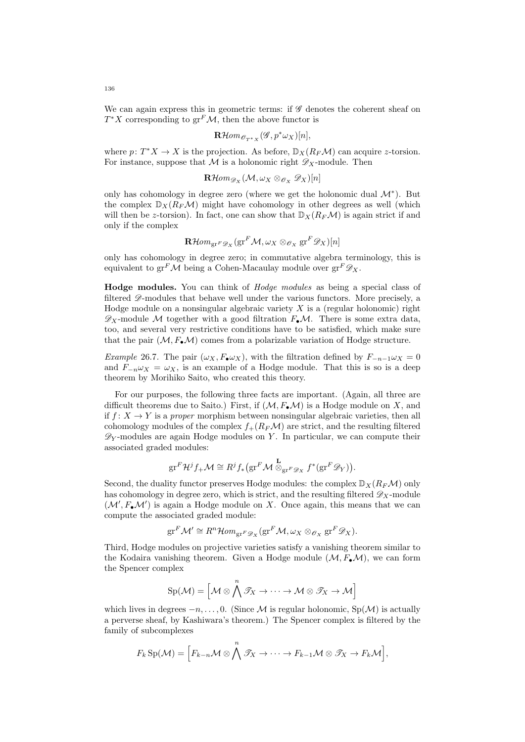We can again express this in geometric terms: if  $\mathscr G$  denotes the coherent sheaf on  $T^*X$  corresponding to  $gr^F\mathcal{M}$ , then the above functor is

$$
\mathbf{R}\mathcal{H}\hspace{-1pt}\mathit{om}\hspace{-1pt}\mathit{_{\mathscr{O}_{T^*X}}}(\mathscr{G},p^*\omega_X)[n],
$$

where  $p: T^*X \to X$  is the projection. As before,  $\mathbb{D}_X(R_F\mathcal{M})$  can acquire z-torsion. For instance, suppose that M is a holonomic right  $\mathscr{D}_X$ -module. Then

$$
\operatorname{\mathbf{R}\mathcal{H}\!\mathit{om}}_{\mathscr{D}_X}(\mathcal{M}, \omega_X \otimes_{\mathscr{O}_X} \mathscr{D}_X)[n]
$$

only has cohomology in degree zero (where we get the holonomic dual  $\mathcal{M}^*$ ). But the complex  $\mathbb{D}_X(R_F\mathcal{M})$  might have cohomology in other degrees as well (which will then be z-torsion). In fact, one can show that  $\mathbb{D}_X(R_F\mathcal{M})$  is again strict if and only if the complex

$$
\mathbf{R}\mathcal{H}om_{\operatorname{gr}^F\mathscr{D}_X}(\operatorname{gr}^F\mathcal{M}, \omega_X\otimes_{\mathscr{O}_X}\operatorname{gr}^F\mathscr{D}_X)[n]
$$

only has cohomology in degree zero; in commutative algebra terminology, this is equivalent to gr<sup>F</sup>M being a Cohen-Macaulay module over  $gr^F \mathscr{D}_X$ .

Hodge modules. You can think of Hodge modules as being a special class of filtered  $\mathscr{D}$ -modules that behave well under the various functors. More precisely, a Hodge module on a nonsingular algebraic variety  $X$  is a (regular holonomic) right  $\mathscr{D}_X$ -module M together with a good filtration  $F_{\bullet}\mathcal{M}$ . There is some extra data, too, and several very restrictive conditions have to be satisfied, which make sure that the pair  $(M, F_{\bullet} \mathcal{M})$  comes from a polarizable variation of Hodge structure.

Example 26.7. The pair  $(\omega_X, F_{\bullet} \omega_X)$ , with the filtration defined by  $F_{-n-1} \omega_X = 0$ and  $F_{-\nu} \omega_X = \omega_X$ , is an example of a Hodge module. That this is so is a deep theorem by Morihiko Saito, who created this theory.

For our purposes, the following three facts are important. (Again, all three are difficult theorems due to Saito.) First, if  $(M, F_{\bullet}M)$  is a Hodge module on X, and if  $f: X \to Y$  is a *proper* morphism between nonsingular algebraic varieties, then all cohomology modules of the complex  $f_+(R_F\mathcal{M})$  are strict, and the resulting filtered  $\mathscr{D}_Y$ -modules are again Hodge modules on Y. In particular, we can compute their associated graded modules:

$$
\mathrm{gr}^F \mathcal{H}^j f_+ \mathcal{M} \cong R^j f_* \big( \mathrm{gr}^F \mathcal{M} \stackrel{\mathbf{L}}{\otimes}_{\mathrm{gr}^F \mathscr{D}_X} f^* (\mathrm{gr}^F \mathscr{D}_Y) \big).
$$

Second, the duality functor preserves Hodge modules: the complex  $\mathbb{D}_X(R_F\mathcal{M})$  only has cohomology in degree zero, which is strict, and the resulting filtered  $\mathscr{D}_X$ -module  $(\mathcal{M}', F_{\bullet} \mathcal{M}')$  is again a Hodge module on X. Once again, this means that we can compute the associated graded module:

$$
\mathrm{gr}^F \mathcal{M}' \cong R^n \mathcal{H}om_{\mathrm{gr}^F \mathscr{D}_X}(\mathrm{gr}^F \mathcal{M}, \omega_X \otimes_{\mathscr{O}_X} \mathrm{gr}^F \mathscr{D}_X).
$$

Third, Hodge modules on projective varieties satisfy a vanishing theorem similar to the Kodaira vanishing theorem. Given a Hodge module  $(\mathcal{M}, F_{\bullet} \mathcal{M})$ , we can form the Spencer complex

$$
\mathrm{Sp}(\mathcal{M}) = \Big[\mathcal{M} \otimes \bigwedge^n \mathscr{T}_X \to \cdots \to \mathcal{M} \otimes \mathscr{T}_X \to \mathcal{M} \Big]
$$

which lives in degrees  $-n, \ldots, 0$ . (Since M is regular holonomic, Sp(M) is actually a perverse sheaf, by Kashiwara's theorem.) The Spencer complex is filtered by the family of subcomplexes

$$
F_k \text{Sp}(\mathcal{M}) = \Big[ F_{k-n} \mathcal{M} \otimes \bigwedge^n \mathcal{T}_X \to \cdots \to F_{k-1} \mathcal{M} \otimes \mathcal{T}_X \to F_k \mathcal{M} \Big],
$$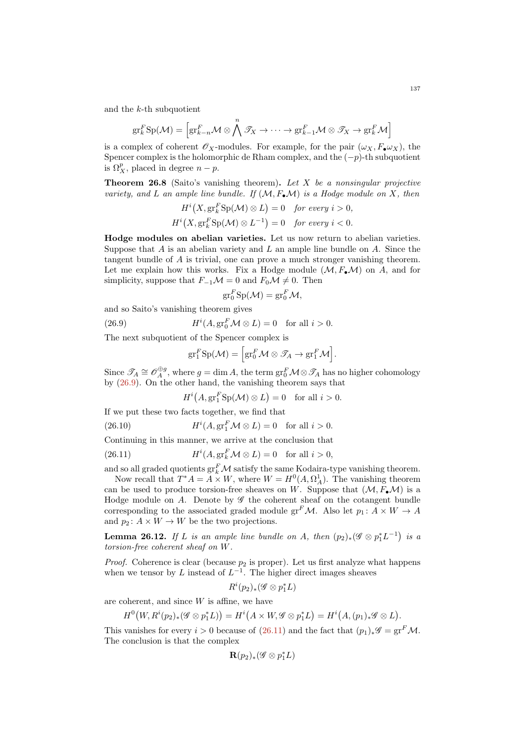and the  $k$ -th subquotient

$$
\mathrm{gr}^F_k \mathrm{Sp}(\mathcal{M}) = \left[\mathrm{gr}^F_{k-n} \mathcal{M} \otimes \bigwedge^n \mathcal{T}_X \to \cdots \to \mathrm{gr}^F_{k-1} \mathcal{M} \otimes \mathcal{T}_X \to \mathrm{gr}^F_k \mathcal{M}\right]
$$

is a complex of coherent  $\mathscr{O}_X$ -modules. For example, for the pair  $(\omega_X, F_{\bullet} \omega_X)$ , the Spencer complex is the holomorphic de Rham complex, and the  $(-p)$ -th subquotient is  $\Omega_X^p$ , placed in degree  $n-p$ .

**Theorem 26.8** (Saito's vanishing theorem). Let X be a nonsingular projective variety, and L an ample line bundle. If  $(M, F_{\bullet} \mathcal{M})$  is a Hodge module on X, then

$$
H^{i}(X, \operatorname{gr}_{k}^{F} \operatorname{Sp}(\mathcal{M}) \otimes L) = 0 \quad \text{for every } i > 0,
$$
  

$$
H^{i}(X, \operatorname{gr}_{k}^{F} \operatorname{Sp}(\mathcal{M}) \otimes L^{-1}) = 0 \quad \text{for every } i < 0.
$$

Hodge modules on abelian varieties. Let us now return to abelian varieties. Suppose that A is an abelian variety and L an ample line bundle on A. Since the tangent bundle of A is trivial, one can prove a much stronger vanishing theorem. Let me explain how this works. Fix a Hodge module  $(\mathcal{M}, F_{\bullet} \mathcal{M})$  on A, and for simplicity, suppose that  $F_{-1} \mathcal{M} = 0$  and  $F_0 \mathcal{M} \neq 0$ . Then

$$
\mathrm{gr}^F_0 \mathrm{Sp}(\mathcal{M}) = \mathrm{gr}^F_0 \mathcal{M},
$$

and so Saito's vanishing theorem gives

(26.9) 
$$
H^{i}(A, \operatorname{gr}_{0}^{F} \mathcal{M} \otimes L) = 0 \text{ for all } i > 0.
$$

The next subquotient of the Spencer complex is

<span id="page-136-0"></span>
$$
\mathrm{gr}^F_1 \mathrm{Sp}(\mathcal{M}) = \Big[\mathrm{gr}^F_0 \mathcal{M} \otimes \mathcal{T}_A \to \mathrm{gr}^F_1 \mathcal{M}\Big].
$$

Since  $\mathcal{J}_A \cong \mathcal{O}_A^{\oplus g}$ , where  $g = \dim A$ , the term  $\operatorname{gr}^F_0 \mathcal{M} \otimes \mathcal{J}_A$  has no higher cohomology by [\(26.9\)](#page-136-0). On the other hand, the vanishing theorem says that

<span id="page-136-1"></span> $H^{i}(A, \text{gr}_{1}^{F} \text{Sp}(\mathcal{M}) \otimes L) = 0 \text{ for all } i > 0.$ 

If we put these two facts together, we find that

 $(26.10)$  $(A, \operatorname{gr}^F_1 \mathcal{M} \otimes L) = 0$  for all  $i > 0$ .

Continuing in this manner, we arrive at the conclusion that

(26.11) 
$$
H^{i}(A, \operatorname{gr}_{k}^{F} \mathcal{M} \otimes L) = 0 \text{ for all } i > 0,
$$

and so all graded quotients  $gr_k^F \mathcal{M}$  satisfy the same Kodaira-type vanishing theorem.

Now recall that  $T^*A = A \times W$ , where  $W = H^0(A, \Omega_A^1)$ . The vanishing theorem can be used to produce torsion-free sheaves on W. Suppose that  $(M, F<sub>•</sub>M)$  is a Hodge module on  $A$ . Denote by  $\mathscr G$  the coherent sheaf on the cotangent bundle corresponding to the associated graded module  $\operatorname{gr}^F\mathcal{M}$ . Also let  $p_1: \tilde{A} \times W \to A$ and  $p_2: A \times W \to W$  be the two projections.

**Lemma 26.12.** If L is an ample line bundle on A, then  $(p_2)_*(\mathscr{G} \otimes p_1^*L^{-1})$  is a torsion-free coherent sheaf on W.

*Proof.* Coherence is clear (because  $p_2$  is proper). Let us first analyze what happens when we tensor by L instead of  $L^{-1}$ . The higher direct images sheaves

$$
R^i(p_2)_*(\mathscr{G} \otimes p_1^*L)
$$

are coherent, and since  $W$  is affine, we have

$$
H^0(W, R^i(p_2)_*(\mathscr{G} \otimes p_1^*L)) = H^i(A \times W, \mathscr{G} \otimes p_1^*L) = H^i(A, (p_1)_*\mathscr{G} \otimes L).
$$

This vanishes for every  $i > 0$  because of [\(26.11\)](#page-136-1) and the fact that  $(p_1)_*\mathscr{G} = \text{gr}^F \mathcal{M}$ . The conclusion is that the complex

$$
\mathbf{R}(p_2)_*(\mathscr{G} \otimes p_1^*L)
$$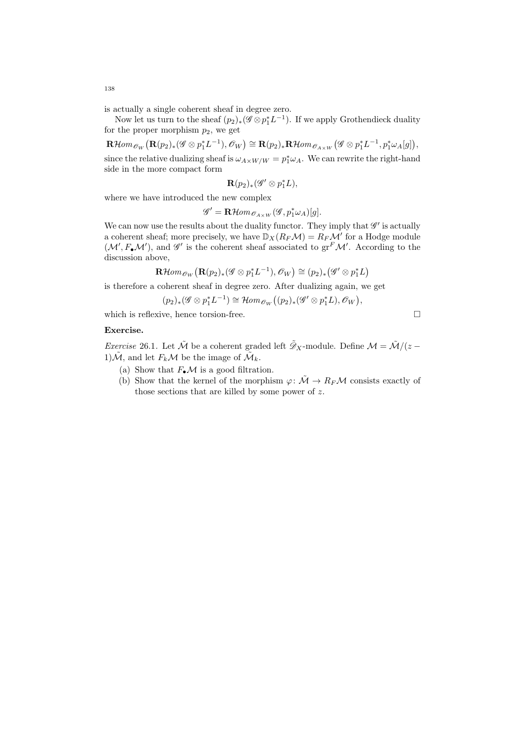is actually a single coherent sheaf in degree zero.

Now let us turn to the sheaf  $(p_2)_*(\mathscr{G} \otimes p_1^* L^{-1})$ . If we apply Grothendieck duality for the proper morphism  $p_2$ , we get

 $\mathbf{R}\mathcal{H}$ om $\mathcal{O}_{W}(\mathbf{R}(p_2)_*(\mathscr{G} \otimes p_1^*L^{-1}), \mathcal{O}_{W}) \cong \mathbf{R}(p_2)_*\mathbf{R}\mathcal{H}$ om $\mathcal{O}_{A \times W}(\mathscr{G} \otimes p_1^*L^{-1}, p_1^*\omega_A[g]),$ since the relative dualizing sheaf is  $\omega_{A\times W/W} = p_1^*\omega_A$ . We can rewrite the right-hand side in the more compact form

$$
\mathbf{R}(p_2)_*(\mathscr{G}' \otimes p_1^*L),
$$

where we have introduced the new complex

 $\mathscr{G}' = \mathbf{R} \mathcal{H}om_{\mathscr{O}_{A \times W}}(\mathscr{G}, p_1^* \omega_A)[g].$ 

We can now use the results about the duality functor. They imply that  $\mathscr{G}'$  is actually a coherent sheaf; more precisely, we have  $\mathbb{D}_X(R_F\mathcal{M}) = R_F\mathcal{M}'$  for a Hodge module  $(\mathcal{M}', F_{\bullet} \mathcal{M}')$ , and  $\mathscr{G}'$  is the coherent sheaf associated to  $gr^F \mathcal{M}'$ . According to the discussion above,

$$
\mathbf{R}\mathcal{H}om_{\mathscr{O}_W}(\mathbf{R}(p_2)_*(\mathscr{G} \otimes p_1^*L^{-1}), \mathscr{O}_W) \cong (p_2)_*(\mathscr{G}' \otimes p_1^*L)
$$

is therefore a coherent sheaf in degree zero. After dualizing again, we get

$$
(p_2)_*(\mathscr{G} \otimes p_1^* L^{-1}) \cong \mathcal{H}om_{\mathscr{O}_W}((p_2)_*(\mathscr{G}' \otimes p_1^* L), \mathscr{O}_W),
$$

which is reflexive, hence torsion-free.

# Exercise.

*Exercise* 26.1. Let  $\tilde{\mathcal{M}}$  be a coherent graded left  $\tilde{\mathcal{D}}_X$ -module. Define  $\mathcal{M} = \tilde{\mathcal{M}}/(z - \tilde{\mathcal{M}})$ 1) $\mathcal{\tilde{M}}$ , and let  $F_k \mathcal{M}$  be the image of  $\mathcal{\tilde{M}}_k$ .

- (a) Show that  $F_{\bullet} \mathcal{M}$  is a good filtration.
- (b) Show that the kernel of the morphism  $\varphi \colon \tilde{\mathcal{M}} \to R_F \mathcal{M}$  consists exactly of those sections that are killed by some power of  $z$ .

138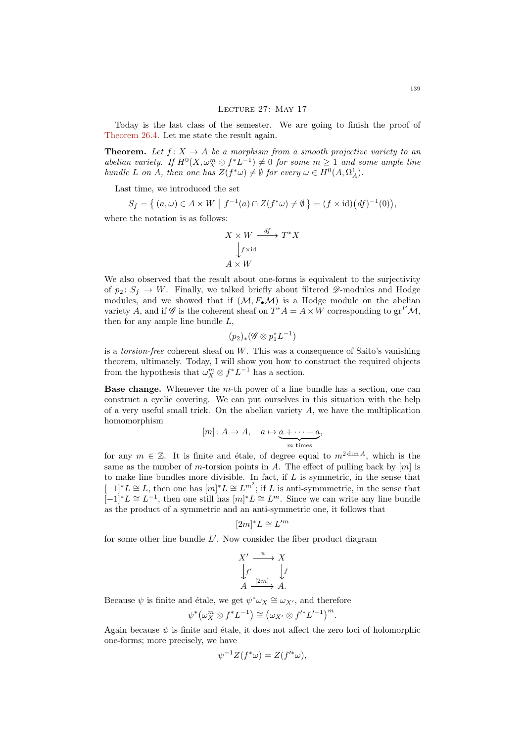#### Lecture 27: May 17

Today is the last class of the semester. We are going to finish the proof of [Theorem 26.4.](#page-131-0) Let me state the result again.

**Theorem.** Let  $f: X \to A$  be a morphism from a smooth projective variety to an abelian variety. If  $H^0(X, \omega_X^m \otimes f^*L^{-1}) \neq 0$  for some  $m \geq 1$  and some ample line bundle L on A, then one has  $Z(f^*\omega) \neq \emptyset$  for every  $\omega \in H^0(A, \Omega_A^1)$ .

Last time, we introduced the set

$$
S_f = \left\{ (a, \omega) \in A \times W \mid f^{-1}(a) \cap Z(f^*\omega) \neq \emptyset \right\} = (f \times id)(df)^{-1}(0)),
$$

where the notation is as follows:

$$
X \times W \xrightarrow{df} T^*X
$$
  
\n
$$
\downarrow f \times id
$$
  
\n
$$
A \times W
$$

We also observed that the result about one-forms is equivalent to the surjectivity of  $p_2: S_f \to W$ . Finally, we talked briefly about filtered  $\mathscr{D}$ -modules and Hodge modules, and we showed that if  $(M, F_{\bullet} \mathcal{M})$  is a Hodge module on the abelian variety A, and if  $\mathscr G$  is the coherent sheaf on  $T^*A = A \times W$  corresponding to  $gr^F \mathcal M$ , then for any ample line bundle  $L$ ,

$$
(p_2)_*(\mathscr{G} \otimes p_1^*L^{-1})
$$

is a *torsion-free* coherent sheaf on  $W$ . This was a consequence of Saito's vanishing theorem, ultimately. Today, I will show you how to construct the required objects from the hypothesis that  $\omega_X^m \otimes f^* L^{-1}$  has a section.

**Base change.** Whenever the  $m$ -th power of a line bundle has a section, one can construct a cyclic covering. We can put ourselves in this situation with the help of a very useful small trick. On the abelian variety  $A$ , we have the multiplication homomorphism

$$
[m]: A \to A, \quad a \mapsto \underbrace{a + \cdots + a}_{m \text{ times}},
$$

for any  $m \in \mathbb{Z}$ . It is finite and étale, of degree equal to  $m^{2 \dim A}$ , which is the same as the number of m-torsion points in A. The effect of pulling back by  $[m]$  is to make line bundles more divisible. In fact, if  $L$  is symmetric, in the sense that  $[-1]^*L \cong L$ , then one has  $[m]^*L \cong L^{m^2}$ ; if L is anti-symmmetric, in the sense that  $[-1]^*L \cong L^{-1}$ , then one still has  $[m]^*L \cong L^m$ . Since we can write any line bundle as the product of a symmetric and an anti-symmetric one, it follows that

$$
[2m]^*L \cong L'^m
$$

for some other line bundle  $L'$ . Now consider the fiber product diagram

$$
X' \xrightarrow{\psi} X
$$
  
\n
$$
\downarrow f'
$$
  
\n
$$
A \xrightarrow{[2m]} A.
$$

Because  $\psi$  is finite and étale, we get  $\psi^* \omega_X \cong \omega_{X'}$ , and therefore

$$
\psi^* \big( \omega_X^m \otimes f^* L^{-1} \big) \cong \big( \omega_{X'} \otimes f'^* L'^{-1} \big)^m.
$$

Again because  $\psi$  is finite and étale, it does not affect the zero loci of holomorphic one-forms; more precisely, we have

$$
\psi^{-1}Z(f^*\omega) = Z(f'^*\omega),
$$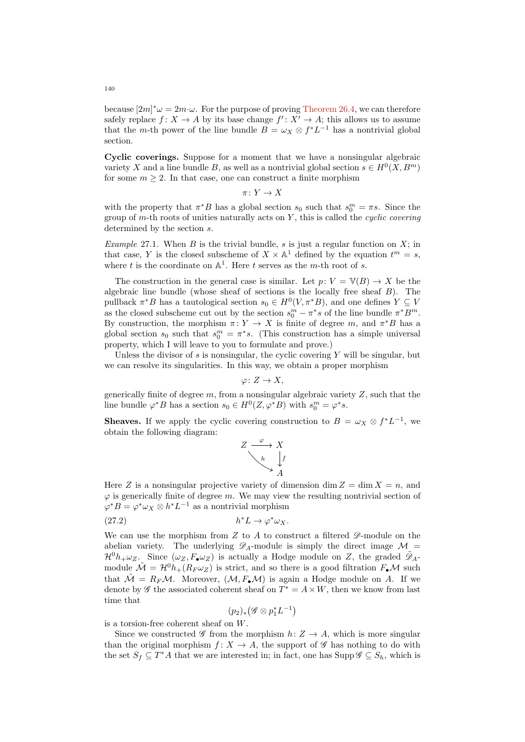because  $[2m]^* \omega = 2m \cdot \omega$ . For the purpose of proving [Theorem 26.4,](#page-131-0) we can therefore safely replace  $f: X \to A$  by its base change  $f': X' \to A$ ; this allows us to assume that the *m*-th power of the line bundle  $B = \omega_X \otimes f^* L^{-1}$  has a nontrivial global section.

Cyclic coverings. Suppose for a moment that we have a nonsingular algebraic variety X and a line bundle B, as well as a nontrivial global section  $s \in H^0(X, B^m)$ for some  $m \geq 2$ . In that case, one can construct a finite morphism

$$
\pi\colon Y\to X
$$

with the property that  $\pi^*B$  has a global section  $s_0$  such that  $s_0^m = \pi s$ . Since the group of  $m$ -th roots of unities naturally acts on  $Y$ , this is called the *cyclic covering* determined by the section s.

*Example* 27.1. When B is the trivial bundle, s is just a regular function on  $X$ ; in that case, Y is the closed subscheme of  $X \times \mathbb{A}^1$  defined by the equation  $t^m = s$ , where t is the coordinate on  $\mathbb{A}^1$ . Here t serves as the m-th root of s.

The construction in the general case is similar. Let  $p: V = V(B) \rightarrow X$  be the algebraic line bundle (whose sheaf of sections is the locally free sheaf  $B$ ). The pullback  $\pi^*B$  has a tautological section  $s_0 \in H^0(V, \pi^*B)$ , and one defines  $Y \subseteq V$ as the closed subscheme cut out by the section  $s_0^m - \pi^* s$  of the line bundle  $\pi^* B^m$ . By construction, the morphism  $\pi: Y \to X$  is finite of degree m, and  $\pi^*B$  has a global section  $s_0$  such that  $s_0^m = \pi^*s$ . (This construction has a simple universal property, which I will leave to you to formulate and prove.)

Unless the divisor of  $s$  is nonsingular, the cyclic covering  $Y$  will be singular, but we can resolve its singularities. In this way, we obtain a proper morphism

$$
\varphi\colon Z\to X,
$$

generically finite of degree  $m$ , from a nonsingular algebraic variety  $Z$ , such that the line bundle  $\varphi^* B$  has a section  $s_0 \in H^0(Z, \varphi^* B)$  with  $s_0^m = \varphi^* s$ .

**Sheaves.** If we apply the cyclic covering construction to  $B = \omega_X \otimes f^* L^{-1}$ , we obtain the following diagram:

<span id="page-139-0"></span>
$$
Z \xrightarrow{\varphi} X
$$
  
\n
$$
\downarrow h
$$
  
\n
$$
\downarrow f
$$
  
\n
$$
A
$$

Here Z is a nonsingular projective variety of dimension dim  $Z = \dim X = n$ , and  $\varphi$  is generically finite of degree m. We may view the resulting nontrivial section of  $\varphi^* B = \varphi^* \omega_X \otimes h^* L^{-1}$  as a nontrivial morphism

$$
(27.2) \t\t\t h^*L \to \varphi^* \omega_X.
$$

We can use the morphism from  $Z$  to  $A$  to construct a filtered  $\mathscr{D}$ -module on the abelian variety. The underlying  $\mathscr{D}_A$ -module is simply the direct image  $\mathcal{M} =$  $\mathcal{H}^0 h_+ \omega_Z$ . Since  $(\omega_Z, F_{\bullet} \omega_Z)$  is actually a Hodge module on Z, the graded  $\tilde{\mathcal{D}}_A$ module  $\mathcal{M} = \mathcal{H}^0 h_+(R_F \omega_Z)$  is strict, and so there is a good filtration  $F_{\bullet} \mathcal{M}$  such that  $\tilde{\mathcal{M}} = R_F \mathcal{M}$ . Moreover,  $(\mathcal{M}, F_{\bullet} \mathcal{M})$  is again a Hodge module on A. If we denote by  $\mathscr G$  the associated coherent sheaf on  $T^* = A \times W$ , then we know from last time that

$$
(p_2)_* \bigl(\mathscr{G} \otimes p_1^* L^{-1}\bigr)
$$

is a torsion-free coherent sheaf on W.

Since we constructed  $\mathscr G$  from the morphism  $h: Z \to A$ , which is more singular than the original morphism  $f: X \to A$ , the support of  $\mathscr G$  has nothing to do with the set  $S_f \subseteq T^*A$  that we are interested in; in fact, one has  $\text{Supp}\,\mathscr{G} \subseteq S_h$ , which is

140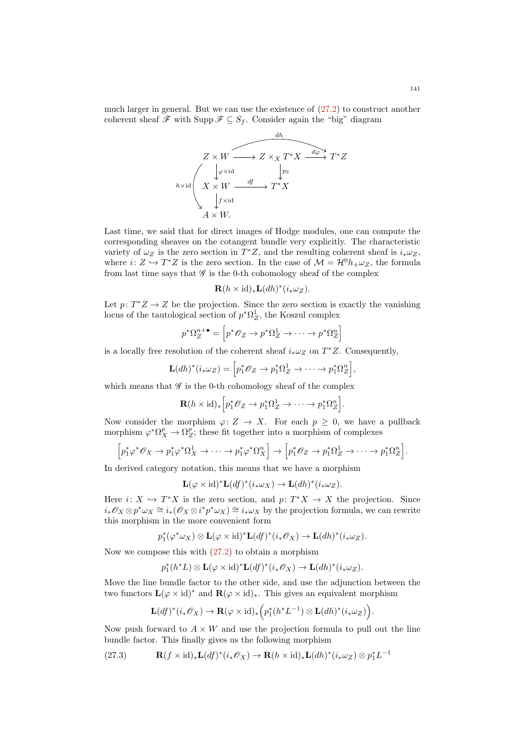much larger in general. But we can use the existence of [\(27.2\)](#page-139-0) to construct another coherent sheaf  $\mathscr F$  with Supp  $\mathscr F \subseteq S_f$ . Consider again the "big" diagram



Last time, we said that for direct images of Hodge modules, one can compute the corresponding sheaves on the cotangent bundle very explicitly. The characteristic variety of  $\omega_Z$  is the zero section in  $T^*Z$ , and the resulting coherent sheaf is  $i_*\omega_Z$ , where  $i: Z \hookrightarrow T^*Z$  is the zero section. In the case of  $\mathcal{M} = \mathcal{H}^0 h_+ \omega_Z$ , the formula from last time says that  $\mathscr G$  is the 0-th cohomology sheaf of the complex

$$
\mathbf{R}(h \times \mathrm{id})_* \mathbf{L}(dh)^*(i_* \omega_Z).
$$

Let  $p: T^*Z \to Z$  be the projection. Since the zero section is exactly the vanishing locus of the tautological section of  $p^*\Omega_Z^1$ , the Koszul complex

$$
p^*\Omega^{n+\bullet}_{Z} = \left[ p^*\mathscr{O}_Z \to p^*\Omega^1_Z \to \cdots \to p^*\Omega^n_Z \right]
$$

is a locally free resolution of the coherent sheaf  $i_*\omega_Z$  on  $T^*Z$ . Consequently,

$$
\mathbf{L}(dh)^*(i_*\omega_Z) = \left[p_1^*\mathscr{O}_Z \to p_1^*\Omega_Z^1 \to \cdots \to p_1^*\Omega_Z^n\right],
$$

which means that  $\mathscr G$  is the 0-th cohomology sheaf of the complex

$$
\mathbf{R}(h \times id)_* \Big[ p_1^* \mathcal{O}_Z \to p_1^* \Omega_Z^1 \to \cdots \to p_1^* \Omega_Z^n \Big].
$$

Now consider the morphism  $\varphi: Z \to X$ . For each  $p \geq 0$ , we have a pullback morphism  $\varphi^* \Omega_X^p \to \Omega_Z^p$ ; these fit together into a morphism of complexes

$$
\[p_1^*\varphi^*\mathscr{O}_X \to p_1^*\varphi^*\Omega_X^1 \to \cdots \to p_1^*\varphi^*\Omega_X^n\] \to \[p_1^*\mathscr{O}_Z \to p_1^*\Omega_Z^1 \to \cdots \to p_1^*\Omega_Z^n\].
$$

In derived category notation, this means that we have a morphism

$$
\mathbf{L}(\varphi \times id)^* \mathbf{L}(df)^* (i_* \omega_X) \to \mathbf{L}(dh)^* (i_* \omega_Z).
$$

Here  $i: X \hookrightarrow T^*X$  is the zero section, and  $p: T^*X \to X$  the projection. Since  $i_*\mathscr{O}_X \otimes p^*\omega_X \cong i_*(\mathscr{O}_X \otimes i^*p^*\omega_X) \cong i_*\omega_X$  by the projection formula, we can rewrite this morphism in the more convenient form

$$
p_1^*(\varphi^*\omega_X)\otimes \mathbf{L}(\varphi\times \mathrm{id})^*\mathbf{L}(df)^*(i_*\mathscr{O}_X)\to \mathbf{L}(dh)^*(i_*\omega_Z).
$$

Now we compose this with [\(27.2\)](#page-139-0) to obtain a morphism

$$
p_1^*(h^*L) \otimes \mathbf{L}(\varphi \times id)^* \mathbf{L}(df)^*(i_*\mathscr{O}_X) \to \mathbf{L}(dh)^*(i_*\omega_Z).
$$

Move the line bundle factor to the other side, and use the adjunction between the two functors  $\mathbf{L}(\varphi \times id)^*$  and  $\mathbf{R}(\varphi \times id)_*$ . This gives an equivalent morphism

<span id="page-140-0"></span>
$$
\mathbf{L}(df)^*(i_*\mathscr{O}_X)\to\mathbf{R}(\varphi\times\mathrm{id})_*\Big(p_1^*(h^*L^{-1})\otimes\mathbf{L}(dh)^*(i_*\omega_Z)\Big).
$$

Now push forward to  $A \times W$  and use the projection formula to pull out the line bundle factor. This finally gives us the following morphism

(27.3) 
$$
\mathbf{R}(f \times id)_* \mathbf{L}(df)^* (i_* \mathscr{O}_X) \to \mathbf{R}(h \times id)_* \mathbf{L}(dh)^* (i_* \omega_Z) \otimes p_1^* L^{-1}
$$